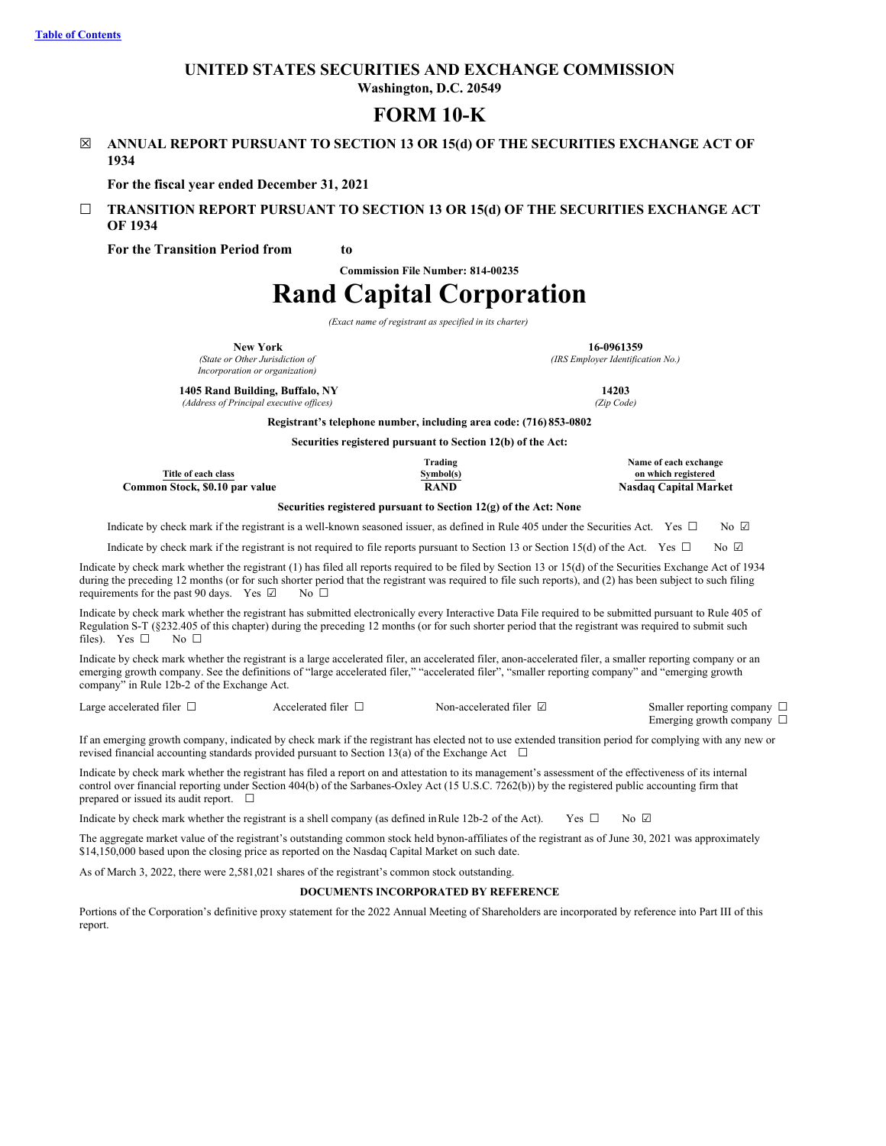# **UNITED STATES SECURITIES AND EXCHANGE COMMISSION Washington, D.C. 20549**

# **FORM 10-K**

☒ **ANNUAL REPORT PURSUANT TO SECTION 13 OR 15(d) OF THE SECURITIES EXCHANGE ACT OF 1934**

**For the fiscal year ended December 31, 2021**

☐ **TRANSITION REPORT PURSUANT TO SECTION 13 OR 15(d) OF THE SECURITIES EXCHANGE ACT OF 1934**

**For the Transition Period from to**

**Commission File Number: 814-00235**

# **Rand Capital Corporation**

*(Exact name of registrant as specified in its charter)*

**New York 16-0961359**

*(State or Other Jurisdiction of Incorporation or organization)*

**1405 Rand Building, Buffalo, NY 14203** *(Address of Principal executive of ices) (Zip Code)*

*(IRS Employer Identification No.)*

**Registrant's telephone number, including area code: (716) 853-0802**

**Securities registered pursuant to Section 12(b) of the Act:**

|                                | Trading   | Name of each exchange        |
|--------------------------------|-----------|------------------------------|
| Title of each class            | Symbol(s) | on which registered          |
| Common Stock, \$0.10 par value | RAND      | <b>Nasdaq Capital Market</b> |

**Securities registered pursuant to Section 12(g) of the Act: None**

Indicate by check mark if the registrant is a well-known seasoned issuer, as defined in Rule 405 under the Securities Act. Yes □ No □

Indicate by check mark if the registrant is not required to file reports pursuant to Section 13 or Section 15(d) of the Act. Yes  $\Box$  No  $\Box$ 

Indicate by check mark whether the registrant (1) has filed all reports required to be filed by Section 13 or 15(d) of the Securities Exchange Act of 1934 during the preceding 12 months (or for such shorter period that the registrant was required to file such reports), and (2) has been subject to such filing requirements for the past 90 days. Yes  $\boxtimes$  No  $\Box$ 

Indicate by check mark whether the registrant has submitted electronically every Interactive Data File required to be submitted pursuant to Rule 405 of Regulation S-T (§232.405 of this chapter) during the preceding 12 months (or for such shorter period that the registrant was required to submit such files). Yes  $\square$  No  $\square$ 

Indicate by check mark whether the registrant is a large accelerated filer, an accelerated filer, anon-accelerated filer, a smaller reporting company or an emerging growth company. See the definitions of "large accelerated filer," "accelerated filer", "smaller reporting company" and "emerging growth company" in Rule 12b-2 of the Exchange Act.

| Large accelerated filer | Accelerated filer | Non-accelerated filer | Smaller reporting company |
|-------------------------|-------------------|-----------------------|---------------------------|
|                         |                   |                       | Emerging growth company   |

If an emerging growth company, indicated by check mark if the registrant has elected not to use extended transition period for complying with any new or revised financial accounting standards provided pursuant to Section 13(a) of the Exchange Act  $\Box$ 

Indicate by check mark whether the registrant has filed a report on and attestation to its management's assessment of the effectiveness of its internal control over financial reporting under Section 404(b) of the Sarbanes-Oxley Act (15 U.S.C. 7262(b)) by the registered public accounting firm that prepared or issued its audit report.  $\Box$ 

Indicate by check mark whether the registrant is a shell company (as defined in Rule 12b-2 of the Act). Yes  $\Box$  No  $\Box$ 

The aggregate market value of the registrant's outstanding common stock held bynon-affiliates of the registrant as of June 30, 2021 was approximately \$14,150,000 based upon the closing price as reported on the Nasdaq Capital Market on such date.

As of March 3, 2022, there were 2,581,021 shares of the registrant's common stock outstanding.

# **DOCUMENTS INCORPORATED BY REFERENCE**

Portions of the Corporation's definitive proxy statement for the 2022 Annual Meeting of Shareholders are incorporated by reference into Part III of this report.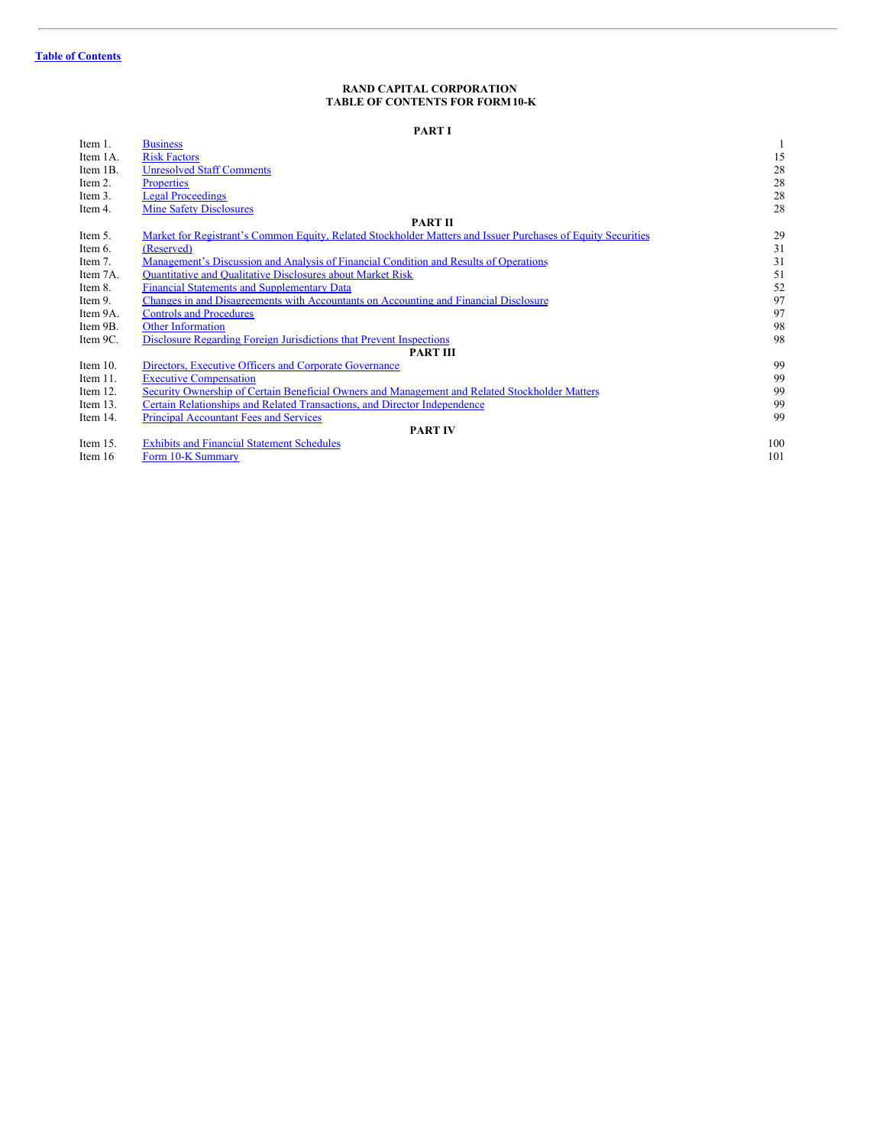# <span id="page-1-0"></span>**RAND CAPITAL CORPORATION TABLE OF CONTENTS FOR FORM10-K**

# **PART I**

| Item 1.     | <b>Business</b>                                                                                              |     |
|-------------|--------------------------------------------------------------------------------------------------------------|-----|
| Item 1A.    | <b>Risk Factors</b>                                                                                          | 15  |
| Item 1B.    | <b>Unresolved Staff Comments</b>                                                                             | 28  |
| Item 2.     | <b>Properties</b>                                                                                            | 28  |
| Item 3.     | <b>Legal Proceedings</b>                                                                                     | 28  |
| Item 4.     | <b>Mine Safety Disclosures</b>                                                                               | 28  |
|             | <b>PART II</b>                                                                                               |     |
| Item 5.     | Market for Registrant's Common Equity, Related Stockholder Matters and Issuer Purchases of Equity Securities | 29  |
| Item 6.     | (Reserved)                                                                                                   | 31  |
| Item 7.     | Management's Discussion and Analysis of Financial Condition and Results of Operations                        | 31  |
| Item 7A.    | <b>Quantitative and Qualitative Disclosures about Market Risk</b>                                            | 51  |
| Item 8.     | <b>Financial Statements and Supplementary Data</b>                                                           | 52  |
| Item 9.     | Changes in and Disagreements with Accountants on Accounting and Financial Disclosure                         | 97  |
| Item 9A.    | <b>Controls and Procedures</b>                                                                               | 97  |
| Item 9B.    | <b>Other Information</b>                                                                                     | 98  |
| Item 9C.    | Disclosure Regarding Foreign Jurisdictions that Prevent Inspections                                          | 98  |
|             | <b>PART III</b>                                                                                              |     |
| Item $10$ . | Directors, Executive Officers and Corporate Governance                                                       | 99  |
| Item $11$ . | <b>Executive Compensation</b>                                                                                | 99  |
| Item 12.    | Security Ownership of Certain Beneficial Owners and Management and Related Stockholder Matters               | 99  |
| Item $13$ . | Certain Relationships and Related Transactions, and Director Independence                                    | 99  |
| Item 14.    | <b>Principal Accountant Fees and Services</b>                                                                | 99  |
|             | <b>PART IV</b>                                                                                               |     |
| Item 15.    | <b>Exhibits and Financial Statement Schedules</b>                                                            | 100 |
| Item 16     | Form 10-K Summary                                                                                            | 101 |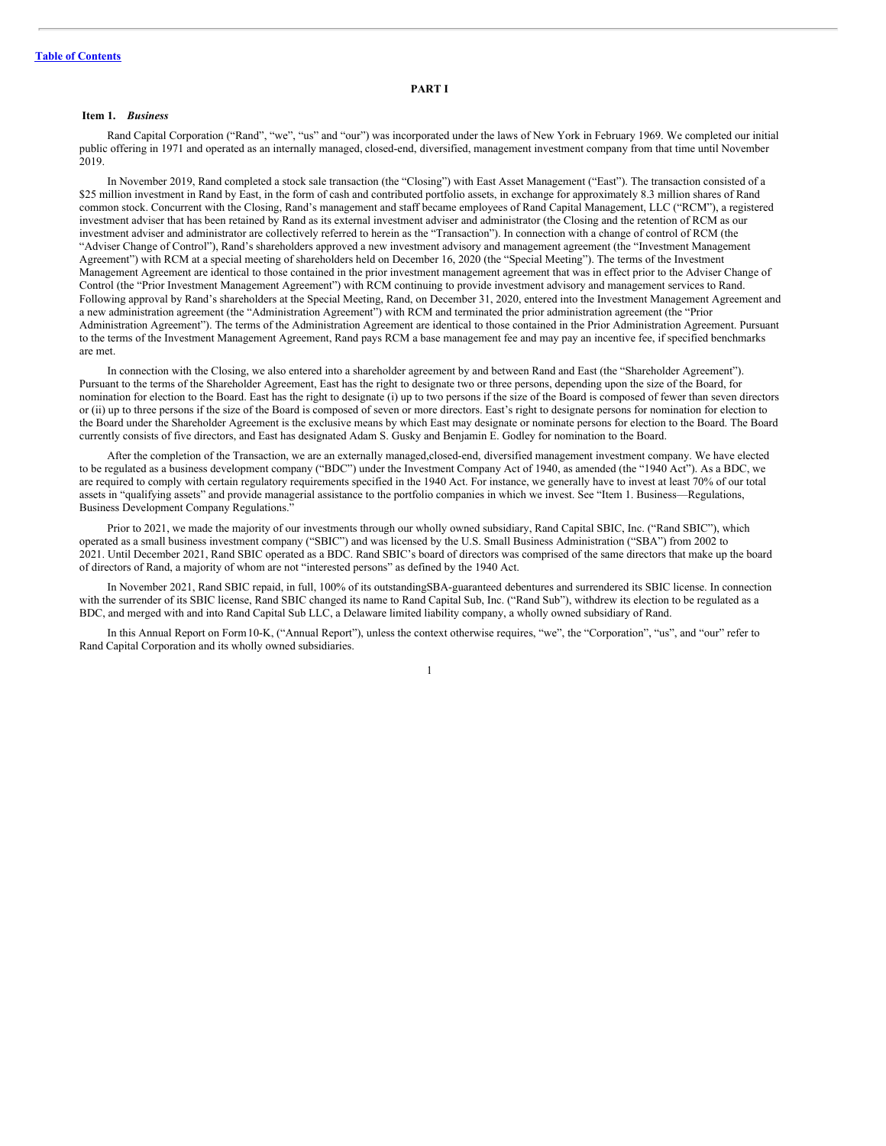# **PART I**

### <span id="page-2-0"></span>**Item 1.** *Business*

Rand Capital Corporation ("Rand", "we", "us" and "our") was incorporated under the laws of New York in February 1969. We completed our initial public offering in 1971 and operated as an internally managed, closed-end, diversified, management investment company from that time until November 2019.

In November 2019, Rand completed a stock sale transaction (the "Closing") with East Asset Management ("East"). The transaction consisted of a \$25 million investment in Rand by East, in the form of cash and contributed portfolio assets, in exchange for approximately 8.3 million shares of Rand common stock. Concurrent with the Closing, Rand's management and staff became employees of Rand Capital Management, LLC ("RCM"), a registered investment adviser that has been retained by Rand as its external investment adviser and administrator (the Closing and the retention of RCM as our investment adviser and administrator are collectively referred to herein as the "Transaction"). In connection with a change of control of RCM (the "Adviser Change of Control"), Rand's shareholders approved a new investment advisory and management agreement (the "Investment Management Agreement") with RCM at a special meeting of shareholders held on December 16, 2020 (the "Special Meeting"). The terms of the Investment Management Agreement are identical to those contained in the prior investment management agreement that was in effect prior to the Adviser Change of Control (the "Prior Investment Management Agreement") with RCM continuing to provide investment advisory and management services to Rand. Following approval by Rand's shareholders at the Special Meeting, Rand, on December 31, 2020, entered into the Investment Management Agreement and a new administration agreement (the "Administration Agreement") with RCM and terminated the prior administration agreement (the "Prior Administration Agreement"). The terms of the Administration Agreement are identical to those contained in the Prior Administration Agreement. Pursuant to the terms of the Investment Management Agreement, Rand pays RCM a base management fee and may pay an incentive fee, if specified benchmarks are met.

In connection with the Closing, we also entered into a shareholder agreement by and between Rand and East (the "Shareholder Agreement"). Pursuant to the terms of the Shareholder Agreement, East has the right to designate two or three persons, depending upon the size of the Board, for nomination for election to the Board. East has the right to designate (i) up to two persons if the size of the Board is composed of fewer than seven directors or (ii) up to three persons if the size of the Board is composed of seven or more directors. East's right to designate persons for nomination for election to the Board under the Shareholder Agreement is the exclusive means by which East may designate or nominate persons for election to the Board. The Board currently consists of five directors, and East has designated Adam S. Gusky and Benjamin E. Godley for nomination to the Board.

After the completion of the Transaction, we are an externally managed,closed-end, diversified management investment company. We have elected to be regulated as a business development company ("BDC") under the Investment Company Act of 1940, as amended (the "1940 Act"). As a BDC, we are required to comply with certain regulatory requirements specified in the 1940 Act. For instance, we generally have to invest at least 70% of our total assets in "qualifying assets" and provide managerial assistance to the portfolio companies in which we invest. See "Item 1. Business—Regulations, Business Development Company Regulations."

Prior to 2021, we made the majority of our investments through our wholly owned subsidiary, Rand Capital SBIC, Inc. ("Rand SBIC"), which operated as a small business investment company ("SBIC") and was licensed by the U.S. Small Business Administration ("SBA") from 2002 to 2021. Until December 2021, Rand SBIC operated as a BDC. Rand SBIC's board of directors was comprised of the same directors that make up the board of directors of Rand, a majority of whom are not "interested persons" as defined by the 1940 Act.

In November 2021, Rand SBIC repaid, in full, 100% of its outstandingSBA-guaranteed debentures and surrendered its SBIC license. In connection with the surrender of its SBIC license, Rand SBIC changed its name to Rand Capital Sub, Inc. ("Rand Sub"), withdrew its election to be regulated as a BDC, and merged with and into Rand Capital Sub LLC, a Delaware limited liability company, a wholly owned subsidiary of Rand.

In this Annual Report on Form10-K, ("Annual Report"), unless the context otherwise requires, "we", the "Corporation", "us", and "our" refer to Rand Capital Corporation and its wholly owned subsidiaries.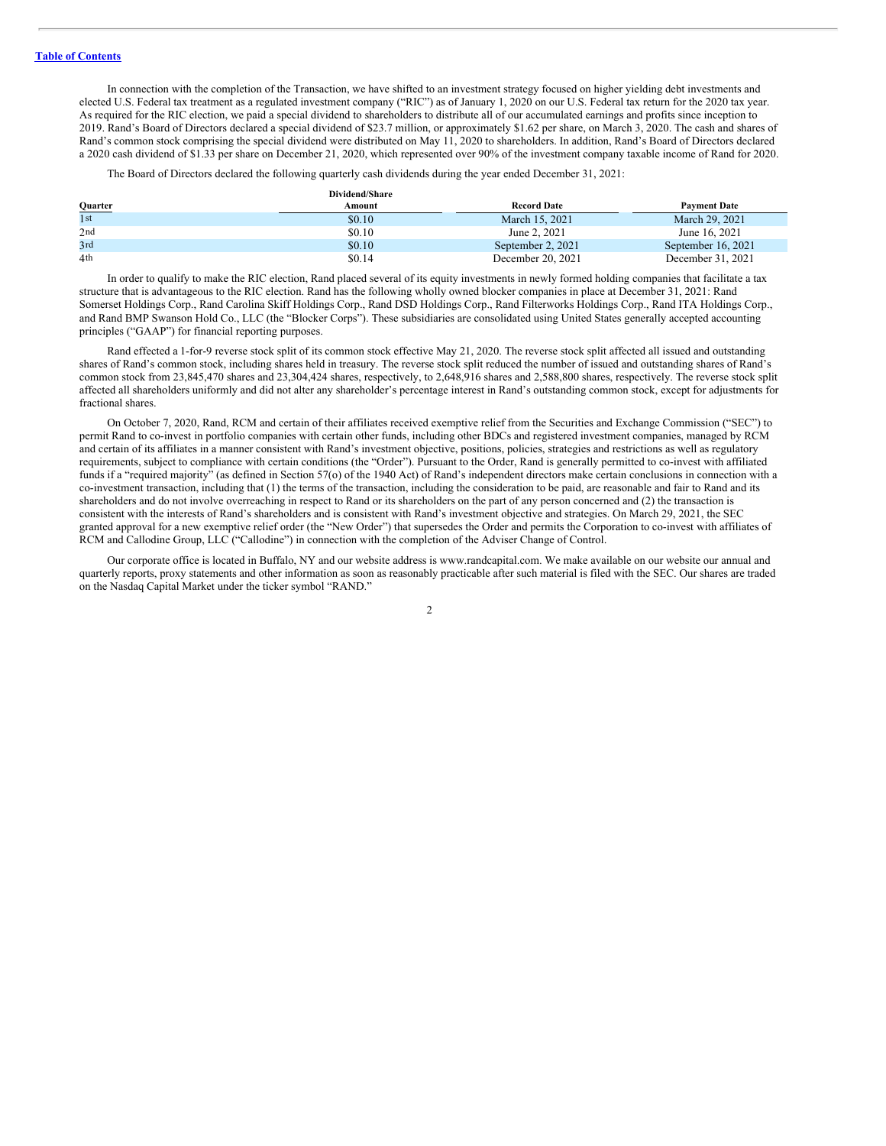In connection with the completion of the Transaction, we have shifted to an investment strategy focused on higher yielding debt investments and elected U.S. Federal tax treatment as a regulated investment company ("RIC") as of January 1, 2020 on our U.S. Federal tax return for the 2020 tax year. As required for the RIC election, we paid a special dividend to shareholders to distribute all of our accumulated earnings and profits since inception to 2019. Rand's Board of Directors declared a special dividend of \$23.7 million, or approximately \$1.62 per share, on March 3, 2020. The cash and shares of Rand's common stock comprising the special dividend were distributed on May 11, 2020 to shareholders. In addition, Rand's Board of Directors declared a 2020 cash dividend of \$1.33 per share on December 21, 2020, which represented over 90% of the investment company taxable income of Rand for 2020.

The Board of Directors declared the following quarterly cash dividends during the year ended December 31, 2021:

|                 | Dividend/Share |                    |                     |
|-----------------|----------------|--------------------|---------------------|
| Quarter         | Amount         | <b>Record Date</b> | <b>Payment Date</b> |
| 1st             | \$0.10         | March 15, 2021     | March 29, 2021      |
| 2 <sub>nd</sub> | \$0.10         | June 2, 2021       | June 16, 2021       |
| 3rd             | \$0.10         | September 2, 2021  | September 16, 2021  |
| 4th             | \$0.14         | December 20, 2021  | December 31, 2021   |

In order to qualify to make the RIC election, Rand placed several of its equity investments in newly formed holding companies that facilitate a tax structure that is advantageous to the RIC election. Rand has the following wholly owned blocker companies in place at December 31, 2021: Rand Somerset Holdings Corp., Rand Carolina Skiff Holdings Corp., Rand DSD Holdings Corp., Rand Filterworks Holdings Corp., Rand ITA Holdings Corp., and Rand BMP Swanson Hold Co., LLC (the "Blocker Corps"). These subsidiaries are consolidated using United States generally accepted accounting principles ("GAAP") for financial reporting purposes.

Rand effected a 1-for-9 reverse stock split of its common stock effective May 21, 2020. The reverse stock split affected all issued and outstanding shares of Rand's common stock, including shares held in treasury. The reverse stock split reduced the number of issued and outstanding shares of Rand's common stock from 23,845,470 shares and 23,304,424 shares, respectively, to 2,648,916 shares and 2,588,800 shares, respectively. The reverse stock split affected all shareholders uniformly and did not alter any shareholder's percentage interest in Rand's outstanding common stock, except for adjustments for fractional shares.

On October 7, 2020, Rand, RCM and certain of their affiliates received exemptive relief from the Securities and Exchange Commission ("SEC") to permit Rand to co-invest in portfolio companies with certain other funds, including other BDCs and registered investment companies, managed by RCM and certain of its affiliates in a manner consistent with Rand's investment objective, positions, policies, strategies and restrictions as well as regulatory requirements, subject to compliance with certain conditions (the "Order"). Pursuant to the Order, Rand is generally permitted to co-invest with affiliated funds if a "required majority" (as defined in Section 57(o) of the 1940 Act) of Rand's independent directors make certain conclusions in connection with a co-investment transaction, including that (1) the terms of the transaction, including the consideration to be paid, are reasonable and fair to Rand and its shareholders and do not involve overreaching in respect to Rand or its shareholders on the part of any person concerned and (2) the transaction is consistent with the interests of Rand's shareholders and is consistent with Rand's investment objective and strategies. On March 29, 2021, the SEC granted approval for a new exemptive relief order (the "New Order") that supersedes the Order and permits the Corporation to co-invest with affiliates of RCM and Callodine Group, LLC ("Callodine") in connection with the completion of the Adviser Change of Control.

Our corporate office is located in Buffalo, NY and our website address is www.randcapital.com. We make available on our website our annual and quarterly reports, proxy statements and other information as soon as reasonably practicable after such material is filed with the SEC. Our shares are traded on the Nasdaq Capital Market under the ticker symbol "RAND."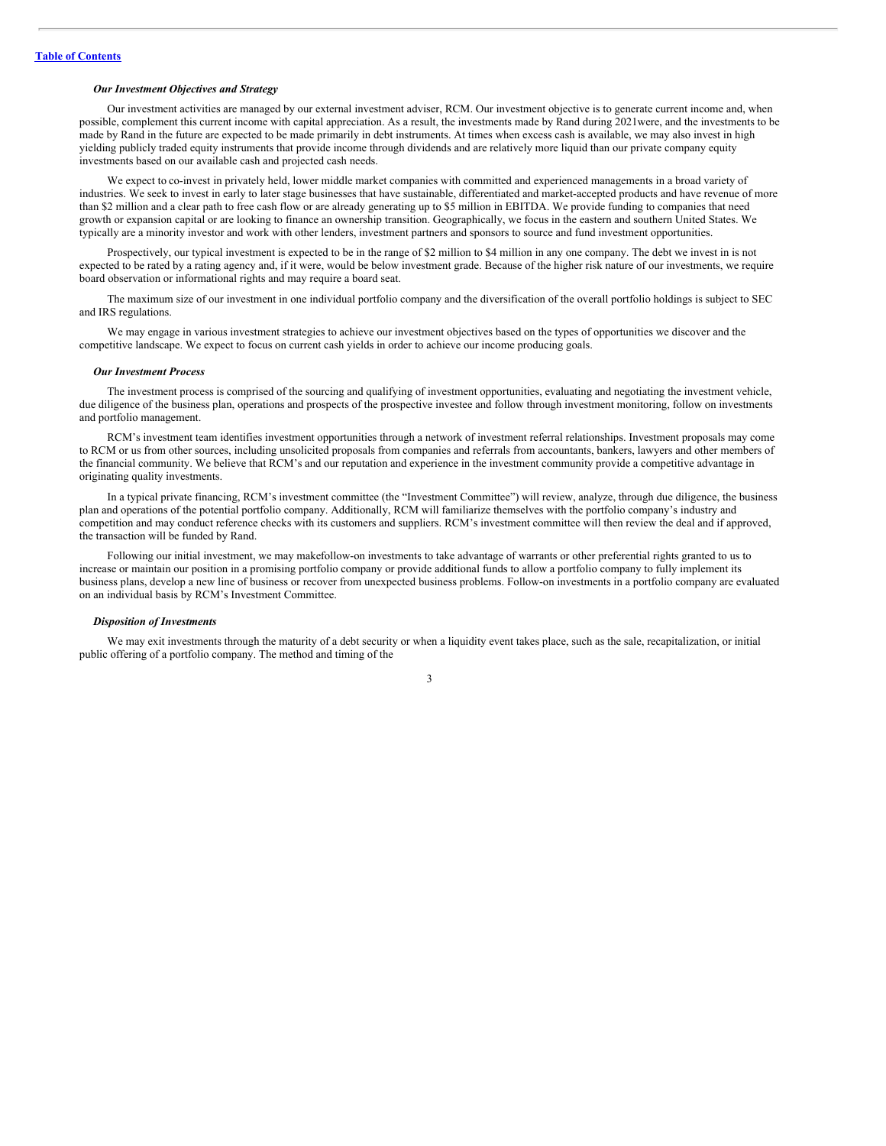# *Our Investment Objectives and Strategy*

Our investment activities are managed by our external investment adviser, RCM. Our investment objective is to generate current income and, when possible, complement this current income with capital appreciation. As a result, the investments made by Rand during 2021were, and the investments to be made by Rand in the future are expected to be made primarily in debt instruments. At times when excess cash is available, we may also invest in high yielding publicly traded equity instruments that provide income through dividends and are relatively more liquid than our private company equity investments based on our available cash and projected cash needs.

We expect to co-invest in privately held, lower middle market companies with committed and experienced managements in a broad variety of industries. We seek to invest in early to later stage businesses that have sustainable, differentiated and market-accepted products and have revenue of more than \$2 million and a clear path to free cash flow or are already generating up to \$5 million in EBITDA. We provide funding to companies that need growth or expansion capital or are looking to finance an ownership transition. Geographically, we focus in the eastern and southern United States. We typically are a minority investor and work with other lenders, investment partners and sponsors to source and fund investment opportunities.

Prospectively, our typical investment is expected to be in the range of \$2 million to \$4 million in any one company. The debt we invest in is not expected to be rated by a rating agency and, if it were, would be below investment grade. Because of the higher risk nature of our investments, we require board observation or informational rights and may require a board seat.

The maximum size of our investment in one individual portfolio company and the diversification of the overall portfolio holdings is subject to SEC and IRS regulations.

We may engage in various investment strategies to achieve our investment objectives based on the types of opportunities we discover and the competitive landscape. We expect to focus on current cash yields in order to achieve our income producing goals.

#### *Our Investment Process*

The investment process is comprised of the sourcing and qualifying of investment opportunities, evaluating and negotiating the investment vehicle, due diligence of the business plan, operations and prospects of the prospective investee and follow through investment monitoring, follow on investments and portfolio management.

RCM's investment team identifies investment opportunities through a network of investment referral relationships. Investment proposals may come to RCM or us from other sources, including unsolicited proposals from companies and referrals from accountants, bankers, lawyers and other members of the financial community. We believe that RCM's and our reputation and experience in the investment community provide a competitive advantage in originating quality investments.

In a typical private financing, RCM's investment committee (the "Investment Committee") will review, analyze, through due diligence, the business plan and operations of the potential portfolio company. Additionally, RCM will familiarize themselves with the portfolio company's industry and competition and may conduct reference checks with its customers and suppliers. RCM's investment committee will then review the deal and if approved, the transaction will be funded by Rand.

Following our initial investment, we may makefollow-on investments to take advantage of warrants or other preferential rights granted to us to increase or maintain our position in a promising portfolio company or provide additional funds to allow a portfolio company to fully implement its business plans, develop a new line of business or recover from unexpected business problems. Follow-on investments in a portfolio company are evaluated on an individual basis by RCM's Investment Committee.

#### *Disposition of Investments*

We may exit investments through the maturity of a debt security or when a liquidity event takes place, such as the sale, recapitalization, or initial public offering of a portfolio company. The method and timing of the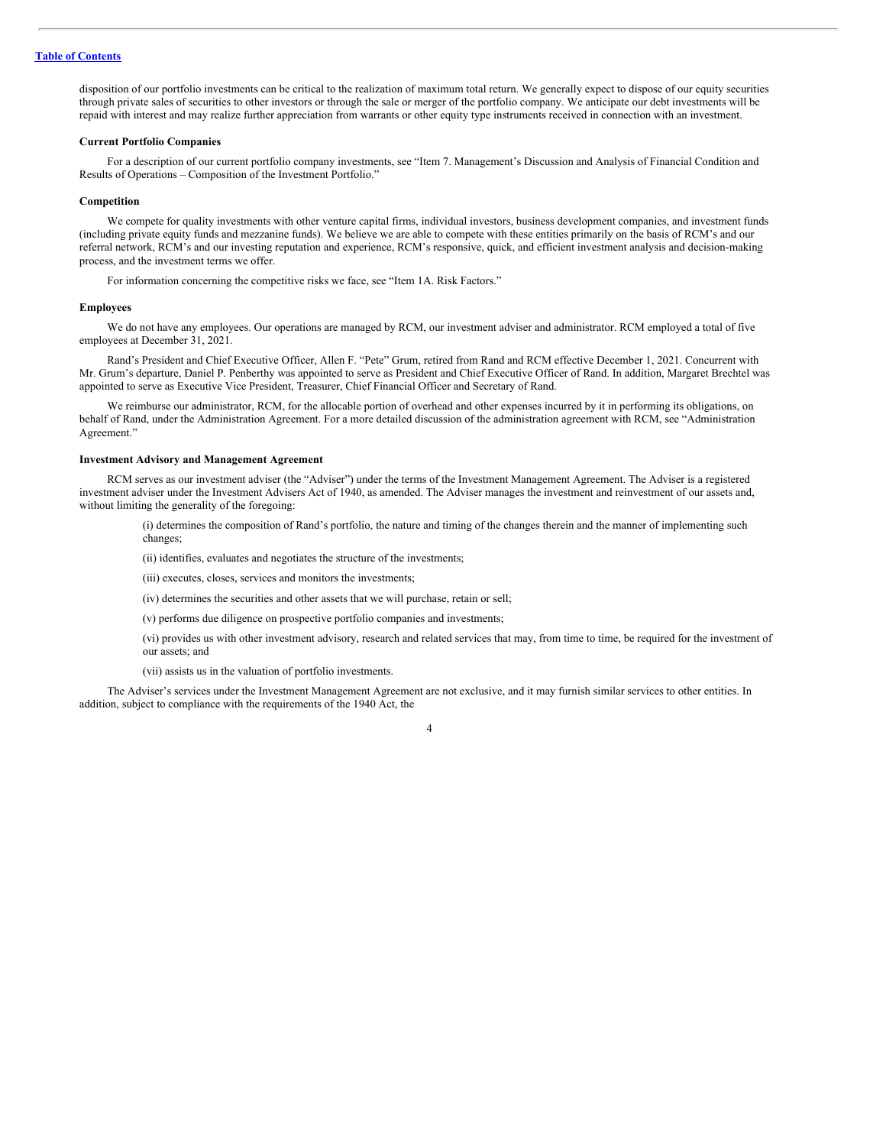disposition of our portfolio investments can be critical to the realization of maximum total return. We generally expect to dispose of our equity securities through private sales of securities to other investors or through the sale or merger of the portfolio company. We anticipate our debt investments will be repaid with interest and may realize further appreciation from warrants or other equity type instruments received in connection with an investment.

#### **Current Portfolio Companies**

For a description of our current portfolio company investments, see "Item 7. Management's Discussion and Analysis of Financial Condition and Results of Operations – Composition of the Investment Portfolio."

#### **Competition**

We compete for quality investments with other venture capital firms, individual investors, business development companies, and investment funds (including private equity funds and mezzanine funds). We believe we are able to compete with these entities primarily on the basis of RCM's and our referral network, RCM's and our investing reputation and experience, RCM's responsive, quick, and efficient investment analysis and decision-making process, and the investment terms we offer.

For information concerning the competitive risks we face, see "Item 1A. Risk Factors."

#### **Employees**

We do not have any employees. Our operations are managed by RCM, our investment adviser and administrator. RCM employed a total of five employees at December 31, 2021.

Rand's President and Chief Executive Officer, Allen F. "Pete" Grum, retired from Rand and RCM effective December 1, 2021. Concurrent with Mr. Grum's departure, Daniel P. Penberthy was appointed to serve as President and Chief Executive Officer of Rand. In addition, Margaret Brechtel was appointed to serve as Executive Vice President, Treasurer, Chief Financial Officer and Secretary of Rand.

We reimburse our administrator, RCM, for the allocable portion of overhead and other expenses incurred by it in performing its obligations, on behalf of Rand, under the Administration Agreement. For a more detailed discussion of the administration agreement with RCM, see "Administration Agreement."

#### **Investment Advisory and Management Agreement**

RCM serves as our investment adviser (the "Adviser") under the terms of the Investment Management Agreement. The Adviser is a registered investment adviser under the Investment Advisers Act of 1940, as amended. The Adviser manages the investment and reinvestment of our assets and, without limiting the generality of the foregoing:

(i) determines the composition of Rand's portfolio, the nature and timing of the changes therein and the manner of implementing such changes;

(ii) identifies, evaluates and negotiates the structure of the investments;

(iii) executes, closes, services and monitors the investments;

(iv) determines the securities and other assets that we will purchase, retain or sell;

(v) performs due diligence on prospective portfolio companies and investments;

(vi) provides us with other investment advisory, research and related services that may, from time to time, be required for the investment of our assets; and

(vii) assists us in the valuation of portfolio investments.

The Adviser's services under the Investment Management Agreement are not exclusive, and it may furnish similar services to other entities. In addition, subject to compliance with the requirements of the 1940 Act, the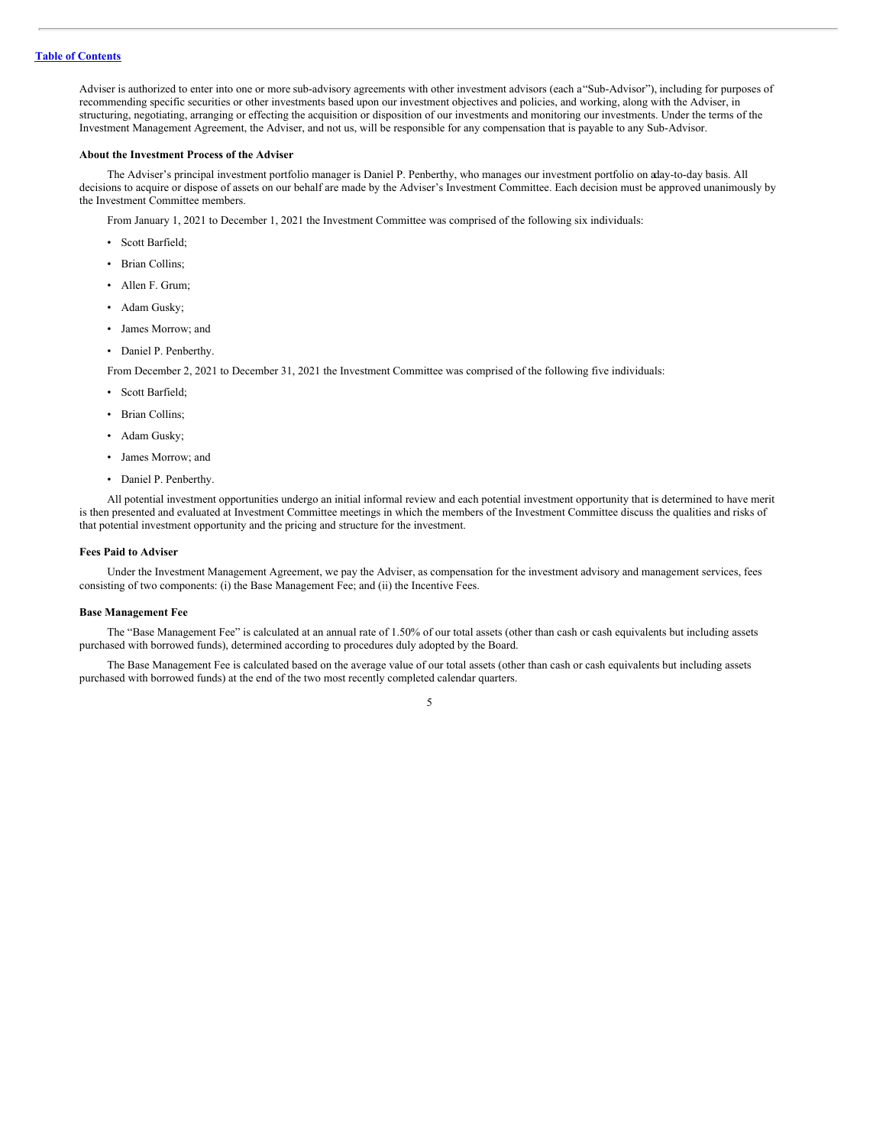Adviser is authorized to enter into one or more sub-advisory agreements with other investment advisors (each a"Sub-Advisor"), including for purposes of recommending specific securities or other investments based upon our investment objectives and policies, and working, along with the Adviser, in structuring, negotiating, arranging or effecting the acquisition or disposition of our investments and monitoring our investments. Under the terms of the Investment Management Agreement, the Adviser, and not us, will be responsible for any compensation that is payable to any Sub-Advisor.

#### **About the Investment Process of the Adviser**

The Adviser's principal investment portfolio manager is Daniel P. Penberthy, who manages our investment portfolio on aday-to-day basis. All decisions to acquire or dispose of assets on our behalf are made by the Adviser's Investment Committee. Each decision must be approved unanimously by the Investment Committee members.

From January 1, 2021 to December 1, 2021 the Investment Committee was comprised of the following six individuals:

- Scott Barfield;
- Brian Collins;
- Allen F. Grum;
- Adam Gusky;
- James Morrow; and
- Daniel P. Penberthy.

From December 2, 2021 to December 31, 2021 the Investment Committee was comprised of the following five individuals:

- Scott Barfield;
- Brian Collins;
- Adam Gusky;
- James Morrow; and
- Daniel P. Penberthy.

All potential investment opportunities undergo an initial informal review and each potential investment opportunity that is determined to have merit is then presented and evaluated at Investment Committee meetings in which the members of the Investment Committee discuss the qualities and risks of that potential investment opportunity and the pricing and structure for the investment.

#### **Fees Paid to Adviser**

Under the Investment Management Agreement, we pay the Adviser, as compensation for the investment advisory and management services, fees consisting of two components: (i) the Base Management Fee; and (ii) the Incentive Fees.

#### **Base Management Fee**

The "Base Management Fee" is calculated at an annual rate of 1.50% of our total assets (other than cash or cash equivalents but including assets purchased with borrowed funds), determined according to procedures duly adopted by the Board.

The Base Management Fee is calculated based on the average value of our total assets (other than cash or cash equivalents but including assets purchased with borrowed funds) at the end of the two most recently completed calendar quarters.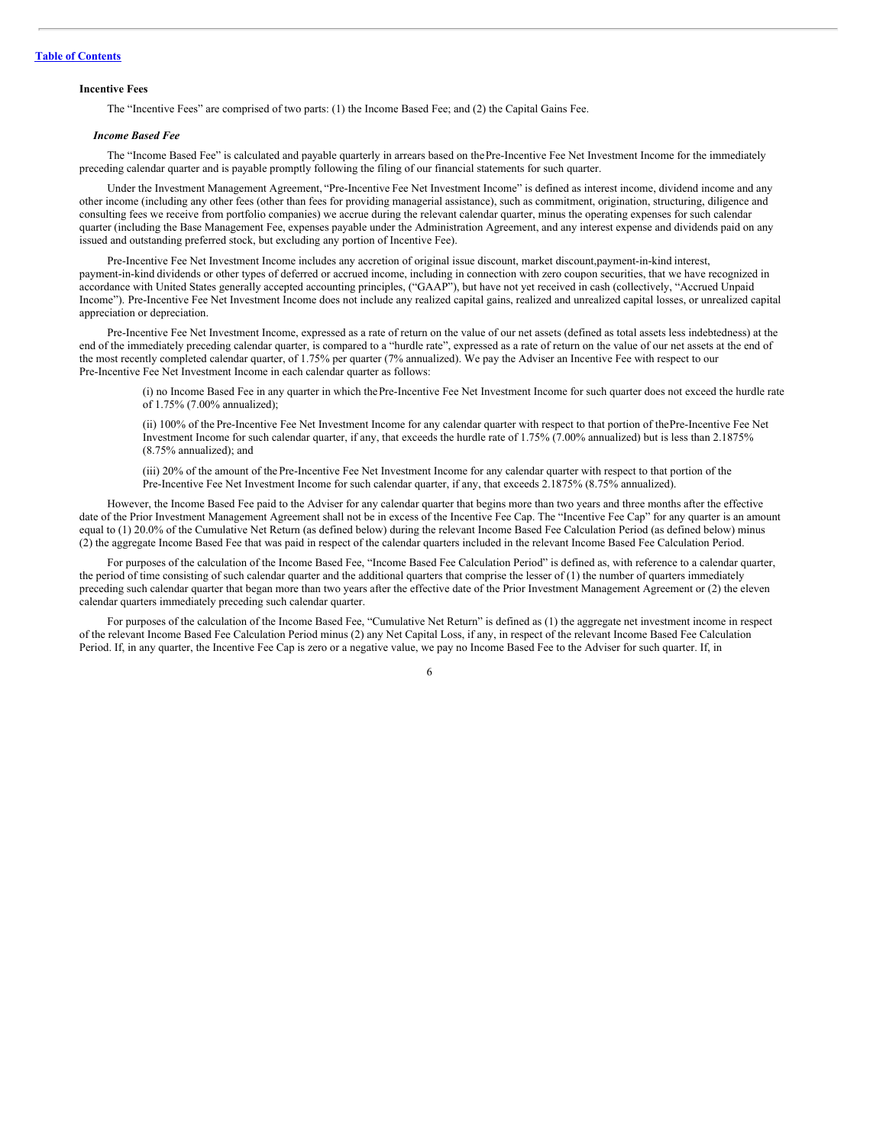# **Incentive Fees**

The "Incentive Fees" are comprised of two parts: (1) the Income Based Fee; and (2) the Capital Gains Fee.

# *Income Based Fee*

The "Income Based Fee" is calculated and payable quarterly in arrears based on thePre-Incentive Fee Net Investment Income for the immediately preceding calendar quarter and is payable promptly following the filing of our financial statements for such quarter.

Under the Investment Management Agreement, "Pre-Incentive Fee Net Investment Income" is defined as interest income, dividend income and any other income (including any other fees (other than fees for providing managerial assistance), such as commitment, origination, structuring, diligence and consulting fees we receive from portfolio companies) we accrue during the relevant calendar quarter, minus the operating expenses for such calendar quarter (including the Base Management Fee, expenses payable under the Administration Agreement, and any interest expense and dividends paid on any issued and outstanding preferred stock, but excluding any portion of Incentive Fee).

Pre-Incentive Fee Net Investment Income includes any accretion of original issue discount, market discount,payment-in-kind interest, payment-in-kind dividends or other types of deferred or accrued income, including in connection with zero coupon securities, that we have recognized in accordance with United States generally accepted accounting principles, ("GAAP"), but have not yet received in cash (collectively, "Accrued Unpaid Income"). Pre-Incentive Fee Net Investment Income does not include any realized capital gains, realized and unrealized capital losses, or unrealized capital appreciation or depreciation.

Pre-Incentive Fee Net Investment Income, expressed as a rate of return on the value of our net assets (defined as total assets less indebtedness) at the end of the immediately preceding calendar quarter, is compared to a "hurdle rate", expressed as a rate of return on the value of our net assets at the end of the most recently completed calendar quarter, of 1.75% per quarter (7% annualized). We pay the Adviser an Incentive Fee with respect to our Pre-Incentive Fee Net Investment Income in each calendar quarter as follows:

(i) no Income Based Fee in any quarter in which thePre-Incentive Fee Net Investment Income for such quarter does not exceed the hurdle rate of 1.75% (7.00% annualized);

(ii) 100% of the Pre-Incentive Fee Net Investment Income for any calendar quarter with respect to that portion of thePre-Incentive Fee Net Investment Income for such calendar quarter, if any, that exceeds the hurdle rate of 1.75% (7.00% annualized) but is less than 2.1875% (8.75% annualized); and

(iii) 20% of the amount of the Pre-Incentive Fee Net Investment Income for any calendar quarter with respect to that portion of the Pre-Incentive Fee Net Investment Income for such calendar quarter, if any, that exceeds 2.1875% (8.75% annualized).

However, the Income Based Fee paid to the Adviser for any calendar quarter that begins more than two years and three months after the effective date of the Prior Investment Management Agreement shall not be in excess of the Incentive Fee Cap. The "Incentive Fee Cap" for any quarter is an amount equal to (1) 20.0% of the Cumulative Net Return (as defined below) during the relevant Income Based Fee Calculation Period (as defined below) minus (2) the aggregate Income Based Fee that was paid in respect of the calendar quarters included in the relevant Income Based Fee Calculation Period.

For purposes of the calculation of the Income Based Fee, "Income Based Fee Calculation Period" is defined as, with reference to a calendar quarter, the period of time consisting of such calendar quarter and the additional quarters that comprise the lesser of (1) the number of quarters immediately preceding such calendar quarter that began more than two years after the effective date of the Prior Investment Management Agreement or (2) the eleven calendar quarters immediately preceding such calendar quarter.

For purposes of the calculation of the Income Based Fee, "Cumulative Net Return" is defined as (1) the aggregate net investment income in respect of the relevant Income Based Fee Calculation Period minus (2) any Net Capital Loss, if any, in respect of the relevant Income Based Fee Calculation Period. If, in any quarter, the Incentive Fee Cap is zero or a negative value, we pay no Income Based Fee to the Adviser for such quarter. If, in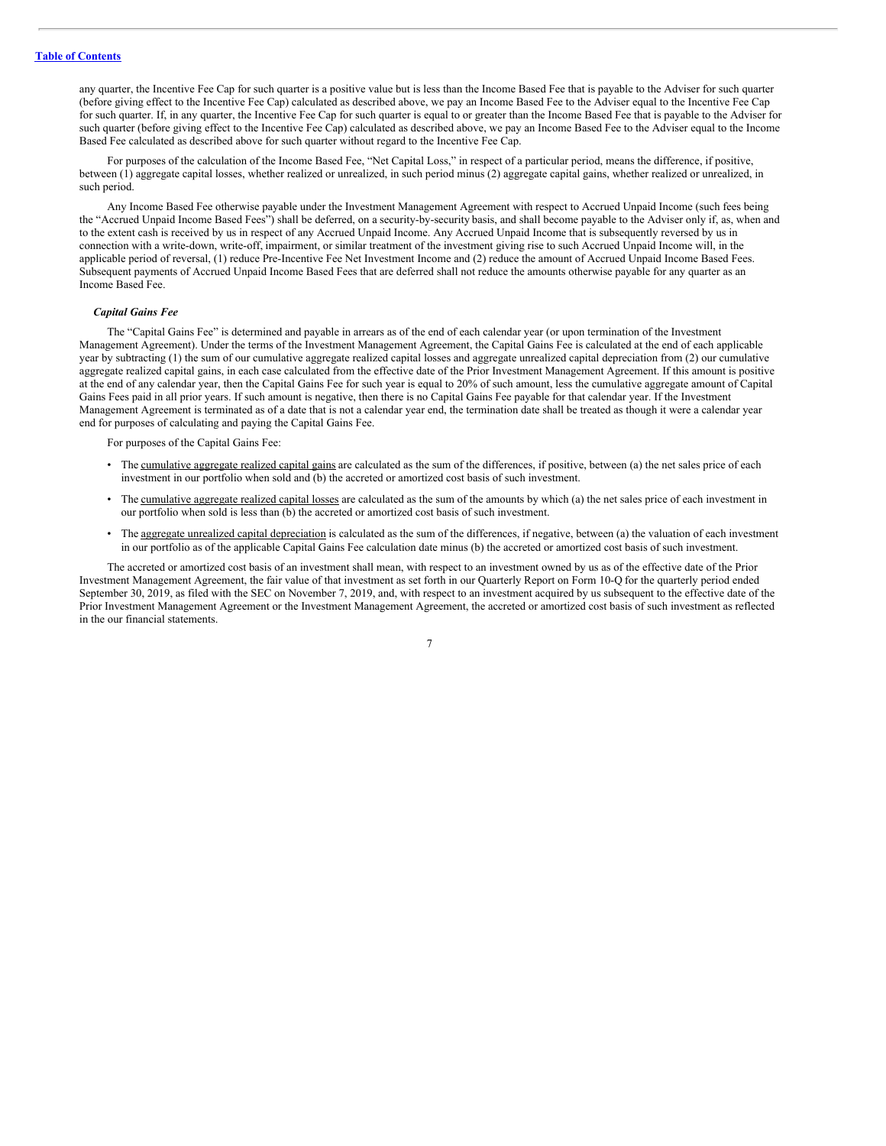any quarter, the Incentive Fee Cap for such quarter is a positive value but is less than the Income Based Fee that is payable to the Adviser for such quarter (before giving effect to the Incentive Fee Cap) calculated as described above, we pay an Income Based Fee to the Adviser equal to the Incentive Fee Cap for such quarter. If, in any quarter, the Incentive Fee Cap for such quarter is equal to or greater than the Income Based Fee that is payable to the Adviser for such quarter (before giving effect to the Incentive Fee Cap) calculated as described above, we pay an Income Based Fee to the Adviser equal to the Income Based Fee calculated as described above for such quarter without regard to the Incentive Fee Cap.

For purposes of the calculation of the Income Based Fee, "Net Capital Loss," in respect of a particular period, means the difference, if positive, between (1) aggregate capital losses, whether realized or unrealized, in such period minus (2) aggregate capital gains, whether realized or unrealized, in such period.

Any Income Based Fee otherwise payable under the Investment Management Agreement with respect to Accrued Unpaid Income (such fees being the "Accrued Unpaid Income Based Fees") shall be deferred, on a security-by-security basis, and shall become payable to the Adviser only if, as, when and to the extent cash is received by us in respect of any Accrued Unpaid Income. Any Accrued Unpaid Income that is subsequently reversed by us in connection with a write-down, write-off, impairment, or similar treatment of the investment giving rise to such Accrued Unpaid Income will, in the applicable period of reversal, (1) reduce Pre-Incentive Fee Net Investment Income and (2) reduce the amount of Accrued Unpaid Income Based Fees. Subsequent payments of Accrued Unpaid Income Based Fees that are deferred shall not reduce the amounts otherwise payable for any quarter as an Income Based Fee.

#### *Capital Gains Fee*

The "Capital Gains Fee" is determined and payable in arrears as of the end of each calendar year (or upon termination of the Investment Management Agreement). Under the terms of the Investment Management Agreement, the Capital Gains Fee is calculated at the end of each applicable year by subtracting (1) the sum of our cumulative aggregate realized capital losses and aggregate unrealized capital depreciation from (2) our cumulative aggregate realized capital gains, in each case calculated from the effective date of the Prior Investment Management Agreement. If this amount is positive at the end of any calendar year, then the Capital Gains Fee for such year is equal to 20% of such amount, less the cumulative aggregate amount of Capital Gains Fees paid in all prior years. If such amount is negative, then there is no Capital Gains Fee payable for that calendar year. If the Investment Management Agreement is terminated as of a date that is not a calendar year end, the termination date shall be treated as though it were a calendar year end for purposes of calculating and paying the Capital Gains Fee.

For purposes of the Capital Gains Fee:

- The cumulative aggregate realized capital gains are calculated as the sum of the differences, if positive, between (a) the net sales price of each investment in our portfolio when sold and (b) the accreted or amortized cost basis of such investment.
- The cumulative aggregate realized capital losses are calculated as the sum of the amounts by which (a) the net sales price of each investment in our portfolio when sold is less than (b) the accreted or amortized cost basis of such investment.
- The aggregate unrealized capital depreciation is calculated as the sum of the differences, if negative, between (a) the valuation of each investment in our portfolio as of the applicable Capital Gains Fee calculation date minus (b) the accreted or amortized cost basis of such investment.

The accreted or amortized cost basis of an investment shall mean, with respect to an investment owned by us as of the effective date of the Prior Investment Management Agreement, the fair value of that investment as set forth in our Quarterly Report on Form 10-Q for the quarterly period ended September 30, 2019, as filed with the SEC on November 7, 2019, and, with respect to an investment acquired by us subsequent to the effective date of the Prior Investment Management Agreement or the Investment Management Agreement, the accreted or amortized cost basis of such investment as reflected in the our financial statements.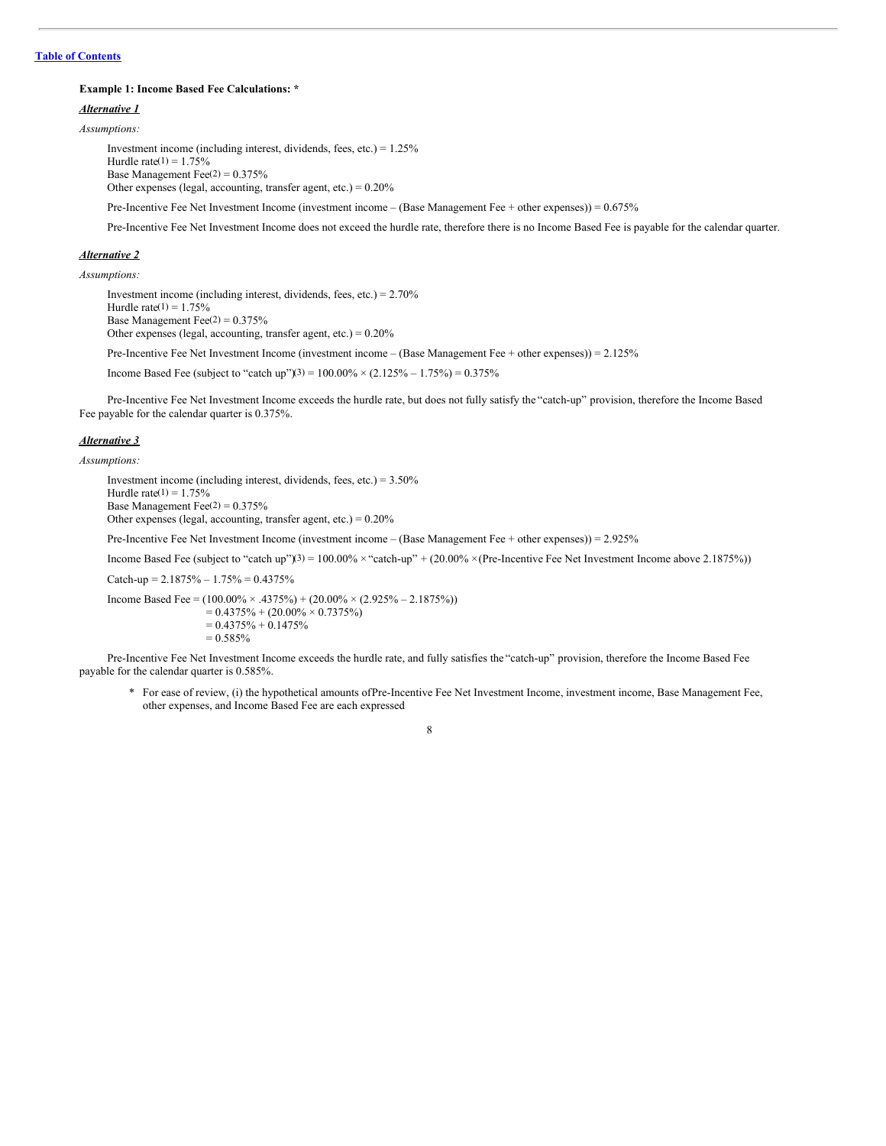# **Example 1: Income Based Fee Calculations: \***

#### *Alternative 1*

*Assumptions:*

Investment income (including interest, dividends, fees, etc.) = 1.25% Hurdle rate(1) =  $1.75%$ Base Management Fee(2) = 0.375% Other expenses (legal, accounting, transfer agent, etc.) = 0.20%

Pre-Incentive Fee Net Investment Income (investment income – (Base Management Fee + other expenses)) = 0.675%

Pre-Incentive Fee Net Investment Income does not exceed the hurdle rate, therefore there is no Income Based Fee is payable for the calendar quarter.

## *Alternative 2*

*Assumptions:*

Investment income (including interest, dividends, fees, etc.) = 2.70% Hurdle rate(1) =  $1.75%$ Base Management  $\text{Fee}(2) = 0.375\%$ Other expenses (legal, accounting, transfer agent, etc.) = 0.20%

Pre-Incentive Fee Net Investment Income (investment income – (Base Management Fee + other expenses)) = 2.125%

Income Based Fee (subject to "catch up")(3) =  $100.00\% \times (2.125\% - 1.75\%) = 0.375\%$ 

Pre-Incentive Fee Net Investment Income exceeds the hurdle rate, but does not fully satisfy the "catch-up" provision, therefore the Income Based Fee payable for the calendar quarter is 0.375%.

# *Alternative 3*

*Assumptions:*

Investment income (including interest, dividends, fees, etc.) = 3.50% Hurdle rate(1) =  $1.75%$ Base Management  $\text{Fee}(2) = 0.375\%$ Other expenses (legal, accounting, transfer agent, etc.) = 0.20%

Pre-Incentive Fee Net Investment Income (investment income – (Base Management Fee + other expenses)) = 2.925%

Income Based Fee (subject to "catch up")(3) = 100.00% × "catch-up" + (20.00% × (Pre-Incentive Fee Net Investment Income above 2.1875%))

Catch-up =  $2.1875\% - 1.75\% = 0.4375\%$ 

Income Based Fee =  $(100.00\% \times .4375\%) + (20.00\% \times (2.925\% - 2.1875\%))$  $= 0.4375\% + (20.00\% \times 0.7375\%)$  $= 0.4375\% + 0.1475\%$  $= 0.585\%$ 

Pre-Incentive Fee Net Investment Income exceeds the hurdle rate, and fully satisfies the "catch-up" provision, therefore the Income Based Fee payable for the calendar quarter is 0.585%.

\* For ease of review, (i) the hypothetical amounts ofPre-Incentive Fee Net Investment Income, investment income, Base Management Fee, other expenses, and Income Based Fee are each expressed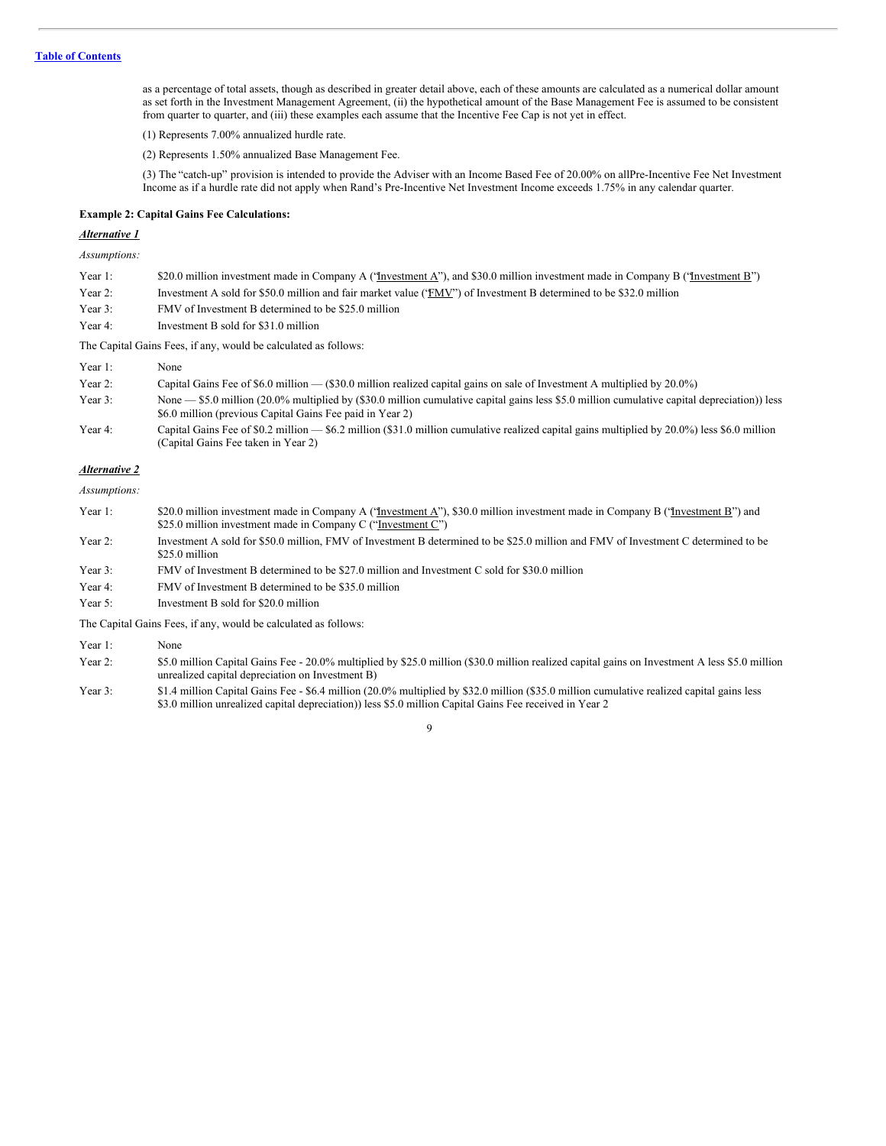as a percentage of total assets, though as described in greater detail above, each of these amounts are calculated as a numerical dollar amount as set forth in the Investment Management Agreement, (ii) the hypothetical amount of the Base Management Fee is assumed to be consistent from quarter to quarter, and (iii) these examples each assume that the Incentive Fee Cap is not yet in effect.

(1) Represents 7.00% annualized hurdle rate.

(2) Represents 1.50% annualized Base Management Fee.

(3) The "catch-up" provision is intended to provide the Adviser with an Income Based Fee of 20.00% on allPre-Incentive Fee Net Investment Income as if a hurdle rate did not apply when Rand's Pre-Incentive Net Investment Income exceeds 1.75% in any calendar quarter.

# **Example 2: Capital Gains Fee Calculations:**

# *Alternative 1*

*Assumptions:*

| Year 1: | \$20.0 million investment made in Company A ("Investment A"), and \$30.0 million investment made in Company B ("Investment B") |  |
|---------|--------------------------------------------------------------------------------------------------------------------------------|--|
|         |                                                                                                                                |  |

- Year 2: Investment A sold for \$50.0 million and fair market value ('FMV") of Investment B determined to be \$32.0 million
- Year 3: FMV of Investment B determined to be \$25.0 million

Year 4: Investment B sold for \$31.0 million

The Capital Gains Fees, if any, would be calculated as follows:

Year 1: None

- Year 2: Capital Gains Fee of \$6.0 million (\$30.0 million realized capital gains on sale of Investment A multiplied by 20.0%)
- Year 3: None \$5.0 million (20.0% multiplied by (\$30.0 million cumulative capital gains less \$5.0 million cumulative capital depreciation)) less \$6.0 million (previous Capital Gains Fee paid in Year 2)
- Year 4: Capital Gains Fee of \$0.2 million \$6.2 million (\$31.0 million cumulative realized capital gains multiplied by 20.0%) less \$6.0 million (Capital Gains Fee taken in Year 2)

#### *Alternative 2*

*Assumptions:*

| Year 1: | \$20.0 million investment made in Company A ('Investment A''), \$30.0 million investment made in Company B ('Investment B'') and |
|---------|----------------------------------------------------------------------------------------------------------------------------------|
|         | \$25.0 million investment made in Company C ("Investment $C$ ")                                                                  |

- Year 2: Investment A sold for \$50.0 million, FMV of Investment B determined to be \$25.0 million and FMV of Investment C determined to be \$25.0 million
- Year 3: FMV of Investment B determined to be \$27.0 million and Investment C sold for \$30.0 million
- Year 4: FMV of Investment B determined to be \$35.0 million

Year 5: Investment B sold for \$20.0 million

The Capital Gains Fees, if any, would be calculated as follows:

Year 1: None

- Year 2: \$5.0 million Capital Gains Fee 20.0% multiplied by \$25.0 million (\$30.0 million realized capital gains on Investment A less \$5.0 million unrealized capital depreciation on Investment B)
- Year 3: \$1.4 million Capital Gains Fee \$6.4 million (20.0% multiplied by \$32.0 million (\$35.0 million cumulative realized capital gains less \$3.0 million unrealized capital depreciation)) less \$5.0 million Capital Gains Fee received in Year 2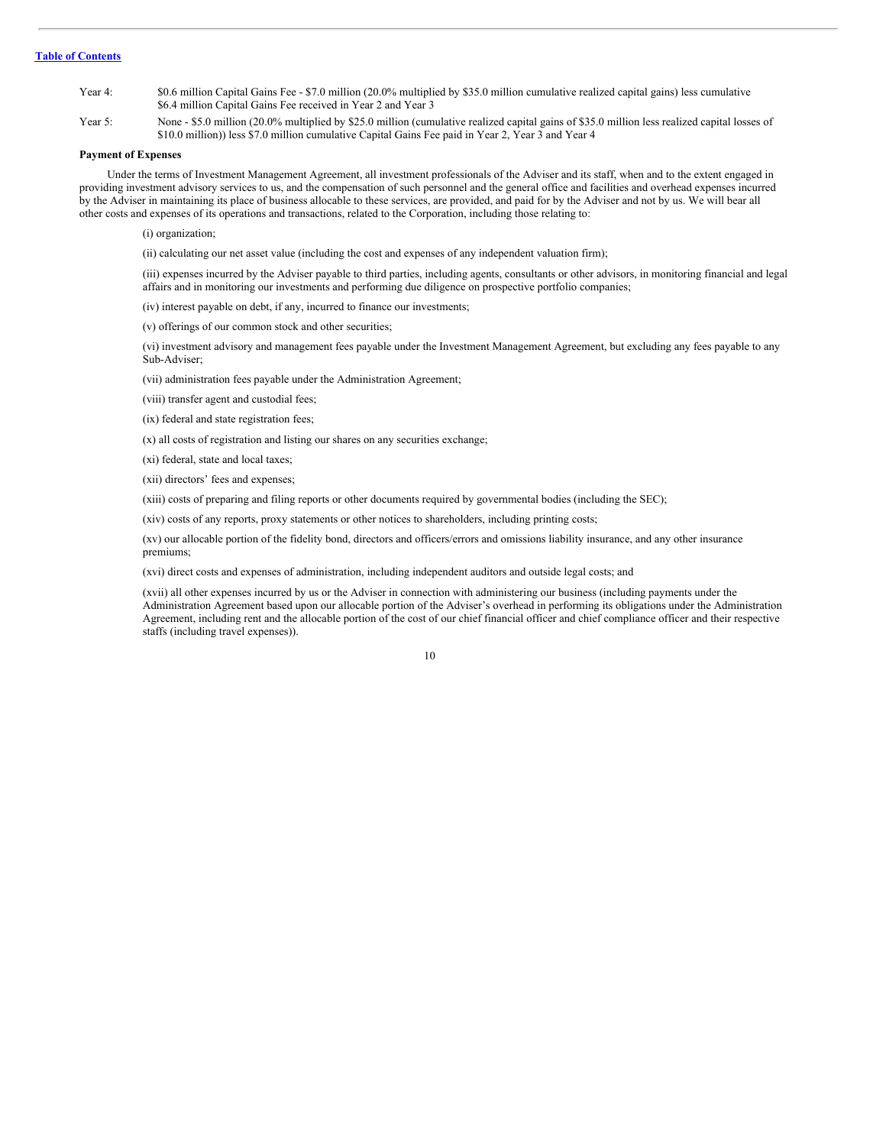# **Table of [Contents](#page-1-0)**

| Year 4: | \$0.6 million Capital Gains Fee - \$7.0 million (20.0% multiplied by \$35.0 million cumulative realized capital gains) less cumulative |
|---------|----------------------------------------------------------------------------------------------------------------------------------------|
|         | \$6.4 million Capital Gains Fee received in Year 2 and Year 3                                                                          |

Year 5: None - \$5.0 million (20.0% multiplied by \$25.0 million (cumulative realized capital gains of \$35.0 million less realized capital losses of \$10.0 million)) less \$7.0 million cumulative Capital Gains Fee paid in Year 2, Year 3 and Year 4

#### **Payment of Expenses**

Under the terms of Investment Management Agreement, all investment professionals of the Adviser and its staff, when and to the extent engaged in providing investment advisory services to us, and the compensation of such personnel and the general office and facilities and overhead expenses incurred by the Adviser in maintaining its place of business allocable to these services, are provided, and paid for by the Adviser and not by us. We will bear all other costs and expenses of its operations and transactions, related to the Corporation, including those relating to:

(i) organization;

(ii) calculating our net asset value (including the cost and expenses of any independent valuation firm);

(iii) expenses incurred by the Adviser payable to third parties, including agents, consultants or other advisors, in monitoring financial and legal affairs and in monitoring our investments and performing due diligence on prospective portfolio companies;

(iv) interest payable on debt, if any, incurred to finance our investments;

(v) offerings of our common stock and other securities;

(vi) investment advisory and management fees payable under the Investment Management Agreement, but excluding any fees payable to any Sub-Adviser;

(vii) administration fees payable under the Administration Agreement;

(viii) transfer agent and custodial fees;

(ix) federal and state registration fees;

(x) all costs of registration and listing our shares on any securities exchange;

(xi) federal, state and local taxes;

(xii) directors' fees and expenses;

(xiii) costs of preparing and filing reports or other documents required by governmental bodies (including the SEC);

(xiv) costs of any reports, proxy statements or other notices to shareholders, including printing costs;

(xv) our allocable portion of the fidelity bond, directors and officers/errors and omissions liability insurance, and any other insurance premiums;

(xvi) direct costs and expenses of administration, including independent auditors and outside legal costs; and

(xvii) all other expenses incurred by us or the Adviser in connection with administering our business (including payments under the Administration Agreement based upon our allocable portion of the Adviser's overhead in performing its obligations under the Administration Agreement, including rent and the allocable portion of the cost of our chief financial officer and chief compliance officer and their respective staffs (including travel expenses)).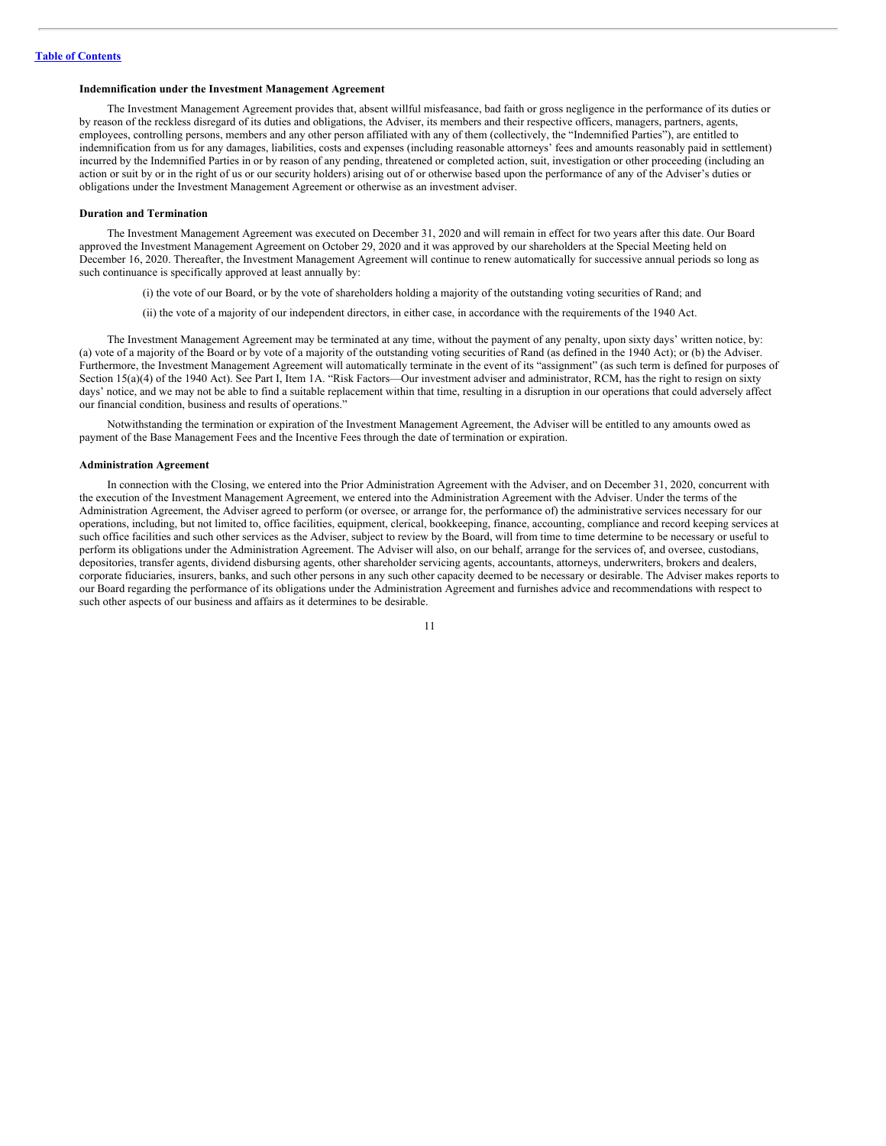# **Indemnification under the Investment Management Agreement**

The Investment Management Agreement provides that, absent willful misfeasance, bad faith or gross negligence in the performance of its duties or by reason of the reckless disregard of its duties and obligations, the Adviser, its members and their respective officers, managers, partners, agents, employees, controlling persons, members and any other person affiliated with any of them (collectively, the "Indemnified Parties"), are entitled to indemnification from us for any damages, liabilities, costs and expenses (including reasonable attorneys' fees and amounts reasonably paid in settlement) incurred by the Indemnified Parties in or by reason of any pending, threatened or completed action, suit, investigation or other proceeding (including an action or suit by or in the right of us or our security holders) arising out of or otherwise based upon the performance of any of the Adviser's duties or obligations under the Investment Management Agreement or otherwise as an investment adviser.

#### **Duration and Termination**

The Investment Management Agreement was executed on December 31, 2020 and will remain in effect for two years after this date. Our Board approved the Investment Management Agreement on October 29, 2020 and it was approved by our shareholders at the Special Meeting held on December 16, 2020. Thereafter, the Investment Management Agreement will continue to renew automatically for successive annual periods so long as such continuance is specifically approved at least annually by:

(i) the vote of our Board, or by the vote of shareholders holding a majority of the outstanding voting securities of Rand; and

(ii) the vote of a majority of our independent directors, in either case, in accordance with the requirements of the 1940 Act.

The Investment Management Agreement may be terminated at any time, without the payment of any penalty, upon sixty days' written notice, by: (a) vote of a majority of the Board or by vote of a majority of the outstanding voting securities of Rand (as defined in the 1940 Act); or (b) the Adviser. Furthermore, the Investment Management Agreement will automatically terminate in the event of its "assignment" (as such term is defined for purposes of Section 15(a)(4) of the 1940 Act). See Part I, Item 1A. "Risk Factors—Our investment adviser and administrator, RCM, has the right to resign on sixty days' notice, and we may not be able to find a suitable replacement within that time, resulting in a disruption in our operations that could adversely affect our financial condition, business and results of operations."

Notwithstanding the termination or expiration of the Investment Management Agreement, the Adviser will be entitled to any amounts owed as payment of the Base Management Fees and the Incentive Fees through the date of termination or expiration.

#### **Administration Agreement**

In connection with the Closing, we entered into the Prior Administration Agreement with the Adviser, and on December 31, 2020, concurrent with the execution of the Investment Management Agreement, we entered into the Administration Agreement with the Adviser. Under the terms of the Administration Agreement, the Adviser agreed to perform (or oversee, or arrange for, the performance of) the administrative services necessary for our operations, including, but not limited to, office facilities, equipment, clerical, bookkeeping, finance, accounting, compliance and record keeping services at such office facilities and such other services as the Adviser, subject to review by the Board, will from time to time determine to be necessary or useful to perform its obligations under the Administration Agreement. The Adviser will also, on our behalf, arrange for the services of, and oversee, custodians, depositories, transfer agents, dividend disbursing agents, other shareholder servicing agents, accountants, attorneys, underwriters, brokers and dealers, corporate fiduciaries, insurers, banks, and such other persons in any such other capacity deemed to be necessary or desirable. The Adviser makes reports to our Board regarding the performance of its obligations under the Administration Agreement and furnishes advice and recommendations with respect to such other aspects of our business and affairs as it determines to be desirable.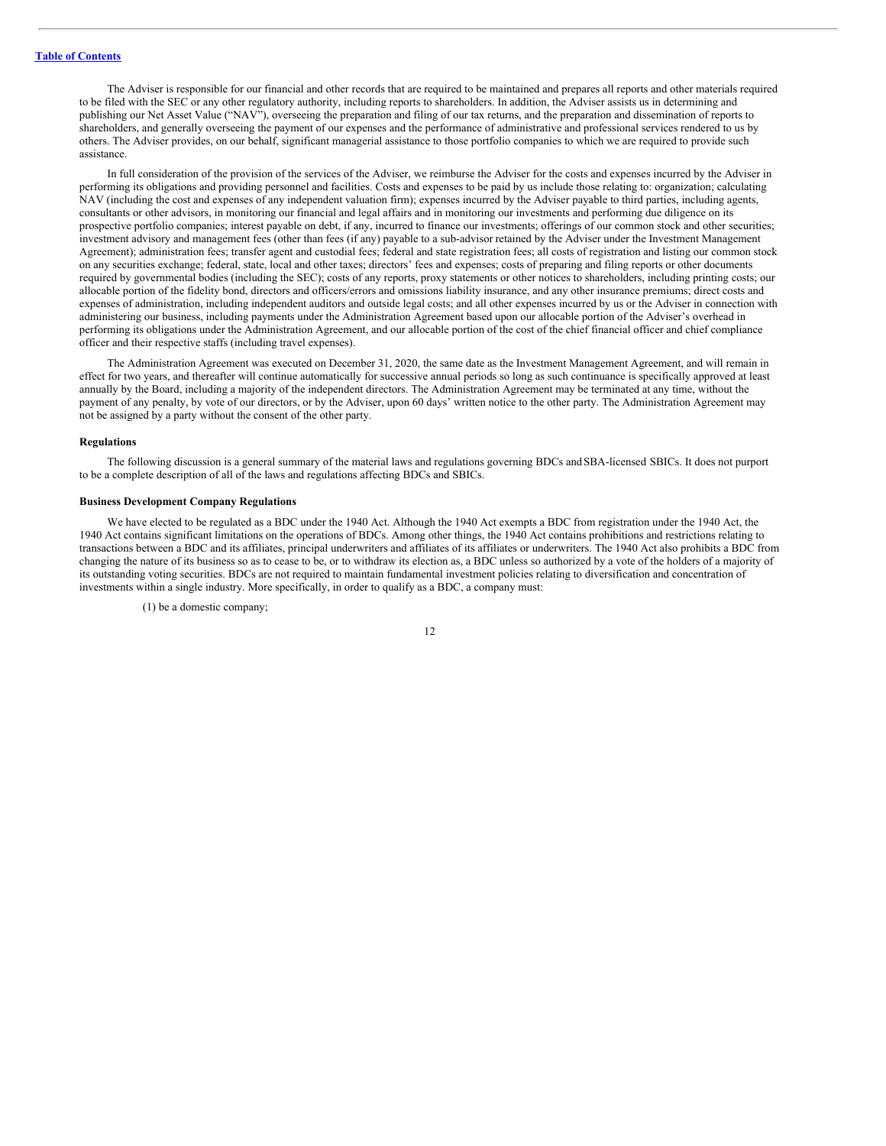The Adviser is responsible for our financial and other records that are required to be maintained and prepares all reports and other materials required to be filed with the SEC or any other regulatory authority, including reports to shareholders. In addition, the Adviser assists us in determining and publishing our Net Asset Value ("NAV"), overseeing the preparation and filing of our tax returns, and the preparation and dissemination of reports to shareholders, and generally overseeing the payment of our expenses and the performance of administrative and professional services rendered to us by others. The Adviser provides, on our behalf, significant managerial assistance to those portfolio companies to which we are required to provide such assistance.

In full consideration of the provision of the services of the Adviser, we reimburse the Adviser for the costs and expenses incurred by the Adviser in performing its obligations and providing personnel and facilities. Costs and expenses to be paid by us include those relating to: organization; calculating NAV (including the cost and expenses of any independent valuation firm); expenses incurred by the Adviser payable to third parties, including agents, consultants or other advisors, in monitoring our financial and legal affairs and in monitoring our investments and performing due diligence on its prospective portfolio companies; interest payable on debt, if any, incurred to finance our investments; offerings of our common stock and other securities; investment advisory and management fees (other than fees (if any) payable to a sub-advisor retained by the Adviser under the Investment Management Agreement); administration fees; transfer agent and custodial fees; federal and state registration fees; all costs of registration and listing our common stock on any securities exchange; federal, state, local and other taxes; directors' fees and expenses; costs of preparing and filing reports or other documents required by governmental bodies (including the SEC); costs of any reports, proxy statements or other notices to shareholders, including printing costs; our allocable portion of the fidelity bond, directors and officers/errors and omissions liability insurance, and any other insurance premiums; direct costs and expenses of administration, including independent auditors and outside legal costs; and all other expenses incurred by us or the Adviser in connection with administering our business, including payments under the Administration Agreement based upon our allocable portion of the Adviser's overhead in performing its obligations under the Administration Agreement, and our allocable portion of the cost of the chief financial officer and chief compliance officer and their respective staffs (including travel expenses).

The Administration Agreement was executed on December 31, 2020, the same date as the Investment Management Agreement, and will remain in effect for two years, and thereafter will continue automatically for successive annual periods so long as such continuance is specifically approved at least annually by the Board, including a majority of the independent directors. The Administration Agreement may be terminated at any time, without the payment of any penalty, by vote of our directors, or by the Adviser, upon 60 days' written notice to the other party. The Administration Agreement may not be assigned by a party without the consent of the other party.

#### **Regulations**

The following discussion is a general summary of the material laws and regulations governing BDCs andSBA-licensed SBICs. It does not purport to be a complete description of all of the laws and regulations affecting BDCs and SBICs.

# **Business Development Company Regulations**

We have elected to be regulated as a BDC under the 1940 Act. Although the 1940 Act exempts a BDC from registration under the 1940 Act, the 1940 Act contains significant limitations on the operations of BDCs. Among other things, the 1940 Act contains prohibitions and restrictions relating to transactions between a BDC and its affiliates, principal underwriters and affiliates of its affiliates or underwriters. The 1940 Act also prohibits a BDC from changing the nature of its business so as to cease to be, or to withdraw its election as, a BDC unless so authorized by a vote of the holders of a majority of its outstanding voting securities. BDCs are not required to maintain fundamental investment policies relating to diversification and concentration of investments within a single industry. More specifically, in order to qualify as a BDC, a company must:

(1) be a domestic company;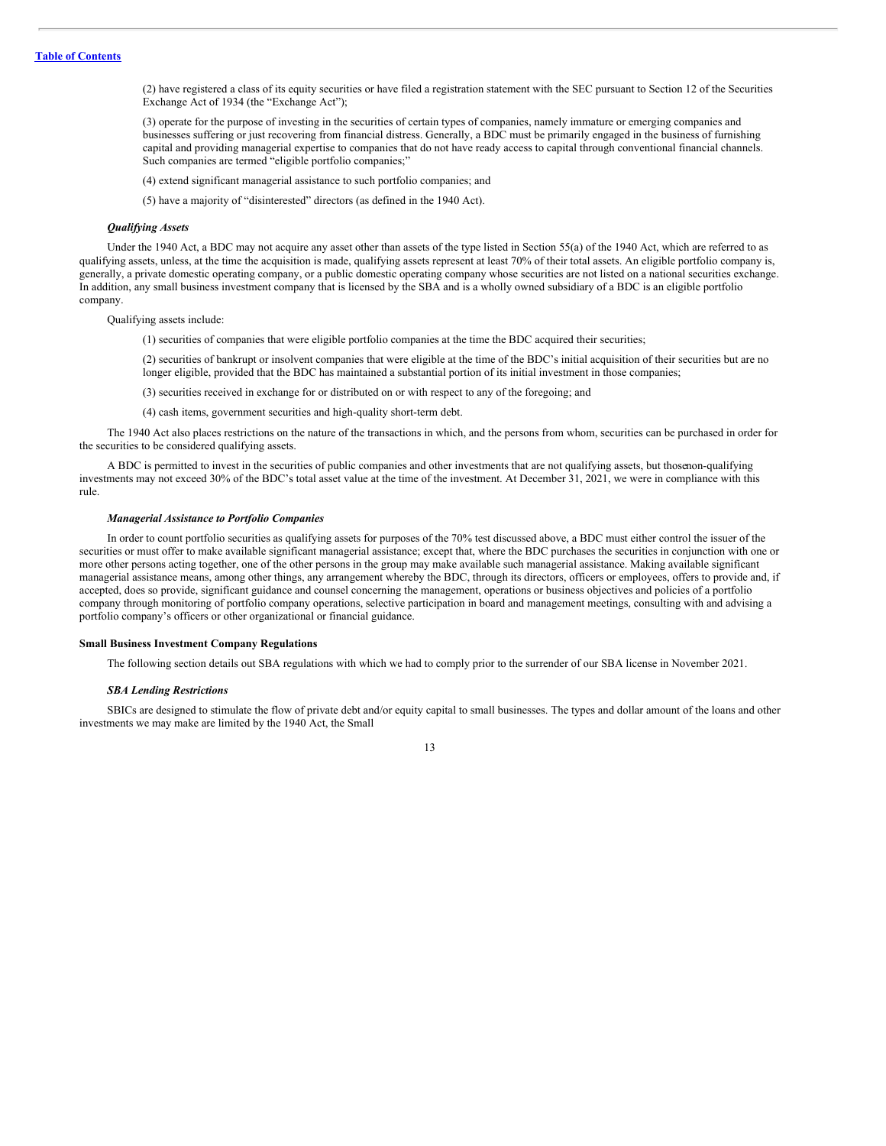(2) have registered a class of its equity securities or have filed a registration statement with the SEC pursuant to Section 12 of the Securities Exchange Act of 1934 (the "Exchange Act");

(3) operate for the purpose of investing in the securities of certain types of companies, namely immature or emerging companies and businesses suffering or just recovering from financial distress. Generally, a BDC must be primarily engaged in the business of furnishing capital and providing managerial expertise to companies that do not have ready access to capital through conventional financial channels. Such companies are termed "eligible portfolio companies;"

(4) extend significant managerial assistance to such portfolio companies; and

(5) have a majority of "disinterested" directors (as defined in the 1940 Act).

#### *Qualifying Assets*

Under the 1940 Act, a BDC may not acquire any asset other than assets of the type listed in Section 55(a) of the 1940 Act, which are referred to as qualifying assets, unless, at the time the acquisition is made, qualifying assets represent at least 70% of their total assets. An eligible portfolio company is, generally, a private domestic operating company, or a public domestic operating company whose securities are not listed on a national securities exchange. In addition, any small business investment company that is licensed by the SBA and is a wholly owned subsidiary of a BDC is an eligible portfolio company.

Qualifying assets include:

(1) securities of companies that were eligible portfolio companies at the time the BDC acquired their securities;

(2) securities of bankrupt or insolvent companies that were eligible at the time of the BDC's initial acquisition of their securities but are no longer eligible, provided that the BDC has maintained a substantial portion of its initial investment in those companies;

(3) securities received in exchange for or distributed on or with respect to any of the foregoing; and

(4) cash items, government securities and high-quality short-term debt.

The 1940 Act also places restrictions on the nature of the transactions in which, and the persons from whom, securities can be purchased in order for the securities to be considered qualifying assets.

A BDC is permitted to invest in the securities of public companies and other investments that are not qualifying assets, but thosenon-qualifying investments may not exceed 30% of the BDC's total asset value at the time of the investment. At December 31, 2021, we were in compliance with this rule.

#### *Managerial Assistance to Portfolio Companies*

In order to count portfolio securities as qualifying assets for purposes of the 70% test discussed above, a BDC must either control the issuer of the securities or must offer to make available significant managerial assistance; except that, where the BDC purchases the securities in conjunction with one or more other persons acting together, one of the other persons in the group may make available such managerial assistance. Making available significant managerial assistance means, among other things, any arrangement whereby the BDC, through its directors, officers or employees, offers to provide and, if accepted, does so provide, significant guidance and counsel concerning the management, operations or business objectives and policies of a portfolio company through monitoring of portfolio company operations, selective participation in board and management meetings, consulting with and advising a portfolio company's officers or other organizational or financial guidance.

#### **Small Business Investment Company Regulations**

The following section details out SBA regulations with which we had to comply prior to the surrender of our SBA license in November 2021.

#### *SBA Lending Restrictions*

SBICs are designed to stimulate the flow of private debt and/or equity capital to small businesses. The types and dollar amount of the loans and other investments we may make are limited by the 1940 Act, the Small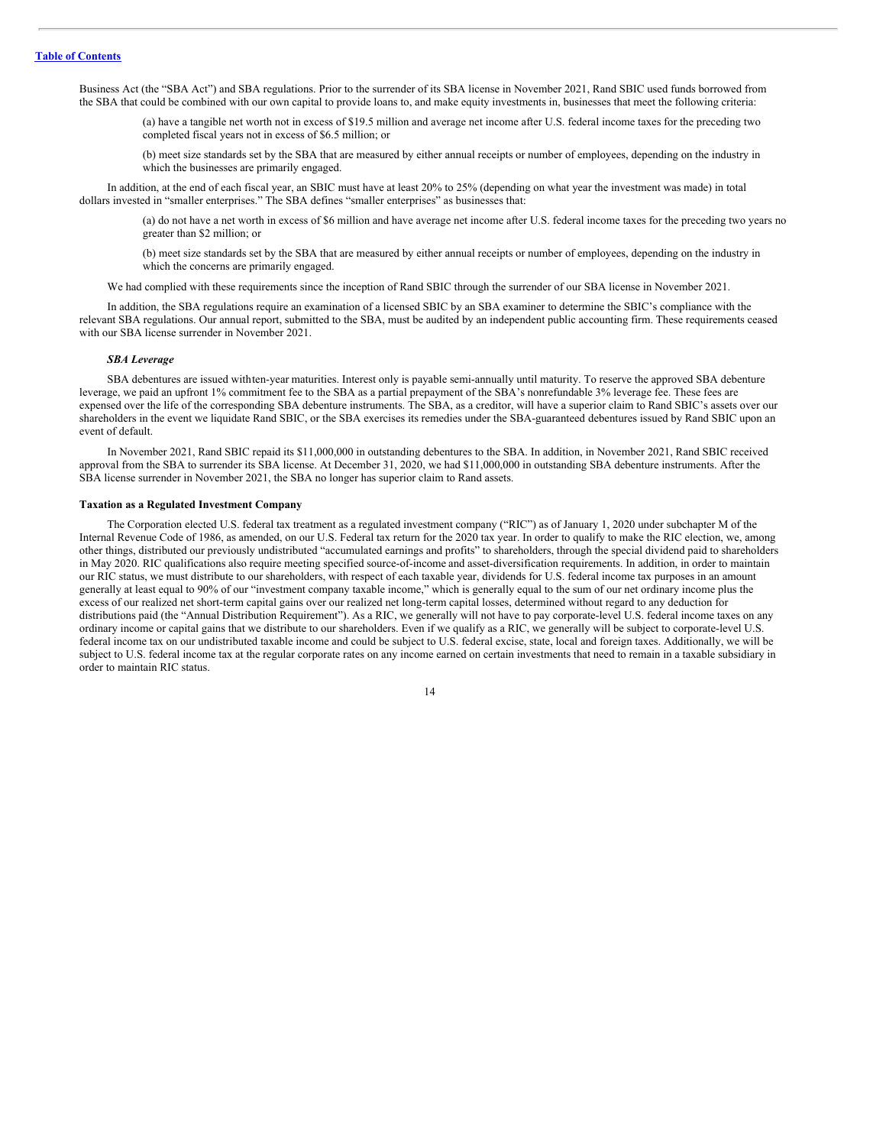Business Act (the "SBA Act") and SBA regulations. Prior to the surrender of its SBA license in November 2021, Rand SBIC used funds borrowed from the SBA that could be combined with our own capital to provide loans to, and make equity investments in, businesses that meet the following criteria:

(a) have a tangible net worth not in excess of \$19.5 million and average net income after U.S. federal income taxes for the preceding two completed fiscal years not in excess of \$6.5 million; or

(b) meet size standards set by the SBA that are measured by either annual receipts or number of employees, depending on the industry in which the businesses are primarily engaged.

In addition, at the end of each fiscal year, an SBIC must have at least 20% to 25% (depending on what year the investment was made) in total dollars invested in "smaller enterprises." The SBA defines "smaller enterprises" as businesses that:

(a) do not have a net worth in excess of \$6 million and have average net income after U.S. federal income taxes for the preceding two years no greater than \$2 million; or

(b) meet size standards set by the SBA that are measured by either annual receipts or number of employees, depending on the industry in which the concerns are primarily engaged.

We had complied with these requirements since the inception of Rand SBIC through the surrender of our SBA license in November 2021.

In addition, the SBA regulations require an examination of a licensed SBIC by an SBA examiner to determine the SBIC's compliance with the relevant SBA regulations. Our annual report, submitted to the SBA, must be audited by an independent public accounting firm. These requirements ceased with our SBA license surrender in November 2021.

# *SBA Leverage*

SBA debentures are issued withten-year maturities. Interest only is payable semi-annually until maturity. To reserve the approved SBA debenture leverage, we paid an upfront 1% commitment fee to the SBA as a partial prepayment of the SBA's nonrefundable 3% leverage fee. These fees are expensed over the life of the corresponding SBA debenture instruments. The SBA, as a creditor, will have a superior claim to Rand SBIC's assets over our shareholders in the event we liquidate Rand SBIC, or the SBA exercises its remedies under the SBA-guaranteed debentures issued by Rand SBIC upon an event of default.

In November 2021, Rand SBIC repaid its \$11,000,000 in outstanding debentures to the SBA. In addition, in November 2021, Rand SBIC received approval from the SBA to surrender its SBA license. At December 31, 2020, we had \$11,000,000 in outstanding SBA debenture instruments. After the SBA license surrender in November 2021, the SBA no longer has superior claim to Rand assets.

#### **Taxation as a Regulated Investment Company**

The Corporation elected U.S. federal tax treatment as a regulated investment company ("RIC") as of January 1, 2020 under subchapter M of the Internal Revenue Code of 1986, as amended, on our U.S. Federal tax return for the 2020 tax year. In order to qualify to make the RIC election, we, among other things, distributed our previously undistributed "accumulated earnings and profits" to shareholders, through the special dividend paid to shareholders in May 2020. RIC qualifications also require meeting specified source-of-income and asset-diversification requirements. In addition, in order to maintain our RIC status, we must distribute to our shareholders, with respect of each taxable year, dividends for U.S. federal income tax purposes in an amount generally at least equal to 90% of our "investment company taxable income," which is generally equal to the sum of our net ordinary income plus the excess of our realized net short-term capital gains over our realized net long-term capital losses, determined without regard to any deduction for distributions paid (the "Annual Distribution Requirement"). As a RIC, we generally will not have to pay corporate-level U.S. federal income taxes on any ordinary income or capital gains that we distribute to our shareholders. Even if we qualify as a RIC, we generally will be subject to corporate-level U.S. federal income tax on our undistributed taxable income and could be subject to U.S. federal excise, state, local and foreign taxes. Additionally, we will be subject to U.S. federal income tax at the regular corporate rates on any income earned on certain investments that need to remain in a taxable subsidiary in order to maintain RIC status.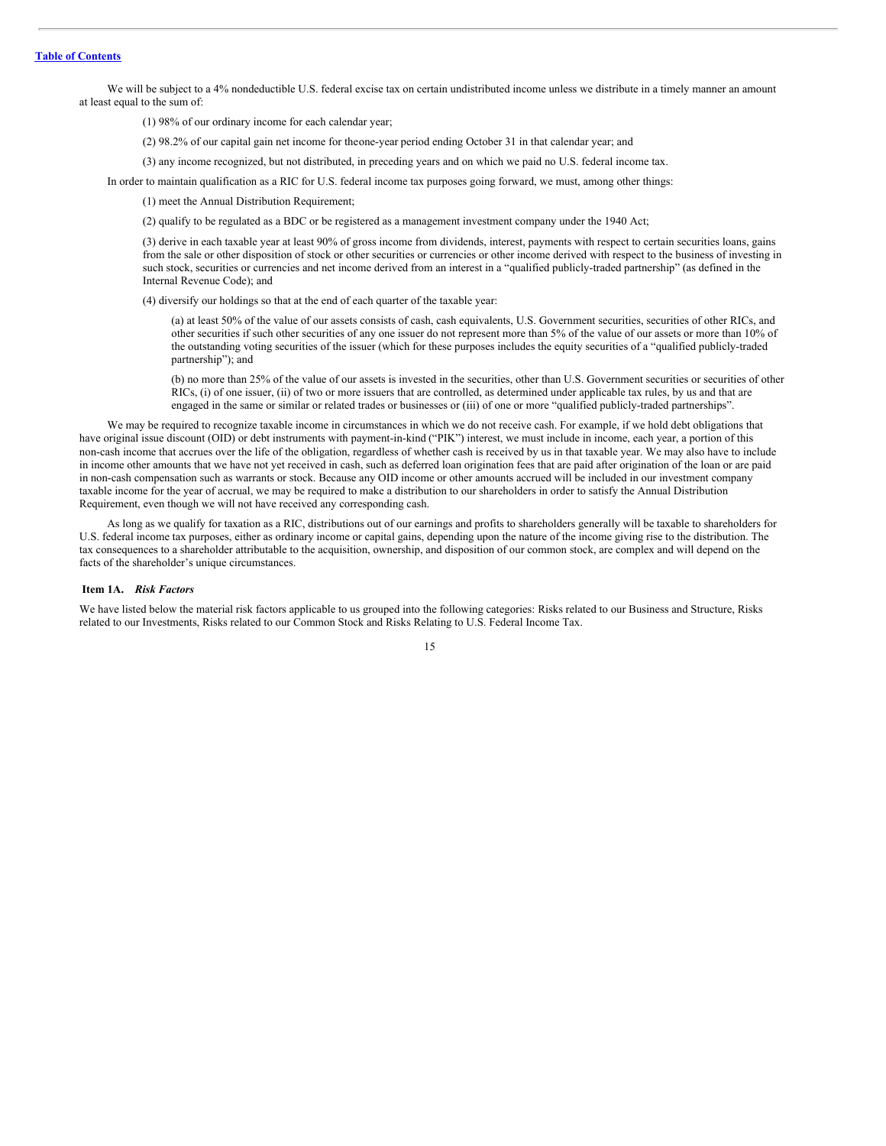We will be subject to a 4% nondeductible U.S. federal excise tax on certain undistributed income unless we distribute in a timely manner an amount at least equal to the sum of:

(1) 98% of our ordinary income for each calendar year;

(2) 98.2% of our capital gain net income for theone-year period ending October 31 in that calendar year; and

(3) any income recognized, but not distributed, in preceding years and on which we paid no U.S. federal income tax.

In order to maintain qualification as a RIC for U.S. federal income tax purposes going forward, we must, among other things:

(1) meet the Annual Distribution Requirement;

(2) qualify to be regulated as a BDC or be registered as a management investment company under the 1940 Act;

(3) derive in each taxable year at least 90% of gross income from dividends, interest, payments with respect to certain securities loans, gains from the sale or other disposition of stock or other securities or currencies or other income derived with respect to the business of investing in such stock, securities or currencies and net income derived from an interest in a "qualified publicly-traded partnership" (as defined in the Internal Revenue Code); and

(4) diversify our holdings so that at the end of each quarter of the taxable year:

(a) at least 50% of the value of our assets consists of cash, cash equivalents, U.S. Government securities, securities of other RICs, and other securities if such other securities of any one issuer do not represent more than 5% of the value of our assets or more than 10% of the outstanding voting securities of the issuer (which for these purposes includes the equity securities of a "qualified publicly-traded partnership"); and

(b) no more than 25% of the value of our assets is invested in the securities, other than U.S. Government securities or securities of other RICs, (i) of one issuer, (ii) of two or more issuers that are controlled, as determined under applicable tax rules, by us and that are engaged in the same or similar or related trades or businesses or (iii) of one or more "qualified publicly-traded partnerships".

We may be required to recognize taxable income in circumstances in which we do not receive cash. For example, if we hold debt obligations that have original issue discount (OID) or debt instruments with payment-in-kind ("PIK") interest, we must include in income, each year, a portion of this non-cash income that accrues over the life of the obligation, regardless of whether cash is received by us in that taxable year. We may also have to include in income other amounts that we have not yet received in cash, such as deferred loan origination fees that are paid after origination of the loan or are paid in non-cash compensation such as warrants or stock. Because any OID income or other amounts accrued will be included in our investment company taxable income for the year of accrual, we may be required to make a distribution to our shareholders in order to satisfy the Annual Distribution Requirement, even though we will not have received any corresponding cash.

As long as we qualify for taxation as a RIC, distributions out of our earnings and profits to shareholders generally will be taxable to shareholders for U.S. federal income tax purposes, either as ordinary income or capital gains, depending upon the nature of the income giving rise to the distribution. The tax consequences to a shareholder attributable to the acquisition, ownership, and disposition of our common stock, are complex and will depend on the facts of the shareholder's unique circumstances.

# <span id="page-16-0"></span>**Item 1A.** *Risk Factors*

We have listed below the material risk factors applicable to us grouped into the following categories: Risks related to our Business and Structure, Risks related to our Investments, Risks related to our Common Stock and Risks Relating to U.S. Federal Income Tax.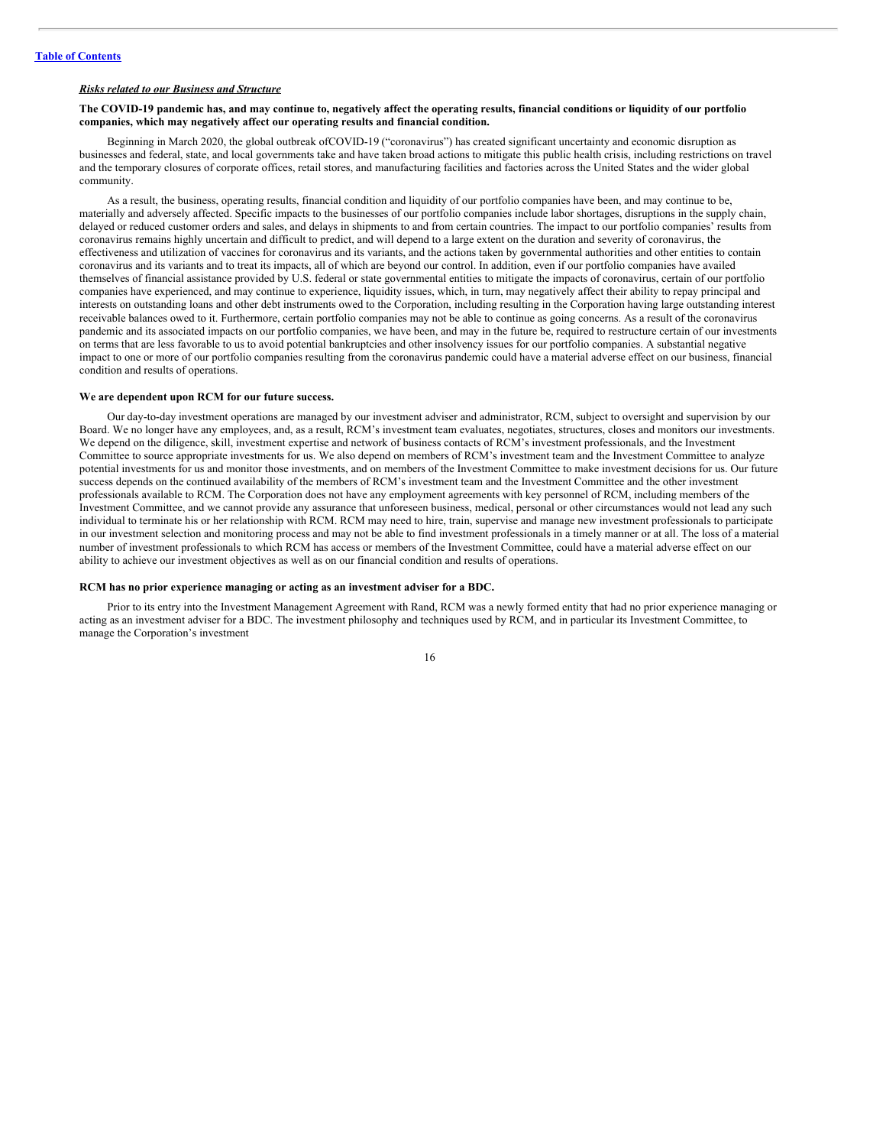# *Risks related to our Business and Structure*

# The COVID-19 pandemic has, and may continue to, negatively affect the operating results, financial conditions or liquidity of our portfolio **companies, which may negatively affect our operating results and financial condition.**

Beginning in March 2020, the global outbreak ofCOVID-19 ("coronavirus") has created significant uncertainty and economic disruption as businesses and federal, state, and local governments take and have taken broad actions to mitigate this public health crisis, including restrictions on travel and the temporary closures of corporate offices, retail stores, and manufacturing facilities and factories across the United States and the wider global community.

As a result, the business, operating results, financial condition and liquidity of our portfolio companies have been, and may continue to be, materially and adversely affected. Specific impacts to the businesses of our portfolio companies include labor shortages, disruptions in the supply chain, delayed or reduced customer orders and sales, and delays in shipments to and from certain countries. The impact to our portfolio companies' results from coronavirus remains highly uncertain and difficult to predict, and will depend to a large extent on the duration and severity of coronavirus, the effectiveness and utilization of vaccines for coronavirus and its variants, and the actions taken by governmental authorities and other entities to contain coronavirus and its variants and to treat its impacts, all of which are beyond our control. In addition, even if our portfolio companies have availed themselves of financial assistance provided by U.S. federal or state governmental entities to mitigate the impacts of coronavirus, certain of our portfolio companies have experienced, and may continue to experience, liquidity issues, which, in turn, may negatively affect their ability to repay principal and interests on outstanding loans and other debt instruments owed to the Corporation, including resulting in the Corporation having large outstanding interest receivable balances owed to it. Furthermore, certain portfolio companies may not be able to continue as going concerns. As a result of the coronavirus pandemic and its associated impacts on our portfolio companies, we have been, and may in the future be, required to restructure certain of our investments on terms that are less favorable to us to avoid potential bankruptcies and other insolvency issues for our portfolio companies. A substantial negative impact to one or more of our portfolio companies resulting from the coronavirus pandemic could have a material adverse effect on our business, financial condition and results of operations.

# **We are dependent upon RCM for our future success.**

Our day-to-day investment operations are managed by our investment adviser and administrator, RCM, subject to oversight and supervision by our Board. We no longer have any employees, and, as a result, RCM's investment team evaluates, negotiates, structures, closes and monitors our investments. We depend on the diligence, skill, investment expertise and network of business contacts of RCM's investment professionals, and the Investment Committee to source appropriate investments for us. We also depend on members of RCM's investment team and the Investment Committee to analyze potential investments for us and monitor those investments, and on members of the Investment Committee to make investment decisions for us. Our future success depends on the continued availability of the members of RCM's investment team and the Investment Committee and the other investment professionals available to RCM. The Corporation does not have any employment agreements with key personnel of RCM, including members of the Investment Committee, and we cannot provide any assurance that unforeseen business, medical, personal or other circumstances would not lead any such individual to terminate his or her relationship with RCM. RCM may need to hire, train, supervise and manage new investment professionals to participate in our investment selection and monitoring process and may not be able to find investment professionals in a timely manner or at all. The loss of a material number of investment professionals to which RCM has access or members of the Investment Committee, could have a material adverse effect on our ability to achieve our investment objectives as well as on our financial condition and results of operations.

# **RCM has no prior experience managing or acting as an investment adviser for a BDC.**

Prior to its entry into the Investment Management Agreement with Rand, RCM was a newly formed entity that had no prior experience managing or acting as an investment adviser for a BDC. The investment philosophy and techniques used by RCM, and in particular its Investment Committee, to manage the Corporation's investment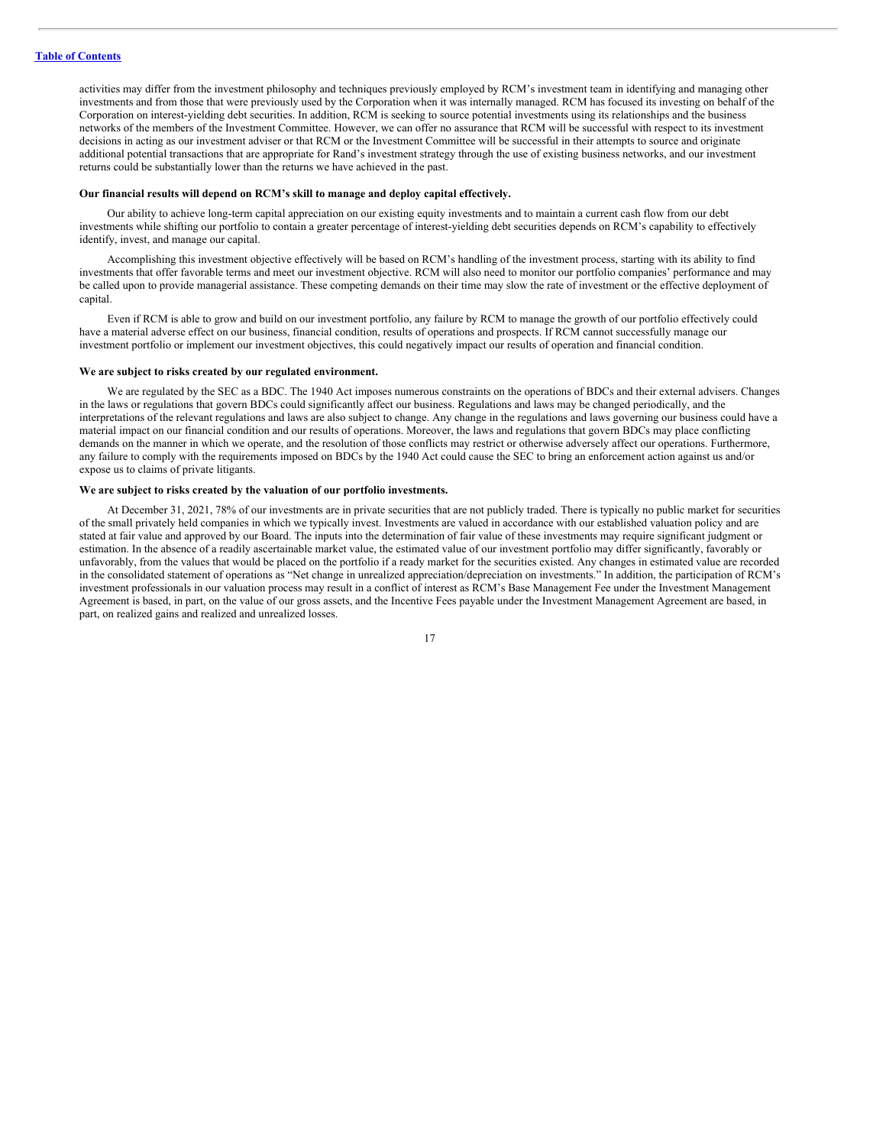activities may differ from the investment philosophy and techniques previously employed by RCM's investment team in identifying and managing other investments and from those that were previously used by the Corporation when it was internally managed. RCM has focused its investing on behalf of the Corporation on interest-yielding debt securities. In addition, RCM is seeking to source potential investments using its relationships and the business networks of the members of the Investment Committee. However, we can offer no assurance that RCM will be successful with respect to its investment decisions in acting as our investment adviser or that RCM or the Investment Committee will be successful in their attempts to source and originate additional potential transactions that are appropriate for Rand's investment strategy through the use of existing business networks, and our investment returns could be substantially lower than the returns we have achieved in the past.

#### **Our financial results will depend on RCM's skill to manage and deploy capital effectively.**

Our ability to achieve long-term capital appreciation on our existing equity investments and to maintain a current cash flow from our debt investments while shifting our portfolio to contain a greater percentage of interest-yielding debt securities depends on RCM's capability to effectively identify, invest, and manage our capital.

Accomplishing this investment objective effectively will be based on RCM's handling of the investment process, starting with its ability to find investments that offer favorable terms and meet our investment objective. RCM will also need to monitor our portfolio companies' performance and may be called upon to provide managerial assistance. These competing demands on their time may slow the rate of investment or the effective deployment of capital.

Even if RCM is able to grow and build on our investment portfolio, any failure by RCM to manage the growth of our portfolio effectively could have a material adverse effect on our business, financial condition, results of operations and prospects. If RCM cannot successfully manage our investment portfolio or implement our investment objectives, this could negatively impact our results of operation and financial condition.

# **We are subject to risks created by our regulated environment.**

We are regulated by the SEC as a BDC. The 1940 Act imposes numerous constraints on the operations of BDCs and their external advisers. Changes in the laws or regulations that govern BDCs could significantly affect our business. Regulations and laws may be changed periodically, and the interpretations of the relevant regulations and laws are also subject to change. Any change in the regulations and laws governing our business could have a material impact on our financial condition and our results of operations. Moreover, the laws and regulations that govern BDCs may place conflicting demands on the manner in which we operate, and the resolution of those conflicts may restrict or otherwise adversely affect our operations. Furthermore, any failure to comply with the requirements imposed on BDCs by the 1940 Act could cause the SEC to bring an enforcement action against us and/or expose us to claims of private litigants.

# **We are subject to risks created by the valuation of our portfolio investments.**

At December 31, 2021, 78% of our investments are in private securities that are not publicly traded. There is typically no public market for securities of the small privately held companies in which we typically invest. Investments are valued in accordance with our established valuation policy and are stated at fair value and approved by our Board. The inputs into the determination of fair value of these investments may require significant judgment or estimation. In the absence of a readily ascertainable market value, the estimated value of our investment portfolio may differ significantly, favorably or unfavorably, from the values that would be placed on the portfolio if a ready market for the securities existed. Any changes in estimated value are recorded in the consolidated statement of operations as "Net change in unrealized appreciation/depreciation on investments." In addition, the participation of RCM's investment professionals in our valuation process may result in a conflict of interest as RCM's Base Management Fee under the Investment Management Agreement is based, in part, on the value of our gross assets, and the Incentive Fees payable under the Investment Management Agreement are based, in part, on realized gains and realized and unrealized losses.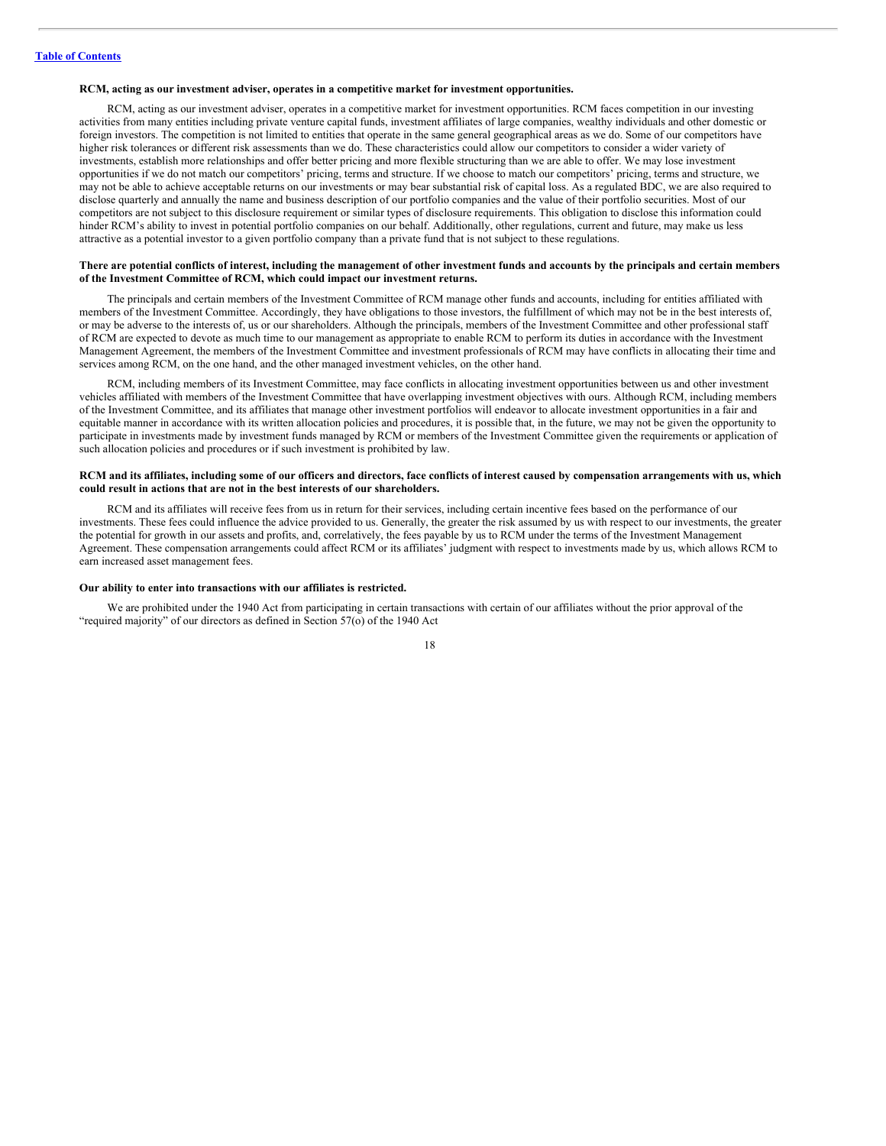# **RCM, acting as our investment adviser, operates in a competitive market for investment opportunities.**

RCM, acting as our investment adviser, operates in a competitive market for investment opportunities. RCM faces competition in our investing activities from many entities including private venture capital funds, investment affiliates of large companies, wealthy individuals and other domestic or foreign investors. The competition is not limited to entities that operate in the same general geographical areas as we do. Some of our competitors have higher risk tolerances or different risk assessments than we do. These characteristics could allow our competitors to consider a wider variety of investments, establish more relationships and offer better pricing and more flexible structuring than we are able to offer. We may lose investment opportunities if we do not match our competitors' pricing, terms and structure. If we choose to match our competitors' pricing, terms and structure, we may not be able to achieve acceptable returns on our investments or may bear substantial risk of capital loss. As a regulated BDC, we are also required to disclose quarterly and annually the name and business description of our portfolio companies and the value of their portfolio securities. Most of our competitors are not subject to this disclosure requirement or similar types of disclosure requirements. This obligation to disclose this information could hinder RCM's ability to invest in potential portfolio companies on our behalf. Additionally, other regulations, current and future, may make us less attractive as a potential investor to a given portfolio company than a private fund that is not subject to these regulations.

# There are potential conflicts of interest, including the management of other investment funds and accounts by the principals and certain members **of the Investment Committee of RCM, which could impact our investment returns.**

The principals and certain members of the Investment Committee of RCM manage other funds and accounts, including for entities affiliated with members of the Investment Committee. Accordingly, they have obligations to those investors, the fulfillment of which may not be in the best interests of, or may be adverse to the interests of, us or our shareholders. Although the principals, members of the Investment Committee and other professional staff of RCM are expected to devote as much time to our management as appropriate to enable RCM to perform its duties in accordance with the Investment Management Agreement, the members of the Investment Committee and investment professionals of RCM may have conflicts in allocating their time and services among RCM, on the one hand, and the other managed investment vehicles, on the other hand.

RCM, including members of its Investment Committee, may face conflicts in allocating investment opportunities between us and other investment vehicles affiliated with members of the Investment Committee that have overlapping investment objectives with ours. Although RCM, including members of the Investment Committee, and its affiliates that manage other investment portfolios will endeavor to allocate investment opportunities in a fair and equitable manner in accordance with its written allocation policies and procedures, it is possible that, in the future, we may not be given the opportunity to participate in investments made by investment funds managed by RCM or members of the Investment Committee given the requirements or application of such allocation policies and procedures or if such investment is prohibited by law.

# RCM and its affiliates, including some of our officers and directors, face conflicts of interest caused by compensation arrangements with us, which **could result in actions that are not in the best interests of our shareholders.**

RCM and its affiliates will receive fees from us in return for their services, including certain incentive fees based on the performance of our investments. These fees could influence the advice provided to us. Generally, the greater the risk assumed by us with respect to our investments, the greater the potential for growth in our assets and profits, and, correlatively, the fees payable by us to RCM under the terms of the Investment Management Agreement. These compensation arrangements could affect RCM or its affiliates' judgment with respect to investments made by us, which allows RCM to earn increased asset management fees.

#### **Our ability to enter into transactions with our affiliates is restricted.**

We are prohibited under the 1940 Act from participating in certain transactions with certain of our affiliates without the prior approval of the "required majority" of our directors as defined in Section 57(o) of the 1940 Act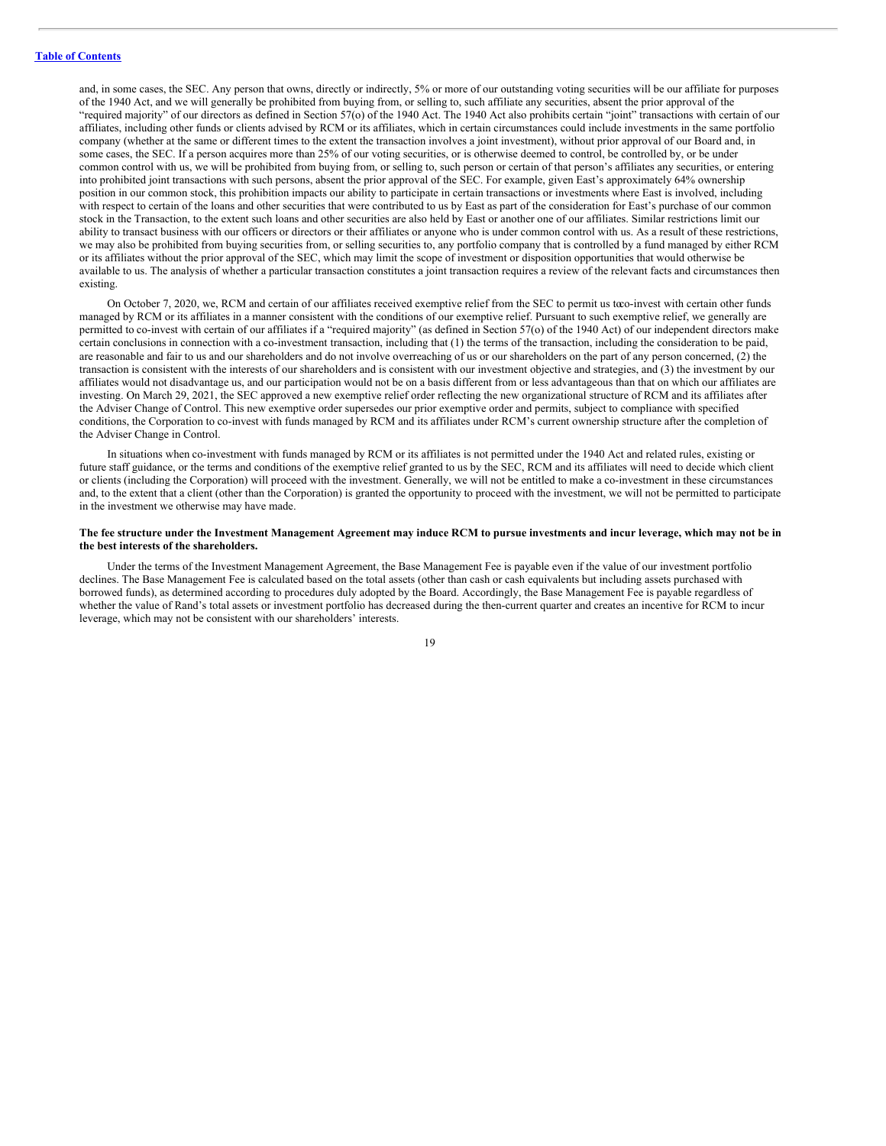and, in some cases, the SEC. Any person that owns, directly or indirectly, 5% or more of our outstanding voting securities will be our affiliate for purposes of the 1940 Act, and we will generally be prohibited from buying from, or selling to, such affiliate any securities, absent the prior approval of the "required majority" of our directors as defined in Section 57(o) of the 1940 Act. The 1940 Act also prohibits certain "joint" transactions with certain of our affiliates, including other funds or clients advised by RCM or its affiliates, which in certain circumstances could include investments in the same portfolio company (whether at the same or different times to the extent the transaction involves a joint investment), without prior approval of our Board and, in some cases, the SEC. If a person acquires more than 25% of our voting securities, or is otherwise deemed to control, be controlled by, or be under common control with us, we will be prohibited from buying from, or selling to, such person or certain of that person's affiliates any securities, or entering into prohibited joint transactions with such persons, absent the prior approval of the SEC. For example, given East's approximately 64% ownership position in our common stock, this prohibition impacts our ability to participate in certain transactions or investments where East is involved, including with respect to certain of the loans and other securities that were contributed to us by East as part of the consideration for East's purchase of our common stock in the Transaction, to the extent such loans and other securities are also held by East or another one of our affiliates. Similar restrictions limit our ability to transact business with our officers or directors or their affiliates or anyone who is under common control with us. As a result of these restrictions, we may also be prohibited from buying securities from, or selling securities to, any portfolio company that is controlled by a fund managed by either RCM or its affiliates without the prior approval of the SEC, which may limit the scope of investment or disposition opportunities that would otherwise be available to us. The analysis of whether a particular transaction constitutes a joint transaction requires a review of the relevant facts and circumstances then existing.

On October 7, 2020, we, RCM and certain of our affiliates received exemptive relief from the SEC to permit us toco-invest with certain other funds managed by RCM or its affiliates in a manner consistent with the conditions of our exemptive relief. Pursuant to such exemptive relief, we generally are permitted to co-invest with certain of our affiliates if a "required majority" (as defined in Section 57(o) of the 1940 Act) of our independent directors make certain conclusions in connection with a co-investment transaction, including that (1) the terms of the transaction, including the consideration to be paid, are reasonable and fair to us and our shareholders and do not involve overreaching of us or our shareholders on the part of any person concerned, (2) the transaction is consistent with the interests of our shareholders and is consistent with our investment objective and strategies, and (3) the investment by our affiliates would not disadvantage us, and our participation would not be on a basis different from or less advantageous than that on which our affiliates are investing. On March 29, 2021, the SEC approved a new exemptive relief order reflecting the new organizational structure of RCM and its affiliates after the Adviser Change of Control. This new exemptive order supersedes our prior exemptive order and permits, subject to compliance with specified conditions, the Corporation to co-invest with funds managed by RCM and its affiliates under RCM's current ownership structure after the completion of the Adviser Change in Control.

In situations when co-investment with funds managed by RCM or its affiliates is not permitted under the 1940 Act and related rules, existing or future staff guidance, or the terms and conditions of the exemptive relief granted to us by the SEC, RCM and its affiliates will need to decide which client or clients (including the Corporation) will proceed with the investment. Generally, we will not be entitled to make a co-investment in these circumstances and, to the extent that a client (other than the Corporation) is granted the opportunity to proceed with the investment, we will not be permitted to participate in the investment we otherwise may have made.

#### The fee structure under the Investment Management Agreement may induce RCM to pursue investments and incur leverage, which may not be in **the best interests of the shareholders.**

Under the terms of the Investment Management Agreement, the Base Management Fee is payable even if the value of our investment portfolio declines. The Base Management Fee is calculated based on the total assets (other than cash or cash equivalents but including assets purchased with borrowed funds), as determined according to procedures duly adopted by the Board. Accordingly, the Base Management Fee is payable regardless of whether the value of Rand's total assets or investment portfolio has decreased during the then-current quarter and creates an incentive for RCM to incur leverage, which may not be consistent with our shareholders' interests.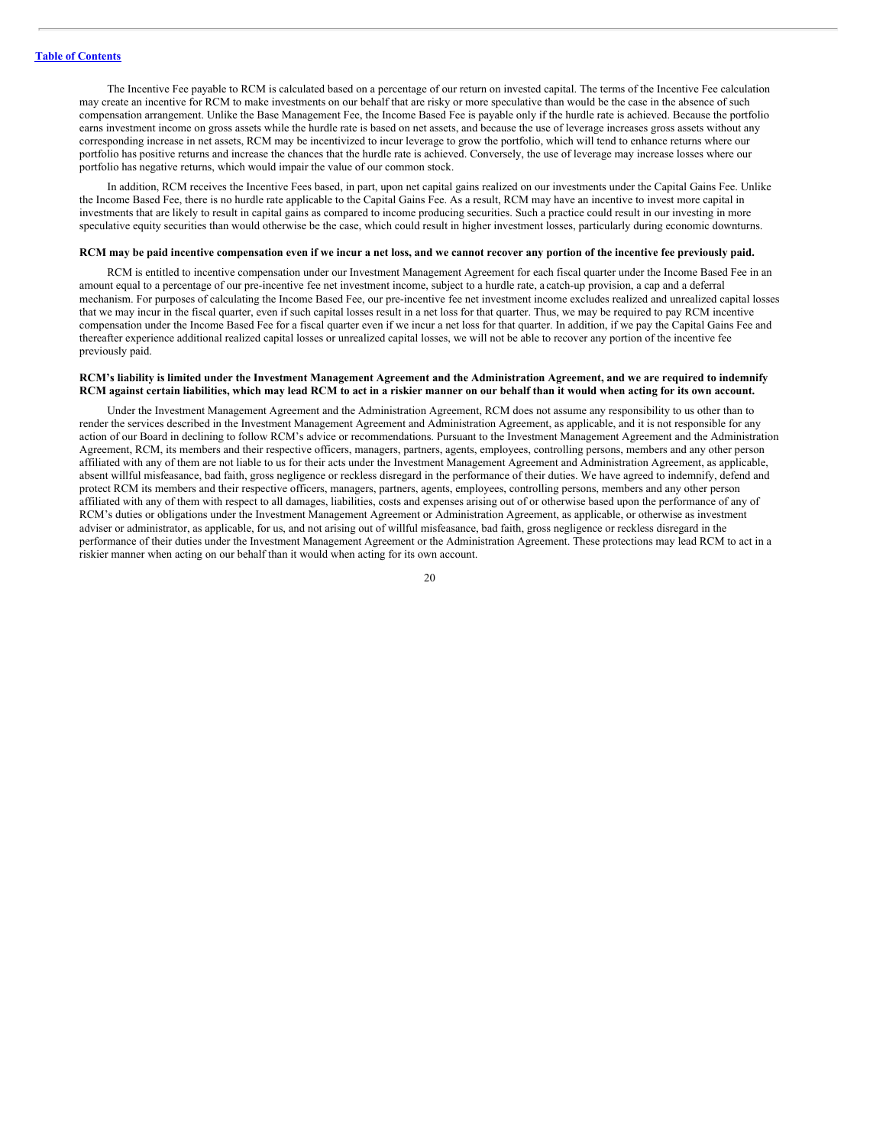The Incentive Fee payable to RCM is calculated based on a percentage of our return on invested capital. The terms of the Incentive Fee calculation may create an incentive for RCM to make investments on our behalf that are risky or more speculative than would be the case in the absence of such compensation arrangement. Unlike the Base Management Fee, the Income Based Fee is payable only if the hurdle rate is achieved. Because the portfolio earns investment income on gross assets while the hurdle rate is based on net assets, and because the use of leverage increases gross assets without any corresponding increase in net assets, RCM may be incentivized to incur leverage to grow the portfolio, which will tend to enhance returns where our portfolio has positive returns and increase the chances that the hurdle rate is achieved. Conversely, the use of leverage may increase losses where our portfolio has negative returns, which would impair the value of our common stock.

In addition, RCM receives the Incentive Fees based, in part, upon net capital gains realized on our investments under the Capital Gains Fee. Unlike the Income Based Fee, there is no hurdle rate applicable to the Capital Gains Fee. As a result, RCM may have an incentive to invest more capital in investments that are likely to result in capital gains as compared to income producing securities. Such a practice could result in our investing in more speculative equity securities than would otherwise be the case, which could result in higher investment losses, particularly during economic downturns.

# RCM may be paid incentive compensation even if we incur a net loss, and we cannot recover any portion of the incentive fee previously paid.

RCM is entitled to incentive compensation under our Investment Management Agreement for each fiscal quarter under the Income Based Fee in an amount equal to a percentage of our pre-incentive fee net investment income, subject to a hurdle rate, a catch-up provision, a cap and a deferral mechanism. For purposes of calculating the Income Based Fee, our pre-incentive fee net investment income excludes realized and unrealized capital losses that we may incur in the fiscal quarter, even if such capital losses result in a net loss for that quarter. Thus, we may be required to pay RCM incentive compensation under the Income Based Fee for a fiscal quarter even if we incur a net loss for that quarter. In addition, if we pay the Capital Gains Fee and thereafter experience additional realized capital losses or unrealized capital losses, we will not be able to recover any portion of the incentive fee previously paid.

# RCM's liability is limited under the Investment Management Agreement and the Administration Agreement, and we are required to indemnify RCM against certain liabilities, which may lead RCM to act in a riskier manner on our behalf than it would when acting for its own account.

Under the Investment Management Agreement and the Administration Agreement, RCM does not assume any responsibility to us other than to render the services described in the Investment Management Agreement and Administration Agreement, as applicable, and it is not responsible for any action of our Board in declining to follow RCM's advice or recommendations. Pursuant to the Investment Management Agreement and the Administration Agreement, RCM, its members and their respective officers, managers, partners, agents, employees, controlling persons, members and any other person affiliated with any of them are not liable to us for their acts under the Investment Management Agreement and Administration Agreement, as applicable, absent willful misfeasance, bad faith, gross negligence or reckless disregard in the performance of their duties. We have agreed to indemnify, defend and protect RCM its members and their respective officers, managers, partners, agents, employees, controlling persons, members and any other person affiliated with any of them with respect to all damages, liabilities, costs and expenses arising out of or otherwise based upon the performance of any of RCM's duties or obligations under the Investment Management Agreement or Administration Agreement, as applicable, or otherwise as investment adviser or administrator, as applicable, for us, and not arising out of willful misfeasance, bad faith, gross negligence or reckless disregard in the performance of their duties under the Investment Management Agreement or the Administration Agreement. These protections may lead RCM to act in a riskier manner when acting on our behalf than it would when acting for its own account.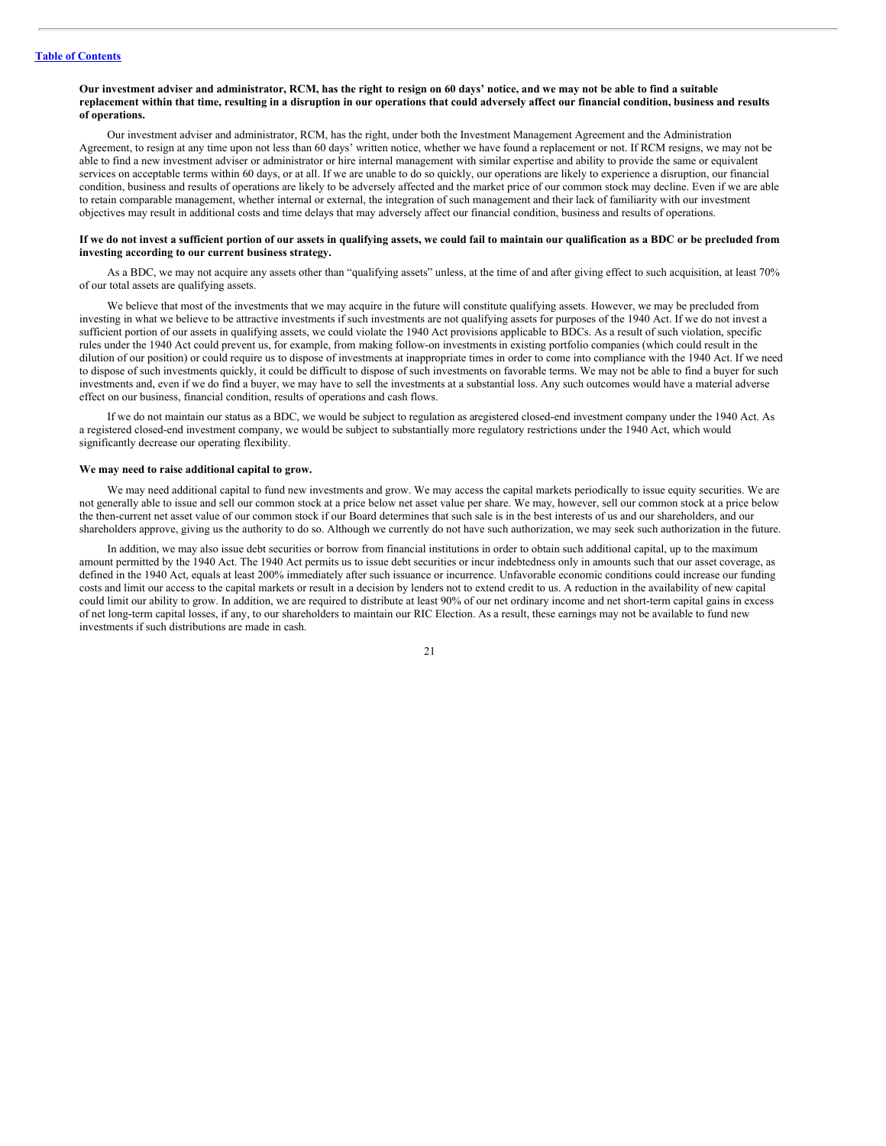# Our investment adviser and administrator, RCM, has the right to resign on 60 days' notice, and we may not be able to find a suitable replacement within that time, resulting in a disruption in our operations that could adversely affect our financial condition, business and results **of operations.**

Our investment adviser and administrator, RCM, has the right, under both the Investment Management Agreement and the Administration Agreement, to resign at any time upon not less than 60 days' written notice, whether we have found a replacement or not. If RCM resigns, we may not be able to find a new investment adviser or administrator or hire internal management with similar expertise and ability to provide the same or equivalent services on acceptable terms within 60 days, or at all. If we are unable to do so quickly, our operations are likely to experience a disruption, our financial condition, business and results of operations are likely to be adversely affected and the market price of our common stock may decline. Even if we are able to retain comparable management, whether internal or external, the integration of such management and their lack of familiarity with our investment objectives may result in additional costs and time delays that may adversely affect our financial condition, business and results of operations.

## If we do not invest a sufficient portion of our assets in qualifying assets, we could fail to maintain our qualification as a BDC or be precluded from **investing according to our current business strategy.**

As a BDC, we may not acquire any assets other than "qualifying assets" unless, at the time of and after giving effect to such acquisition, at least 70% of our total assets are qualifying assets.

We believe that most of the investments that we may acquire in the future will constitute qualifying assets. However, we may be precluded from investing in what we believe to be attractive investments if such investments are not qualifying assets for purposes of the 1940 Act. If we do not invest a sufficient portion of our assets in qualifying assets, we could violate the 1940 Act provisions applicable to BDCs. As a result of such violation, specific rules under the 1940 Act could prevent us, for example, from making follow-on investmentsin existing portfolio companies (which could result in the dilution of our position) or could require us to dispose of investments at inappropriate times in order to come into compliance with the 1940 Act. If we need to dispose of such investments quickly, it could be difficult to dispose of such investments on favorable terms. We may not be able to find a buyer for such investments and, even if we do find a buyer, we may have to sell the investments at a substantial loss. Any such outcomes would have a material adverse effect on our business, financial condition, results of operations and cash flows.

If we do not maintain our status as a BDC, we would be subject to regulation as aregistered closed-end investment company under the 1940 Act. As a registered closed-end investment company, we would be subject to substantially more regulatory restrictions under the 1940 Act, which would significantly decrease our operating flexibility.

# **We may need to raise additional capital to grow.**

We may need additional capital to fund new investments and grow. We may access the capital markets periodically to issue equity securities. We are not generally able to issue and sell our common stock at a price below net asset value per share. We may, however, sell our common stock at a price below the then-current net asset value of our common stock if our Board determines that such sale is in the best interests of us and our shareholders, and our shareholders approve, giving us the authority to do so. Although we currently do not have such authorization, we may seek such authorization in the future.

In addition, we may also issue debt securities or borrow from financial institutions in order to obtain such additional capital, up to the maximum amount permitted by the 1940 Act. The 1940 Act permits us to issue debt securities or incur indebtedness only in amounts such that our asset coverage, as defined in the 1940 Act, equals at least 200% immediately after such issuance or incurrence. Unfavorable economic conditions could increase our funding costs and limit our access to the capital markets or result in a decision by lenders not to extend credit to us. A reduction in the availability of new capital could limit our ability to grow. In addition, we are required to distribute at least 90% of our net ordinary income and net short-term capital gains in excess of net long-term capital losses, if any, to our shareholders to maintain our RIC Election. As a result, these earnings may not be available to fund new investments if such distributions are made in cash.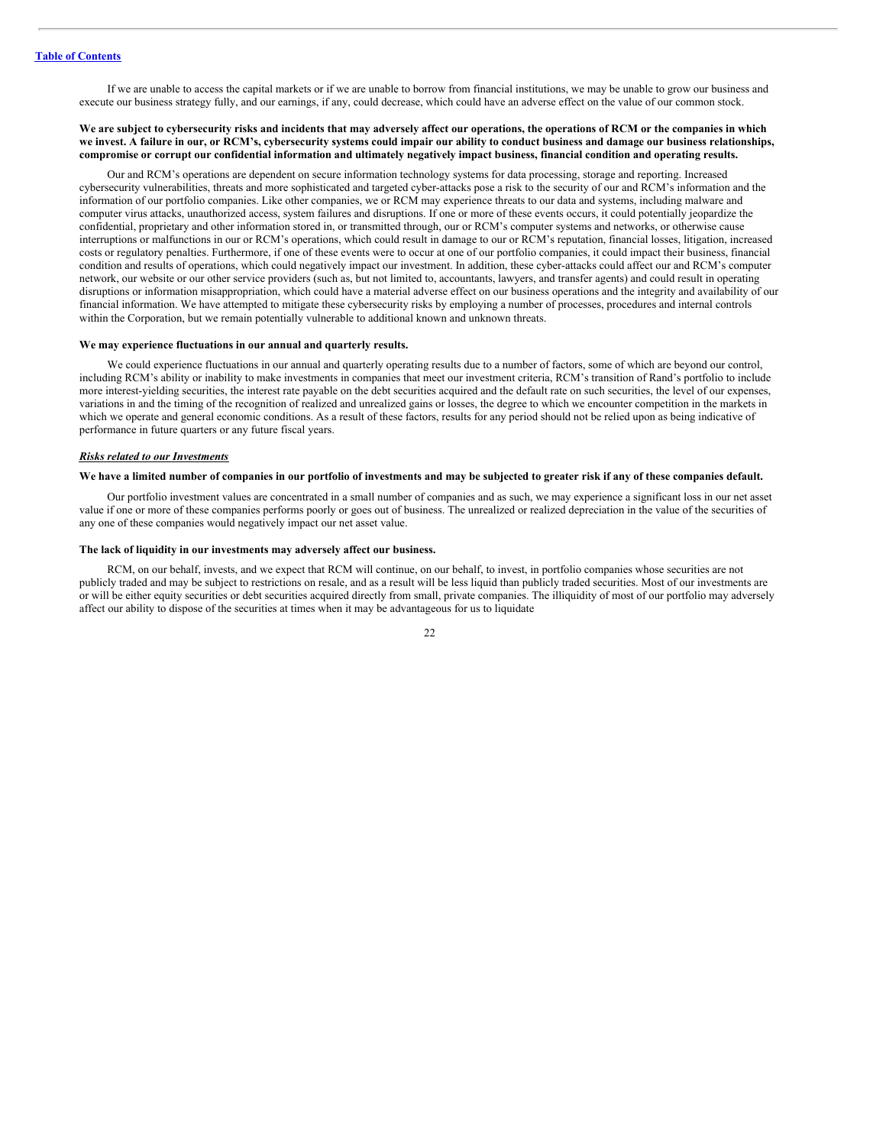If we are unable to access the capital markets or if we are unable to borrow from financial institutions, we may be unable to grow our business and execute our business strategy fully, and our earnings, if any, could decrease, which could have an adverse effect on the value of our common stock.

## We are subject to cybersecurity risks and incidents that may adversely affect our operations, the operations of RCM or the companies in which we invest. A failure in our, or RCM's, cybersecurity systems could impair our ability to conduct business and damage our business relationships, compromise or corrupt our confidential information and ultimately negatively impact business, financial condition and operating results.

Our and RCM's operations are dependent on secure information technology systems for data processing, storage and reporting. Increased cybersecurity vulnerabilities, threats and more sophisticated and targeted cyber-attacks pose a risk to the security of our and RCM's information and the information of our portfolio companies. Like other companies, we or RCM may experience threats to our data and systems, including malware and computer virus attacks, unauthorized access, system failures and disruptions. If one or more of these events occurs, it could potentially jeopardize the confidential, proprietary and other information stored in, or transmitted through, our or RCM's computer systems and networks, or otherwise cause interruptions or malfunctions in our or RCM's operations, which could result in damage to our or RCM's reputation, financial losses, litigation, increased costs or regulatory penalties. Furthermore, if one of these events were to occur at one of our portfolio companies, it could impact their business, financial condition and results of operations, which could negatively impact our investment. In addition, these cyber-attacks could affect our and RCM's computer network, our website or our other service providers (such as, but not limited to, accountants, lawyers, and transfer agents) and could result in operating disruptions or information misappropriation, which could have a material adverse effect on our business operations and the integrity and availability of our financial information. We have attempted to mitigate these cybersecurity risks by employing a number of processes, procedures and internal controls within the Corporation, but we remain potentially vulnerable to additional known and unknown threats.

# **We may experience fluctuations in our annual and quarterly results.**

We could experience fluctuations in our annual and quarterly operating results due to a number of factors, some of which are beyond our control, including RCM's ability or inability to make investments in companies that meet our investment criteria, RCM's transition of Rand's portfolio to include more interest-yielding securities, the interest rate payable on the debt securities acquired and the default rate on such securities, the level of our expenses, variations in and the timing of the recognition of realized and unrealized gains or losses, the degree to which we encounter competition in the markets in which we operate and general economic conditions. As a result of these factors, results for any period should not be relied upon as being indicative of performance in future quarters or any future fiscal years.

#### *Risks related to our Investments*

# We have a limited number of companies in our portfolio of investments and may be subjected to greater risk if any of these companies default.

Our portfolio investment values are concentrated in a small number of companies and as such, we may experience a significant loss in our net asset value if one or more of these companies performs poorly or goes out of business. The unrealized or realized depreciation in the value of the securities of any one of these companies would negatively impact our net asset value.

# **The lack of liquidity in our investments may adversely affect our business.**

RCM, on our behalf, invests, and we expect that RCM will continue, on our behalf, to invest, in portfolio companies whose securities are not publicly traded and may be subject to restrictions on resale, and as a result will be less liquid than publicly traded securities. Most of our investments are or will be either equity securities or debt securities acquired directly from small, private companies. The illiquidity of most of our portfolio may adversely affect our ability to dispose of the securities at times when it may be advantageous for us to liquidate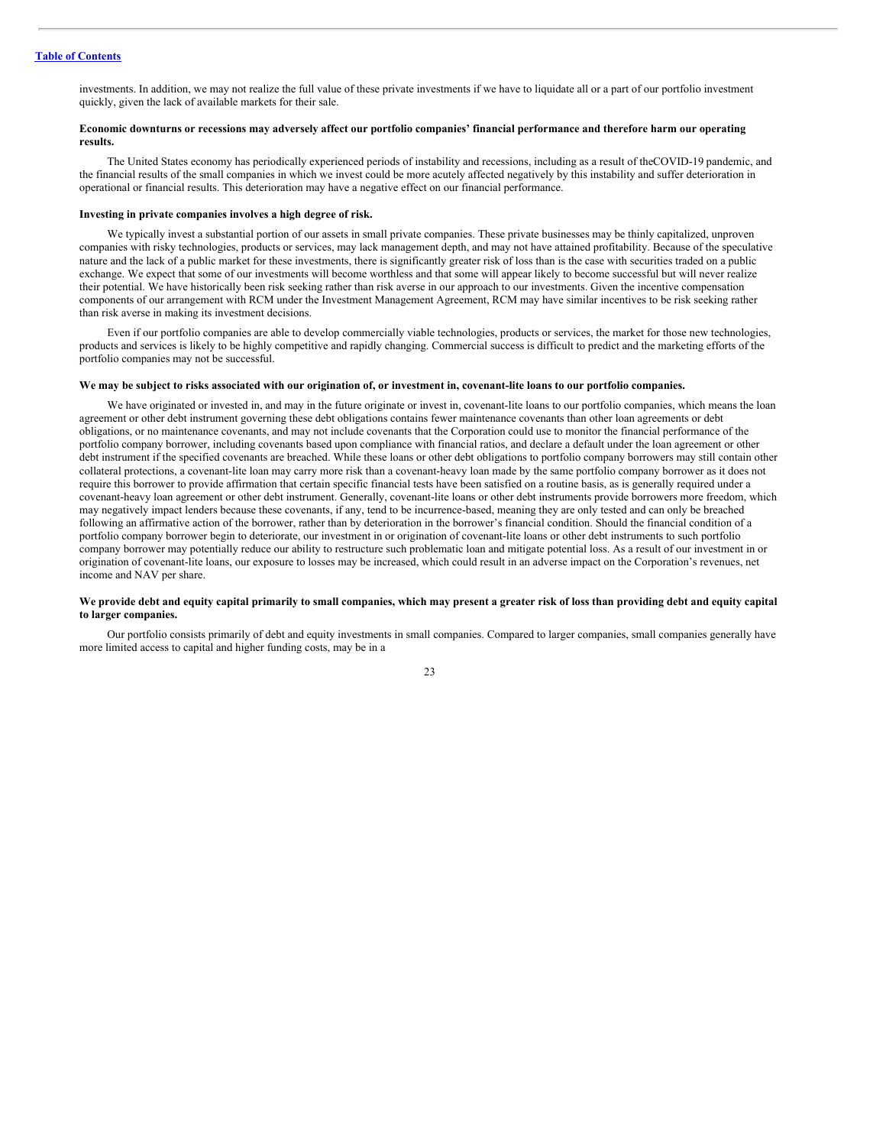investments. In addition, we may not realize the full value of these private investments if we have to liquidate all or a part of our portfolio investment quickly, given the lack of available markets for their sale.

# Economic downturns or recessions may adversely affect our portfolio companies' financial performance and therefore harm our operating **results.**

The United States economy has periodically experienced periods of instability and recessions, including as a result of theCOVID-19 pandemic, and the financial results of the small companies in which we invest could be more acutely affected negatively by this instability and suffer deterioration in operational or financial results. This deterioration may have a negative effect on our financial performance.

# **Investing in private companies involves a high degree of risk.**

We typically invest a substantial portion of our assets in small private companies. These private businesses may be thinly capitalized, unproven companies with risky technologies, products or services, may lack management depth, and may not have attained profitability. Because of the speculative nature and the lack of a public market for these investments, there is significantly greater risk of loss than is the case with securities traded on a public exchange. We expect that some of our investments will become worthless and that some will appear likely to become successful but will never realize their potential. We have historically been risk seeking rather than risk averse in our approach to our investments. Given the incentive compensation components of our arrangement with RCM under the Investment Management Agreement, RCM may have similar incentives to be risk seeking rather than risk averse in making its investment decisions.

Even if our portfolio companies are able to develop commercially viable technologies, products or services, the market for those new technologies, products and services is likely to be highly competitive and rapidly changing. Commercial success is difficult to predict and the marketing efforts of the portfolio companies may not be successful.

# We may be subject to risks associated with our origination of, or investment in, covenant-lite loans to our portfolio companies.

We have originated or invested in, and may in the future originate or invest in, covenant-lite loans to our portfolio companies, which means the loan agreement or other debt instrument governing these debt obligations contains fewer maintenance covenants than other loan agreements or debt obligations, or no maintenance covenants, and may not include covenants that the Corporation could use to monitor the financial performance of the portfolio company borrower, including covenants based upon compliance with financial ratios, and declare a default under the loan agreement or other debt instrument if the specified covenants are breached. While these loans or other debt obligations to portfolio company borrowers may still contain other collateral protections, a covenant-lite loan may carry more risk than a covenant-heavy loan made by the same portfolio company borrower as it does not require this borrower to provide affirmation that certain specific financial tests have been satisfied on a routine basis, as is generally required under a covenant-heavy loan agreement or other debt instrument. Generally, covenant-lite loans or other debt instruments provide borrowers more freedom, which may negatively impact lenders because these covenants, if any, tend to be incurrence-based, meaning they are only tested and can only be breached following an affirmative action of the borrower, rather than by deterioration in the borrower's financial condition. Should the financial condition of a portfolio company borrower begin to deteriorate, our investment in or origination of covenant-lite loans or other debt instruments to such portfolio company borrower may potentially reduce our ability to restructure such problematic loan and mitigate potential loss. As a result of our investment in or origination of covenant-lite loans, our exposure to losses may be increased, which could result in an adverse impact on the Corporation's revenues, net income and NAV per share.

## We provide debt and equity capital primarily to small companies, which may present a greater risk of loss than providing debt and equity capital **to larger companies.**

Our portfolio consists primarily of debt and equity investments in small companies. Compared to larger companies, small companies generally have more limited access to capital and higher funding costs, may be in a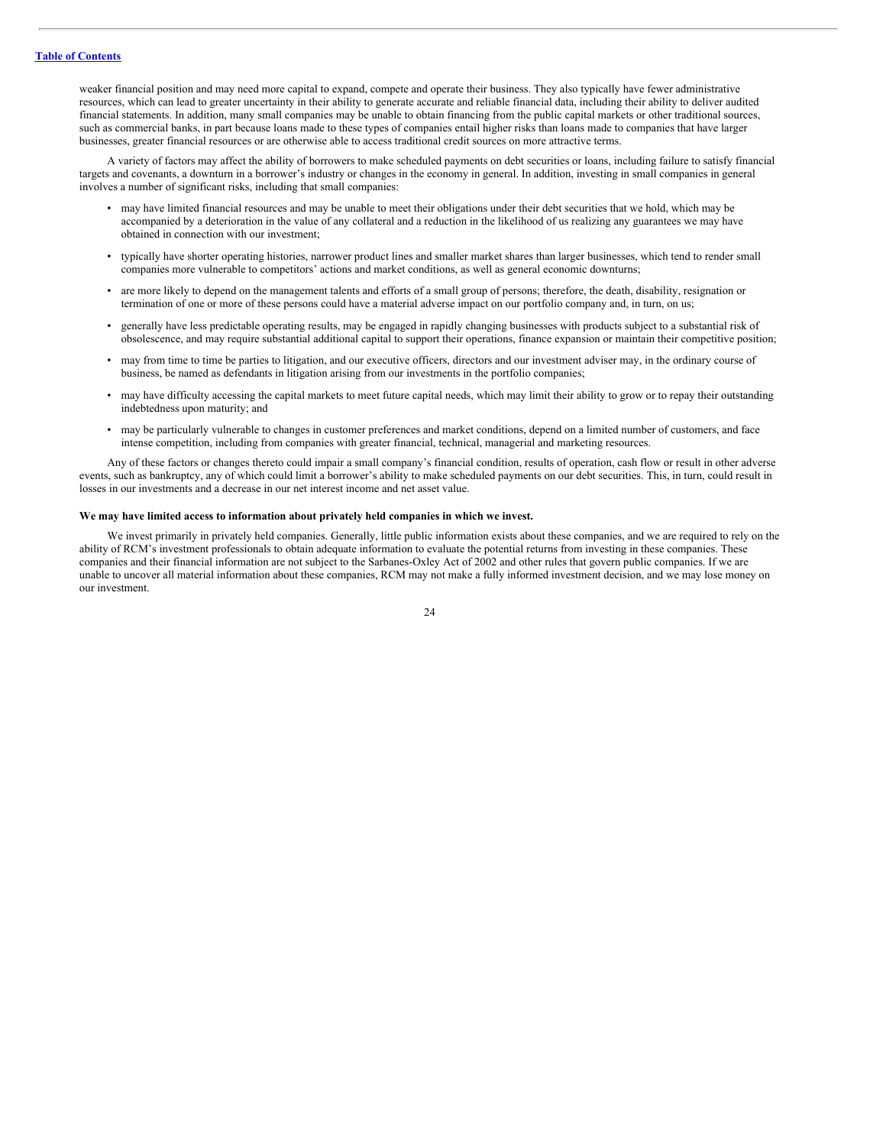weaker financial position and may need more capital to expand, compete and operate their business. They also typically have fewer administrative resources, which can lead to greater uncertainty in their ability to generate accurate and reliable financial data, including their ability to deliver audited financial statements. In addition, many small companies may be unable to obtain financing from the public capital markets or other traditional sources, such as commercial banks, in part because loans made to these types of companies entail higher risks than loans made to companies that have larger businesses, greater financial resources or are otherwise able to access traditional credit sources on more attractive terms.

A variety of factors may affect the ability of borrowers to make scheduled payments on debt securities or loans, including failure to satisfy financial targets and covenants, a downturn in a borrower's industry or changes in the economy in general. In addition, investing in small companies in general involves a number of significant risks, including that small companies:

- may have limited financial resources and may be unable to meet their obligations under their debt securities that we hold, which may be accompanied by a deterioration in the value of any collateral and a reduction in the likelihood of us realizing any guarantees we may have obtained in connection with our investment;
- typically have shorter operating histories, narrower product lines and smaller market shares than larger businesses, which tend to render small companies more vulnerable to competitors' actions and market conditions, as well as general economic downturns;
- are more likely to depend on the management talents and efforts of a small group of persons; therefore, the death, disability, resignation or termination of one or more of these persons could have a material adverse impact on our portfolio company and, in turn, on us;
- generally have less predictable operating results, may be engaged in rapidly changing businesses with products subject to a substantial risk of obsolescence, and may require substantial additional capital to support their operations, finance expansion or maintain their competitive position;
- may from time to time be parties to litigation, and our executive officers, directors and our investment adviser may, in the ordinary course of business, be named as defendants in litigation arising from our investments in the portfolio companies;
- may have difficulty accessing the capital markets to meet future capital needs, which may limit their ability to grow or to repay their outstanding indebtedness upon maturity; and
- may be particularly vulnerable to changes in customer preferences and market conditions, depend on a limited number of customers, and face intense competition, including from companies with greater financial, technical, managerial and marketing resources.

Any of these factors or changes thereto could impair a small company's financial condition, results of operation, cash flow or result in other adverse events, such as bankruptcy, any of which could limit a borrower's ability to make scheduled payments on our debt securities. This, in turn, could result in losses in our investments and a decrease in our net interest income and net asset value.

# **We may have limited access to information about privately held companies in which we invest.**

We invest primarily in privately held companies. Generally, little public information exists about these companies, and we are required to rely on the ability of RCM's investment professionals to obtain adequate information to evaluate the potential returns from investing in these companies. These companies and their financial information are not subject to the Sarbanes-Oxley Act of 2002 and other rules that govern public companies. If we are unable to uncover all material information about these companies, RCM may not make a fully informed investment decision, and we may lose money on our investment.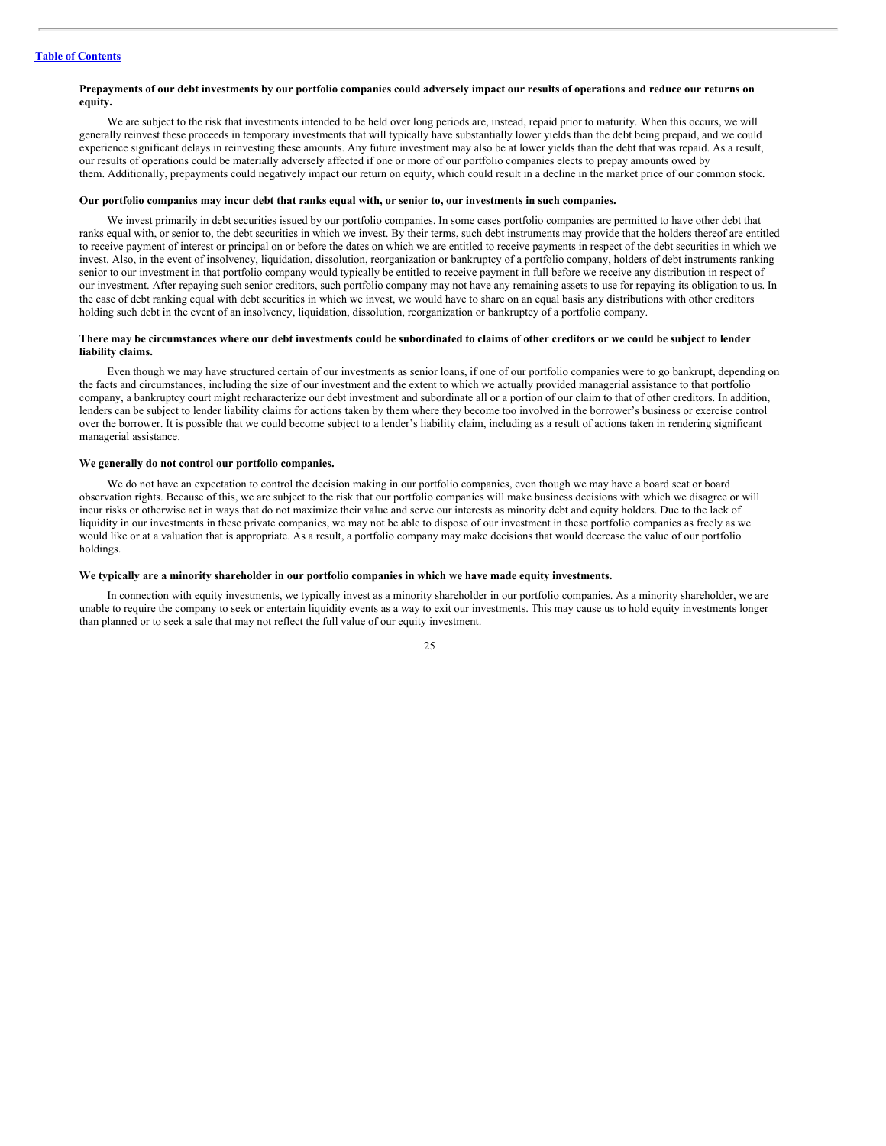# Prepayments of our debt investments by our portfolio companies could adversely impact our results of operations and reduce our returns on **equity.**

We are subject to the risk that investments intended to be held over long periods are, instead, repaid prior to maturity. When this occurs, we will generally reinvest these proceeds in temporary investments that will typically have substantially lower yields than the debt being prepaid, and we could experience significant delays in reinvesting these amounts. Any future investment may also be at lower yields than the debt that was repaid. As a result, our results of operations could be materially adversely affected if one or more of our portfolio companies elects to prepay amounts owed by them. Additionally, prepayments could negatively impact our return on equity, which could result in a decline in the market price of our common stock.

#### Our portfolio companies may incur debt that ranks equal with, or senior to, our investments in such companies.

We invest primarily in debt securities issued by our portfolio companies. In some cases portfolio companies are permitted to have other debt that ranks equal with, or senior to, the debt securities in which we invest. By their terms, such debt instruments may provide that the holders thereof are entitled to receive payment of interest or principal on or before the dates on which we are entitled to receive payments in respect of the debt securities in which we invest. Also, in the event of insolvency, liquidation, dissolution, reorganization or bankruptcy of a portfolio company, holders of debt instruments ranking senior to our investment in that portfolio company would typically be entitled to receive payment in full before we receive any distribution in respect of our investment. After repaying such senior creditors, such portfolio company may not have any remaining assets to use for repaying its obligation to us. In the case of debt ranking equal with debt securities in which we invest, we would have to share on an equal basis any distributions with other creditors holding such debt in the event of an insolvency, liquidation, dissolution, reorganization or bankruptcy of a portfolio company.

# There may be circumstances where our debt investments could be subordinated to claims of other creditors or we could be subject to lender **liability claims.**

Even though we may have structured certain of our investments as senior loans, if one of our portfolio companies were to go bankrupt, depending on the facts and circumstances, including the size of our investment and the extent to which we actually provided managerial assistance to that portfolio company, a bankruptcy court might recharacterize our debt investment and subordinate all or a portion of our claim to that of other creditors. In addition, lenders can be subject to lender liability claims for actions taken by them where they become too involved in the borrower's business or exercise control over the borrower. It is possible that we could become subject to a lender's liability claim, including as a result of actions taken in rendering significant managerial assistance.

#### **We generally do not control our portfolio companies.**

We do not have an expectation to control the decision making in our portfolio companies, even though we may have a board seat or board observation rights. Because of this, we are subject to the risk that our portfolio companies will make business decisions with which we disagree or will incur risks or otherwise act in ways that do not maximize their value and serve our interests as minority debt and equity holders. Due to the lack of liquidity in our investments in these private companies, we may not be able to dispose of our investment in these portfolio companies as freely as we would like or at a valuation that is appropriate. As a result, a portfolio company may make decisions that would decrease the value of our portfolio holdings.

#### We typically are a minority shareholder in our portfolio companies in which we have made equity investments.

In connection with equity investments, we typically invest as a minority shareholder in our portfolio companies. As a minority shareholder, we are unable to require the company to seek or entertain liquidity events as a way to exit our investments. This may cause us to hold equity investments longer than planned or to seek a sale that may not reflect the full value of our equity investment.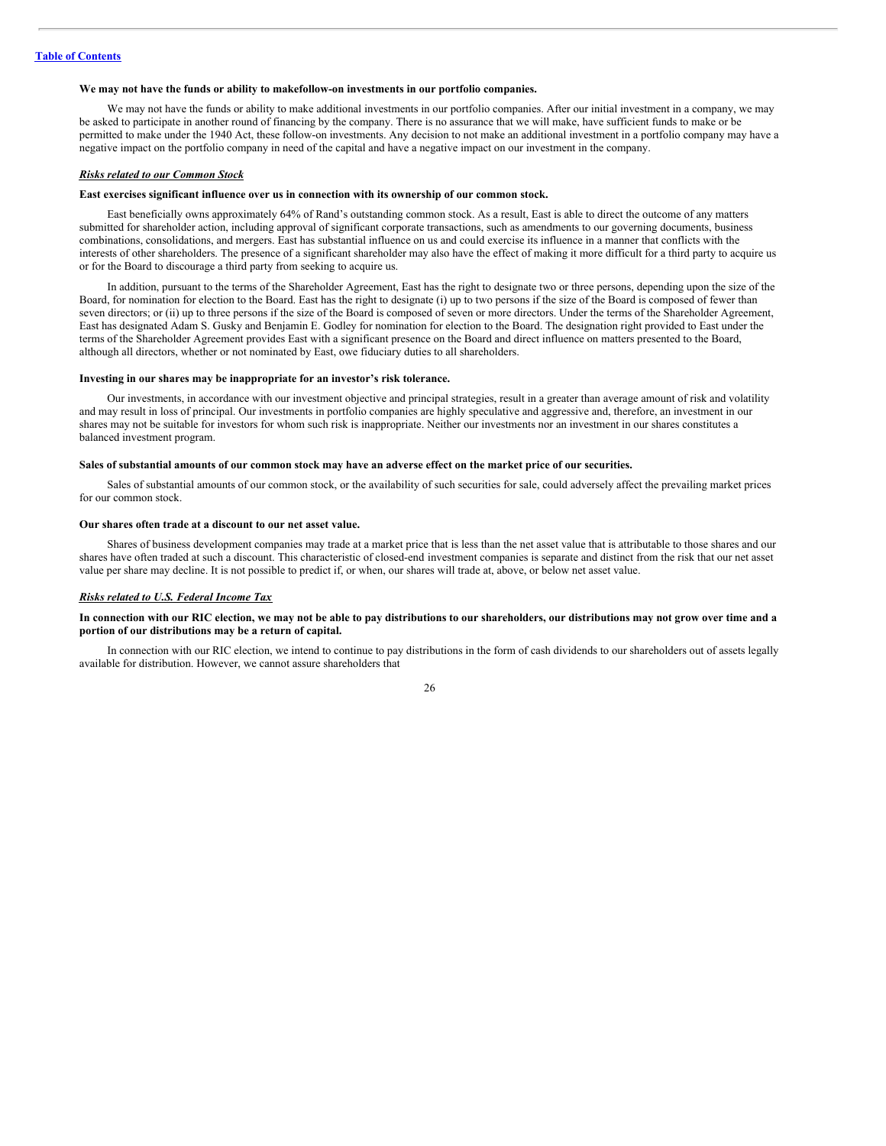# **We may not have the funds or ability to makefollow-on investments in our portfolio companies.**

We may not have the funds or ability to make additional investments in our portfolio companies. After our initial investment in a company, we may be asked to participate in another round of financing by the company. There is no assurance that we will make, have sufficient funds to make or be permitted to make under the 1940 Act, these follow-on investments. Any decision to not make an additional investment in a portfolio company may have a negative impact on the portfolio company in need of the capital and have a negative impact on our investment in the company.

#### *Risks related to our Common Stock*

#### **East exercises significant influence over us in connection with its ownership of our common stock.**

East beneficially owns approximately 64% of Rand's outstanding common stock. As a result, East is able to direct the outcome of any matters submitted for shareholder action, including approval of significant corporate transactions, such as amendments to our governing documents, business combinations, consolidations, and mergers. East has substantial influence on us and could exercise its influence in a manner that conflicts with the interests of other shareholders. The presence of a significant shareholder may also have the effect of making it more difficult for a third party to acquire us or for the Board to discourage a third party from seeking to acquire us.

In addition, pursuant to the terms of the Shareholder Agreement, East has the right to designate two or three persons, depending upon the size of the Board, for nomination for election to the Board. East has the right to designate (i) up to two persons if the size of the Board is composed of fewer than seven directors; or (ii) up to three persons if the size of the Board is composed of seven or more directors. Under the terms of the Shareholder Agreement, East has designated Adam S. Gusky and Benjamin E. Godley for nomination for election to the Board. The designation right provided to East under the terms of the Shareholder Agreement provides East with a significant presence on the Board and direct influence on matters presented to the Board, although all directors, whether or not nominated by East, owe fiduciary duties to all shareholders.

#### **Investing in our shares may be inappropriate for an investor's risk tolerance.**

Our investments, in accordance with our investment objective and principal strategies, result in a greater than average amount of risk and volatility and may result in loss of principal. Our investments in portfolio companies are highly speculative and aggressive and, therefore, an investment in our shares may not be suitable for investors for whom such risk is inappropriate. Neither our investments nor an investment in our shares constitutes a balanced investment program.

#### Sales of substantial amounts of our common stock may have an adverse effect on the market price of our securities.

Sales of substantial amounts of our common stock, or the availability of such securities for sale, could adversely affect the prevailing market prices for our common stock.

#### **Our shares often trade at a discount to our net asset value.**

Shares of business development companies may trade at a market price that is less than the net asset value that is attributable to those shares and our shares have often traded at such a discount. This characteristic of closed-end investment companies is separate and distinct from the risk that our net asset value per share may decline. It is not possible to predict if, or when, our shares will trade at, above, or below net asset value.

#### *Risks related to U.S. Federal Income Tax*

# In connection with our RIC election, we may not be able to pay distributions to our shareholders, our distributions may not grow over time and a **portion of our distributions may be a return of capital.**

In connection with our RIC election, we intend to continue to pay distributions in the form of cash dividends to our shareholders out of assets legally available for distribution. However, we cannot assure shareholders that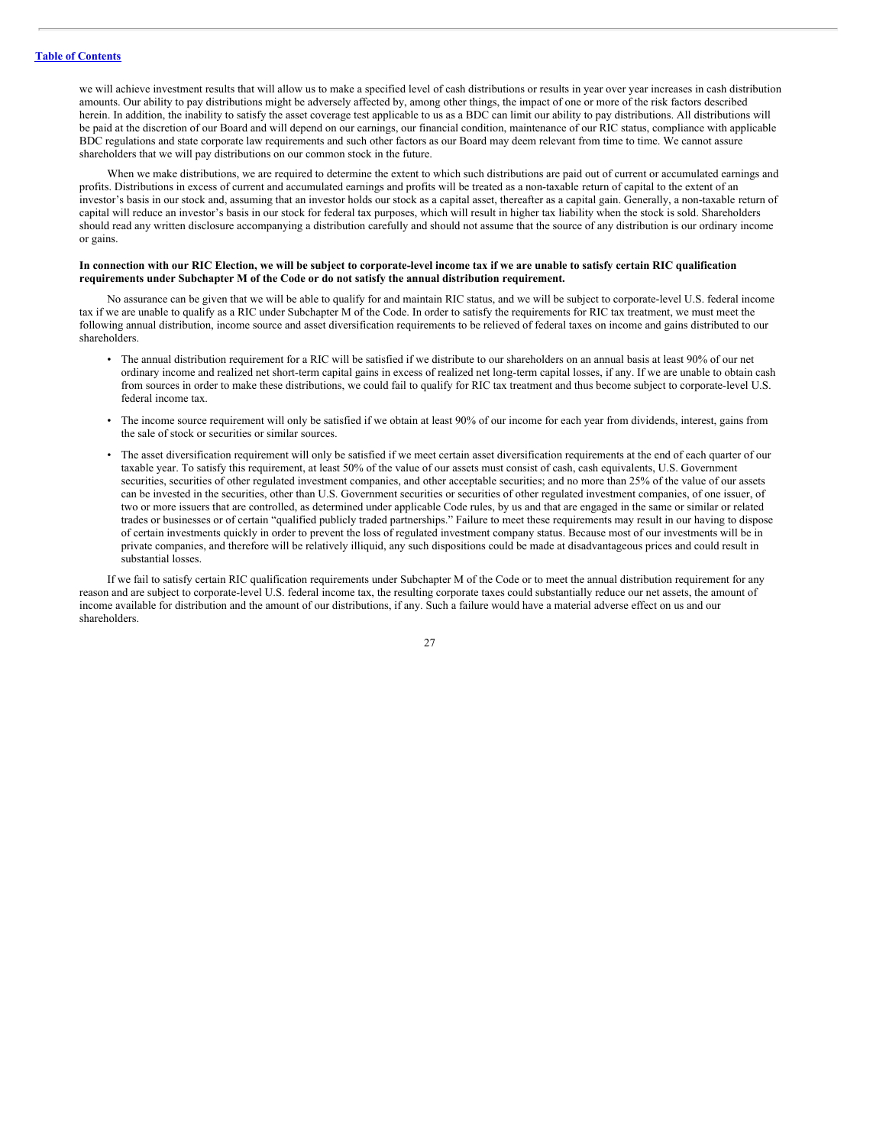we will achieve investment results that will allow us to make a specified level of cash distributions or results in year over year increases in cash distribution amounts. Our ability to pay distributions might be adversely affected by, among other things, the impact of one or more of the risk factors described herein. In addition, the inability to satisfy the asset coverage test applicable to us as a BDC can limit our ability to pay distributions. All distributions will be paid at the discretion of our Board and will depend on our earnings, our financial condition, maintenance of our RIC status, compliance with applicable BDC regulations and state corporate law requirements and such other factors as our Board may deem relevant from time to time. We cannot assure shareholders that we will pay distributions on our common stock in the future.

When we make distributions, we are required to determine the extent to which such distributions are paid out of current or accumulated earnings and profits. Distributions in excess of current and accumulated earnings and profits will be treated as a non-taxable return of capital to the extent of an investor's basis in our stock and, assuming that an investor holds our stock as a capital asset, thereafter as a capital gain. Generally, a non-taxable return of capital will reduce an investor's basis in our stock for federal tax purposes, which will result in higher tax liability when the stock is sold. Shareholders should read any written disclosure accompanying a distribution carefully and should not assume that the source of any distribution is our ordinary income or gains.

# In connection with our RIC Election, we will be subject to corporate-level income tax if we are unable to satisfy certain RIC qualification **requirements under Subchapter M of the Code or do not satisfy the annual distribution requirement.**

No assurance can be given that we will be able to qualify for and maintain RIC status, and we will be subject to corporate-level U.S. federal income tax if we are unable to qualify as a RIC under Subchapter M of the Code. In order to satisfy the requirements for RIC tax treatment, we must meet the following annual distribution, income source and asset diversification requirements to be relieved of federal taxes on income and gains distributed to our shareholders.

- The annual distribution requirement for a RIC will be satisfied if we distribute to our shareholders on an annual basis at least 90% of our net ordinary income and realized net short-term capital gains in excess of realized net long-term capital losses, if any. If we are unable to obtain cash from sources in order to make these distributions, we could fail to qualify for RIC tax treatment and thus become subject to corporate-level U.S. federal income tax.
- The income source requirement will only be satisfied if we obtain at least 90% of our income for each year from dividends, interest, gains from the sale of stock or securities or similar sources.
- The asset diversification requirement will only be satisfied if we meet certain asset diversification requirements at the end of each quarter of our taxable year. To satisfy this requirement, at least 50% of the value of our assets must consist of cash, cash equivalents, U.S. Government securities, securities of other regulated investment companies, and other acceptable securities; and no more than 25% of the value of our assets can be invested in the securities, other than U.S. Government securities or securities of other regulated investment companies, of one issuer, of two or more issuers that are controlled, as determined under applicable Code rules, by us and that are engaged in the same or similar or related trades or businesses or of certain "qualified publicly traded partnerships." Failure to meet these requirements may result in our having to dispose of certain investments quickly in order to prevent the loss of regulated investment company status. Because most of our investments will be in private companies, and therefore will be relatively illiquid, any such dispositions could be made at disadvantageous prices and could result in substantial losses.

If we fail to satisfy certain RIC qualification requirements under Subchapter M of the Code or to meet the annual distribution requirement for any reason and are subject to corporate-level U.S. federal income tax, the resulting corporate taxes could substantially reduce our net assets, the amount of income available for distribution and the amount of our distributions, if any. Such a failure would have a material adverse effect on us and our shareholders.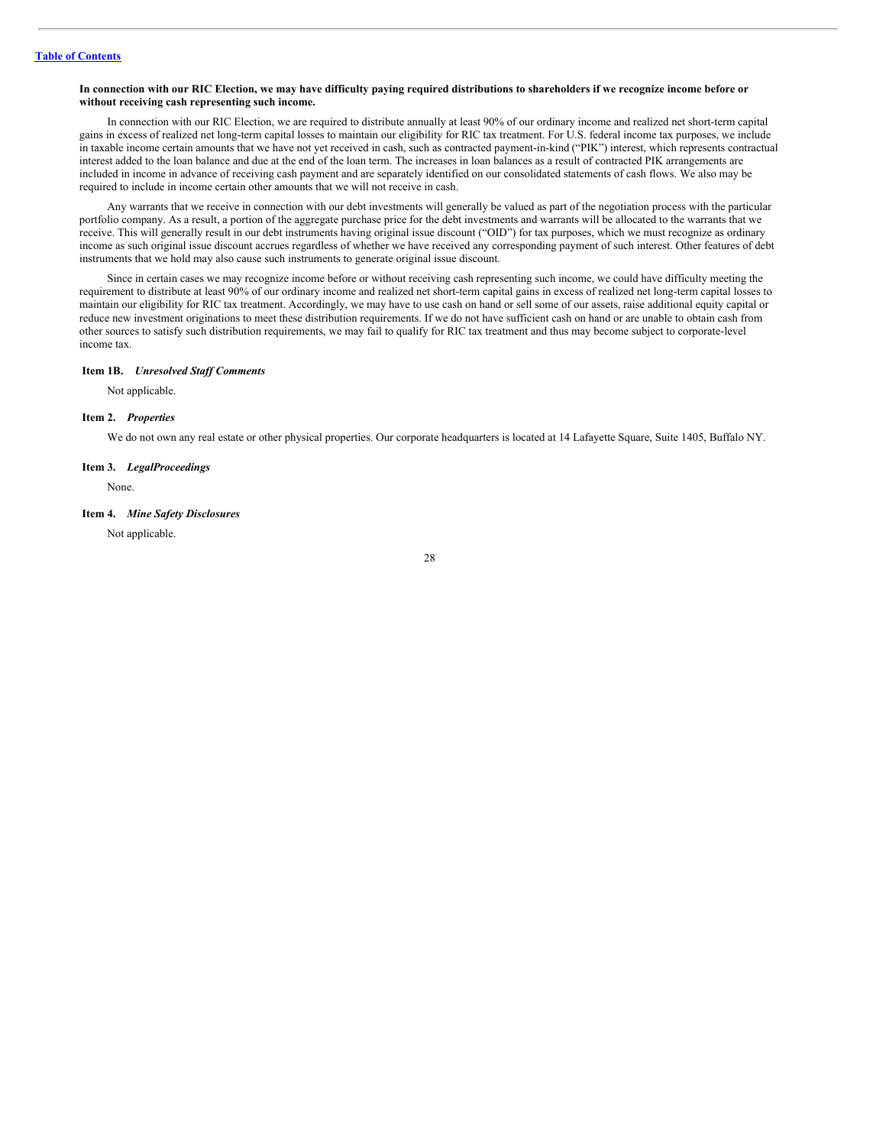# In connection with our RIC Election, we may have difficulty paying required distributions to shareholders if we recognize income before or **without receiving cash representing such income.**

In connection with our RIC Election, we are required to distribute annually at least 90% of our ordinary income and realized net short-term capital gains in excess of realized net long-term capital losses to maintain our eligibility for RIC tax treatment. For U.S. federal income tax purposes, we include in taxable income certain amounts that we have not yet received in cash, such as contracted payment-in-kind ("PIK") interest, which represents contractual interest added to the loan balance and due at the end of the loan term. The increases in loan balances as a result of contracted PIK arrangements are included in income in advance of receiving cash payment and are separately identified on our consolidated statements of cash flows. We also may be required to include in income certain other amounts that we will not receive in cash.

Any warrants that we receive in connection with our debt investments will generally be valued as part of the negotiation process with the particular portfolio company. As a result, a portion of the aggregate purchase price for the debt investments and warrants will be allocated to the warrants that we receive. This will generally result in our debt instruments having original issue discount ("OID") for tax purposes, which we must recognize as ordinary income as such original issue discount accrues regardless of whether we have received any corresponding payment of such interest. Other features of debt instruments that we hold may also cause such instruments to generate original issue discount.

Since in certain cases we may recognize income before or without receiving cash representing such income, we could have difficulty meeting the requirement to distribute at least 90% of our ordinary income and realized net short-term capital gains in excess of realized net long-term capital losses to maintain our eligibility for RIC tax treatment. Accordingly, we may have to use cash on hand or sell some of our assets, raise additional equity capital or reduce new investment originations to meet these distribution requirements. If we do not have sufficient cash on hand or are unable to obtain cash from other sources to satisfy such distribution requirements, we may fail to qualify for RIC tax treatment and thus may become subject to corporate-level income tax.

#### <span id="page-29-0"></span>**Item 1B.** *Unresolved Staf Comments*

Not applicable.

# <span id="page-29-1"></span>**Item 2.** *Properties*

We do not own any real estate or other physical properties. Our corporate headquarters is located at 14 Lafayette Square, Suite 1405, Buffalo NY.

# <span id="page-29-2"></span>**Item 3.** *LegalProceedings*

None.

#### <span id="page-29-3"></span>**Item 4.** *Mine Safety Disclosures*

Not applicable.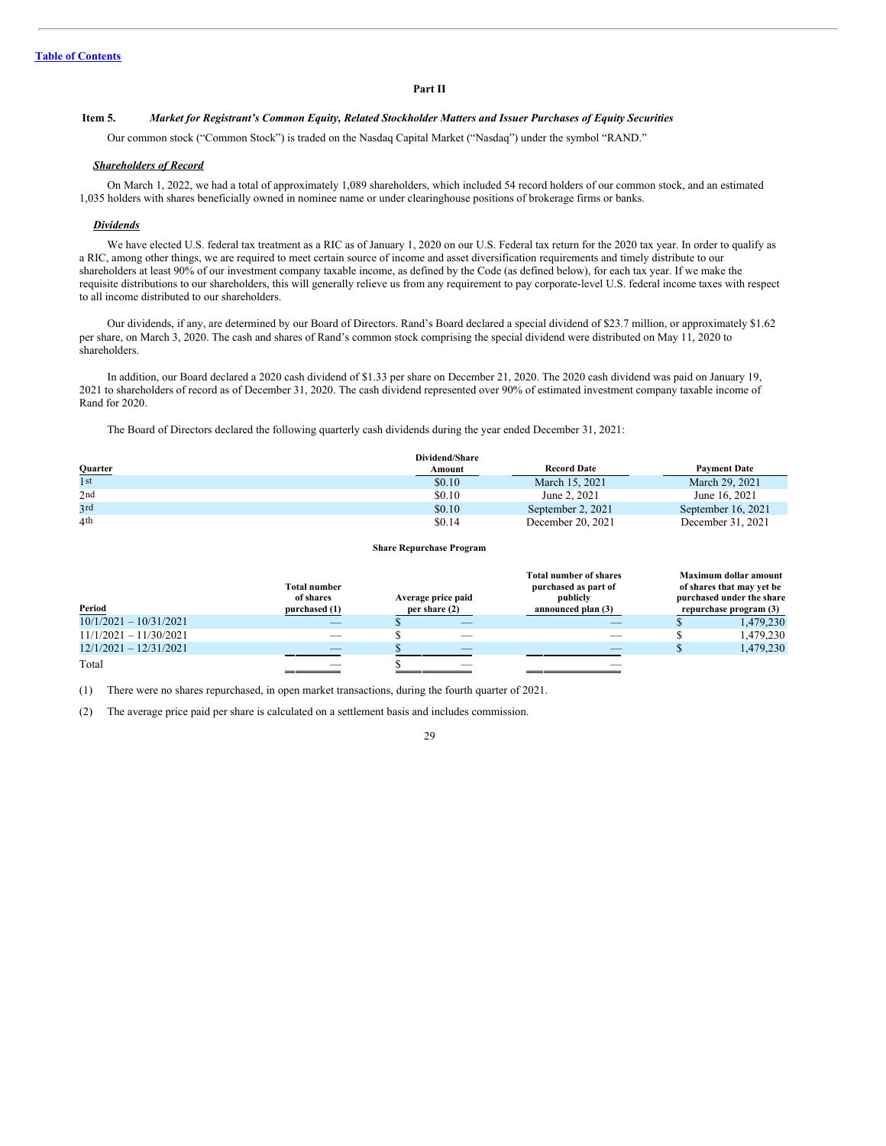# **Part II**

# <span id="page-30-0"></span>Item 5. Market for Registrant's Common Equity, Related Stockholder Matters and Issuer Purchases of Equity Securities

Our common stock ("Common Stock") is traded on the Nasdaq Capital Market ("Nasdaq") under the symbol "RAND."

# *Shareholders of Record*

On March 1, 2022, we had a total of approximately 1,089 shareholders, which included 54 record holders of our common stock, and an estimated 1,035 holders with shares beneficially owned in nominee name or under clearinghouse positions of brokerage firms or banks.

#### *Dividends*

We have elected U.S. federal tax treatment as a RIC as of January 1, 2020 on our U.S. Federal tax return for the 2020 tax year. In order to qualify as a RIC, among other things, we are required to meet certain source of income and asset diversification requirements and timely distribute to our shareholders at least 90% of our investment company taxable income, as defined by the Code (as defined below), for each tax year. If we make the requisite distributions to our shareholders, this will generally relieve us from any requirement to pay corporate-level U.S. federal income taxes with respect to all income distributed to our shareholders.

Our dividends, if any, are determined by our Board of Directors. Rand's Board declared a special dividend of \$23.7 million, or approximately \$1.62 per share, on March 3, 2020. The cash and shares of Rand's common stock comprising the special dividend were distributed on May 11, 2020 to shareholders.

In addition, our Board declared a 2020 cash dividend of \$1.33 per share on December 21, 2020. The 2020 cash dividend was paid on January 19, 2021 to shareholders of record as of December 31, 2020. The cash dividend represented over 90% of estimated investment company taxable income of Rand for 2020.

The Board of Directors declared the following quarterly cash dividends during the year ended December 31, 2021:

|                | Dividend/Share |                    |                      |
|----------------|----------------|--------------------|----------------------|
| <b>Quarter</b> | Amount         | <b>Record Date</b> | <b>Payment Date</b>  |
| 1st            | \$0.10         | March 15, 2021     | March 29, 2021       |
| 2nd            | \$0.10         | June 2, 2021       | June 16, 2021        |
| 3rd            | \$0.10         | September 2, 2021  | September $16, 2021$ |
| 4th            | \$0.14         | December 20, 2021  | December 31, 2021    |

#### **Share Repurchase Program**

| Period                   | <b>Total number</b><br>of shares<br>purchased (1) | Average price paid<br>per share $(2)$ | <b>Total number of shares</b><br>purchased as part of<br>publicly<br>announced plan (3) | Maximum dollar amount<br>of shares that may yet be<br>purchased under the share<br>repurchase program (3) |
|--------------------------|---------------------------------------------------|---------------------------------------|-----------------------------------------------------------------------------------------|-----------------------------------------------------------------------------------------------------------|
| $10/1/2021 - 10/31/2021$ |                                                   |                                       |                                                                                         | 1,479,230                                                                                                 |
| $11/1/2021 - 11/30/2021$ |                                                   |                                       |                                                                                         | 1,479,230                                                                                                 |
| $12/1/2021 - 12/31/2021$ |                                                   |                                       |                                                                                         | 1,479,230                                                                                                 |
| Total                    |                                                   |                                       |                                                                                         |                                                                                                           |

(1) There were no shares repurchased, in open market transactions, during the fourth quarter of 2021.

(2) The average price paid per share is calculated on a settlement basis and includes commission.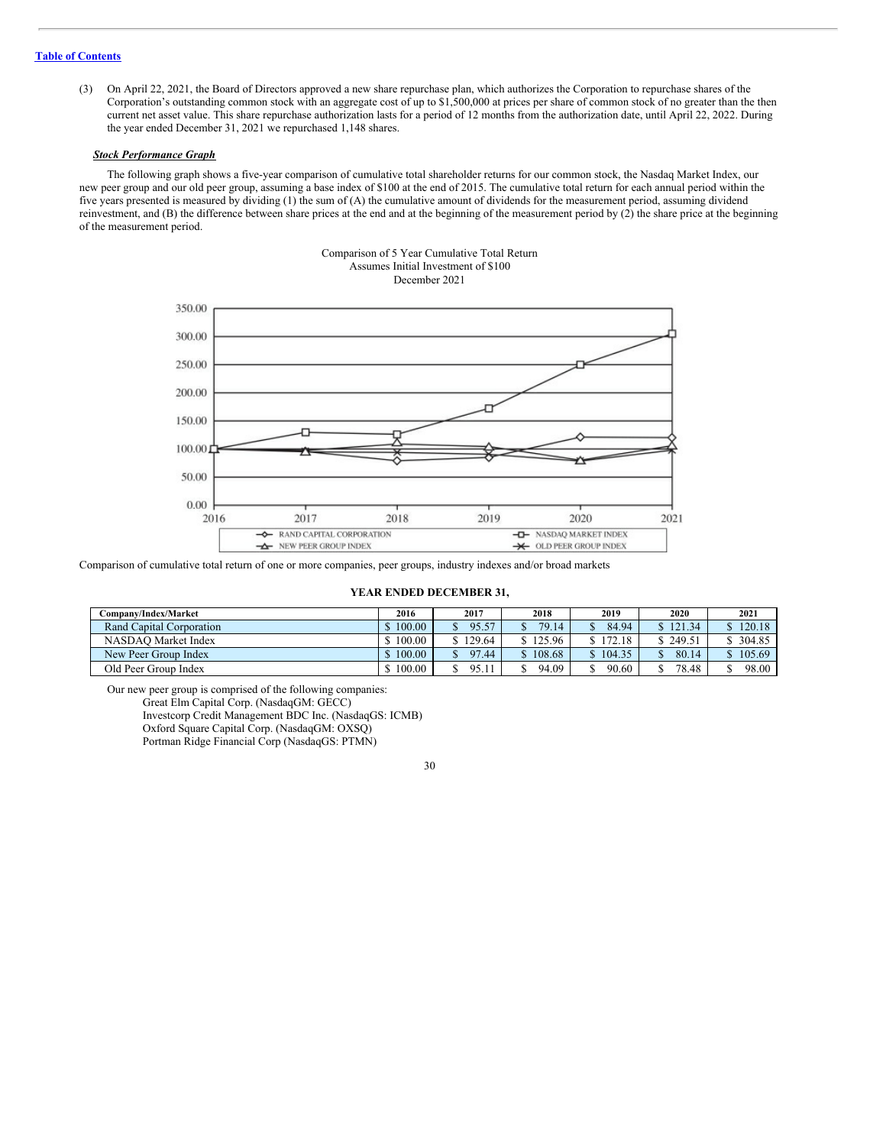(3) On April 22, 2021, the Board of Directors approved a new share repurchase plan, which authorizes the Corporation to repurchase shares of the Corporation's outstanding common stock with an aggregate cost of up to \$1,500,000 at prices per share of common stock of no greater than the then current net asset value. This share repurchase authorization lasts for a period of 12 months from the authorization date, until April 22, 2022. During the year ended December 31, 2021 we repurchased 1,148 shares.

#### *Stock Performance Graph*

The following graph shows a five-year comparison of cumulative total shareholder returns for our common stock, the Nasdaq Market Index, our new peer group and our old peer group, assuming a base index of \$100 at the end of 2015. The cumulative total return for each annual period within the five years presented is measured by dividing (1) the sum of (A) the cumulative amount of dividends for the measurement period, assuming dividend reinvestment, and (B) the difference between share prices at the end and at the beginning of the measurement period by (2) the share price at the beginning of the measurement period.

Comparison of 5 Year Cumulative Total Return



Comparison of cumulative total return of one or more companies, peer groups, industry indexes and/or broad markets

# **YEAR ENDED DECEMBER 31,**

| Company/Index/Market     | 2016   | 2017   | 2018     | 2019   | 2020     | 2021   |
|--------------------------|--------|--------|----------|--------|----------|--------|
| Rand Capital Corporation | 100.00 | 95.57  | 79.14    | 84.94  | \$121.34 | 120.18 |
| NASDAO Market Index      | 100.00 | 129.64 | \$125.96 | 172.18 | \$249.51 | 304.85 |
| New Peer Group Index     | 100.00 | 97.44  | 108.68   | 104.35 | 80.14    | 105.69 |
| Old Peer Group Index     | 100.00 | 95.1   | 94.09    | 90.60  | 78.48    | 98.00  |

Our new peer group is comprised of the following companies: Great Elm Capital Corp. (NasdaqGM: GECC) Investcorp Credit Management BDC Inc. (NasdaqGS: ICMB) Oxford Square Capital Corp. (NasdaqGM: OXSQ) Portman Ridge Financial Corp (NasdaqGS: PTMN)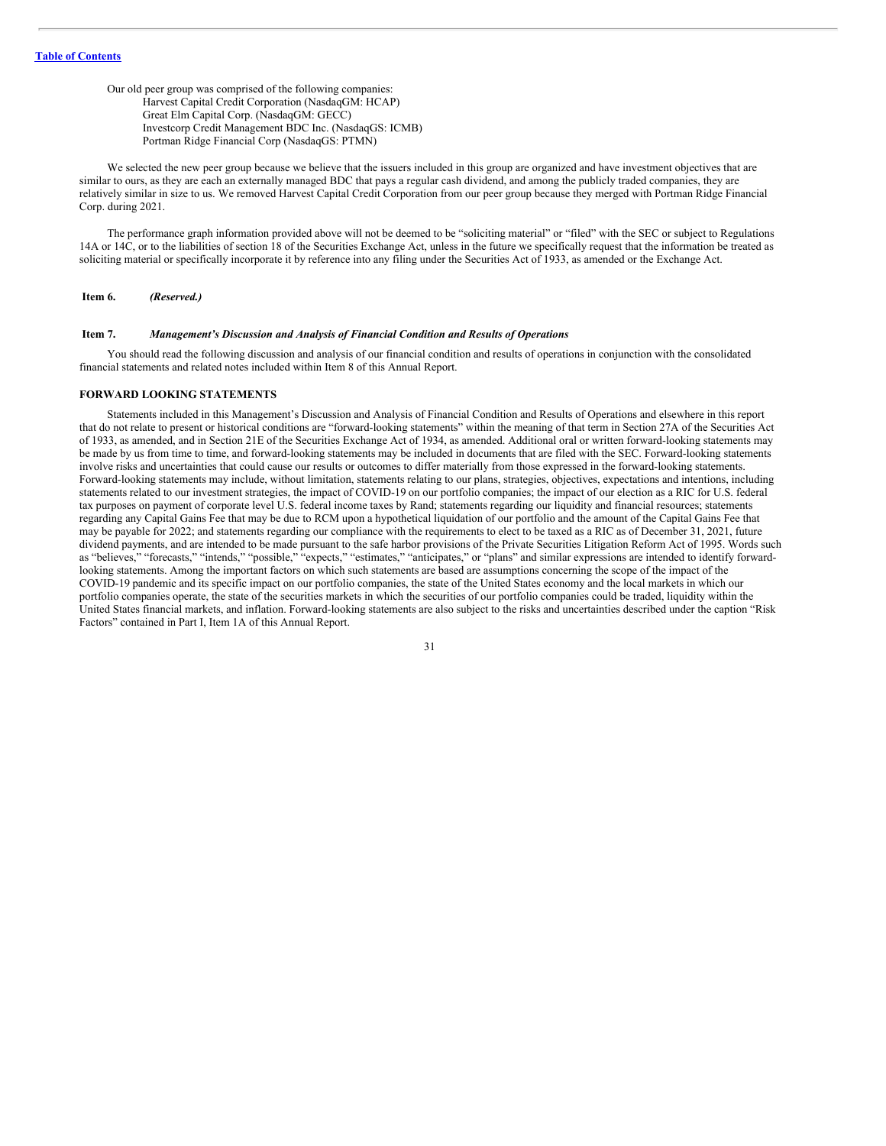Our old peer group was comprised of the following companies: Harvest Capital Credit Corporation (NasdaqGM: HCAP) Great Elm Capital Corp. (NasdaqGM: GECC) Investcorp Credit Management BDC Inc. (NasdaqGS: ICMB) Portman Ridge Financial Corp (NasdaqGS: PTMN)

We selected the new peer group because we believe that the issuers included in this group are organized and have investment objectives that are similar to ours, as they are each an externally managed BDC that pays a regular cash dividend, and among the publicly traded companies, they are relatively similar in size to us. We removed Harvest Capital Credit Corporation from our peer group because they merged with Portman Ridge Financial Corp. during 2021.

The performance graph information provided above will not be deemed to be "soliciting material" or "filed" with the SEC or subject to Regulations 14A or 14C, or to the liabilities of section 18 of the Securities Exchange Act, unless in the future we specifically request that the information be treated as soliciting material or specifically incorporate it by reference into any filing under the Securities Act of 1933, as amended or the Exchange Act.

<span id="page-32-0"></span>**Item 6.** *(Reserved.)*

#### <span id="page-32-1"></span>**Item 7.** *Management's Discussion and Analysis of Financial Condition and Results of Operations*

You should read the following discussion and analysis of our financial condition and results of operations in conjunction with the consolidated financial statements and related notes included within Item 8 of this Annual Report.

# **FORWARD LOOKING STATEMENTS**

Statements included in this Management's Discussion and Analysis of Financial Condition and Results of Operations and elsewhere in this report that do not relate to present or historical conditions are "forward-looking statements" within the meaning of that term in Section 27A of the Securities Act of 1933, as amended, and in Section 21E of the Securities Exchange Act of 1934, as amended. Additional oral or written forward-looking statements may be made by us from time to time, and forward-looking statements may be included in documents that are filed with the SEC. Forward-looking statements involve risks and uncertainties that could cause our results or outcomes to differ materially from those expressed in the forward-looking statements. Forward-looking statements may include, without limitation, statements relating to our plans, strategies, objectives, expectations and intentions, including statements related to our investment strategies, the impact of COVID-19 on our portfolio companies; the impact of our election as a RIC for U.S. federal tax purposes on payment of corporate level U.S. federal income taxes by Rand; statements regarding our liquidity and financial resources; statements regarding any Capital Gains Fee that may be due to RCM upon a hypothetical liquidation of our portfolio and the amount of the Capital Gains Fee that may be payable for 2022; and statements regarding our compliance with the requirements to elect to be taxed as a RIC as of December 31, 2021, future dividend payments, and are intended to be made pursuant to the safe harbor provisions of the Private Securities Litigation Reform Act of 1995. Words such as "believes," "forecasts," "intends," "possible," "expects," "estimates," "anticipates," or "plans" and similar expressions are intended to identify forwardlooking statements. Among the important factors on which such statements are based are assumptions concerning the scope of the impact of the COVID-19 pandemic and its specific impact on our portfolio companies, the state of the United States economy and the local markets in which our portfolio companies operate, the state of the securities markets in which the securities of our portfolio companies could be traded, liquidity within the United States financial markets, and inflation. Forward-looking statements are also subject to the risks and uncertainties described under the caption "Risk Factors" contained in Part I, Item 1A of this Annual Report.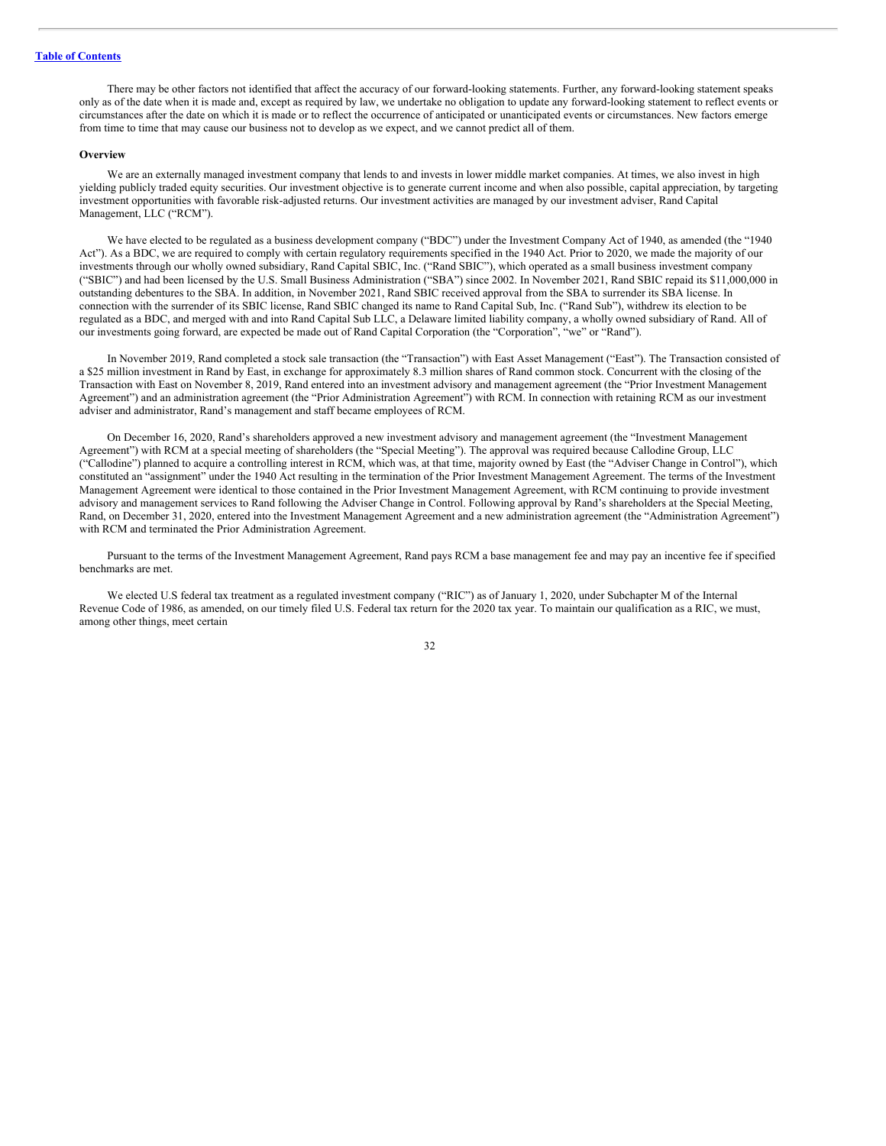There may be other factors not identified that affect the accuracy of our forward-looking statements. Further, any forward-looking statement speaks only as of the date when it is made and, except as required by law, we undertake no obligation to update any forward-looking statement to reflect events or circumstances after the date on which it is made or to reflect the occurrence of anticipated or unanticipated events or circumstances. New factors emerge from time to time that may cause our business not to develop as we expect, and we cannot predict all of them.

#### **Overview**

We are an externally managed investment company that lends to and invests in lower middle market companies. At times, we also invest in high yielding publicly traded equity securities. Our investment objective is to generate current income and when also possible, capital appreciation, by targeting investment opportunities with favorable risk-adjusted returns. Our investment activities are managed by our investment adviser, Rand Capital Management, LLC ("RCM").

We have elected to be regulated as a business development company ("BDC") under the Investment Company Act of 1940, as amended (the "1940 Act"). As a BDC, we are required to comply with certain regulatory requirements specified in the 1940 Act. Prior to 2020, we made the majority of our investments through our wholly owned subsidiary, Rand Capital SBIC, Inc. ("Rand SBIC"), which operated as a small business investment company ("SBIC") and had been licensed by the U.S. Small Business Administration ("SBA") since 2002. In November 2021, Rand SBIC repaid its \$11,000,000 in outstanding debentures to the SBA. In addition, in November 2021, Rand SBIC received approval from the SBA to surrender its SBA license. In connection with the surrender of its SBIC license, Rand SBIC changed its name to Rand Capital Sub, Inc. ("Rand Sub"), withdrew its election to be regulated as a BDC, and merged with and into Rand Capital Sub LLC, a Delaware limited liability company, a wholly owned subsidiary of Rand. All of our investments going forward, are expected be made out of Rand Capital Corporation (the "Corporation", "we" or "Rand").

In November 2019, Rand completed a stock sale transaction (the "Transaction") with East Asset Management ("East"). The Transaction consisted of a \$25 million investment in Rand by East, in exchange for approximately 8.3 million shares of Rand common stock. Concurrent with the closing of the Transaction with East on November 8, 2019, Rand entered into an investment advisory and management agreement (the "Prior Investment Management Agreement") and an administration agreement (the "Prior Administration Agreement") with RCM. In connection with retaining RCM as our investment adviser and administrator, Rand's management and staff became employees of RCM.

On December 16, 2020, Rand's shareholders approved a new investment advisory and management agreement (the "Investment Management Agreement") with RCM at a special meeting of shareholders (the "Special Meeting"). The approval was required because Callodine Group, LLC ("Callodine") planned to acquire a controlling interest in RCM, which was, at that time, majority owned by East (the "Adviser Change in Control"), which constituted an "assignment" under the 1940 Act resulting in the termination of the Prior Investment Management Agreement. The terms of the Investment Management Agreement were identical to those contained in the Prior Investment Management Agreement, with RCM continuing to provide investment advisory and management services to Rand following the Adviser Change in Control. Following approval by Rand's shareholders at the Special Meeting, Rand, on December 31, 2020, entered into the Investment Management Agreement and a new administration agreement (the "Administration Agreement") with RCM and terminated the Prior Administration Agreement.

Pursuant to the terms of the Investment Management Agreement, Rand pays RCM a base management fee and may pay an incentive fee if specified benchmarks are met.

We elected U.S federal tax treatment as a regulated investment company ("RIC") as of January 1, 2020, under Subchapter M of the Internal Revenue Code of 1986, as amended, on our timely filed U.S. Federal tax return for the 2020 tax year. To maintain our qualification as a RIC, we must, among other things, meet certain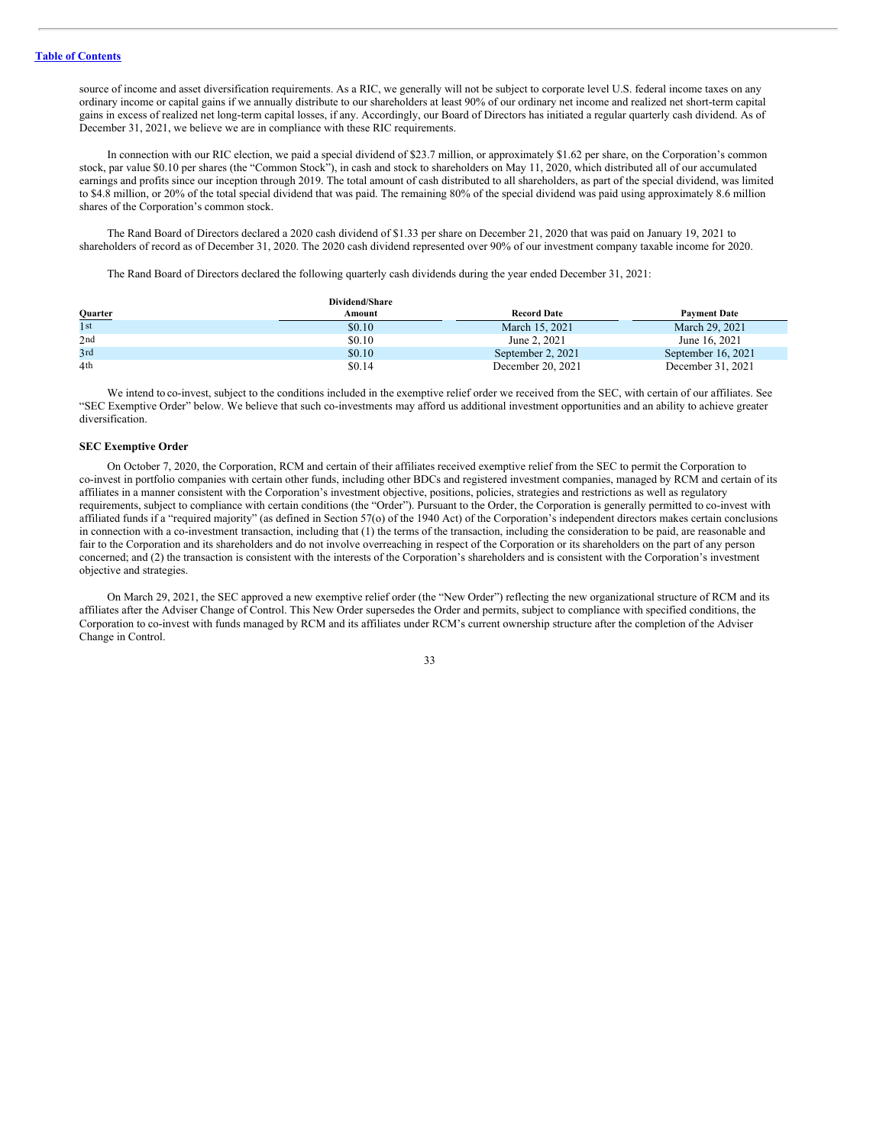source of income and asset diversification requirements. As a RIC, we generally will not be subject to corporate level U.S. federal income taxes on any ordinary income or capital gains if we annually distribute to our shareholders at least 90% of our ordinary net income and realized net short-term capital gains in excess of realized net long-term capital losses, if any. Accordingly, our Board of Directors has initiated a regular quarterly cash dividend. As of December 31, 2021, we believe we are in compliance with these RIC requirements.

In connection with our RIC election, we paid a special dividend of \$23.7 million, or approximately \$1.62 per share, on the Corporation's common stock, par value \$0.10 per shares (the "Common Stock"), in cash and stock to shareholders on May 11, 2020, which distributed all of our accumulated earnings and profits since our inception through 2019. The total amount of cash distributed to all shareholders, as part of the special dividend, was limited to \$4.8 million, or 20% of the total special dividend that was paid. The remaining 80% of the special dividend was paid using approximately 8.6 million shares of the Corporation's common stock.

The Rand Board of Directors declared a 2020 cash dividend of \$1.33 per share on December 21, 2020 that was paid on January 19, 2021 to shareholders of record as of December 31, 2020. The 2020 cash dividend represented over 90% of our investment company taxable income for 2020.

The Rand Board of Directors declared the following quarterly cash dividends during the year ended December 31, 2021:

|                 | Dividend/Share |                    |                     |
|-----------------|----------------|--------------------|---------------------|
| Quarter         | Amount         | <b>Record Date</b> | <b>Payment Date</b> |
| 1st             | \$0.10         | March 15, 2021     | March 29, 2021      |
| 2 <sub>nd</sub> | \$0.10         | June 2, 2021       | June 16, 2021       |
| 3rd             | \$0.10         | September 2, 2021  | September 16, 2021  |
| 4th             | \$0.14         | December 20, 2021  | December 31, 2021   |

We intend to co-invest, subject to the conditions included in the exemptive relief order we received from the SEC, with certain of our affiliates. See "SEC Exemptive Order" below. We believe that such co-investments may afford us additional investment opportunities and an ability to achieve greater diversification.

# **SEC Exemptive Order**

On October 7, 2020, the Corporation, RCM and certain of their affiliates received exemptive relief from the SEC to permit the Corporation to co-invest in portfolio companies with certain other funds, including other BDCs and registered investment companies, managed by RCM and certain of its affiliates in a manner consistent with the Corporation's investment objective, positions, policies, strategies and restrictions as well as regulatory requirements, subject to compliance with certain conditions (the "Order"). Pursuant to the Order, the Corporation is generally permitted to co-invest with affiliated funds if a "required majority" (as defined in Section 57(o) of the 1940 Act) of the Corporation's independent directors makes certain conclusions in connection with a co-investment transaction, including that (1) the terms of the transaction, including the consideration to be paid, are reasonable and fair to the Corporation and its shareholders and do not involve overreaching in respect of the Corporation or its shareholders on the part of any person concerned; and (2) the transaction is consistent with the interests of the Corporation's shareholders and is consistent with the Corporation's investment objective and strategies.

On March 29, 2021, the SEC approved a new exemptive relief order (the "New Order") reflecting the new organizational structure of RCM and its affiliates after the Adviser Change of Control. This New Order supersedes the Order and permits, subject to compliance with specified conditions, the Corporation to co-invest with funds managed by RCM and its affiliates under RCM's current ownership structure after the completion of the Adviser Change in Control.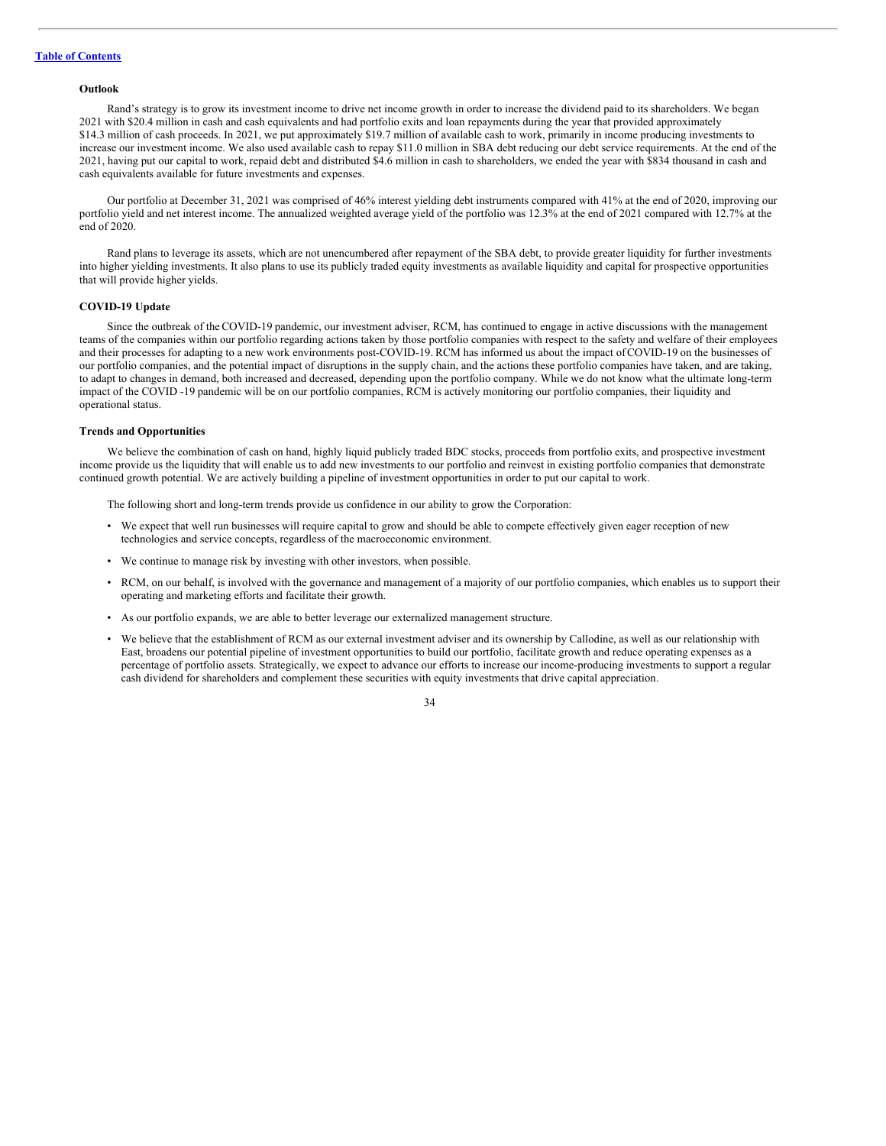# **Outlook**

Rand's strategy is to grow its investment income to drive net income growth in order to increase the dividend paid to its shareholders. We began 2021 with \$20.4 million in cash and cash equivalents and had portfolio exits and loan repayments during the year that provided approximately \$14.3 million of cash proceeds. In 2021, we put approximately \$19.7 million of available cash to work, primarily in income producing investments to increase our investment income. We also used available cash to repay \$11.0 million in SBA debt reducing our debt service requirements. At the end of the 2021, having put our capital to work, repaid debt and distributed \$4.6 million in cash to shareholders, we ended the year with \$834 thousand in cash and cash equivalents available for future investments and expenses.

Our portfolio at December 31, 2021 was comprised of 46% interest yielding debt instruments compared with 41% at the end of 2020, improving our portfolio yield and net interest income. The annualized weighted average yield of the portfolio was 12.3% at the end of 2021 compared with 12.7% at the end of 2020.

Rand plans to leverage its assets, which are not unencumbered after repayment of the SBA debt, to provide greater liquidity for further investments into higher yielding investments. It also plans to use its publicly traded equity investments as available liquidity and capital for prospective opportunities that will provide higher yields.

# **COVID-19 Update**

Since the outbreak of theCOVID-19 pandemic, our investment adviser, RCM, has continued to engage in active discussions with the management teams of the companies within our portfolio regarding actions taken by those portfolio companies with respect to the safety and welfare of their employees and their processes for adapting to a new work environments post-COVID-19. RCM has informed us about the impact ofCOVID-19 on the businesses of our portfolio companies, and the potential impact of disruptions in the supply chain, and the actions these portfolio companies have taken, and are taking, to adapt to changes in demand, both increased and decreased, depending upon the portfolio company. While we do not know what the ultimate long-term impact of the COVID -19 pandemic will be on our portfolio companies, RCM is actively monitoring our portfolio companies, their liquidity and operational status.

# **Trends and Opportunities**

We believe the combination of cash on hand, highly liquid publicly traded BDC stocks, proceeds from portfolio exits, and prospective investment income provide us the liquidity that will enable us to add new investments to our portfolio and reinvest in existing portfolio companies that demonstrate continued growth potential. We are actively building a pipeline of investment opportunities in order to put our capital to work.

The following short and long-term trends provide us confidence in our ability to grow the Corporation:

- We expect that well run businesses will require capital to grow and should be able to compete effectively given eager reception of new technologies and service concepts, regardless of the macroeconomic environment.
- We continue to manage risk by investing with other investors, when possible.
- RCM, on our behalf, is involved with the governance and management of a majority of our portfolio companies, which enables us to support their operating and marketing efforts and facilitate their growth.
- As our portfolio expands, we are able to better leverage our externalized management structure.
- We believe that the establishment of RCM as our external investment adviser and its ownership by Callodine, as well as our relationship with East, broadens our potential pipeline of investment opportunities to build our portfolio, facilitate growth and reduce operating expenses as a percentage of portfolio assets. Strategically, we expect to advance our efforts to increase our income-producing investments to support a regular cash dividend for shareholders and complement these securities with equity investments that drive capital appreciation.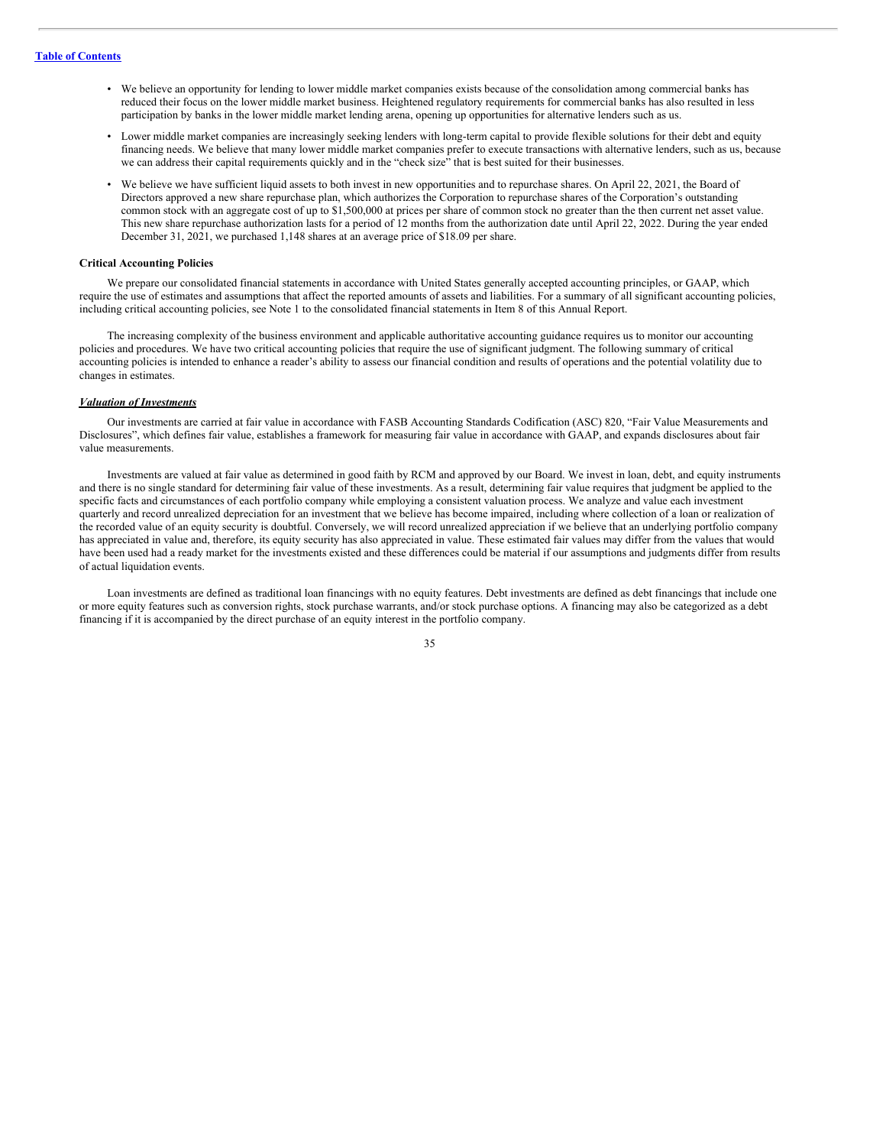- We believe an opportunity for lending to lower middle market companies exists because of the consolidation among commercial banks has reduced their focus on the lower middle market business. Heightened regulatory requirements for commercial banks has also resulted in less participation by banks in the lower middle market lending arena, opening up opportunities for alternative lenders such as us.
- Lower middle market companies are increasingly seeking lenders with long-term capital to provide flexible solutions for their debt and equity financing needs. We believe that many lower middle market companies prefer to execute transactions with alternative lenders, such as us, because we can address their capital requirements quickly and in the "check size" that is best suited for their businesses.
- We believe we have sufficient liquid assets to both invest in new opportunities and to repurchase shares. On April 22, 2021, the Board of Directors approved a new share repurchase plan, which authorizes the Corporation to repurchase shares of the Corporation's outstanding common stock with an aggregate cost of up to \$1,500,000 at prices per share of common stock no greater than the then current net asset value. This new share repurchase authorization lasts for a period of 12 months from the authorization date until April 22, 2022. During the year ended December 31, 2021, we purchased 1,148 shares at an average price of \$18.09 per share.

## **Critical Accounting Policies**

We prepare our consolidated financial statements in accordance with United States generally accepted accounting principles, or GAAP, which require the use of estimates and assumptions that affect the reported amounts of assets and liabilities. For a summary of all significant accounting policies, including critical accounting policies, see Note 1 to the consolidated financial statements in Item 8 of this Annual Report.

The increasing complexity of the business environment and applicable authoritative accounting guidance requires us to monitor our accounting policies and procedures. We have two critical accounting policies that require the use of significant judgment. The following summary of critical accounting policies is intended to enhance a reader's ability to assess our financial condition and results of operations and the potential volatility due to changes in estimates.

#### *Valuation of Investments*

Our investments are carried at fair value in accordance with FASB Accounting Standards Codification (ASC) 820, "Fair Value Measurements and Disclosures", which defines fair value, establishes a framework for measuring fair value in accordance with GAAP, and expands disclosures about fair value measurements.

Investments are valued at fair value as determined in good faith by RCM and approved by our Board. We invest in loan, debt, and equity instruments and there is no single standard for determining fair value of these investments. As a result, determining fair value requires that judgment be applied to the specific facts and circumstances of each portfolio company while employing a consistent valuation process. We analyze and value each investment quarterly and record unrealized depreciation for an investment that we believe has become impaired, including where collection of a loan or realization of the recorded value of an equity security is doubtful. Conversely, we will record unrealized appreciation if we believe that an underlying portfolio company has appreciated in value and, therefore, its equity security has also appreciated in value. These estimated fair values may differ from the values that would have been used had a ready market for the investments existed and these differences could be material if our assumptions and judgments differ from results of actual liquidation events.

Loan investments are defined as traditional loan financings with no equity features. Debt investments are defined as debt financings that include one or more equity features such as conversion rights, stock purchase warrants, and/or stock purchase options. A financing may also be categorized as a debt financing if it is accompanied by the direct purchase of an equity interest in the portfolio company.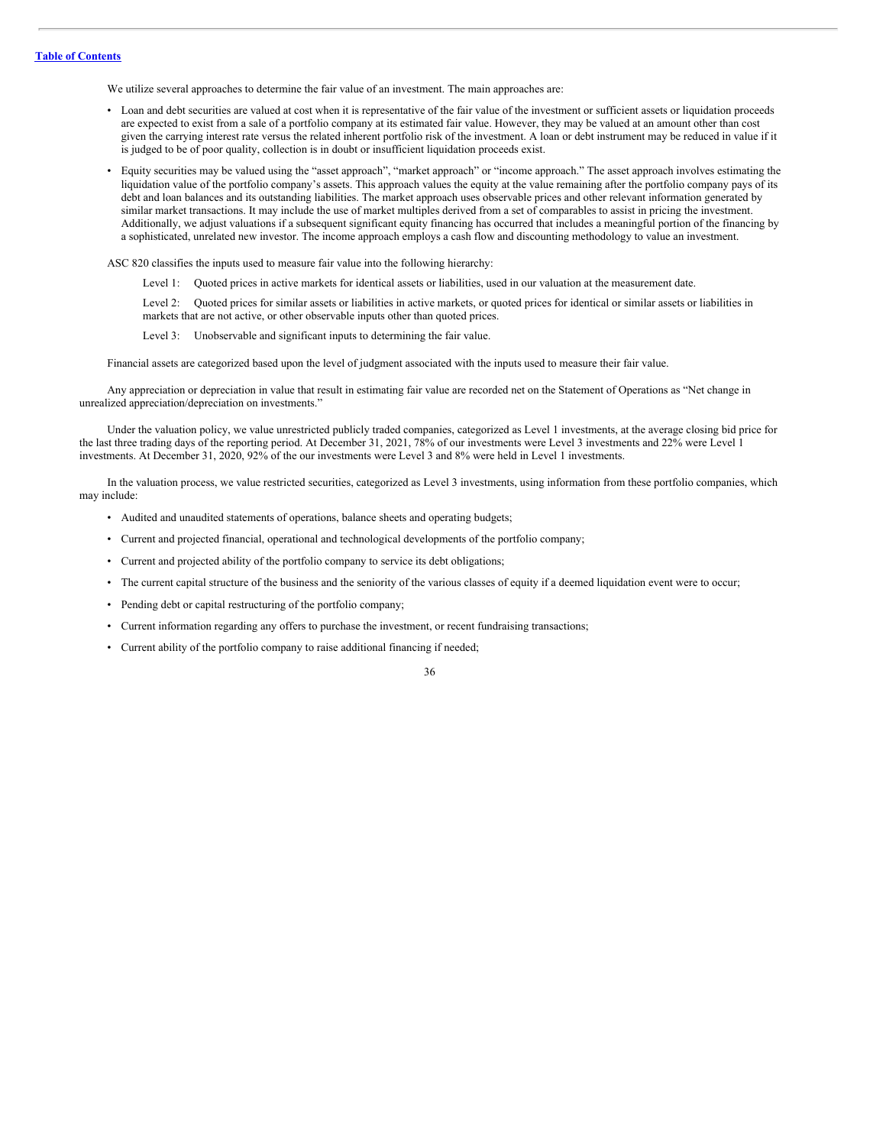We utilize several approaches to determine the fair value of an investment. The main approaches are:

- Loan and debt securities are valued at cost when it is representative of the fair value of the investment or sufficient assets or liquidation proceeds are expected to exist from a sale of a portfolio company at its estimated fair value. However, they may be valued at an amount other than cost given the carrying interest rate versus the related inherent portfolio risk of the investment. A loan or debt instrument may be reduced in value if it is judged to be of poor quality, collection is in doubt or insufficient liquidation proceeds exist.
- Equity securities may be valued using the "asset approach", "market approach" or "income approach." The asset approach involves estimating the liquidation value of the portfolio company's assets. This approach values the equity at the value remaining after the portfolio company pays of its debt and loan balances and its outstanding liabilities. The market approach uses observable prices and other relevant information generated by similar market transactions. It may include the use of market multiples derived from a set of comparables to assist in pricing the investment. Additionally, we adjust valuations if a subsequent significant equity financing has occurred that includes a meaningful portion of the financing by a sophisticated, unrelated new investor. The income approach employs a cash flow and discounting methodology to value an investment.

ASC 820 classifies the inputs used to measure fair value into the following hierarchy:

Level 1: Ouoted prices in active markets for identical assets or liabilities, used in our valuation at the measurement date.

Level 2: Quoted prices for similar assets or liabilities in active markets, or quoted prices for identical or similar assets or liabilities in markets that are not active, or other observable inputs other than quoted prices.

Level 3: Unobservable and significant inputs to determining the fair value.

Financial assets are categorized based upon the level of judgment associated with the inputs used to measure their fair value.

Any appreciation or depreciation in value that result in estimating fair value are recorded net on the Statement of Operations as "Net change in unrealized appreciation/depreciation on investments."

Under the valuation policy, we value unrestricted publicly traded companies, categorized as Level 1 investments, at the average closing bid price for the last three trading days of the reporting period. At December 31, 2021, 78% of our investments were Level 3 investments and 22% were Level 1 investments. At December 31, 2020, 92% of the our investments were Level 3 and 8% were held in Level 1 investments.

In the valuation process, we value restricted securities, categorized as Level 3 investments, using information from these portfolio companies, which may include:

- Audited and unaudited statements of operations, balance sheets and operating budgets;
- Current and projected financial, operational and technological developments of the portfolio company;
- Current and projected ability of the portfolio company to service its debt obligations;
- The current capital structure of the business and the seniority of the various classes of equity if a deemed liquidation event were to occur;
- Pending debt or capital restructuring of the portfolio company;
- Current information regarding any offers to purchase the investment, or recent fundraising transactions;
- Current ability of the portfolio company to raise additional financing if needed;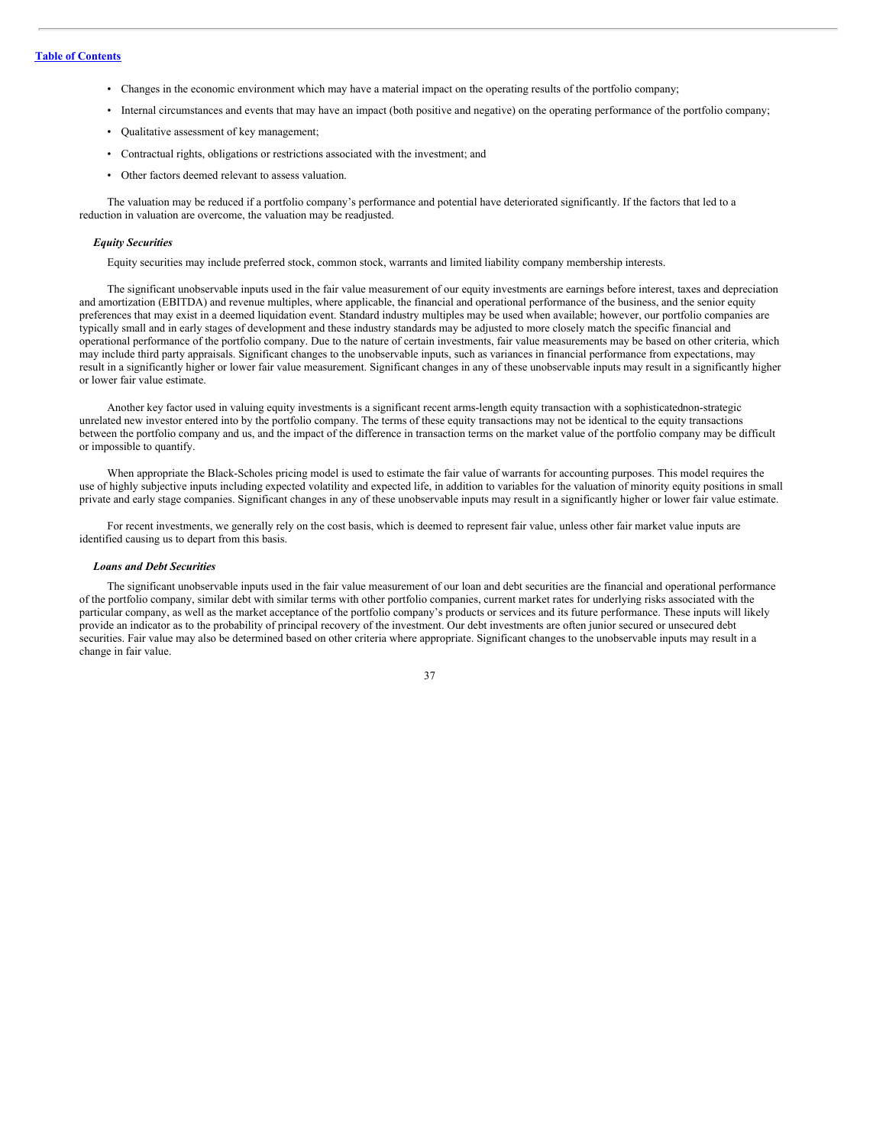- Changes in the economic environment which may have a material impact on the operating results of the portfolio company;
- Internal circumstances and events that may have an impact (both positive and negative) on the operating performance of the portfolio company;
- Qualitative assessment of key management;
- Contractual rights, obligations or restrictions associated with the investment; and
- Other factors deemed relevant to assess valuation.

The valuation may be reduced if a portfolio company's performance and potential have deteriorated significantly. If the factors that led to a reduction in valuation are overcome, the valuation may be readjusted.

#### *Equity Securities*

Equity securities may include preferred stock, common stock, warrants and limited liability company membership interests.

The significant unobservable inputs used in the fair value measurement of our equity investments are earnings before interest, taxes and depreciation and amortization (EBITDA) and revenue multiples, where applicable, the financial and operational performance of the business, and the senior equity preferences that may exist in a deemed liquidation event. Standard industry multiples may be used when available; however, our portfolio companies are typically small and in early stages of development and these industry standards may be adjusted to more closely match the specific financial and operational performance of the portfolio company. Due to the nature of certain investments, fair value measurements may be based on other criteria, which may include third party appraisals. Significant changes to the unobservable inputs, such as variances in financial performance from expectations, may result in a significantly higher or lower fair value measurement. Significant changes in any of these unobservable inputs may result in a significantly higher or lower fair value estimate.

Another key factor used in valuing equity investments is a significant recent arms-length equity transaction with a sophisticatednon-strategic unrelated new investor entered into by the portfolio company. The terms of these equity transactions may not be identical to the equity transactions between the portfolio company and us, and the impact of the difference in transaction terms on the market value of the portfolio company may be difficult or impossible to quantify.

When appropriate the Black-Scholes pricing model is used to estimate the fair value of warrants for accounting purposes. This model requires the use of highly subjective inputs including expected volatility and expected life, in addition to variables for the valuation of minority equity positions in small private and early stage companies. Significant changes in any of these unobservable inputs may result in a significantly higher or lower fair value estimate.

For recent investments, we generally rely on the cost basis, which is deemed to represent fair value, unless other fair market value inputs are identified causing us to depart from this basis.

#### *Loans and Debt Securities*

The significant unobservable inputs used in the fair value measurement of our loan and debt securities are the financial and operational performance of the portfolio company, similar debt with similar terms with other portfolio companies, current market rates for underlying risks associated with the particular company, as well as the market acceptance of the portfolio company's products or services and its future performance. These inputs will likely provide an indicator as to the probability of principal recovery of the investment. Our debt investments are often junior secured or unsecured debt securities. Fair value may also be determined based on other criteria where appropriate. Significant changes to the unobservable inputs may result in a change in fair value.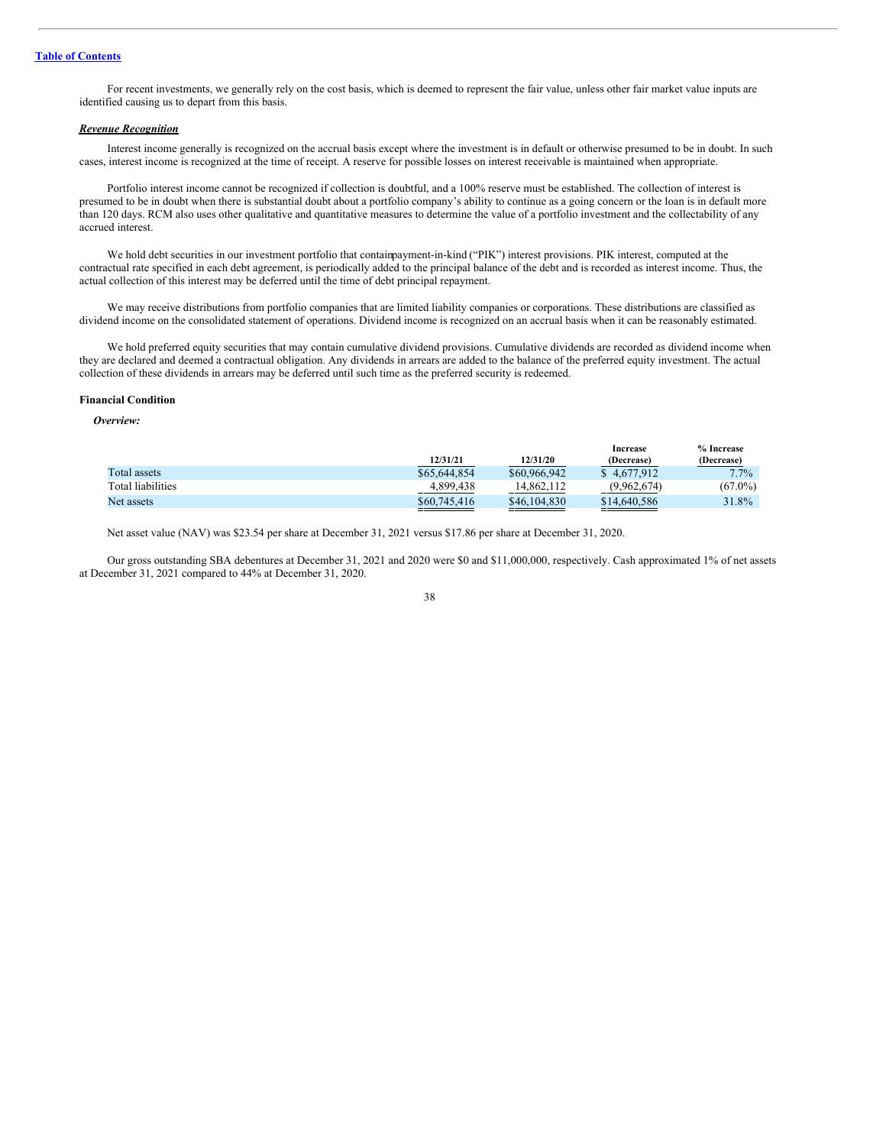For recent investments, we generally rely on the cost basis, which is deemed to represent the fair value, unless other fair market value inputs are identified causing us to depart from this basis.

## *Revenue Recognition*

Interest income generally is recognized on the accrual basis except where the investment is in default or otherwise presumed to be in doubt. In such cases, interest income is recognized at the time of receipt. A reserve for possible losses on interest receivable is maintained when appropriate.

Portfolio interest income cannot be recognized if collection is doubtful, and a 100% reserve must be established. The collection of interest is presumed to be in doubt when there is substantial doubt about a portfolio company's ability to continue as a going concern or the loan is in default more than 120 days. RCM also uses other qualitative and quantitative measures to determine the value of a portfolio investment and the collectability of any accrued interest.

We hold debt securities in our investment portfolio that containpayment-in-kind ("PIK") interest provisions. PIK interest, computed at the contractual rate specified in each debt agreement, is periodically added to the principal balance of the debt and is recorded as interest income. Thus, the actual collection of this interest may be deferred until the time of debt principal repayment.

We may receive distributions from portfolio companies that are limited liability companies or corporations. These distributions are classified as dividend income on the consolidated statement of operations. Dividend income is recognized on an accrual basis when it can be reasonably estimated.

We hold preferred equity securities that may contain cumulative dividend provisions. Cumulative dividends are recorded as dividend income when they are declared and deemed a contractual obligation. Any dividends in arrears are added to the balance of the preferred equity investment. The actual collection of these dividends in arrears may be deferred until such time as the preferred security is redeemed.

#### **Financial Condition**

*Overview:*

|                   |              |                     | Increase     | % Increase |
|-------------------|--------------|---------------------|--------------|------------|
|                   | 12/31/21     | 12/31/20            | (Decrease)   | (Decrease) |
| Total assets      | \$65,644,854 | \$60,966,942        | \$4.677.912  | 7.7%       |
| Total liabilities | 4.899.438    | 14.862.112          | (9.962.674)  | $(67.0\%)$ |
| Net assets        | \$60,745,416 | \$46,104,830<br>- 1 | \$14,640,586 | 31.8%      |

Net asset value (NAV) was \$23.54 per share at December 31, 2021 versus \$17.86 per share at December 31, 2020.

Our gross outstanding SBA debentures at December 31, 2021 and 2020 were \$0 and \$11,000,000, respectively. Cash approximated 1% of net assets at December 31, 2021 compared to 44% at December 31, 2020.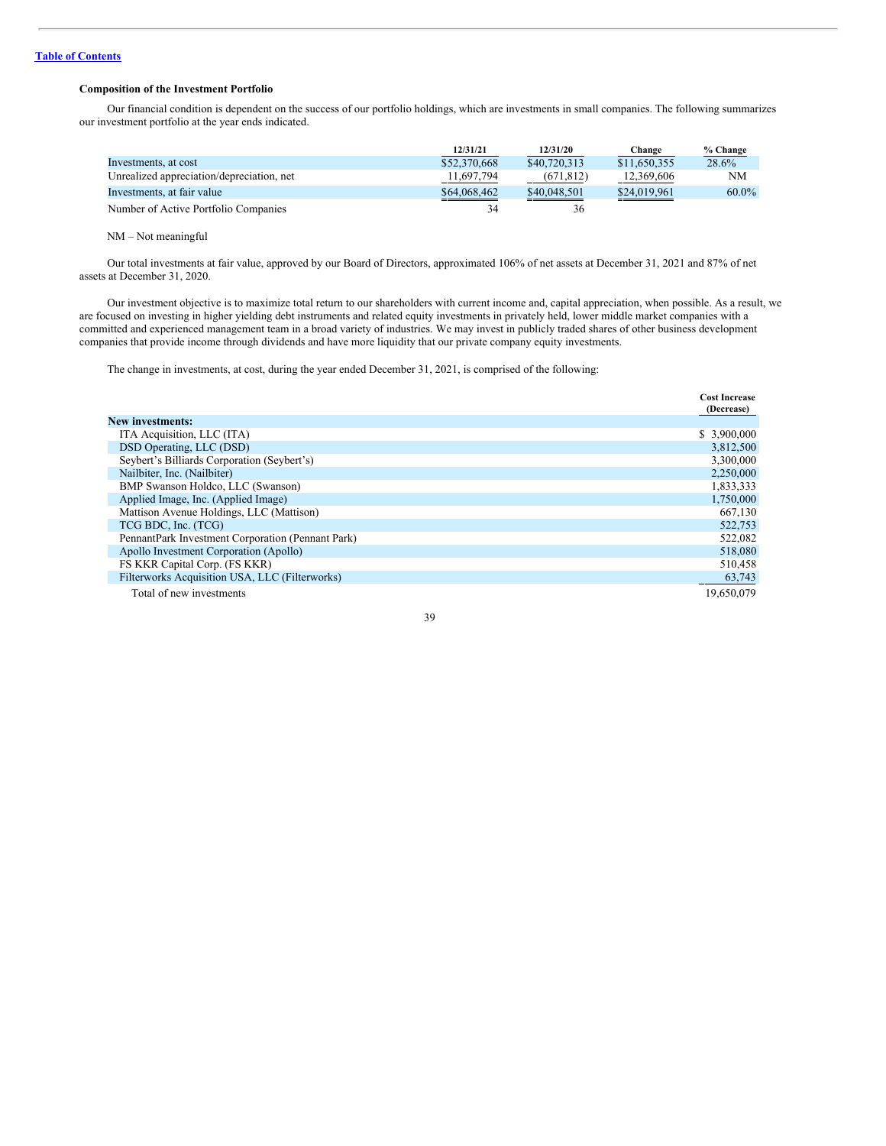# **Composition of the Investment Portfolio**

Our financial condition is dependent on the success of our portfolio holdings, which are investments in small companies. The following summarizes our investment portfolio at the year ends indicated.

|                                           | 12/31/21     | 12/31/20     | Change       | % Change |
|-------------------------------------------|--------------|--------------|--------------|----------|
| Investments, at cost                      | \$52,370,668 | \$40,720,313 | \$11,650,355 | 28.6%    |
| Unrealized appreciation/depreciation, net | 11,697,794   | (671, 812)   | 12,369,606   | NΜ       |
| Investments, at fair value                | \$64,068,462 | \$40,048,501 | \$24,019,961 | $60.0\%$ |
| Number of Active Portfolio Companies      | 34           | 36           |              |          |

NM – Not meaningful

Our total investments at fair value, approved by our Board of Directors, approximated 106% of net assets at December 31, 2021 and 87% of net assets at December 31, 2020.

Our investment objective is to maximize total return to our shareholders with current income and, capital appreciation, when possible. As a result, we are focused on investing in higher yielding debt instruments and related equity investments in privately held, lower middle market companies with a committed and experienced management team in a broad variety of industries. We may invest in publicly traded shares of other business development companies that provide income through dividends and have more liquidity that our private company equity investments.

The change in investments, at cost, during the year ended December 31, 2021, is comprised of the following:

|                                                   | <b>Cost Increase</b> |
|---------------------------------------------------|----------------------|
|                                                   | (Decrease)           |
| <b>New investments:</b>                           |                      |
| ITA Acquisition, LLC (ITA)                        | \$ 3,900,000         |
| DSD Operating, LLC (DSD)                          | 3,812,500            |
| Seybert's Billiards Corporation (Seybert's)       | 3,300,000            |
| Nailbiter, Inc. (Nailbiter)                       | 2,250,000            |
| BMP Swanson Holdco, LLC (Swanson)                 | 1,833,333            |
| Applied Image, Inc. (Applied Image)               | 1,750,000            |
| Mattison Avenue Holdings, LLC (Mattison)          | 667,130              |
| TCG BDC, Inc. (TCG)                               | 522,753              |
| PennantPark Investment Corporation (Pennant Park) | 522,082              |
| Apollo Investment Corporation (Apollo)            | 518,080              |
| FS KKR Capital Corp. (FS KKR)                     | 510,458              |
| Filterworks Acquisition USA, LLC (Filterworks)    | 63,743               |
| Total of new investments                          | 19.650.079           |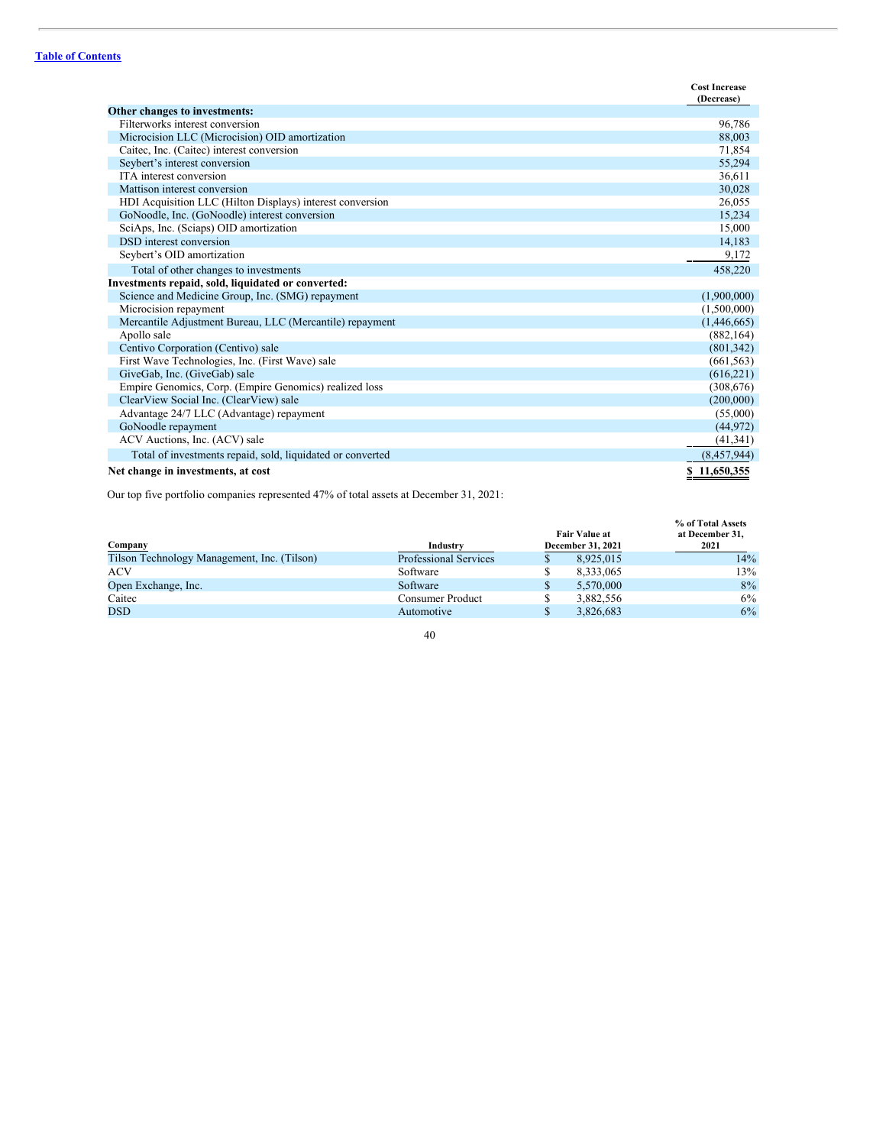|                                                            | <b>Cost Increase</b><br>(Decrease) |
|------------------------------------------------------------|------------------------------------|
| Other changes to investments:                              |                                    |
| Filterworks interest conversion                            | 96,786                             |
| Microcision LLC (Microcision) OID amortization             | 88,003                             |
| Caitec, Inc. (Caitec) interest conversion                  | 71,854                             |
| Seybert's interest conversion                              | 55,294                             |
| ITA interest conversion                                    | 36,611                             |
| Mattison interest conversion                               | 30,028                             |
| HDI Acquisition LLC (Hilton Displays) interest conversion  | 26,055                             |
| GoNoodle, Inc. (GoNoodle) interest conversion              | 15,234                             |
| SciAps, Inc. (Sciaps) OID amortization                     | 15,000                             |
| <b>DSD</b> interest conversion                             | 14,183                             |
| Seybert's OID amortization                                 | 9,172                              |
| Total of other changes to investments                      | 458,220                            |
| Investments repaid, sold, liquidated or converted:         |                                    |
| Science and Medicine Group, Inc. (SMG) repayment           | (1,900,000)                        |
| Microcision repayment                                      | (1,500,000)                        |
| Mercantile Adjustment Bureau, LLC (Mercantile) repayment   | (1,446,665)                        |
| Apollo sale                                                | (882, 164)                         |
| Centivo Corporation (Centivo) sale                         | (801, 342)                         |
| First Wave Technologies, Inc. (First Wave) sale            | (661, 563)                         |
| GiveGab, Inc. (GiveGab) sale                               | (616, 221)                         |
| Empire Genomics, Corp. (Empire Genomics) realized loss     | (308,676)                          |
| ClearView Social Inc. (ClearView) sale                     | (200,000)                          |
| Advantage 24/7 LLC (Advantage) repayment                   | (55,000)                           |
| GoNoodle repayment                                         | (44, 972)                          |
| ACV Auctions, Inc. (ACV) sale                              | (41, 341)                          |
| Total of investments repaid, sold, liquidated or converted | (8, 457, 944)                      |
| Net change in investments, at cost                         | \$11,650,355                       |

Our top five portfolio companies represented 47% of total assets at December 31, 2021:

| Company                                     | Industry                     |    | <b>Fair Value at</b><br>December 31, 2021 | % of Total Assets<br>at December 31,<br>2021 |
|---------------------------------------------|------------------------------|----|-------------------------------------------|----------------------------------------------|
| Tilson Technology Management, Inc. (Tilson) | <b>Professional Services</b> | S  | 8.925.015                                 | $14\%$                                       |
| <b>ACV</b>                                  | Software                     | S  | 8,333,065                                 | 13%                                          |
| Open Exchange, Inc.                         | Software                     | \$ | 5,570,000                                 | $8\%$                                        |
| Caitec                                      | <b>Consumer Product</b>      | S  | 3,882,556                                 | 6%                                           |
| <b>DSD</b>                                  | Automotive                   | S  | 3,826,683                                 | $6\%$                                        |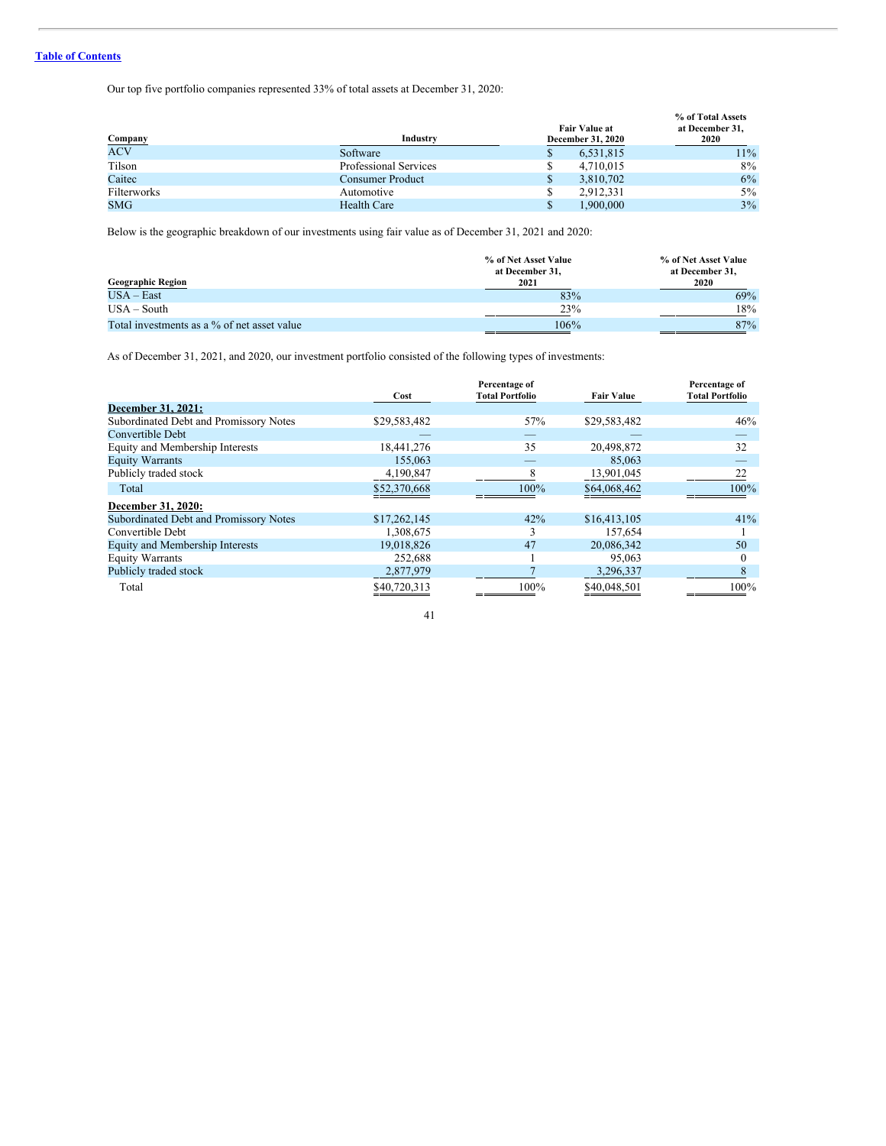Our top five portfolio companies represented 33% of total assets at December 31, 2020:

| Company     | Industry                |    | <b>Fair Value at</b><br>December 31, 2020 | % of Total Assets<br>at December 31,<br>2020 |
|-------------|-------------------------|----|-------------------------------------------|----------------------------------------------|
| <b>ACV</b>  | Software                | ۰D | 6,531,815                                 | $11\%$                                       |
| Tilson      | Professional Services   |    | 4,710,015                                 | 8%                                           |
| Caitec      | <b>Consumer Product</b> |    | 3,810,702                                 | $6\%$                                        |
| Filterworks | Automotive              |    | 2.912.331                                 | $5\%$                                        |
| <b>SMG</b>  | <b>Health Care</b>      |    | 1.900.000                                 | $3\%$                                        |

Below is the geographic breakdown of our investments using fair value as of December 31, 2021 and 2020:

|                                             | % of Net Asset Value<br>at December 31. | % of Net Asset Value<br>at December 31. |
|---------------------------------------------|-----------------------------------------|-----------------------------------------|
| <b>Geographic Region</b>                    | 2021                                    | 2020                                    |
| $USA - East$                                | 83%                                     | 69%                                     |
| $USA - South$                               | 23%                                     | 18%                                     |
| Total investments as a % of net asset value | 106%                                    | 87%                                     |

As of December 31, 2021, and 2020, our investment portfolio consisted of the following types of investments:

|                                        |              | Percentage of          |                   | Percentage of          |
|----------------------------------------|--------------|------------------------|-------------------|------------------------|
|                                        | Cost         | <b>Total Portfolio</b> | <b>Fair Value</b> | <b>Total Portfolio</b> |
| December 31, 2021:                     |              |                        |                   |                        |
| Subordinated Debt and Promissory Notes | \$29,583,482 | 57%                    | \$29,583,482      | 46%                    |
| Convertible Debt                       |              |                        |                   |                        |
| Equity and Membership Interests        | 18,441,276   | 35                     | 20,498,872        | 32                     |
| <b>Equity Warrants</b>                 | 155,063      |                        | 85,063            |                        |
| Publicly traded stock                  | 4,190,847    | 8                      | 13,901,045        | 22                     |
| Total                                  | \$52,370,668 | $100\%$                | \$64,068,462      | $100\%$                |
| December 31, 2020:                     |              |                        |                   |                        |
| Subordinated Debt and Promissory Notes | \$17,262,145 | 42%                    | \$16,413,105      | 41%                    |
| Convertible Debt                       | 1,308,675    | ٩                      | 157,654           |                        |
| Equity and Membership Interests        | 19,018,826   | 47                     | 20,086,342        | 50                     |
| <b>Equity Warrants</b>                 | 252,688      |                        | 95,063            | 0                      |
| Publicly traded stock                  | 2,877,979    |                        | 3,296,337         | 8                      |
| Total                                  | \$40,720,313 | 100%                   | \$40,048,501      | 100%                   |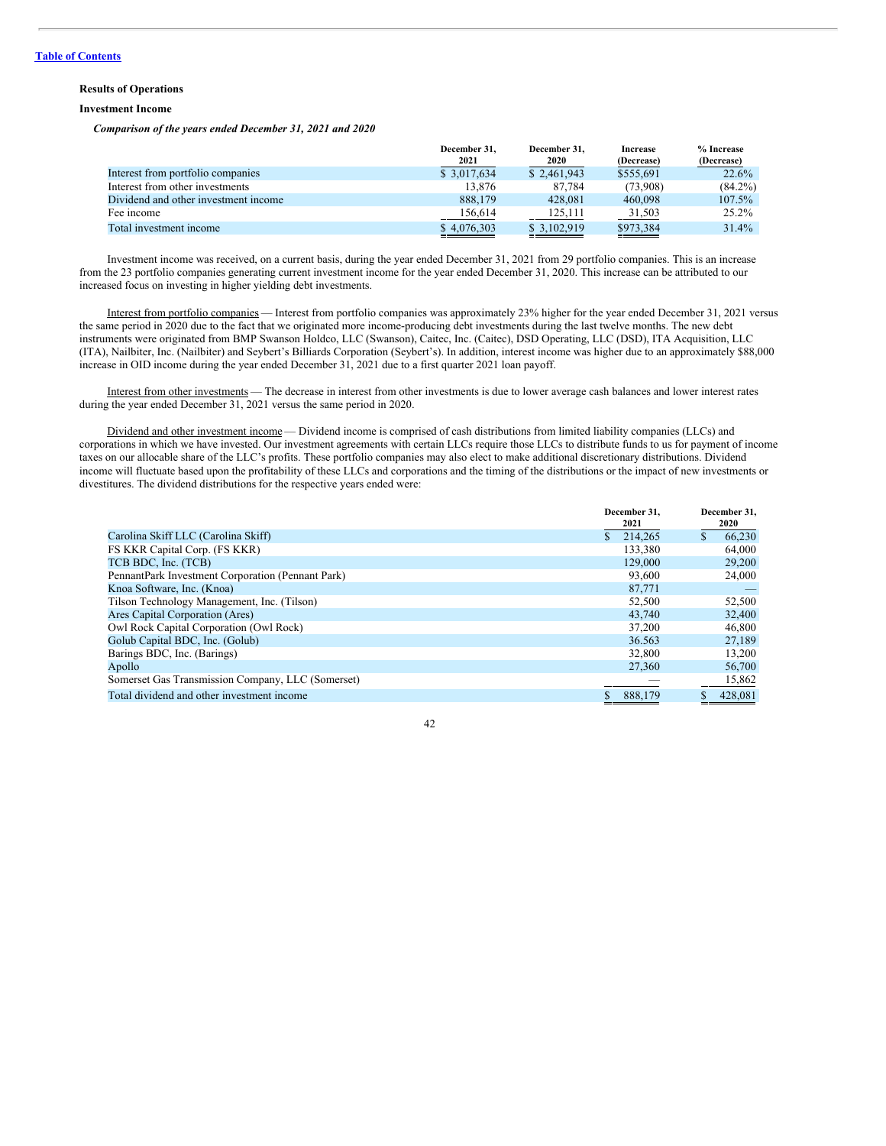## **Table of [Contents](#page-1-0)**

#### **Results of Operations**

## **Investment Income**

*Comparison of the years ended December 31, 2021 and 2020*

| December 31, | December 31, | Increase   | % Increase |
|--------------|--------------|------------|------------|
| 2021         | 2020         | (Decrease) | (Decrease) |
| \$ 3,017,634 | \$2.461,943  | \$555,691  | 22.6%      |
| 13.876       | 87.784       | (73.908)   | $(84.2\%)$ |
| 888,179      | 428,081      | 460,098    | 107.5%     |
| 156,614      | 125.111      | 31,503     | $25.2\%$   |
| \$4,076,303  | \$ 3,102,919 | \$973,384  | 31.4%      |
|              |              |            | ________   |

Investment income was received, on a current basis, during the year ended December 31, 2021 from 29 portfolio companies. This is an increase from the 23 portfolio companies generating current investment income for the year ended December 31, 2020. This increase can be attributed to our increased focus on investing in higher yielding debt investments.

Interest from portfolio companies — Interest from portfolio companies was approximately 23% higher for the year ended December 31, 2021 versus the same period in 2020 due to the fact that we originated more income-producing debt investments during the last twelve months. The new debt instruments were originated from BMP Swanson Holdco, LLC (Swanson), Caitec, Inc. (Caitec), DSD Operating, LLC (DSD), ITA Acquisition, LLC (ITA), Nailbiter, Inc. (Nailbiter) and Seybert's Billiards Corporation (Seybert's). In addition, interest income was higher due to an approximately \$88,000 increase in OID income during the year ended December 31, 2021 due to a first quarter 2021 loan payoff.

Interest from other investments — The decrease in interest from other investments is due to lower average cash balances and lower interest rates during the year ended December 31, 2021 versus the same period in 2020.

Dividend and other investment income — Dividend income is comprised of cash distributions from limited liability companies (LLCs) and corporations in which we have invested. Our investment agreements with certain LLCs require those LLCs to distribute funds to us for payment of income taxes on our allocable share of the LLC's profits. These portfolio companies may also elect to make additional discretionary distributions. Dividend income will fluctuate based upon the profitability of these LLCs and corporations and the timing of the distributions or the impact of new investments or divestitures. The dividend distributions for the respective years ended were:

|                                                   | December 31.<br>2021 | December 31.<br>2020 |
|---------------------------------------------------|----------------------|----------------------|
| Carolina Skiff LLC (Carolina Skiff)               | 214,265              | 66,230               |
| FS KKR Capital Corp. (FS KKR)                     | 133,380              | 64,000               |
| TCB BDC, Inc. (TCB)                               | 129,000              | 29,200               |
| PennantPark Investment Corporation (Pennant Park) | 93,600               | 24,000               |
| Knoa Software, Inc. (Knoa)                        | 87,771               |                      |
| Tilson Technology Management, Inc. (Tilson)       | 52,500               | 52,500               |
| Ares Capital Corporation (Ares)                   | 43,740               | 32,400               |
| Owl Rock Capital Corporation (Owl Rock)           | 37,200               | 46,800               |
| Golub Capital BDC, Inc. (Golub)                   | 36.563               | 27,189               |
| Barings BDC, Inc. (Barings)                       | 32,800               | 13,200               |
| Apollo                                            | 27,360               | 56,700               |
| Somerset Gas Transmission Company, LLC (Somerset) |                      | 15,862               |
| Total dividend and other investment income        | 888.179              | 428.081              |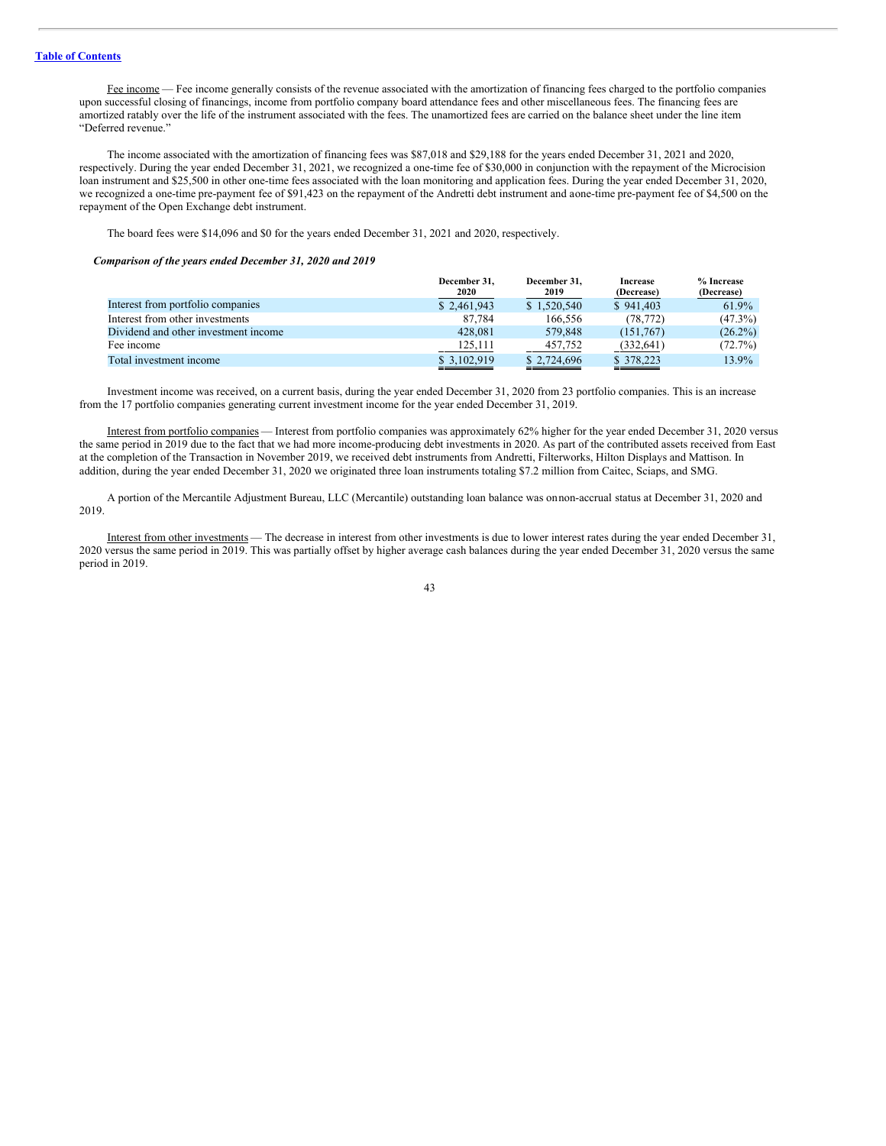Fee income — Fee income generally consists of the revenue associated with the amortization of financing fees charged to the portfolio companies upon successful closing of financings, income from portfolio company board attendance fees and other miscellaneous fees. The financing fees are amortized ratably over the life of the instrument associated with the fees. The unamortized fees are carried on the balance sheet under the line item "Deferred revenue."

The income associated with the amortization of financing fees was \$87,018 and \$29,188 for the years ended December 31, 2021 and 2020, respectively. During the year ended December 31, 2021, we recognized a one-time fee of \$30,000 in conjunction with the repayment of the Microcision loan instrument and \$25,500 in other one-time fees associated with the loan monitoring and application fees. During the year ended December 31, 2020, we recognized a one-time pre-payment fee of \$91,423 on the repayment of the Andretti debt instrument and aone-time pre-payment fee of \$4,500 on the repayment of the Open Exchange debt instrument.

The board fees were \$14,096 and \$0 for the years ended December 31, 2021 and 2020, respectively.

# *Comparison of the years ended December 31, 2020 and 2019*

|                                      | December 31. | December 31. | Increase               | % Increase |
|--------------------------------------|--------------|--------------|------------------------|------------|
|                                      | 2020         | 2019         | (Decrease)             | (Decrease) |
| Interest from portfolio companies    | \$2,461,943  | \$1,520,540  | \$941,403              | 61.9%      |
| Interest from other investments      | 87.784       | 166.556      | (78, 772)              | $(47.3\%)$ |
| Dividend and other investment income | 428,081      | 579.848      | (151.767)              | $(26.2\%)$ |
| Fee income                           | 125,111      | 457,752      | (332, 641)             | (72.7%)    |
| Total investment income              | \$3,102,919  | \$2,724,696  | \$ 378,223<br>________ | 13.9%      |
|                                      |              |              |                        |            |

Investment income was received, on a current basis, during the year ended December 31, 2020 from 23 portfolio companies. This is an increase from the 17 portfolio companies generating current investment income for the year ended December 31, 2019.

Interest from portfolio companies — Interest from portfolio companies was approximately 62% higher for the year ended December 31, 2020 versus the same period in 2019 due to the fact that we had more income-producing debt investments in 2020. As part of the contributed assets received from East at the completion of the Transaction in November 2019, we received debt instruments from Andretti, Filterworks, Hilton Displays and Mattison. In addition, during the year ended December 31, 2020 we originated three loan instruments totaling \$7.2 million from Caitec, Sciaps, and SMG.

A portion of the Mercantile Adjustment Bureau, LLC (Mercantile) outstanding loan balance was onnon-accrual status at December 31, 2020 and 2019.

Interest from other investments — The decrease in interest from other investments is due to lower interest rates during the year ended December 31, 2020 versus the same period in 2019. This was partially offset by higher average cash balances during the year ended December 31, 2020 versus the same period in 2019.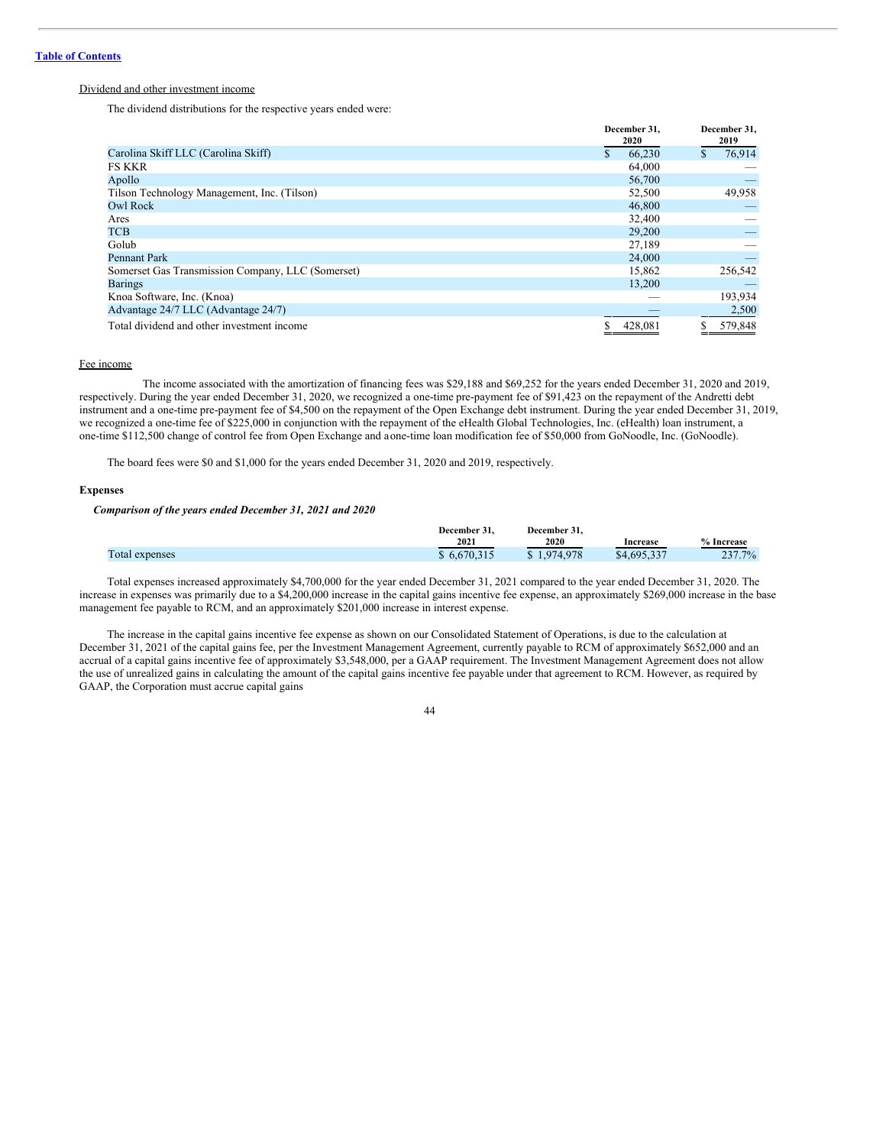# Dividend and other investment income

The dividend distributions for the respective years ended were:

|                                                   | December 31.<br>2020 | December 31,<br>2019 |
|---------------------------------------------------|----------------------|----------------------|
| Carolina Skiff LLC (Carolina Skiff)               | 66,230               | 76,914<br>S.         |
| <b>FS KKR</b>                                     | 64,000               |                      |
| Apollo                                            | 56,700               |                      |
| Tilson Technology Management, Inc. (Tilson)       | 52,500               | 49,958               |
| <b>Owl Rock</b>                                   | 46,800               |                      |
| Ares                                              | 32,400               |                      |
| <b>TCB</b>                                        | 29,200               |                      |
| Golub                                             | 27.189               |                      |
| <b>Pennant Park</b>                               | 24,000               |                      |
| Somerset Gas Transmission Company, LLC (Somerset) | 15,862               | 256,542              |
| <b>Barings</b>                                    | 13,200               |                      |
| Knoa Software, Inc. (Knoa)                        |                      | 193,934              |
| Advantage 24/7 LLC (Advantage 24/7)               |                      | 2,500                |
| Total dividend and other investment income        | 428,081              | 579,848              |

### Fee income

The income associated with the amortization of financing fees was \$29,188 and \$69,252 for the years ended December 31, 2020 and 2019, respectively. During the year ended December 31, 2020, we recognized a one-time pre-payment fee of \$91,423 on the repayment of the Andretti debt instrument and a one-time pre-payment fee of \$4,500 on the repayment of the Open Exchange debt instrument. During the year ended December 31, 2019, we recognized a one-time fee of \$225,000 in conjunction with the repayment of the eHealth Global Technologies, Inc. (eHealth) loan instrument, a one-time \$112,500 change of control fee from Open Exchange and aone-time loan modification fee of \$50,000 from GoNoodle, Inc. (GoNoodle).

The board fees were \$0 and \$1,000 for the years ended December 31, 2020 and 2019, respectively.

#### **Expenses**

## *Comparison of the years ended December 31, 2021 and 2020*

|                | December 31. | December 31. |             |                                  |
|----------------|--------------|--------------|-------------|----------------------------------|
|                | 2021         | 2020         | Increase    | $\frac{0}{2}$<br><b>Increase</b> |
| Total expenses | \$6.670.315  | 4.978<br>Q74 | \$4,695,337 | 237.7%                           |

Total expenses increased approximately \$4,700,000 for the year ended December 31, 2021 compared to the year ended December 31, 2020. The increase in expenses was primarily due to a \$4,200,000 increase in the capital gains incentive fee expense, an approximately \$269,000 increase in the base management fee payable to RCM, and an approximately \$201,000 increase in interest expense.

The increase in the capital gains incentive fee expense as shown on our Consolidated Statement of Operations, is due to the calculation at December 31, 2021 of the capital gains fee, per the Investment Management Agreement, currently payable to RCM of approximately \$652,000 and an accrual of a capital gains incentive fee of approximately \$3,548,000, per a GAAP requirement. The Investment Management Agreement does not allow the use of unrealized gains in calculating the amount of the capital gains incentive fee payable under that agreement to RCM. However, as required by GAAP, the Corporation must accrue capital gains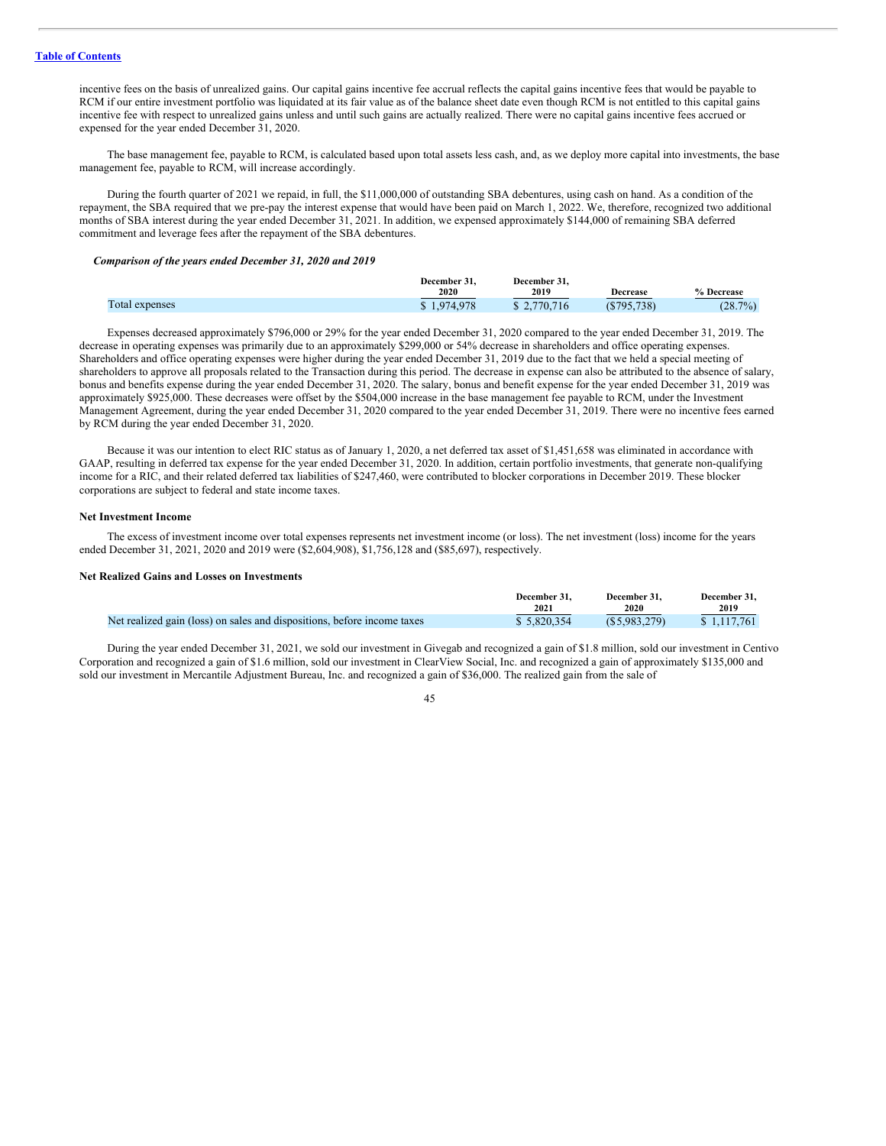incentive fees on the basis of unrealized gains. Our capital gains incentive fee accrual reflects the capital gains incentive fees that would be payable to RCM if our entire investment portfolio was liquidated at its fair value as of the balance sheet date even though RCM is not entitled to this capital gains incentive fee with respect to unrealized gains unless and until such gains are actually realized. There were no capital gains incentive fees accrued or expensed for the year ended December 31, 2020.

The base management fee, payable to RCM, is calculated based upon total assets less cash, and, as we deploy more capital into investments, the base management fee, payable to RCM, will increase accordingly.

During the fourth quarter of 2021 we repaid, in full, the \$11,000,000 of outstanding SBA debentures, using cash on hand. As a condition of the repayment, the SBA required that we pre-pay the interest expense that would have been paid on March 1, 2022. We, therefore, recognized two additional months of SBA interest during the year ended December 31, 2021. In addition, we expensed approximately \$144,000 of remaining SBA deferred commitment and leverage fees after the repayment of the SBA debentures.

## *Comparison of the years ended December 31, 2020 and 2019*

|                       | December 31.   | December 31. |            |            |
|-----------------------|----------------|--------------|------------|------------|
|                       | 2020           | 2019         | Decrease   | % Decrease |
| <b>Total expenses</b> | .974.978<br>G. | \$2.770.716  | (S795.738) | (28.7%)    |

Expenses decreased approximately \$796,000 or 29% for the year ended December 31, 2020 compared to the year ended December 31, 2019. The decrease in operating expenses was primarily due to an approximately \$299,000 or 54% decrease in shareholders and office operating expenses. Shareholders and office operating expenses were higher during the year ended December 31, 2019 due to the fact that we held a special meeting of shareholders to approve all proposals related to the Transaction during this period. The decrease in expense can also be attributed to the absence of salary, bonus and benefits expense during the year ended December 31, 2020. The salary, bonus and benefit expense for the year ended December 31, 2019 was approximately \$925,000. These decreases were offset by the \$504,000 increase in the base management fee payable to RCM, under the Investment Management Agreement, during the year ended December 31, 2020 compared to the year ended December 31, 2019. There were no incentive fees earned by RCM during the year ended December 31, 2020.

Because it was our intention to elect RIC status as of January 1, 2020, a net deferred tax asset of \$1,451,658 was eliminated in accordance with GAAP, resulting in deferred tax expense for the year ended December 31, 2020. In addition, certain portfolio investments, that generate non-qualifying income for a RIC, and their related deferred tax liabilities of \$247,460, were contributed to blocker corporations in December 2019. These blocker corporations are subject to federal and state income taxes.

#### **Net Investment Income**

The excess of investment income over total expenses represents net investment income (or loss). The net investment (loss) income for the years ended December 31, 2021, 2020 and 2019 were (\$2,604,908), \$1,756,128 and (\$85,697), respectively.

### **Net Realized Gains and Losses on Investments**

|                                                                         | December 31. | December 31. | December 31. |
|-------------------------------------------------------------------------|--------------|--------------|--------------|
|                                                                         | 2021         | 2020         | 2019         |
| Net realized gain (loss) on sales and dispositions, before income taxes | \$ 5,820,354 | (S5.983.279) | \$1.117.761  |

During the year ended December 31, 2021, we sold our investment in Givegab and recognized a gain of \$1.8 million, sold our investment in Centivo Corporation and recognized a gain of \$1.6 million, sold our investment in ClearView Social, Inc. and recognized a gain of approximately \$135,000 and sold our investment in Mercantile Adjustment Bureau, Inc. and recognized a gain of \$36,000. The realized gain from the sale of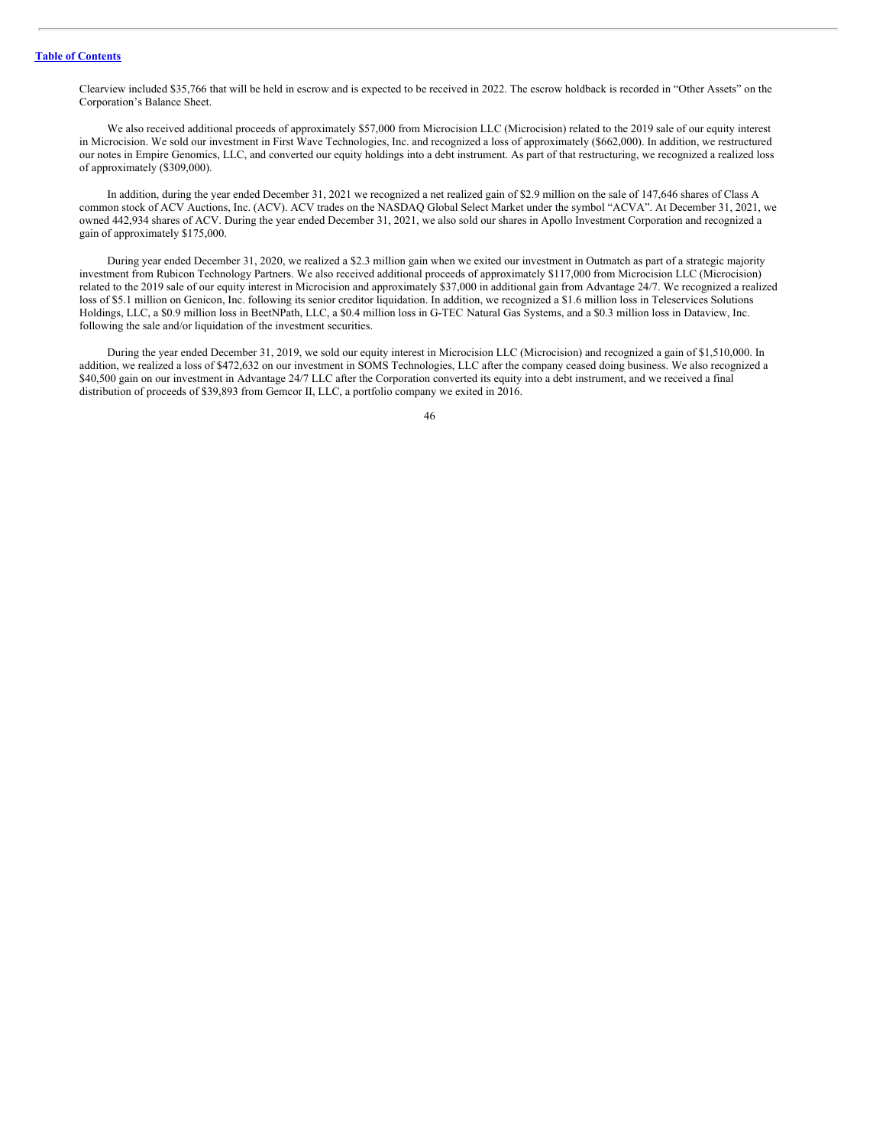Clearview included \$35,766 that will be held in escrow and is expected to be received in 2022. The escrow holdback is recorded in "Other Assets" on the Corporation's Balance Sheet.

We also received additional proceeds of approximately \$57,000 from Microcision LLC (Microcision) related to the 2019 sale of our equity interest in Microcision. We sold our investment in First Wave Technologies, Inc. and recognized a loss of approximately (\$662,000). In addition, we restructured our notes in Empire Genomics, LLC, and converted our equity holdings into a debt instrument. As part of that restructuring, we recognized a realized loss of approximately (\$309,000).

In addition, during the year ended December 31, 2021 we recognized a net realized gain of \$2.9 million on the sale of 147,646 shares of Class A common stock of ACV Auctions, Inc. (ACV). ACV trades on the NASDAQ Global Select Market under the symbol "ACVA". At December 31, 2021, we owned 442,934 shares of ACV. During the year ended December 31, 2021, we also sold our shares in Apollo Investment Corporation and recognized a gain of approximately \$175,000.

During year ended December 31, 2020, we realized a \$2.3 million gain when we exited our investment in Outmatch as part of a strategic majority investment from Rubicon Technology Partners. We also received additional proceeds of approximately \$117,000 from Microcision LLC (Microcision) related to the 2019 sale of our equity interest in Microcision and approximately \$37,000 in additional gain from Advantage 24/7. We recognized a realized loss of \$5.1 million on Genicon, Inc. following its senior creditor liquidation. In addition, we recognized a \$1.6 million loss in Teleservices Solutions Holdings, LLC, a \$0.9 million loss in BeetNPath, LLC, a \$0.4 million loss in G-TEC Natural Gas Systems, and a \$0.3 million loss in Dataview, Inc. following the sale and/or liquidation of the investment securities.

During the year ended December 31, 2019, we sold our equity interest in Microcision LLC (Microcision) and recognized a gain of \$1,510,000. In addition, we realized a loss of \$472,632 on our investment in SOMS Technologies, LLC after the company ceased doing business. We also recognized a \$40,500 gain on our investment in Advantage 24/7 LLC after the Corporation converted its equity into a debt instrument, and we received a final distribution of proceeds of \$39,893 from Gemcor II, LLC, a portfolio company we exited in 2016.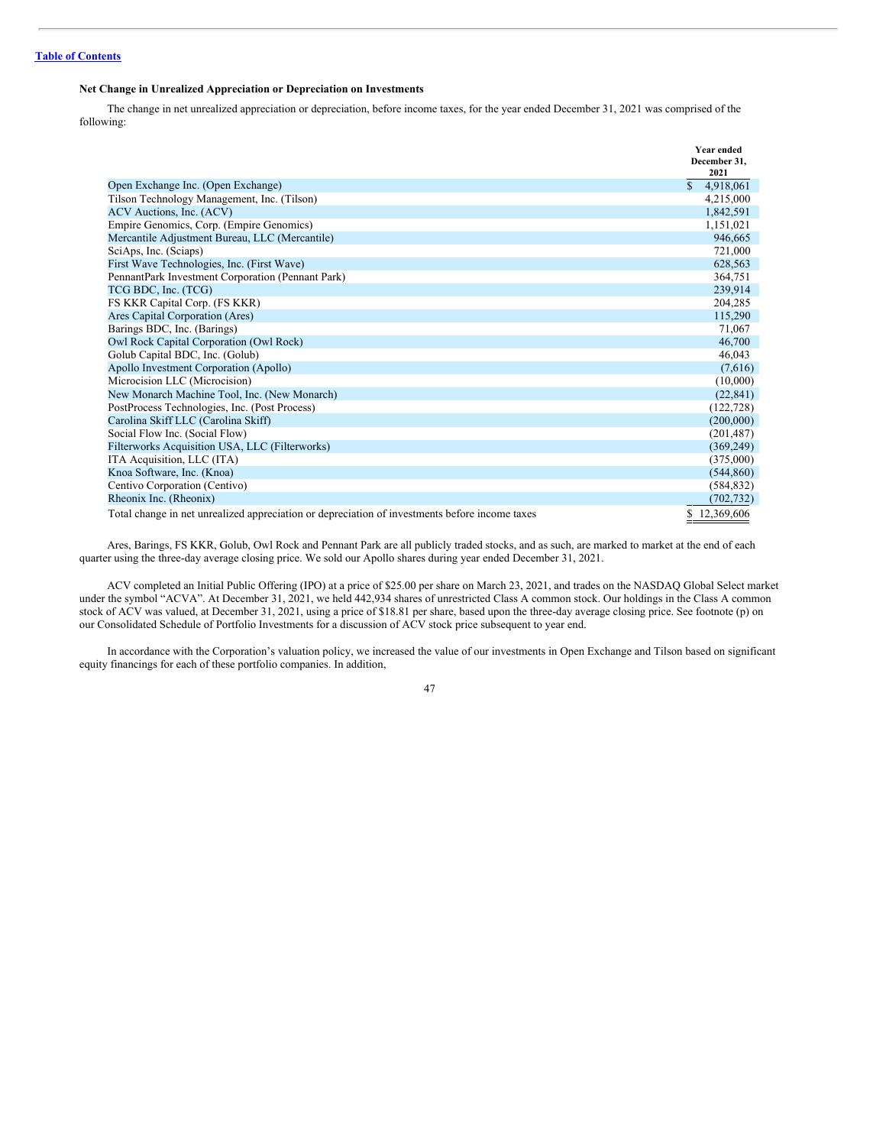# **Net Change in Unrealized Appreciation or Depreciation on Investments**

The change in net unrealized appreciation or depreciation, before income taxes, for the year ended December 31, 2021 was comprised of the following:

|                                                                                                |               | <b>Year ended</b>    |
|------------------------------------------------------------------------------------------------|---------------|----------------------|
|                                                                                                |               | December 31.<br>2021 |
| Open Exchange Inc. (Open Exchange)                                                             | $\mathcal{S}$ | 4,918,061            |
| Tilson Technology Management, Inc. (Tilson)                                                    |               | 4,215,000            |
| ACV Auctions, Inc. (ACV)                                                                       |               | 1,842,591            |
| Empire Genomics, Corp. (Empire Genomics)                                                       |               | 1,151,021            |
| Mercantile Adjustment Bureau, LLC (Mercantile)                                                 |               | 946,665              |
| SciAps, Inc. (Sciaps)                                                                          |               | 721,000              |
| First Wave Technologies, Inc. (First Wave)                                                     |               | 628,563              |
| PennantPark Investment Corporation (Pennant Park)                                              |               | 364,751              |
| TCG BDC, Inc. (TCG)                                                                            |               | 239,914              |
| FS KKR Capital Corp. (FS KKR)                                                                  |               | 204,285              |
| Ares Capital Corporation (Ares)                                                                |               | 115,290              |
| Barings BDC, Inc. (Barings)                                                                    |               | 71,067               |
| Owl Rock Capital Corporation (Owl Rock)                                                        |               | 46,700               |
| Golub Capital BDC, Inc. (Golub)                                                                |               | 46,043               |
| Apollo Investment Corporation (Apollo)                                                         |               | (7,616)              |
| Microcision LLC (Microcision)                                                                  |               | (10,000)             |
| New Monarch Machine Tool, Inc. (New Monarch)                                                   |               | (22, 841)            |
| PostProcess Technologies, Inc. (Post Process)                                                  |               | (122, 728)           |
| Carolina Skiff LLC (Carolina Skiff)                                                            |               | (200,000)            |
| Social Flow Inc. (Social Flow)                                                                 |               | (201, 487)           |
| Filterworks Acquisition USA, LLC (Filterworks)                                                 |               | (369, 249)           |
| ITA Acquisition, LLC (ITA)                                                                     |               | (375,000)            |
| Knoa Software, Inc. (Knoa)                                                                     |               | (544, 860)           |
| Centivo Corporation (Centivo)                                                                  |               | (584, 832)           |
| Rheonix Inc. (Rheonix)                                                                         |               | (702, 732)           |
| Total change in net unrealized appreciation or depreciation of investments before income taxes |               | 12,369,606           |

Ares, Barings, FS KKR, Golub, Owl Rock and Pennant Park are all publicly traded stocks, and as such, are marked to market at the end of each quarter using the three-day average closing price. We sold our Apollo shares during year ended December 31, 2021.

ACV completed an Initial Public Offering (IPO) at a price of \$25.00 per share on March 23, 2021, and trades on the NASDAQ Global Select market under the symbol "ACVA". At December 31, 2021, we held 442,934 shares of unrestricted Class A common stock. Our holdings in the Class A common stock of ACV was valued, at December 31, 2021, using a price of \$18.81 per share, based upon the three-day average closing price. See footnote (p) on our Consolidated Schedule of Portfolio Investments for a discussion of ACV stock price subsequent to year end.

In accordance with the Corporation's valuation policy, we increased the value of our investments in Open Exchange and Tilson based on significant equity financings for each of these portfolio companies. In addition,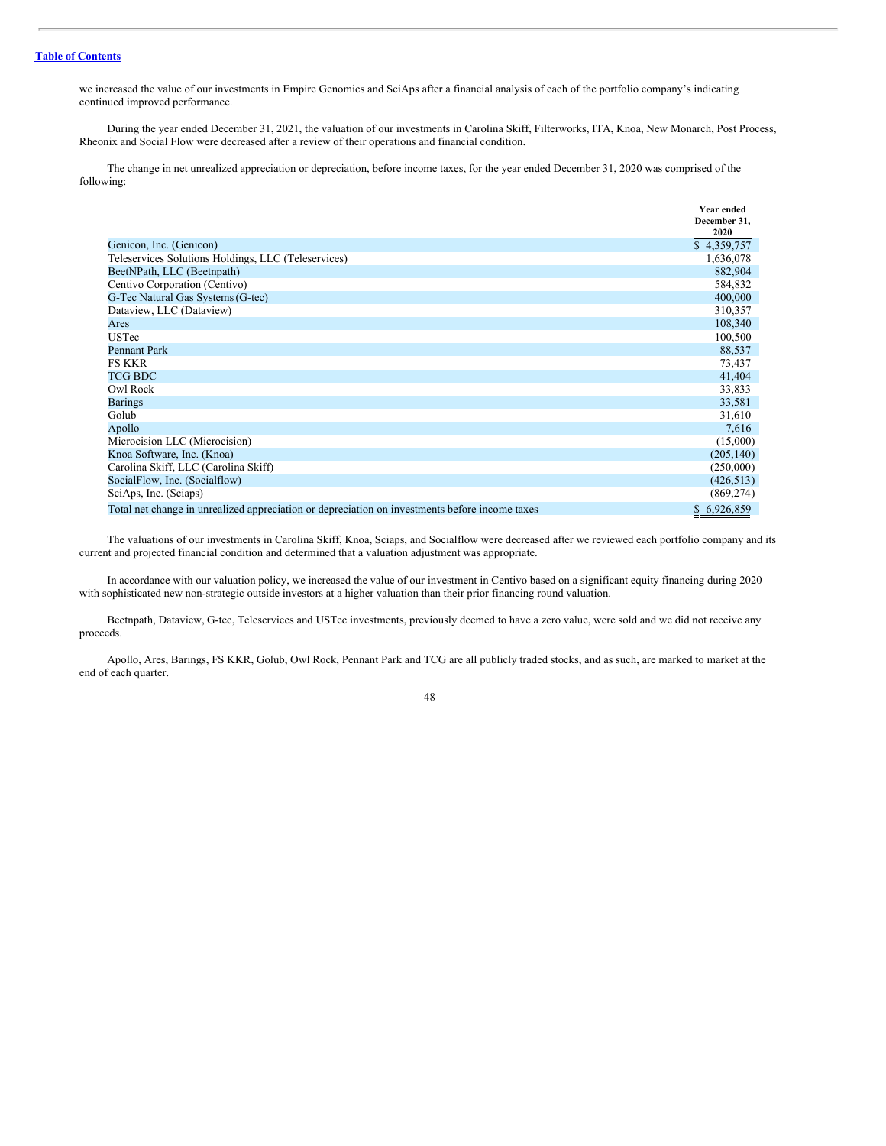we increased the value of our investments in Empire Genomics and SciAps after a financial analysis of each of the portfolio company's indicating continued improved performance.

During the year ended December 31, 2021, the valuation of our investments in Carolina Skiff, Filterworks, ITA, Knoa, New Monarch, Post Process, Rheonix and Social Flow were decreased after a review of their operations and financial condition.

The change in net unrealized appreciation or depreciation, before income taxes, for the year ended December 31, 2020 was comprised of the following:

|                                                                                                | Year ended   |
|------------------------------------------------------------------------------------------------|--------------|
|                                                                                                | December 31, |
|                                                                                                | 2020         |
| Genicon, Inc. (Genicon)                                                                        | \$4,359,757  |
| Teleservices Solutions Holdings, LLC (Teleservices)                                            | 1,636,078    |
| BeetNPath, LLC (Beetnpath)                                                                     | 882,904      |
| Centivo Corporation (Centivo)                                                                  | 584,832      |
| G-Tec Natural Gas Systems (G-tec)                                                              | 400,000      |
| Dataview, LLC (Dataview)                                                                       | 310,357      |
| Ares                                                                                           | 108,340      |
| <b>USTec</b>                                                                                   | 100,500      |
| <b>Pennant Park</b>                                                                            | 88,537       |
| <b>FS KKR</b>                                                                                  | 73,437       |
| <b>TCG BDC</b>                                                                                 | 41,404       |
| Owl Rock                                                                                       | 33,833       |
| <b>Barings</b>                                                                                 | 33,581       |
| Golub                                                                                          | 31,610       |
| Apollo                                                                                         | 7,616        |
| Microcision LLC (Microcision)                                                                  | (15,000)     |
| Knoa Software, Inc. (Knoa)                                                                     | (205, 140)   |
| Carolina Skiff, LLC (Carolina Skiff)                                                           | (250,000)    |
| SocialFlow, Inc. (Socialflow)                                                                  | (426, 513)   |
| SciAps, Inc. (Sciaps)                                                                          | (869, 274)   |
| Total net change in unrealized appreciation or depreciation on investments before income taxes | \$6,926,859  |

The valuations of our investments in Carolina Skiff, Knoa, Sciaps, and Socialflow were decreased after we reviewed each portfolio company and its current and projected financial condition and determined that a valuation adjustment was appropriate.

In accordance with our valuation policy, we increased the value of our investment in Centivo based on a significant equity financing during 2020 with sophisticated new non-strategic outside investors at a higher valuation than their prior financing round valuation.

Beetnpath, Dataview, G-tec, Teleservices and USTec investments, previously deemed to have a zero value, were sold and we did not receive any proceeds.

Apollo, Ares, Barings, FS KKR, Golub, Owl Rock, Pennant Park and TCG are all publicly traded stocks, and as such, are marked to market at the end of each quarter.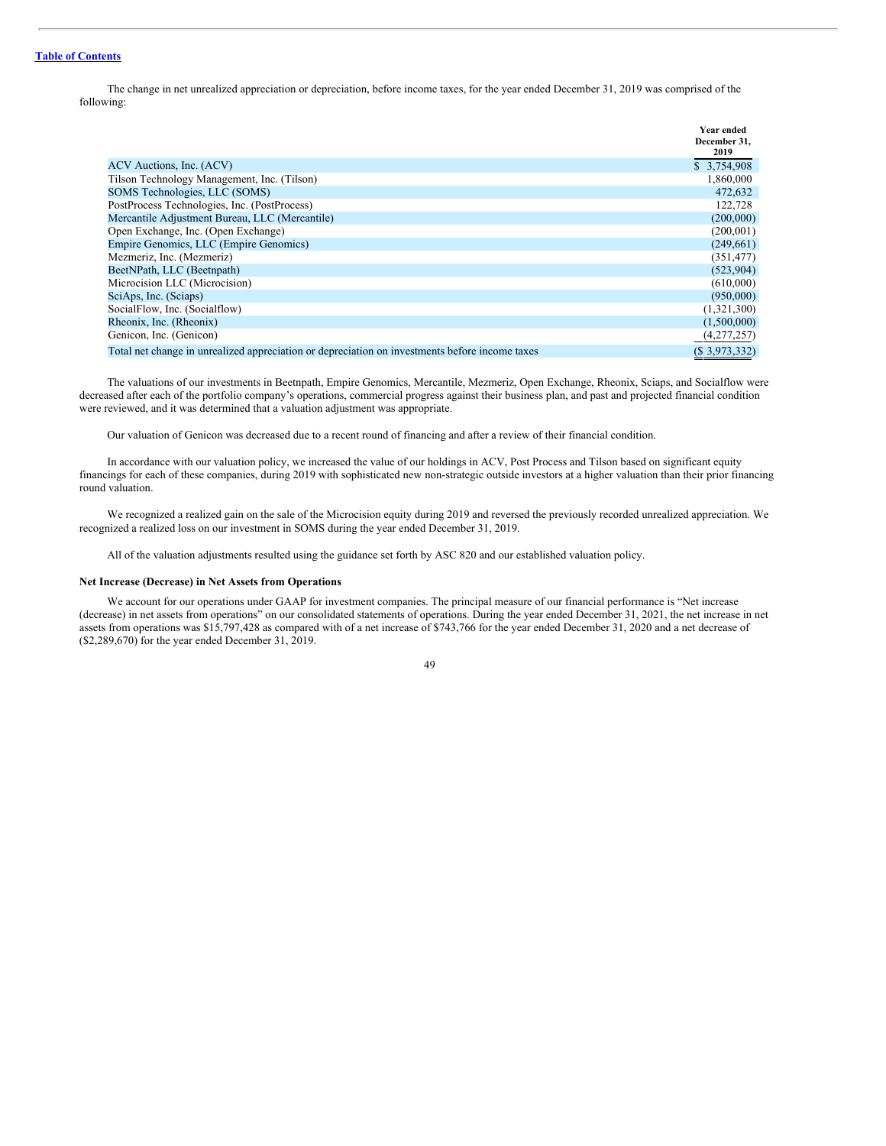## **Table of [Contents](#page-1-0)**

The change in net unrealized appreciation or depreciation, before income taxes, for the year ended December 31, 2019 was comprised of the following:

|                                                                                                | <b>Year ended</b><br>December 31,<br>2019 |
|------------------------------------------------------------------------------------------------|-------------------------------------------|
| ACV Auctions, Inc. (ACV)                                                                       | \$3,754,908                               |
| Tilson Technology Management, Inc. (Tilson)                                                    | 1,860,000                                 |
| SOMS Technologies, LLC (SOMS)                                                                  | 472,632                                   |
| PostProcess Technologies, Inc. (PostProcess)                                                   | 122,728                                   |
| Mercantile Adjustment Bureau, LLC (Mercantile)                                                 | (200,000)                                 |
| Open Exchange, Inc. (Open Exchange)                                                            | (200, 001)                                |
| Empire Genomics, LLC (Empire Genomics)                                                         | (249,661)                                 |
| Mezmeriz, Inc. (Mezmeriz)                                                                      | (351, 477)                                |
| BeetNPath, LLC (Beetnpath)                                                                     | (523, 904)                                |
| Microcision LLC (Microcision)                                                                  | (610,000)                                 |
| SciAps, Inc. (Sciaps)                                                                          | (950,000)                                 |
| SocialFlow, Inc. (Socialflow)                                                                  | (1,321,300)                               |
| Rheonix, Inc. (Rheonix)                                                                        | (1,500,000)                               |
| Genicon, Inc. (Genicon)                                                                        | (4,277,257)                               |
| Total net change in unrealized appreciation or depreciation on investments before income taxes | $(\$3,973,332)$                           |

The valuations of our investments in Beetnpath, Empire Genomics, Mercantile, Mezmeriz, Open Exchange, Rheonix, Sciaps, and Socialflow were decreased after each of the portfolio company's operations, commercial progress against their business plan, and past and projected financial condition were reviewed, and it was determined that a valuation adjustment was appropriate.

Our valuation of Genicon was decreased due to a recent round of financing and after a review of their financial condition.

In accordance with our valuation policy, we increased the value of our holdings in ACV, Post Process and Tilson based on significant equity financings for each of these companies, during 2019 with sophisticated new non-strategic outside investors at a higher valuation than their prior financing round valuation.

We recognized a realized gain on the sale of the Microcision equity during 2019 and reversed the previously recorded unrealized appreciation. We recognized a realized loss on our investment in SOMS during the year ended December 31, 2019.

All of the valuation adjustments resulted using the guidance set forth by ASC 820 and our established valuation policy.

#### **Net Increase (Decrease) in Net Assets from Operations**

We account for our operations under GAAP for investment companies. The principal measure of our financial performance is "Net increase (decrease) in net assets from operations" on our consolidated statements of operations. During the year ended December 31, 2021, the net increase in net assets from operations was \$15,797,428 as compared with of a net increase of \$743,766 for the year ended December 31, 2020 and a net decrease of (\$2,289,670) for the year ended December 31, 2019.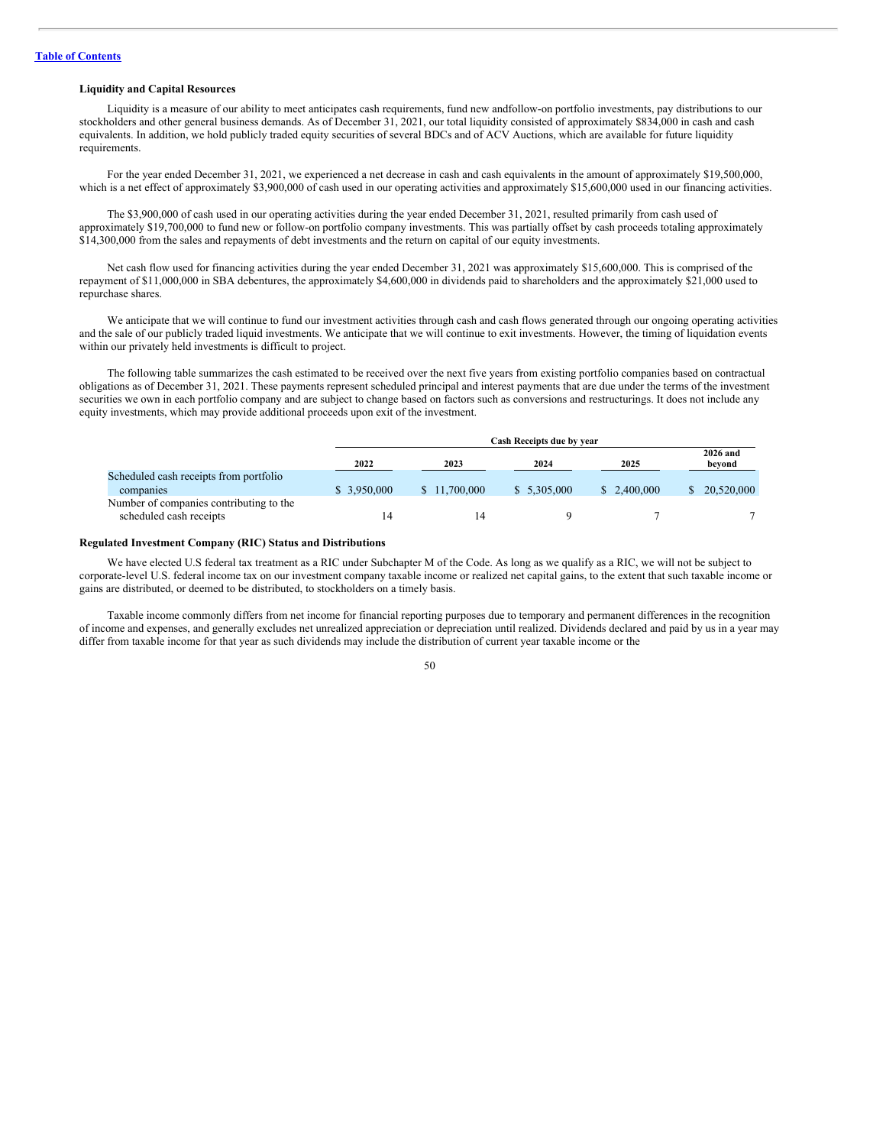## **Liquidity and Capital Resources**

Liquidity is a measure of our ability to meet anticipates cash requirements, fund new andfollow-on portfolio investments, pay distributions to our stockholders and other general business demands. As of December 31, 2021, our total liquidity consisted of approximately \$834,000 in cash and cash equivalents. In addition, we hold publicly traded equity securities of several BDCs and of ACV Auctions, which are available for future liquidity requirements.

For the year ended December 31, 2021, we experienced a net decrease in cash and cash equivalents in the amount of approximately \$19,500,000, which is a net effect of approximately \$3,900,000 of cash used in our operating activities and approximately \$15,600,000 used in our financing activities.

The \$3,900,000 of cash used in our operating activities during the year ended December 31, 2021, resulted primarily from cash used of approximately \$19,700,000 to fund new or follow-on portfolio company investments. This was partially offset by cash proceeds totaling approximately \$14,300,000 from the sales and repayments of debt investments and the return on capital of our equity investments.

Net cash flow used for financing activities during the year ended December 31, 2021 was approximately \$15,600,000. This is comprised of the repayment of \$11,000,000 in SBA debentures, the approximately \$4,600,000 in dividends paid to shareholders and the approximately \$21,000 used to repurchase shares.

We anticipate that we will continue to fund our investment activities through cash and cash flows generated through our ongoing operating activities and the sale of our publicly traded liquid investments. We anticipate that we will continue to exit investments. However, the timing of liquidation events within our privately held investments is difficult to project.

The following table summarizes the cash estimated to be received over the next five years from existing portfolio companies based on contractual obligations as of December 31, 2021. These payments represent scheduled principal and interest payments that are due under the terms of the investment securities we own in each portfolio company and are subject to change based on factors such as conversions and restructurings. It does not include any equity investments, which may provide additional proceeds upon exit of the investment.

|                                                                    |              |              | Cash Receipts due by year |              |                    |
|--------------------------------------------------------------------|--------------|--------------|---------------------------|--------------|--------------------|
|                                                                    | 2022         | 2023         | 2024                      | 2025         | 2026 and<br>bevond |
| Scheduled cash receipts from portfolio<br>companies                | \$ 3,950,000 | \$11,700,000 | \$ 5,305,000              | \$ 2,400,000 | 20,520,000         |
| Number of companies contributing to the<br>scheduled cash receipts | 14           |              |                           |              |                    |

#### **Regulated Investment Company (RIC) Status and Distributions**

We have elected U.S federal tax treatment as a RIC under Subchapter M of the Code. As long as we qualify as a RIC, we will not be subject to corporate-level U.S. federal income tax on our investment company taxable income or realized net capital gains, to the extent that such taxable income or gains are distributed, or deemed to be distributed, to stockholders on a timely basis.

Taxable income commonly differs from net income for financial reporting purposes due to temporary and permanent differences in the recognition of income and expenses, and generally excludes net unrealized appreciation or depreciation until realized. Dividends declared and paid by us in a year may differ from taxable income for that year as such dividends may include the distribution of current year taxable income or the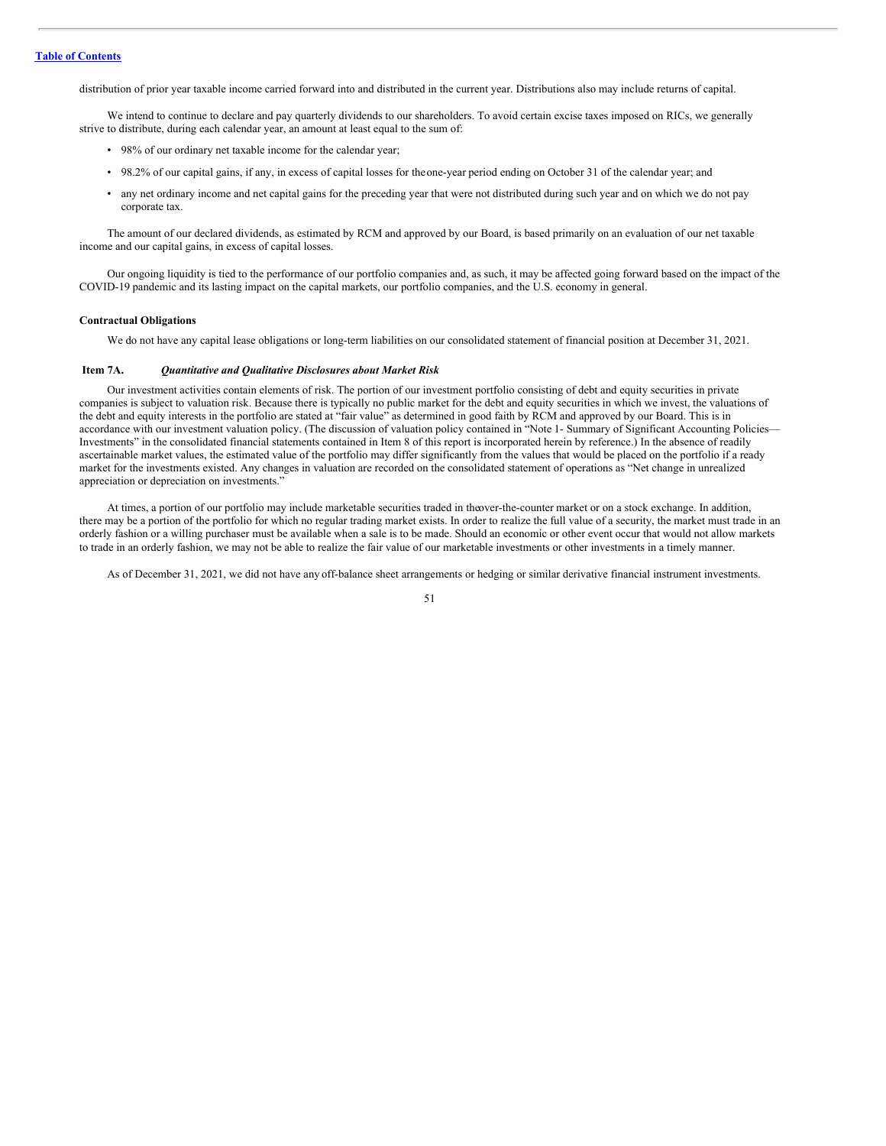distribution of prior year taxable income carried forward into and distributed in the current year. Distributions also may include returns of capital.

We intend to continue to declare and pay quarterly dividends to our shareholders. To avoid certain excise taxes imposed on RICs, we generally strive to distribute, during each calendar year, an amount at least equal to the sum of:

- 98% of our ordinary net taxable income for the calendar year;
- 98.2% of our capital gains, if any, in excess of capital losses for theone-year period ending on October 31 of the calendar year; and
- any net ordinary income and net capital gains for the preceding year that were not distributed during such year and on which we do not pay corporate tax.

The amount of our declared dividends, as estimated by RCM and approved by our Board, is based primarily on an evaluation of our net taxable income and our capital gains, in excess of capital losses.

Our ongoing liquidity is tied to the performance of our portfolio companies and, as such, it may be affected going forward based on the impact of the COVID-19 pandemic and its lasting impact on the capital markets, our portfolio companies, and the U.S. economy in general.

### **Contractual Obligations**

We do not have any capital lease obligations or long-term liabilities on our consolidated statement of financial position at December 31, 2021.

#### **Item 7A.** *Quantitative and Qualitative Disclosures about Market Risk*

Our investment activities contain elements of risk. The portion of our investment portfolio consisting of debt and equity securities in private companies is subject to valuation risk. Because there is typically no public market for the debt and equity securities in which we invest, the valuations of the debt and equity interests in the portfolio are stated at "fair value" as determined in good faith by RCM and approved by our Board. This is in accordance with our investment valuation policy. (The discussion of valuation policy contained in "Note 1- Summary of Significant Accounting Policies— Investments" in the consolidated financial statements contained in Item 8 of this report is incorporated herein by reference.) In the absence of readily ascertainable market values, the estimated value of the portfolio may differ significantly from the values that would be placed on the portfolio if a ready market for the investments existed. Any changes in valuation are recorded on the consolidated statement of operations as "Net change in unrealized appreciation or depreciation on investments."

At times, a portion of our portfolio may include marketable securities traded in theover-the-counter market or on a stock exchange. In addition, there may be a portion of the portfolio for which no regular trading market exists. In order to realize the full value of a security, the market must trade in an orderly fashion or a willing purchaser must be available when a sale is to be made. Should an economic or other event occur that would not allow markets to trade in an orderly fashion, we may not be able to realize the fair value of our marketable investments or other investments in a timely manner.

As of December 31, 2021, we did not have any off-balance sheet arrangements or hedging or similar derivative financial instrument investments.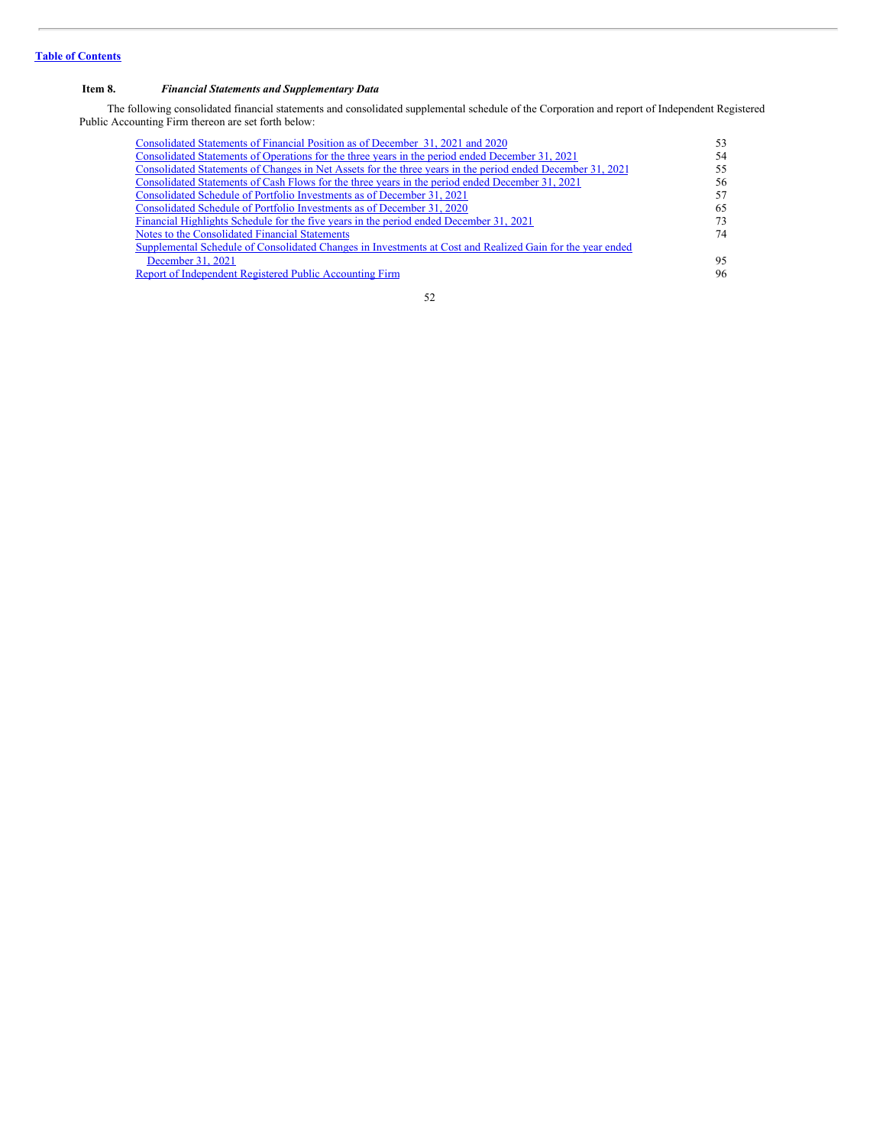# **Item 8.** *Financial Statements and Supplementary Data*

The following consolidated financial statements and consolidated supplemental schedule of the Corporation and report of Independent Registered Public Accounting Firm thereon are set forth below:

| Consolidated Statements of Financial Position as of December 31, 2021 and 2020                             | 53 |
|------------------------------------------------------------------------------------------------------------|----|
| Consolidated Statements of Operations for the three years in the period ended December 31, 2021            | 54 |
| Consolidated Statements of Changes in Net Assets for the three years in the period ended December 31, 2021 | 55 |
| Consolidated Statements of Cash Flows for the three years in the period ended December 31, 2021            | 56 |
| Consolidated Schedule of Portfolio Investments as of December 31, 2021                                     | 57 |
| Consolidated Schedule of Portfolio Investments as of December 31, 2020                                     | 65 |
| Financial Highlights Schedule for the five years in the period ended December 31, 2021                     | 73 |
| Notes to the Consolidated Financial Statements                                                             | 74 |
| Supplemental Schedule of Consolidated Changes in Investments at Cost and Realized Gain for the year ended  |    |
| December 31, 2021                                                                                          | 95 |
| Report of Independent Registered Public Accounting Firm                                                    | 96 |
|                                                                                                            |    |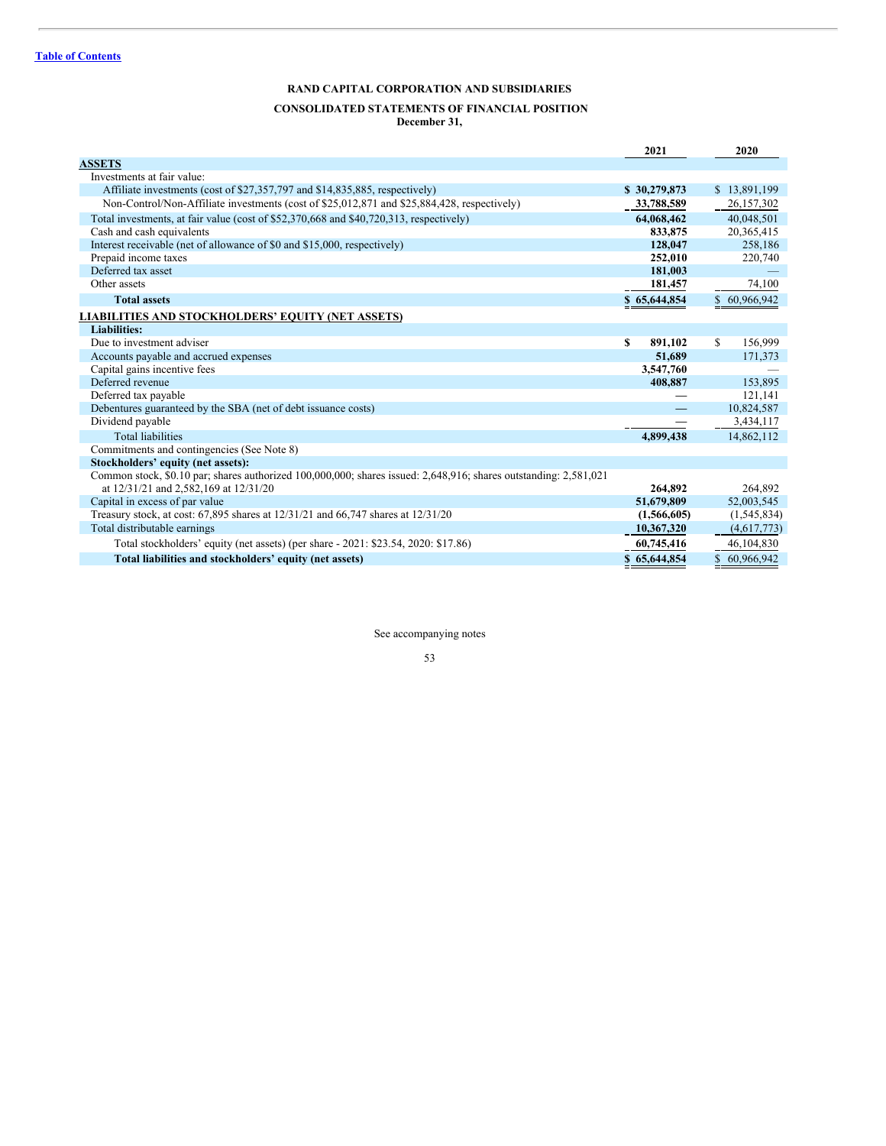# <span id="page-54-0"></span>**CONSOLIDATED STATEMENTS OF FINANCIAL POSITION**

|                                                                                                                  | 2021         | 2020          |
|------------------------------------------------------------------------------------------------------------------|--------------|---------------|
| <b>ASSETS</b>                                                                                                    |              |               |
| Investments at fair value:                                                                                       |              |               |
| Affiliate investments (cost of \$27,357,797 and \$14,835,885, respectively)                                      | \$30,279,873 | \$13,891,199  |
| Non-Control/Non-Affiliate investments (cost of \$25,012,871 and \$25,884,428, respectively)                      | 33,788,589   | 26,157,302    |
| Total investments, at fair value (cost of \$52,370,668 and \$40,720,313, respectively)                           | 64,068,462   | 40,048,501    |
| Cash and cash equivalents                                                                                        | 833,875      | 20,365,415    |
| Interest receivable (net of allowance of \$0 and \$15,000, respectively)                                         | 128,047      | 258,186       |
| Prepaid income taxes                                                                                             | 252,010      | 220,740       |
| Deferred tax asset                                                                                               | 181,003      |               |
| Other assets                                                                                                     | 181,457      | 74,100        |
| <b>Total assets</b>                                                                                              | \$65,644,854 | \$60,966,942  |
| <b>LIABILITIES AND STOCKHOLDERS' EQUITY (NET ASSETS)</b>                                                         |              |               |
| Liabilities:                                                                                                     |              |               |
| Due to investment adviser                                                                                        | S<br>891,102 | \$<br>156,999 |
| Accounts payable and accrued expenses                                                                            | 51,689       | 171,373       |
| Capital gains incentive fees                                                                                     | 3,547,760    |               |
| Deferred revenue                                                                                                 | 408,887      | 153,895       |
| Deferred tax payable                                                                                             |              | 121,141       |
| Debentures guaranteed by the SBA (net of debt issuance costs)                                                    |              | 10,824,587    |
| Dividend payable                                                                                                 |              | 3,434,117     |
| <b>Total liabilities</b>                                                                                         | 4,899,438    | 14,862,112    |
| Commitments and contingencies (See Note 8)                                                                       |              |               |
| Stockholders' equity (net assets):                                                                               |              |               |
| Common stock, \$0.10 par; shares authorized 100,000,000; shares issued: 2,648,916; shares outstanding: 2,581,021 |              |               |
| at 12/31/21 and 2,582,169 at 12/31/20                                                                            | 264,892      | 264,892       |
| Capital in excess of par value                                                                                   | 51,679,809   | 52,003,545    |
| Treasury stock, at cost: 67,895 shares at 12/31/21 and 66,747 shares at 12/31/20                                 | (1,566,605)  | (1,545,834)   |
| Total distributable earnings                                                                                     | 10,367,320   | (4,617,773)   |
| Total stockholders' equity (net assets) (per share - 2021: \$23.54, 2020: \$17.86)                               | 60,745,416   | 46,104,830    |
| Total liabilities and stockholders' equity (net assets)                                                          | \$65,644,854 | \$60,966,942  |

See accompanying notes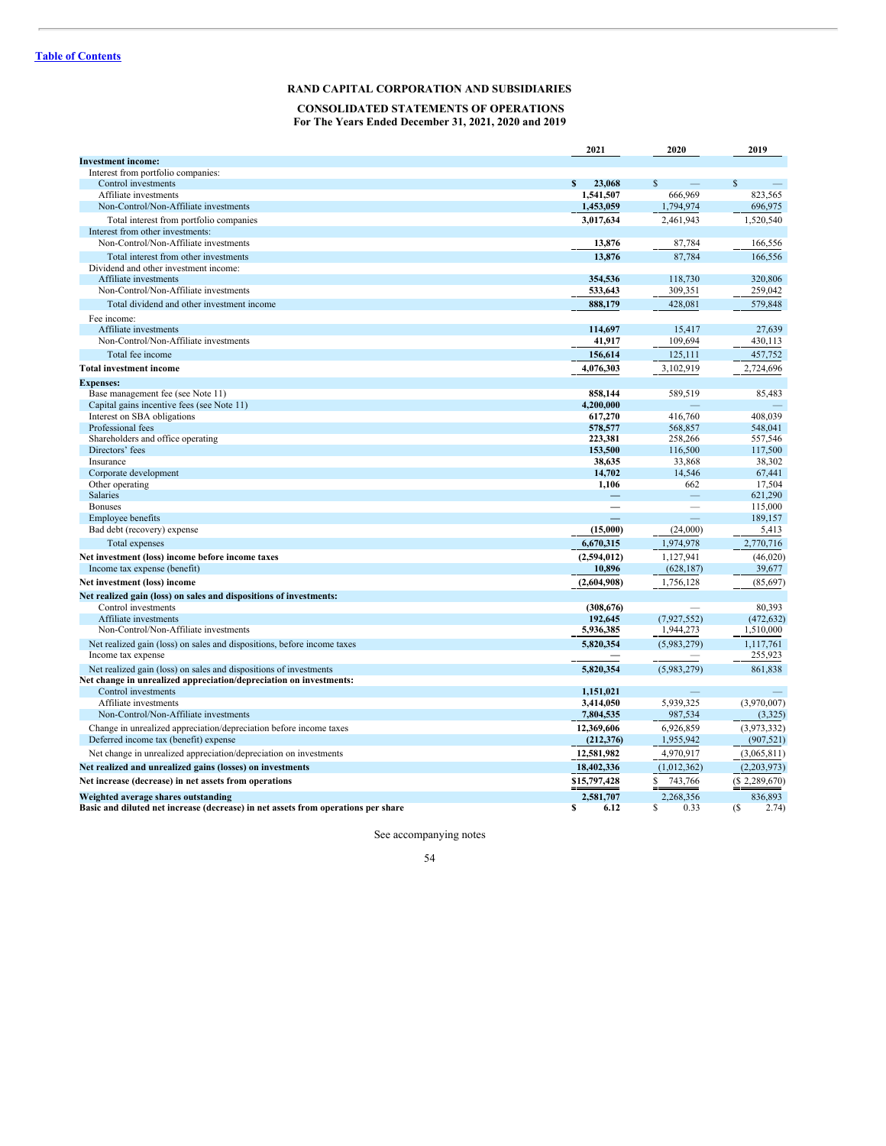### <span id="page-55-0"></span>**CONSOLIDATED STATEMENTS OF OPERATIONS For The Years Ended December 31, 2021, 2020 and 2019**

|                                                                                   | 2021         | 2020          | 2019          |
|-----------------------------------------------------------------------------------|--------------|---------------|---------------|
| <b>Investment income:</b>                                                         |              |               |               |
| Interest from portfolio companies:                                                |              |               |               |
| Control investments                                                               | S<br>23,068  | \$            | $\$$          |
| Affiliate investments                                                             | 1.541.507    | 666,969       | 823.565       |
| Non-Control/Non-Affiliate investments                                             | 1,453,059    | 1,794,974     | 696,975       |
| Total interest from portfolio companies                                           | 3,017,634    | 2,461,943     | 1,520,540     |
| Interest from other investments:                                                  |              |               |               |
| Non-Control/Non-Affiliate investments                                             | 13,876       | 87,784        | 166,556       |
| Total interest from other investments                                             | 13.876       | 87.784        | 166,556       |
| Dividend and other investment income:                                             |              |               |               |
| Affiliate investments                                                             | 354,536      | 118,730       | 320,806       |
| Non-Control/Non-Affiliate investments                                             | 533,643      | 309,351       | 259,042       |
| Total dividend and other investment income                                        | 888,179      | 428,081       | 579,848       |
| Fee income:                                                                       |              |               |               |
| Affiliate investments                                                             | 114.697      | 15,417        | 27,639        |
| Non-Control/Non-Affiliate investments                                             | 41,917       | 109,694       | 430,113       |
| Total fee income                                                                  | 156,614      | 125,111       | 457,752       |
| <b>Total investment income</b>                                                    | 4,076,303    | 3,102,919     | 2,724,696     |
| <b>Expenses:</b>                                                                  |              |               |               |
| Base management fee (see Note 11)                                                 | 858.144      | 589,519       | 85,483        |
| Capital gains incentive fees (see Note 11)                                        | 4,200,000    |               |               |
| Interest on SBA obligations                                                       | 617,270      | 416,760       | 408,039       |
| Professional fees                                                                 | 578,577      | 568,857       | 548,041       |
| Shareholders and office operating                                                 | 223,381      | 258,266       | 557,546       |
| Directors' fees                                                                   | 153,500      | 116,500       | 117,500       |
| Insurance                                                                         | 38,635       | 33,868        | 38,302        |
| Corporate development                                                             | 14.702       | 14,546        | 67,441        |
| Other operating                                                                   | 1,106        | 662           | 17,504        |
| Salaries                                                                          |              |               | 621,290       |
| <b>Bonuses</b>                                                                    |              |               | 115,000       |
| Employee benefits                                                                 |              |               | 189,157       |
| Bad debt (recovery) expense                                                       | (15,000)     | (24,000)      | 5,413         |
| Total expenses                                                                    | 6,670,315    | 1,974,978     | 2,770,716     |
| Net investment (loss) income before income taxes                                  | (2,594,012)  | 1,127,941     | (46, 020)     |
| Income tax expense (benefit)                                                      | 10,896       | (628, 187)    | 39,677        |
| Net investment (loss) income                                                      | (2,604,908)  | 1,756,128     | (85, 697)     |
| Net realized gain (loss) on sales and dispositions of investments:                |              |               |               |
| Control investments                                                               | (308, 676)   |               | 80.393        |
| Affiliate investments                                                             | 192,645      | (7,927,552)   | (472, 632)    |
| Non-Control/Non-Affiliate investments                                             | 5,936,385    | 1,944,273     | 1,510,000     |
| Net realized gain (loss) on sales and dispositions, before income taxes           | 5,820,354    | (5,983,279)   | 1,117,761     |
| Income tax expense                                                                |              |               | 255,923       |
| Net realized gain (loss) on sales and dispositions of investments                 | 5.820.354    | (5,983,279)   | 861,838       |
| Net change in unrealized appreciation/depreciation on investments:                |              |               |               |
| Control investments                                                               | 1,151,021    |               |               |
| Affiliate investments                                                             | 3,414,050    | 5,939,325     | (3,970,007)   |
| Non-Control/Non-Affiliate investments                                             | 7,804,535    | 987,534       | (3,325)       |
| Change in unrealized appreciation/depreciation before income taxes                | 12.369.606   | 6,926,859     | (3,973,332)   |
| Deferred income tax (benefit) expense                                             | (212, 376)   | 1,955,942     | (907, 521)    |
| Net change in unrealized appreciation/depreciation on investments                 | 12,581,982   | 4,970,917     | (3,065,811)   |
| Net realized and unrealized gains (losses) on investments                         | 18,402,336   | (1,012,362)   | (2,203,973)   |
|                                                                                   |              |               |               |
| Net increase (decrease) in net assets from operations                             | \$15,797,428 | \$<br>743,766 | (\$2,289,670) |
| Weighted average shares outstanding                                               | 2,581,707    | 2,268,356     | 836,893       |
| Basic and diluted net increase (decrease) in net assets from operations per share | s<br>6.12    | S<br>0.33     | (S<br>2.74)   |

See accompanying notes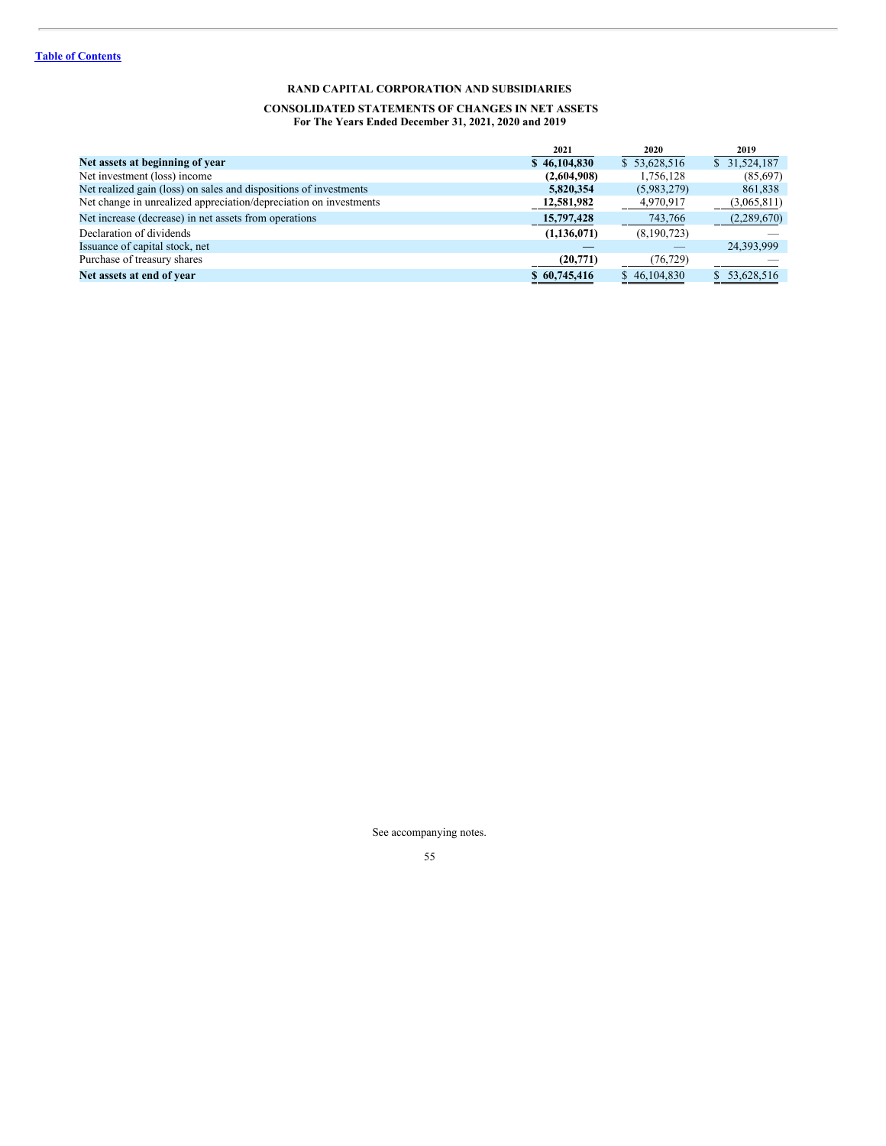# <span id="page-56-0"></span>**CONSOLIDATED STATEMENTS OF CHANGES IN NET ASSETS For The Years Ended December 31, 2021, 2020 and 2019**

| Net assets at beginning of year<br>\$46,104,830<br>\$53,628,516<br>\$ 31,524,187              |             |
|-----------------------------------------------------------------------------------------------|-------------|
| Net investment (loss) income<br>(2,604,908)<br>1,756,128                                      | (85,697)    |
| Net realized gain (loss) on sales and dispositions of investments<br>(5,983,279)<br>5,820,354 | 861,838     |
| Net change in unrealized appreciation/depreciation on investments<br>12,581,982<br>4,970,917  | (3,065,811) |
| Net increase (decrease) in net assets from operations<br>743,766<br>15,797,428                | (2,289,670) |
| Declaration of dividends<br>(1, 136, 071)<br>(8,190,723)                                      |             |
| Issuance of capital stock, net                                                                | 24,393,999  |
| Purchase of treasury shares<br>(20,771)<br>(76, 729)                                          |             |
| Net assets at end of year<br>\$60,745,416<br>53,628,516<br>\$46,104,830                       |             |

See accompanying notes.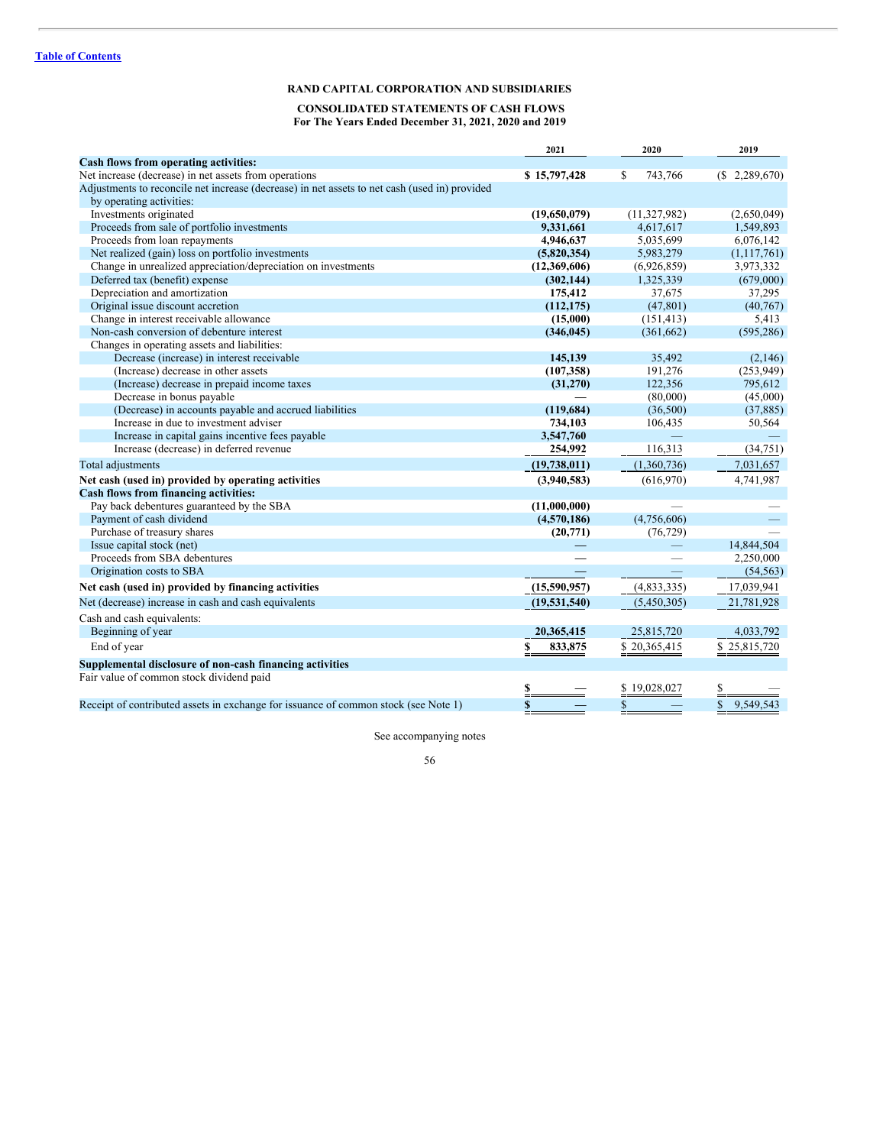## <span id="page-57-0"></span>**CONSOLIDATED STATEMENTS OF CASH FLOWS For The Years Ended December 31, 2021, 2020 and 2019**

|                                                                                               | 2021                    | 2020            | 2019                            |
|-----------------------------------------------------------------------------------------------|-------------------------|-----------------|---------------------------------|
| Cash flows from operating activities:                                                         |                         |                 |                                 |
| Net increase (decrease) in net assets from operations                                         | \$15,797,428            | S<br>743,766    | (S, 2,289,670)                  |
| Adjustments to reconcile net increase (decrease) in net assets to net cash (used in) provided |                         |                 |                                 |
| by operating activities:                                                                      |                         |                 |                                 |
| Investments originated                                                                        | (19,650,079)            | (11, 327, 982)  | (2,650,049)                     |
| Proceeds from sale of portfolio investments                                                   | 9,331,661               | 4,617,617       | 1,549,893                       |
| Proceeds from loan repayments                                                                 | 4,946,637               | 5,035,699       | 6,076,142                       |
| Net realized (gain) loss on portfolio investments                                             | (5,820,354)             | 5,983,279       | (1, 117, 761)                   |
| Change in unrealized appreciation/depreciation on investments                                 | (12,369,606)            | (6,926,859)     | 3,973,332                       |
| Deferred tax (benefit) expense                                                                | (302, 144)              | 1,325,339       | (679,000)                       |
| Depreciation and amortization                                                                 | 175,412                 | 37,675          | 37,295                          |
| Original issue discount accretion                                                             | (112, 175)              | (47, 801)       | (40, 767)                       |
| Change in interest receivable allowance                                                       | (15,000)                | (151, 413)      | 5,413                           |
| Non-cash conversion of debenture interest                                                     | (346, 045)              | (361,662)       | (595, 286)                      |
| Changes in operating assets and liabilities:                                                  |                         |                 |                                 |
| Decrease (increase) in interest receivable                                                    | 145,139                 | 35,492          | (2,146)                         |
| (Increase) decrease in other assets                                                           | (107, 358)              | 191,276         | (253,949)                       |
| (Increase) decrease in prepaid income taxes                                                   | (31,270)                | 122,356         | 795,612                         |
| Decrease in bonus payable                                                                     |                         | (80,000)        | (45,000)                        |
| (Decrease) in accounts payable and accrued liabilities                                        | (119, 684)              | (36,500)        | (37, 885)                       |
| Increase in due to investment adviser                                                         | 734,103                 | 106,435         | 50,564                          |
| Increase in capital gains incentive fees payable                                              | 3,547,760               |                 |                                 |
| Increase (decrease) in deferred revenue                                                       | 254,992                 | 116,313         | (34,751)                        |
| Total adjustments                                                                             | (19,738,011)            | (1,360,736)     | 7,031,657                       |
| Net cash (used in) provided by operating activities                                           | (3,940,583)             | (616,970)       | 4,741,987                       |
| <b>Cash flows from financing activities:</b>                                                  |                         |                 |                                 |
| Pay back debentures guaranteed by the SBA                                                     | (11,000,000)            |                 |                                 |
| Payment of cash dividend                                                                      | (4,570,186)             | (4,756,606)     |                                 |
| Purchase of treasury shares                                                                   | (20,771)                | (76, 729)       |                                 |
| Issue capital stock (net)                                                                     |                         |                 | 14,844,504                      |
| Proceeds from SBA debentures                                                                  |                         |                 | 2,250,000                       |
| Origination costs to SBA                                                                      |                         | $\qquad \qquad$ | (54, 563)                       |
| Net cash (used in) provided by financing activities                                           | (15,590,957)            | (4, 833, 335)   | 17,039,941                      |
| Net (decrease) increase in cash and cash equivalents                                          | (19,531,540)            | (5,450,305)     | 21,781,928                      |
| Cash and cash equivalents:                                                                    |                         |                 |                                 |
| Beginning of year                                                                             | 20,365,415              | 25,815,720      | 4,033,792                       |
| End of year                                                                                   | \$<br>833,875           | \$20,365,415    | \$25,815,720                    |
| Supplemental disclosure of non-cash financing activities                                      |                         |                 |                                 |
| Fair value of common stock dividend paid                                                      |                         |                 |                                 |
|                                                                                               | $\overline{\mathbf{z}}$ | \$19,028,027    | $\frac{\mathsf{s}}{\mathsf{s}}$ |
| Receipt of contributed assets in exchange for issuance of common stock (see Note 1)           | $\mathbf{s}$            | \$              | $\mathbf S$<br>9.549.543        |

See accompanying notes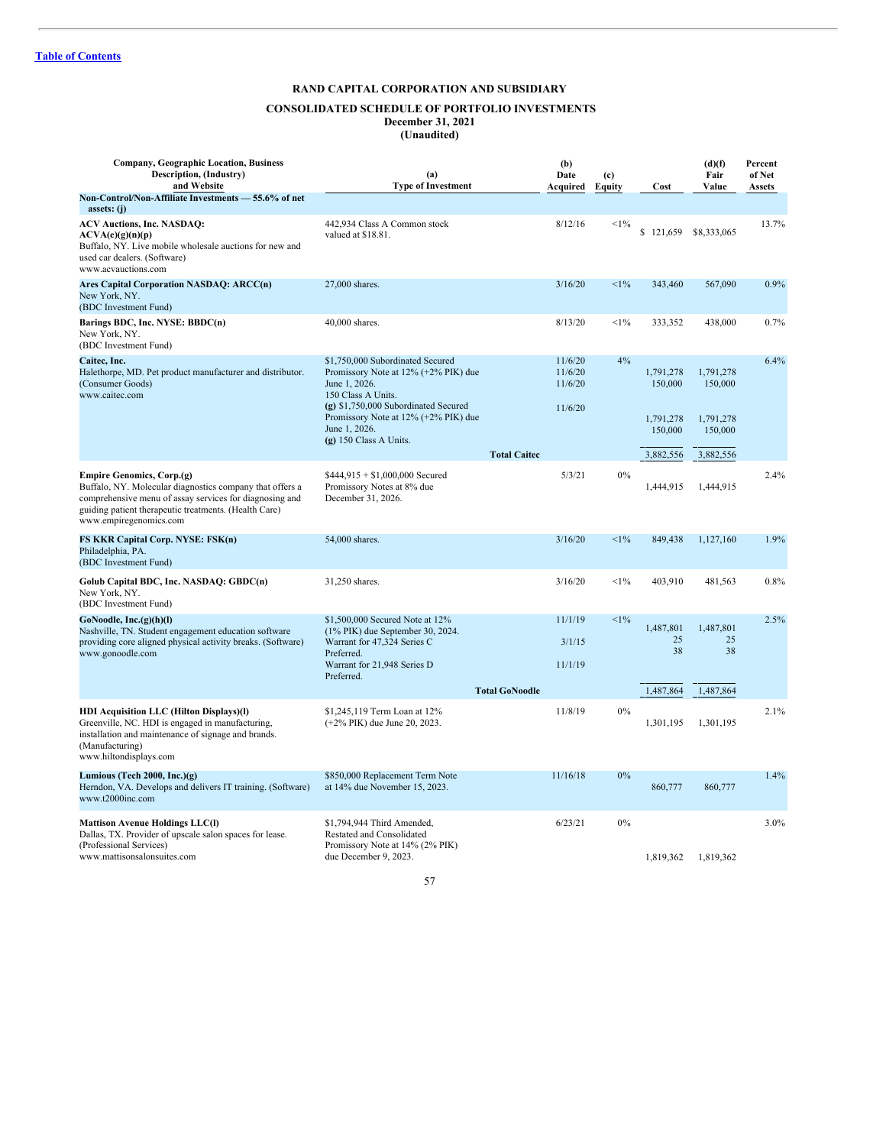# <span id="page-58-0"></span>**CONSOLIDATED SCHEDULE OF PORTFOLIO INVESTMENTS December 31, 2021**

**(Unaudited)**

| <b>Company, Geographic Location, Business</b><br>Description, (Industry)<br>and Website                                                                                                                                                    | (a)<br><b>Type of Investment</b>                                                                                                                                                                                                             | (b)<br>Date<br>Acquired                  | (c)<br><b>Equity</b> | Cost                                         | (d)(f)<br>Fair<br>Value                      | Percent<br>of Net<br>Assets |
|--------------------------------------------------------------------------------------------------------------------------------------------------------------------------------------------------------------------------------------------|----------------------------------------------------------------------------------------------------------------------------------------------------------------------------------------------------------------------------------------------|------------------------------------------|----------------------|----------------------------------------------|----------------------------------------------|-----------------------------|
| Non-Control/Non-Affiliate Investments - 55.6% of net<br>assets: (i)                                                                                                                                                                        |                                                                                                                                                                                                                                              |                                          |                      |                                              |                                              |                             |
| <b>ACV Auctions, Inc. NASDAQ:</b><br>ACVA(e)(g)(n)(p)<br>Buffalo, NY. Live mobile wholesale auctions for new and<br>used car dealers. (Software)<br>www.acvauctions.com                                                                    | 442,934 Class A Common stock<br>valued at \$18.81.                                                                                                                                                                                           | 8/12/16                                  | $<1\%$               | \$121,659 \$8,333,065                        |                                              | 13.7%                       |
| Ares Capital Corporation NASDAQ: ARCC(n)<br>New York, NY.<br>(BDC Investment Fund)                                                                                                                                                         | 27,000 shares.                                                                                                                                                                                                                               | 3/16/20                                  | $<1\%$               | 343,460                                      | 567,090                                      | 0.9%                        |
| Barings BDC, Inc. NYSE: BBDC(n)<br>New York, NY.<br>(BDC Investment Fund)                                                                                                                                                                  | 40,000 shares.                                                                                                                                                                                                                               | 8/13/20                                  | $<1\%$               | 333,352                                      | 438,000                                      | 0.7%                        |
| Caitec, Inc.<br>Halethorpe, MD. Pet product manufacturer and distributor.<br>(Consumer Goods)<br>www.caitec.com                                                                                                                            | \$1,750,000 Subordinated Secured<br>Promissory Note at 12% (+2% PIK) due<br>June 1, 2026.<br>150 Class A Units.<br>(g) \$1,750,000 Subordinated Secured<br>Promissory Note at 12% (+2% PIK) due<br>June 1, 2026.<br>$(g)$ 150 Class A Units. | 11/6/20<br>11/6/20<br>11/6/20<br>11/6/20 | 4%                   | 1,791,278<br>150,000<br>1,791,278<br>150,000 | 1,791,278<br>150,000<br>1,791,278<br>150,000 | 6.4%                        |
|                                                                                                                                                                                                                                            |                                                                                                                                                                                                                                              | <b>Total Caitec</b>                      |                      | 3,882,556                                    | 3,882,556                                    |                             |
| <b>Empire Genomics, Corp.(g)</b><br>Buffalo, NY. Molecular diagnostics company that offers a<br>comprehensive menu of assay services for diagnosing and<br>guiding patient therapeutic treatments. (Health Care)<br>www.empiregenomics.com | $$444,915 + $1,000,000$ Secured<br>Promissory Notes at 8% due<br>December 31, 2026.                                                                                                                                                          | 5/3/21                                   | 0%                   | 1,444,915                                    | 1,444,915                                    | 2.4%                        |
| FS KKR Capital Corp. NYSE: FSK(n)<br>Philadelphia, PA.<br>(BDC Investment Fund)                                                                                                                                                            | 54,000 shares.                                                                                                                                                                                                                               | 3/16/20                                  | $<1\%$               | 849,438                                      | 1,127,160                                    | 1.9%                        |
| Golub Capital BDC, Inc. NASDAQ: GBDC(n)<br>New York, NY.<br>(BDC Investment Fund)                                                                                                                                                          | 31,250 shares.                                                                                                                                                                                                                               | 3/16/20                                  | $<1\%$               | 403,910                                      | 481,563                                      | $0.8\%$                     |
| GoNoodle, Inc.(g)(h)(l)<br>Nashville, TN. Student engagement education software<br>providing core aligned physical activity breaks. (Software)<br>www.gonoodle.com                                                                         | \$1,500,000 Secured Note at 12%<br>(1% PIK) due September 30, 2024.<br>Warrant for 47,324 Series C<br>Preferred.<br>Warrant for 21,948 Series D<br>Preferred.                                                                                | 11/1/19<br>3/1/15<br>11/1/19             | $1\%$                | 1,487,801<br>25<br>38                        | 1,487,801<br>25<br>38                        | 2.5%                        |
|                                                                                                                                                                                                                                            |                                                                                                                                                                                                                                              | <b>Total GoNoodle</b>                    |                      | 1,487,864                                    | 1,487,864                                    |                             |
| <b>HDI Acquisition LLC (Hilton Displays)(I)</b><br>Greenville, NC. HDI is engaged in manufacturing,<br>installation and maintenance of signage and brands.<br>(Manufacturing)<br>www.hiltondisplays.com                                    | \$1,245,119 Term Loan at 12%<br>(+2% PIK) due June 20, 2023.                                                                                                                                                                                 | 11/8/19                                  | $0\%$                | 1,301,195                                    | 1,301,195                                    | 2.1%                        |
| Lumious (Tech 2000, Inc.)(g)<br>Herndon, VA. Develops and delivers IT training. (Software)<br>www.t2000inc.com                                                                                                                             | \$850,000 Replacement Term Note<br>at 14% due November 15, 2023.                                                                                                                                                                             | 11/16/18                                 | 0%                   | 860,777                                      | 860,777                                      | 1.4%                        |
| <b>Mattison Avenue Holdings LLC(I)</b><br>Dallas, TX. Provider of upscale salon spaces for lease.<br>(Professional Services)<br>www.mattisonsalonsuites.com                                                                                | \$1,794,944 Third Amended,<br>Restated and Consolidated<br>Promissory Note at 14% (2% PIK)<br>due December 9, 2023.<br>57                                                                                                                    | 6/23/21                                  | 0%                   | 1,819,362                                    | 1,819,362                                    | $3.0\%$                     |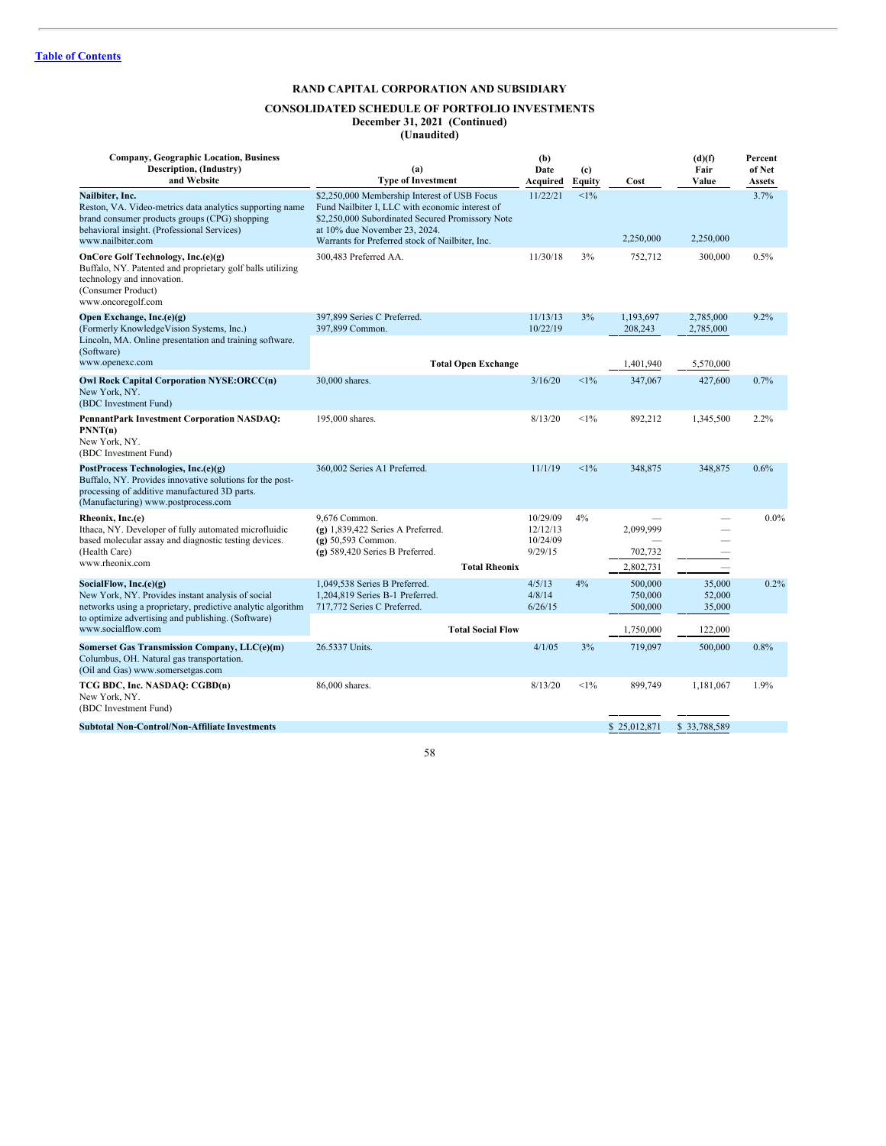# **CONSOLIDATED SCHEDULE OF PORTFOLIO INVESTMENTS December 31, 2021 (Continued)**

**(Unaudited)**

| <b>Company, Geographic Location, Business</b><br>Description, (Industry)<br>and Website                                                                                                          | (a)<br><b>Type of Investment</b>                                                                                                                                                                                                        | (b)<br>Date<br>Acquired                     | (c)<br><b>Equity</b> | Cost                              | (d)(f)<br>Fair<br>Value    | Percent<br>of Net<br><b>Assets</b> |
|--------------------------------------------------------------------------------------------------------------------------------------------------------------------------------------------------|-----------------------------------------------------------------------------------------------------------------------------------------------------------------------------------------------------------------------------------------|---------------------------------------------|----------------------|-----------------------------------|----------------------------|------------------------------------|
| Nailbiter, Inc.<br>Reston, VA. Video-metrics data analytics supporting name<br>brand consumer products groups (CPG) shopping<br>behavioral insight. (Professional Services)<br>www.nailbiter.com | \$2,250,000 Membership Interest of USB Focus<br>Fund Nailbiter I, LLC with economic interest of<br>\$2,250,000 Subordinated Secured Promissory Note<br>at 10% due November 23, 2024.<br>Warrants for Preferred stock of Nailbiter, Inc. | 11/22/21                                    | $<1\%$               | 2,250,000                         | 2,250,000                  | 3.7%                               |
| OnCore Golf Technology, Inc.(e)(g)<br>Buffalo, NY. Patented and proprietary golf balls utilizing<br>technology and innovation.<br>(Consumer Product)<br>www.oncoregolf.com                       | 300,483 Preferred AA.                                                                                                                                                                                                                   | 11/30/18                                    | 3%                   | 752,712                           | 300,000                    | 0.5%                               |
| Open Exchange, Inc.(e)(g)<br>(Formerly KnowledgeVision Systems, Inc.)                                                                                                                            | 397,899 Series C Preferred.<br>397,899 Common.                                                                                                                                                                                          | 11/13/13<br>10/22/19                        | 3%                   | 1,193,697<br>208,243              | 2,785,000<br>2,785,000     | 9.2%                               |
| Lincoln, MA. Online presentation and training software.<br>(Software)<br>www.openexc.com                                                                                                         | <b>Total Open Exchange</b>                                                                                                                                                                                                              |                                             |                      | 1,401,940                         | 5,570,000                  |                                    |
| <b>Owl Rock Capital Corporation NYSE:ORCC(n)</b><br>New York, NY.<br>(BDC Investment Fund)                                                                                                       | 30,000 shares.                                                                                                                                                                                                                          | 3/16/20                                     | $< 1\%$              | 347,067                           | 427,600                    | 0.7%                               |
| PennantPark Investment Corporation NASDAQ:<br>PNNT(n)<br>New York, NY.<br>(BDC Investment Fund)                                                                                                  | 195,000 shares.                                                                                                                                                                                                                         | 8/13/20                                     | $<1\%$               | 892,212                           | 1,345,500                  | 2.2%                               |
| PostProcess Technologies, Inc.(e)(g)<br>Buffalo, NY. Provides innovative solutions for the post-<br>processing of additive manufactured 3D parts.<br>(Manufacturing) www.postprocess.com         | 360,002 Series A1 Preferred.                                                                                                                                                                                                            | 11/1/19                                     | $<1\%$               | 348,875                           | 348,875                    | 0.6%                               |
| Rheonix, Inc.(e)<br>Ithaca, NY. Developer of fully automated microfluidic<br>based molecular assay and diagnostic testing devices.<br>(Health Care)<br>www.rheonix.com                           | 9,676 Common.<br>$(g)$ 1,839,422 Series A Preferred.<br>$(g)$ 50,593 Common.<br>$(g)$ 589,420 Series B Preferred.<br><b>Total Rheonix</b>                                                                                               | 10/29/09<br>12/12/13<br>10/24/09<br>9/29/15 | 4%                   | 2,099,999<br>702,732<br>2,802,731 | --                         | $0.0\%$                            |
| SocialFlow, Inc.(e)(g)<br>New York, NY. Provides instant analysis of social<br>networks using a proprietary, predictive analytic algorithm                                                       | 1.049.538 Series B Preferred.<br>1,204,819 Series B-1 Preferred.<br>717,772 Series C Preferred.                                                                                                                                         | 4/5/13<br>4/8/14<br>6/26/15                 | 4%                   | 500,000<br>750,000<br>500,000     | 35,000<br>52,000<br>35,000 | $0.2\%$                            |
| to optimize advertising and publishing. (Software)<br>www.socialflow.com                                                                                                                         | <b>Total Social Flow</b>                                                                                                                                                                                                                |                                             |                      | 1,750,000                         | 122,000                    |                                    |
| Somerset Gas Transmission Company, LLC(e)(m)<br>Columbus, OH. Natural gas transportation.<br>(Oil and Gas) www.somersetgas.com                                                                   | 26.5337 Units.                                                                                                                                                                                                                          | 4/1/05                                      | 3%                   | 719,097                           | 500,000                    | 0.8%                               |
| TCG BDC, Inc. NASDAQ: CGBD(n)<br>New York, NY.<br>(BDC Investment Fund)                                                                                                                          | 86,000 shares.                                                                                                                                                                                                                          | 8/13/20                                     | $<1\%$               | 899,749                           | 1,181,067                  | 1.9%                               |
| <b>Subtotal Non-Control/Non-Affiliate Investments</b>                                                                                                                                            |                                                                                                                                                                                                                                         |                                             |                      | \$25,012,871                      | \$33,788,589               |                                    |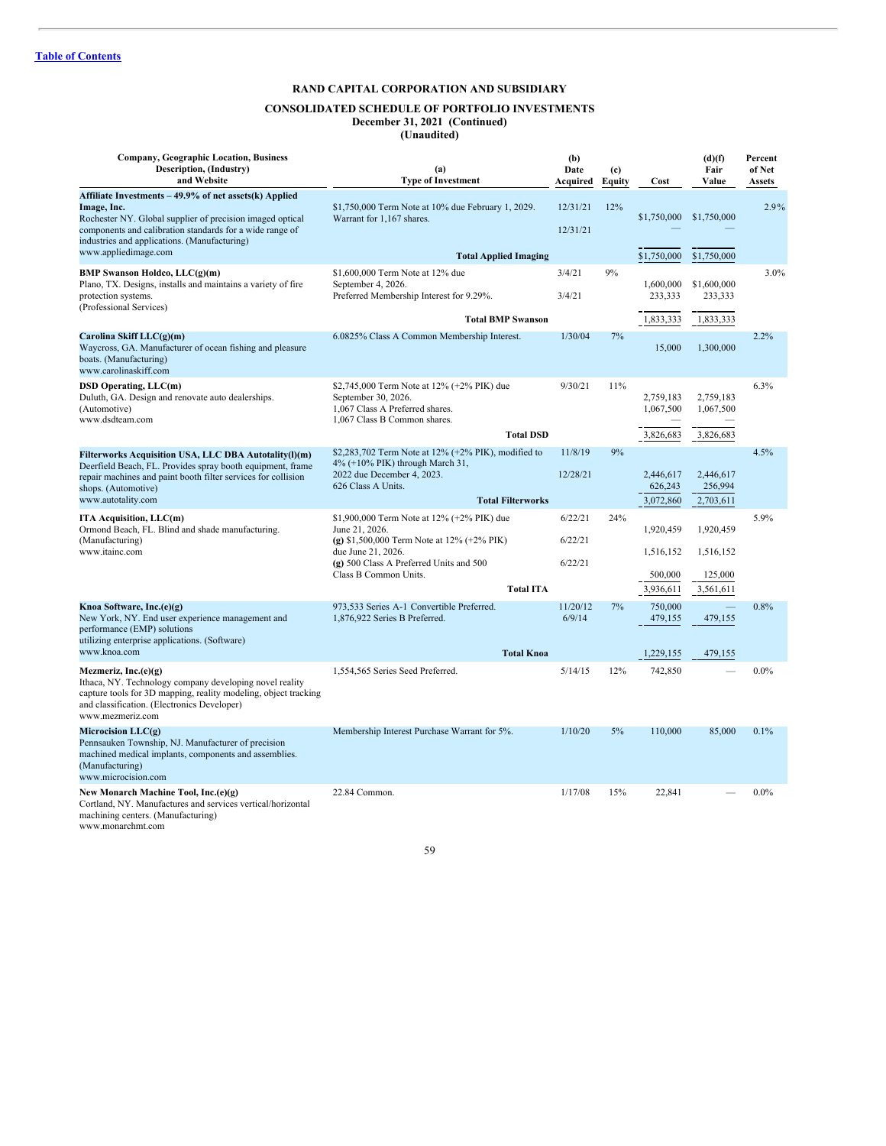#### **CONSOLIDATED SCHEDULE OF PORTFOLIO INVESTMENTS December 31, 2021 (Continued)**

**(Unaudited)**

| <b>Company, Geographic Location, Business</b><br>Description, (Industry)<br>and Website                                                                                                                                                        | (a)<br><b>Type of Investment</b>                                                                                                     | (b)<br>Date<br>Acquired | (c)<br>Equity | Cost                   | (d)(f)<br>Fair<br>Value | Percent<br>of Net<br><b>Assets</b> |
|------------------------------------------------------------------------------------------------------------------------------------------------------------------------------------------------------------------------------------------------|--------------------------------------------------------------------------------------------------------------------------------------|-------------------------|---------------|------------------------|-------------------------|------------------------------------|
| Affiliate Investments – 49.9% of net assets(k) Applied<br>Image, Inc.<br>Rochester NY. Global supplier of precision imaged optical<br>components and calibration standards for a wide range of<br>industries and applications. (Manufacturing) | \$1,750,000 Term Note at 10% due February 1, 2029.<br>Warrant for 1,167 shares.                                                      | 12/31/21<br>12/31/21    | 12%           | \$1,750,000            | \$1,750,000             | 2.9%                               |
| www.appliedimage.com                                                                                                                                                                                                                           | <b>Total Applied Imaging</b>                                                                                                         |                         |               | \$1,750,000            | \$1,750,000             |                                    |
| <b>BMP Swanson Holdco, LLC(g)(m)</b><br>Plano, TX. Designs, installs and maintains a variety of fire<br>protection systems.<br>(Professional Services)                                                                                         | \$1,600,000 Term Note at 12% due<br>September 4, 2026.<br>Preferred Membership Interest for 9.29%.                                   | 3/4/21<br>3/4/21        | 9%            | 1,600,000<br>233,333   | \$1,600,000<br>233,333  | 3.0%                               |
|                                                                                                                                                                                                                                                | <b>Total BMP Swanson</b>                                                                                                             |                         |               | 1,833,333              | 1,833,333               |                                    |
| Carolina Skiff LLC(g)(m)<br>Waycross, GA. Manufacturer of ocean fishing and pleasure<br>boats. (Manufacturing)<br>www.carolinaskiff.com                                                                                                        | 6.0825% Class A Common Membership Interest.                                                                                          | 1/30/04                 | 7%            | 15,000                 | 1,300,000               | 2.2%                               |
| <b>DSD Operating, LLC(m)</b><br>Duluth, GA. Design and renovate auto dealerships.<br>(Automotive)<br>www.dsdteam.com                                                                                                                           | \$2,745,000 Term Note at 12% (+2% PIK) due<br>September 30, 2026.<br>1,067 Class A Preferred shares.<br>1,067 Class B Common shares. | 9/30/21                 | 11%           | 2,759,183<br>1,067,500 | 2,759,183<br>1,067,500  | 6.3%                               |
|                                                                                                                                                                                                                                                | <b>Total DSD</b>                                                                                                                     |                         |               | 3,826,683              | 3,826,683               |                                    |
| Filterworks Acquisition USA, LLC DBA Autotality(l)(m)<br>Deerfield Beach, FL. Provides spray booth equipment, frame<br>repair machines and paint booth filter services for collision                                                           | \$2,283,702 Term Note at 12% (+2% PIK), modified to<br>$4\%$ (+10% PIK) through March 31,<br>2022 due December 4, 2023.              | 11/8/19<br>12/28/21     | 9%            | 2,446,617              | 2,446,617               | 4.5%                               |
| shops. (Automotive)<br>www.autotality.com                                                                                                                                                                                                      | 626 Class A Units.<br><b>Total Filterworks</b>                                                                                       |                         |               | 626,243<br>3,072,860   | 256,994                 |                                    |
| ITA Acquisition, LLC(m)                                                                                                                                                                                                                        | \$1,900,000 Term Note at 12% (+2% PIK) due                                                                                           | 6/22/21                 | 24%           |                        | 2,703,611               | 5.9%                               |
| Ormond Beach, FL. Blind and shade manufacturing.<br>(Manufacturing)<br>www.itainc.com                                                                                                                                                          | June 21, 2026.<br>(g) \$1,500,000 Term Note at $12\%$ (+2% PIK)<br>due June 21, 2026.                                                | 6/22/21                 |               | 1,920,459<br>1,516,152 | 1,920,459<br>1,516,152  |                                    |
|                                                                                                                                                                                                                                                | (g) 500 Class A Preferred Units and 500<br>Class B Common Units.                                                                     | 6/22/21                 |               | 500,000                | 125,000                 |                                    |
|                                                                                                                                                                                                                                                | <b>Total ITA</b>                                                                                                                     |                         |               | 3,936,611              | 3,561,611               |                                    |
| Knoa Software, Inc.(e)(g)<br>New York, NY. End user experience management and<br>performance (EMP) solutions<br>utilizing enterprise applications. (Software)                                                                                  | 973.533 Series A-1 Convertible Preferred.<br>1,876,922 Series B Preferred.                                                           | 11/20/12<br>6/9/14      | 7%            | 750,000<br>479,155     | 479,155                 | 0.8%                               |
| www.knoa.com                                                                                                                                                                                                                                   | <b>Total Knoa</b>                                                                                                                    |                         |               | 1,229,155              | 479,155                 |                                    |
| Mezmeriz, Inc.(e)(g)<br>Ithaca, NY. Technology company developing novel reality<br>capture tools for 3D mapping, reality modeling, object tracking<br>and classification. (Electronics Developer)<br>www.mezmeriz.com                          | 1,554,565 Series Seed Preferred.                                                                                                     | 5/14/15                 | 12%           | 742,850                |                         | $0.0\%$                            |
| Microcision LLC(g)<br>Pennsauken Township, NJ. Manufacturer of precision<br>machined medical implants, components and assemblies.<br>(Manufacturing)<br>www.microcision.com                                                                    | Membership Interest Purchase Warrant for 5%.                                                                                         | 1/10/20                 | 5%            | 110,000                | 85,000                  | 0.1%                               |
| New Monarch Machine Tool, Inc.(e)(g)<br>Cortland, NY. Manufactures and services vertical/horizontal<br>machining centers. (Manufacturing)<br>www.monarchmt.com                                                                                 | 22.84 Common.                                                                                                                        | 1/17/08                 | 15%           | 22,841                 |                         | $0.0\%$                            |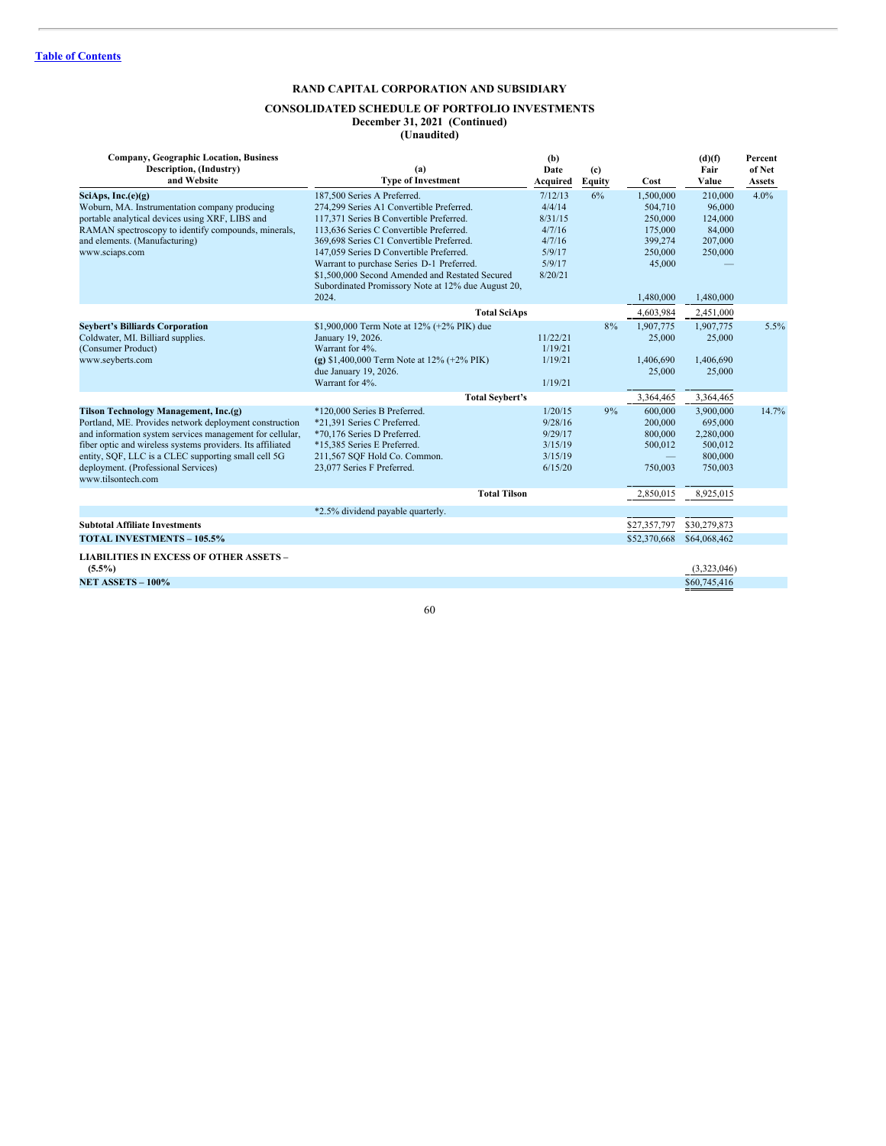## **CONSOLIDATED SCHEDULE OF PORTFOLIO INVESTMENTS December 31, 2021 (Continued) (Unaudited)**

**Company, Geographic Location, Business Description, (Industry) and Website (a) Type of Investment (b) Date Acquired (c) Equity Cost (d)(f) Fair Value Percent of Net Assets SciAps, Inc.(e)(g)** Woburn, MA. Instrumentation company producing portable analytical devices using XRF, LIBS and RAMAN spectroscopy to identify compounds, minerals, and elements. (Manufacturing) www.sciaps.com 187,500 Series A Preferred. 274,299 Series A1 Convertible Preferred. 117,371 Series B Convertible Preferred. 113,636 Series C Convertible Preferred. 369,698 Series C1 Convertible Preferred. 147,059 Series D Convertible Preferred. Warrant to purchase Series D-1 Preferred. \$1,500,000 Second Amended and Restated Secured Subordinated Promissory Note at 12% due August 20, 2024. 7/12/13 4/4/14 8/31/15 4/7/16 4/7/16 5/9/17 5/9/17 8/20/21 6% 1,500,000 504,710 250,000 175,000 399,274 250,000 45,000 1,480,000 210,000 96,000 124,000 84,000 207,000 250,000— 1,480,000 4.0% **Total SciAps** 4,603,984 2,451,000 **Seybert's Billiards Corporation** Coldwater, MI. Billiard supplies. (Consumer Product) www.seyberts.com \$1,900,000 Term Note at 12% (+2% PIK) due January 19, 2026. Warrant for 4%. **(g)** \$1,400,000 Term Note at 12% (+2% PIK) due January 19, 2026. Warrant for 4%. 11/22/21 1/19/21 1/19/21 1/19/21 8% 1,907,775 25,000 1,406,690 25,000 1,907,775 25,000 1,406,690 25,000 5.5% **Total Seybert's** 3,364,465 3,364,465 **Tilson Technology Management, Inc.(g)** Portland, ME. Provides network deployment construction and information system services management for cellular, fiber optic and wireless systems providers. Its affiliated entity, SQF, LLC is a CLEC supporting small cell 5G deployment. (Professional Services) www.tilsontech.com \*120,000 Series B Preferred. \*21,391 Series C Preferred. \*70,176 Series D Preferred. \*15,385 Series E Preferred. 211,567 SQF Hold Co. Common. 23,077 Series F Preferred. 1/20/15 9/28/16 9/29/17 3/15/19 3/15/19 6/15/20 9% 600,000 200,000 800,000 500,012— 750,003 3,900,000 695,000 2,280,000 500,012 800,000 750,003 14.7% **Total Tilson** 2,850,015 8,925,015 \*2.5% dividend payable quarterly. **Subtotal Affiliate Investments** \$27,357,797 \$30,279,873 **TOTAL INVESTMENTS – 105.5%** \$52,370,668 \$64,068,462 **LIABILITIES IN EXCESS OF OTHER ASSETS – (5.5%)** (3,323,046) **NET ASSETS – 100%** \$60,745,416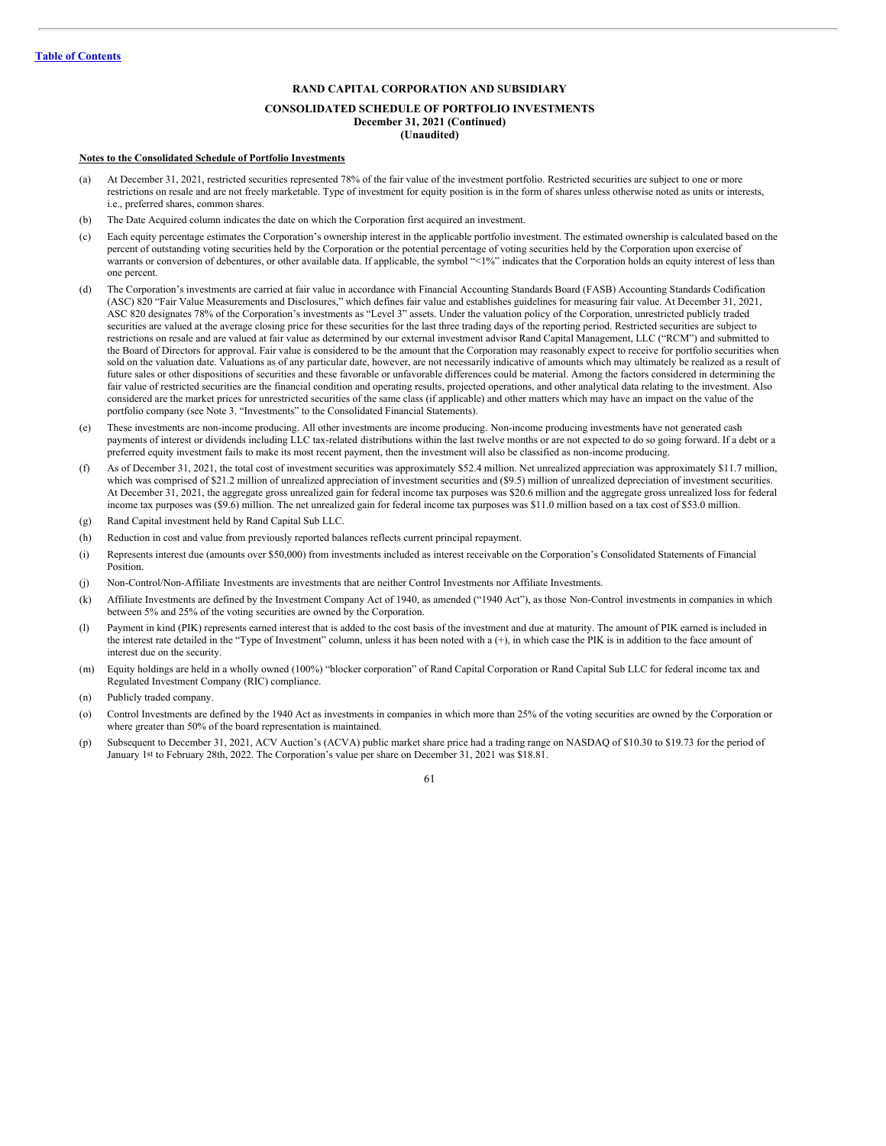### **CONSOLIDATED SCHEDULE OF PORTFOLIO INVESTMENTS December 31, 2021 (Continued) (Unaudited)**

#### **Notes to the Consolidated Schedule of Portfolio Investments**

- At December 31, 2021, restricted securities represented 78% of the fair value of the investment portfolio. Restricted securities are subject to one or more restrictions on resale and are not freely marketable. Type of investment for equity position is in the form of shares unless otherwise noted as units or interests, i.e., preferred shares, common shares.
- (b) The Date Acquired column indicates the date on which the Corporation first acquired an investment.
- (c) Each equity percentage estimates the Corporation's ownership interest in the applicable portfolio investment. The estimated ownership is calculated based on the percent of outstanding voting securities held by the Corporation or the potential percentage of voting securities held by the Corporation upon exercise of warrants or conversion of debentures, or other available data. If applicable, the symbol "<1%" indicates that the Corporation holds an equity interest of less than one percent.
- (d) The Corporation's investments are carried at fair value in accordance with Financial Accounting Standards Board (FASB) Accounting Standards Codification (ASC) 820 "Fair Value Measurements and Disclosures," which defines fair value and establishes guidelines for measuring fair value. At December 31, 2021, ASC 820 designates 78% of the Corporation's investments as "Level 3" assets. Under the valuation policy of the Corporation, unrestricted publicly traded securities are valued at the average closing price for these securities for the last three trading days of the reporting period. Restricted securities are subject to restrictions on resale and are valued at fair value as determined by our external investment advisor Rand Capital Management, LLC ("RCM") and submitted to the Board of Directors for approval. Fair value is considered to be the amount that the Corporation may reasonably expect to receive for portfolio securities when sold on the valuation date. Valuations as of any particular date, however, are not necessarily indicative of amounts which may ultimately be realized as a result of future sales or other dispositions of securities and these favorable or unfavorable differences could be material. Among the factors considered in determining the fair value of restricted securities are the financial condition and operating results, projected operations, and other analytical data relating to the investment. Also considered are the market prices for unrestricted securities of the same class (if applicable) and other matters which may have an impact on the value of the portfolio company (see Note 3. "Investments" to the Consolidated Financial Statements).
- (e) These investments are non-income producing. All other investments are income producing. Non-income producing investments have not generated cash payments of interest or dividends including LLC tax-related distributions within the last twelve months or are not expected to do so going forward. If a debt or a preferred equity investment fails to make its most recent payment, then the investment will also be classified as non-income producing.
- (f) As of December 31, 2021, the total cost of investment securities was approximately \$52.4 million. Net unrealized appreciation was approximately \$11.7 million, which was comprised of \$21.2 million of unrealized appreciation of investment securities and (\$9.5) million of unrealized depreciation of investment securities. At December 31, 2021, the aggregate gross unrealized gain for federal income tax purposes was \$20.6 million and the aggregate gross unrealized loss for federal income tax purposes was (\$9.6) million. The net unrealized gain for federal income tax purposes was \$11.0 million based on a tax cost of \$53.0 million.
- (g) Rand Capital investment held by Rand Capital Sub LLC.
- (h) Reduction in cost and value from previously reported balances reflects current principal repayment.
- (i) Represents interest due (amounts over \$50,000) from investments included as interest receivable on the Corporation's Consolidated Statements of Financial Position.
- (j) Non-Control/Non-Affiliate Investments are investments that are neither Control Investments nor Affiliate Investments.
- (k) Affiliate Investments are defined by the Investment Company Act of 1940, as amended ("1940 Act"), as those Non-Control investments in companies in which between 5% and 25% of the voting securities are owned by the Corporation.
- (l) Payment in kind (PIK) represents earned interest that is added to the cost basis of the investment and due at maturity. The amount of PIK earned is included in the interest rate detailed in the "Type of Investment" column, unless it has been noted with a  $(+)$ , in which case the PIK is in addition to the face amount of interest due on the security.
- (m) Equity holdings are held in a wholly owned (100%) "blocker corporation" of Rand Capital Corporation or Rand Capital Sub LLC for federal income tax and Regulated Investment Company (RIC) compliance.
- (n) Publicly traded company.
- (o) Control Investments are defined by the 1940 Act as investments in companies in which more than 25% of the voting securities are owned by the Corporation or where greater than 50% of the board representation is maintained.
- (p) Subsequent to December 31, 2021, ACV Auction's (ACVA) public market share price had a trading range on NASDAQ of \$10.30 to \$19.73 for the period of January 1st to February 28th, 2022. The Corporation's value per share on December 31, 2021 was \$18.81.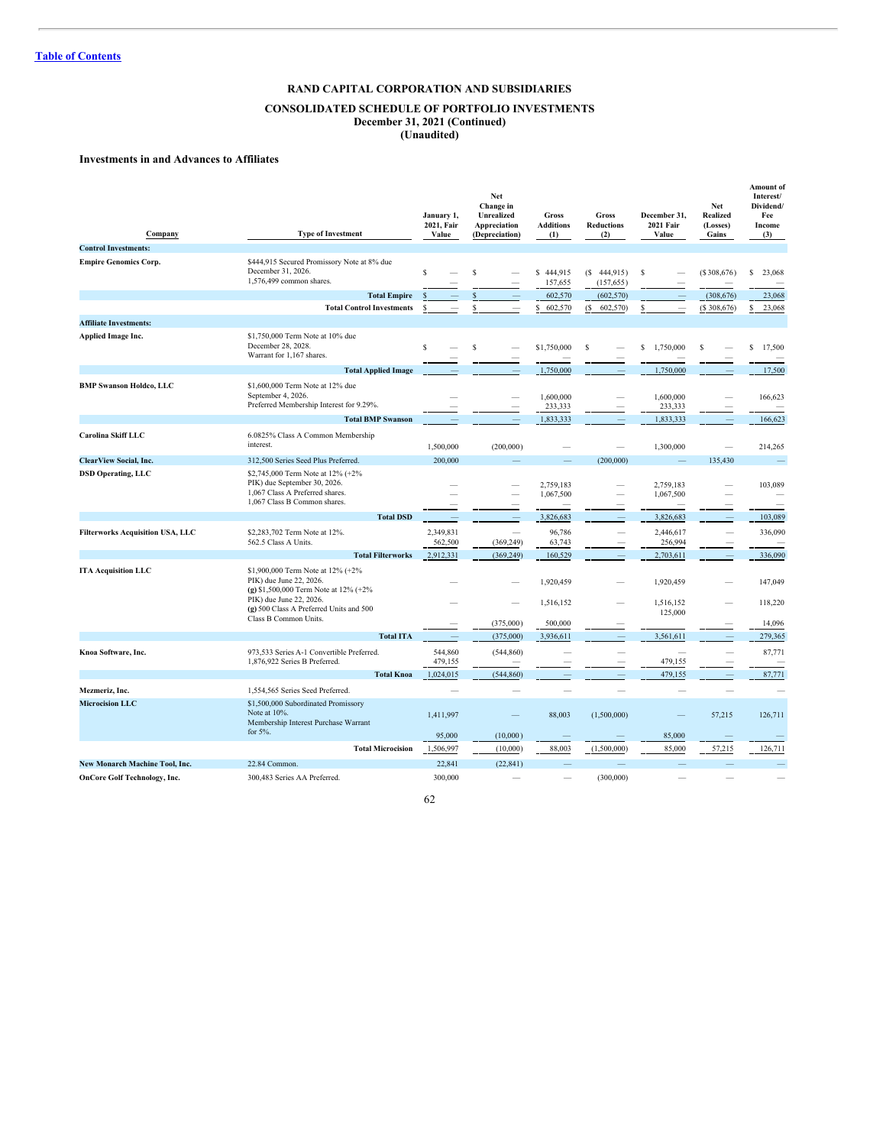## **CONSOLIDATED SCHEDULE OF PORTFOLIO INVESTMENTS December 31, 2021 (Continued)**

**(Unaudited)**

# **Investments in and Advances to Affiliates**

| Company                                                               | <b>Type of Investment</b>                                                                                                            | January 1,<br>2021, Fair<br>Value | Net<br>Change in<br>Unrealized<br>Appreciation<br>(Depreciation) | <b>Gross</b><br><b>Additions</b><br>(1) | <b>Gross</b><br><b>Reductions</b><br>(2)    | December 31.<br><b>2021 Fair</b><br>Value | Net<br><b>Realized</b><br>(Losses)<br>Gains | Amount of<br>Interest/<br>Dividend/<br>Fee<br>Income<br>(3) |
|-----------------------------------------------------------------------|--------------------------------------------------------------------------------------------------------------------------------------|-----------------------------------|------------------------------------------------------------------|-----------------------------------------|---------------------------------------------|-------------------------------------------|---------------------------------------------|-------------------------------------------------------------|
| <b>Control Investments:</b>                                           |                                                                                                                                      |                                   |                                                                  |                                         |                                             |                                           |                                             |                                                             |
| <b>Empire Genomics Corp.</b>                                          | \$444,915 Secured Promissory Note at 8% due<br>December 31, 2026.<br>1,576,499 common shares.<br><b>Total Empire</b>                 | S                                 | \$.                                                              | \$<br>444,915<br>157,655<br>602,570     | (S)<br>444,915)<br>(157, 655)<br>(602, 570) | s                                         | (\$308,676)<br>(308, 676)                   | s<br>23,068<br>23,068                                       |
|                                                                       | <b>Total Control Investments</b>                                                                                                     |                                   | S                                                                | 602,570<br>\$                           | (S)<br>602,570)                             | -                                         | (\$308,676)                                 | 23,068<br>s                                                 |
| <b>Affiliate Investments:</b>                                         |                                                                                                                                      |                                   |                                                                  |                                         |                                             |                                           |                                             |                                                             |
| <b>Applied Image Inc.</b>                                             | \$1,750,000 Term Note at 10% due<br>December 28, 2028.<br>Warrant for 1,167 shares.                                                  | S                                 | \$                                                               | \$1,750,000                             | S                                           | s<br>1,750,000                            | \$                                          | s<br>17,500                                                 |
|                                                                       | <b>Total Applied Image</b>                                                                                                           |                                   |                                                                  | 1,750,000                               |                                             | 1,750,000                                 |                                             | 17,500                                                      |
| <b>BMP Swanson Holdco, LLC</b>                                        | \$1,600,000 Term Note at 12% due<br>September 4, 2026.<br>Preferred Membership Interest for 9.29%.                                   |                                   |                                                                  | 1,600,000<br>233,333                    |                                             | 1,600,000<br>233,333                      |                                             | 166,623<br>$\overline{\phantom{a}}$                         |
|                                                                       | <b>Total BMP Swanson</b>                                                                                                             |                                   |                                                                  | 1,833,333                               |                                             | 1,833,333                                 |                                             | 166,623                                                     |
| Carolina Skiff LLC                                                    | 6.0825% Class A Common Membership<br>interest.                                                                                       | 1,500,000                         | (200,000)                                                        |                                         |                                             | 1,300,000                                 | $\overline{\phantom{0}}$                    | 214,265                                                     |
| ClearView Social, Inc.                                                | 312,500 Series Seed Plus Preferred.                                                                                                  | 200,000                           |                                                                  |                                         | (200,000)                                   |                                           | 135,430                                     |                                                             |
| <b>DSD Operating, LLC</b>                                             | \$2,745,000 Term Note at 12% (+2%<br>PIK) due September 30, 2026.<br>1,067 Class A Preferred shares.<br>1,067 Class B Common shares. |                                   |                                                                  | 2,759,183<br>1,067,500                  |                                             | 2,759,183<br>1,067,500                    |                                             | 103,089                                                     |
|                                                                       | <b>Total DSD</b>                                                                                                                     |                                   | ÷                                                                | 3,826,683                               |                                             | 3,826,683                                 | $\equiv$                                    | 103,089                                                     |
| <b>Filterworks Acquisition USA, LLC</b>                               | \$2,283,702 Term Note at 12%.<br>562.5 Class A Units.                                                                                | 2,349,831<br>562,500              | (369, 249)                                                       | 96,786<br>63,743                        |                                             | 2,446,617<br>256,994                      |                                             | 336,090                                                     |
|                                                                       | <b>Total Filterworks</b>                                                                                                             | 2,912,331                         | (369, 249)                                                       | 160,529                                 |                                             | 2,703,611                                 |                                             | 336,090                                                     |
| <b>ITA Acquisition LLC</b>                                            | \$1,900,000 Term Note at 12% (+2%<br>PIK) due June 22, 2026.<br>(g) \$1,500,000 Term Note at 12% (+2%)                               |                                   |                                                                  | 1,920,459                               |                                             | 1,920,459                                 |                                             | 147,049                                                     |
|                                                                       | PIK) due June 22, 2026.<br>(g) 500 Class A Preferred Units and 500<br>Class B Common Units.                                          |                                   |                                                                  | 1,516,152                               |                                             | 1,516,152<br>125,000                      |                                             | 118,220                                                     |
|                                                                       |                                                                                                                                      |                                   | (375,000)                                                        | 500,000                                 |                                             |                                           |                                             | 14,096                                                      |
|                                                                       | <b>Total ITA</b>                                                                                                                     |                                   | (375,000)                                                        | 3,936,611                               |                                             | 3,561,611                                 |                                             | 279,365                                                     |
| Knoa Software, Inc.                                                   | 973,533 Series A-1 Convertible Preferred.<br>1,876,922 Series B Preferred.                                                           | 544,860<br>479,155                | (544, 860)                                                       |                                         |                                             | 479,155                                   |                                             | 87,771                                                      |
|                                                                       | <b>Total Knoa</b>                                                                                                                    | 1,024,015                         | (544, 860)                                                       |                                         |                                             | 479,155                                   |                                             | 87,771                                                      |
| Mezmeriz, Inc.                                                        | 1,554,565 Series Seed Preferred.                                                                                                     |                                   |                                                                  |                                         |                                             |                                           |                                             |                                                             |
| <b>Microcision LLC</b>                                                | \$1,500,000 Subordinated Promissory<br>Note at 10%.<br>Membership Interest Purchase Warrant<br>for 5%.                               | 1,411,997                         |                                                                  | 88,003                                  | (1,500,000)                                 |                                           | 57,215                                      | 126,711                                                     |
|                                                                       |                                                                                                                                      | 95,000                            | (10,000)                                                         |                                         |                                             | 85,000                                    | $\qquad \qquad -$                           |                                                             |
|                                                                       | <b>Total Microcision</b>                                                                                                             | 1,506,997                         | (10,000)                                                         | 88,003                                  | (1,500,000)                                 | 85,000                                    | 57,215                                      | 126,711                                                     |
| New Monarch Machine Tool, Inc.<br><b>OnCore Golf Technology, Inc.</b> | 22.84 Common.<br>300,483 Series AA Preferred                                                                                         | 22,841<br>300,000                 | (22, 841)                                                        |                                         | (300,000)                                   |                                           |                                             |                                                             |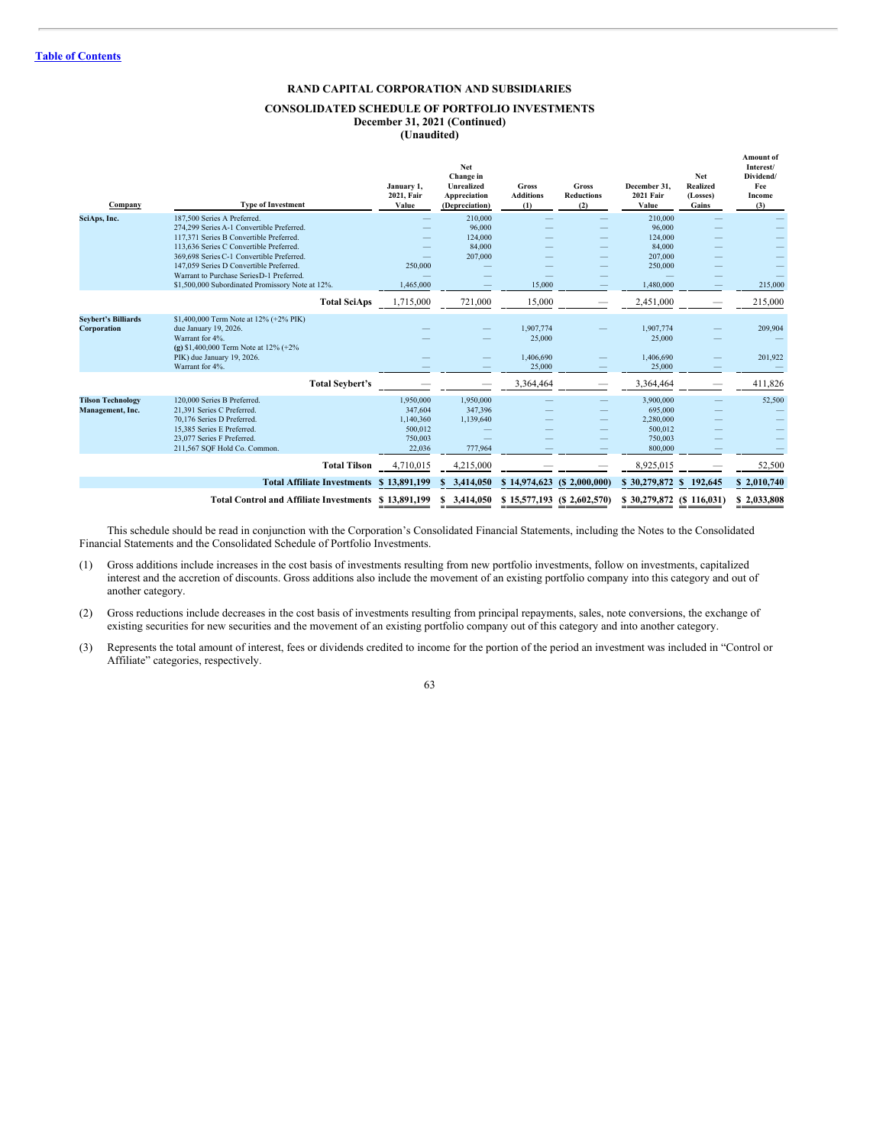## **CONSOLIDATED SCHEDULE OF PORTFOLIO INVESTMENTS December 31, 2021 (Continued) (Unaudited)**

| Company                                      | <b>Type of Investment</b>                                                                                                                                                                                                                                                                                                                               | January 1,<br>2021. Fair<br>Value                                 | Net<br>Change in<br>Unrealized<br>Appreciation<br>(Depreciation) | <b>Gross</b><br><b>Additions</b><br>(1)    | <b>Gross</b><br><b>Reductions</b><br>(2) | December 31,<br>2021 Fair<br>Value                                        | Net<br><b>Realized</b><br>(Losses)<br>Gains | <b>Amount</b> of<br>Interest/<br>Dividend/<br>Fee<br>Income<br>(3) |
|----------------------------------------------|---------------------------------------------------------------------------------------------------------------------------------------------------------------------------------------------------------------------------------------------------------------------------------------------------------------------------------------------------------|-------------------------------------------------------------------|------------------------------------------------------------------|--------------------------------------------|------------------------------------------|---------------------------------------------------------------------------|---------------------------------------------|--------------------------------------------------------------------|
| SciAps, Inc.                                 | 187,500 Series A Preferred.<br>274,299 Series A-1 Convertible Preferred.<br>117,371 Series B Convertible Preferred.<br>113.636 Series C Convertible Preferred.<br>369,698 Series C-1 Convertible Preferred.<br>147,059 Series D Convertible Preferred.<br>Warrant to Purchase Series D-1 Preferred.<br>\$1,500,000 Subordinated Promissory Note at 12%. | 250,000<br>1,465,000                                              | 210,000<br>96,000<br>124,000<br>84,000<br>207,000                | 15,000                                     |                                          | 210,000<br>96,000<br>124,000<br>84,000<br>207,000<br>250,000<br>1,480,000 |                                             | 215,000                                                            |
|                                              | <b>Total SciAps</b>                                                                                                                                                                                                                                                                                                                                     | 1,715,000                                                         | 721,000                                                          | 15,000                                     |                                          | 2,451,000                                                                 |                                             | 215,000                                                            |
| <b>Seybert's Billiards</b><br>Corporation    | \$1,400,000 Term Note at 12% (+2% PIK)<br>due January 19, 2026.<br>Warrant for 4%.<br>(g) \$1,400,000 Term Note at 12% $(+2\%$<br>PIK) due January 19, 2026.<br>Warrant for 4%.                                                                                                                                                                         |                                                                   |                                                                  | 1,907,774<br>25,000<br>1,406,690<br>25,000 |                                          | 1,907,774<br>25,000<br>1,406,690<br>25,000                                |                                             | 209,904<br>201,922                                                 |
|                                              | <b>Total Sevbert's</b>                                                                                                                                                                                                                                                                                                                                  |                                                                   |                                                                  | 3,364,464                                  |                                          | 3,364,464                                                                 |                                             | 411,826                                                            |
| <b>Tilson Technology</b><br>Management, Inc. | 120,000 Series B Preferred.<br>21.391 Series C Preferred.<br>70.176 Series D Preferred.<br>15,385 Series E Preferred.<br>23.077 Series F Preferred.<br>211,567 SQF Hold Co. Common.                                                                                                                                                                     | 1,950,000<br>347,604<br>1,140,360<br>500,012<br>750,003<br>22,036 | 1,950,000<br>347,396<br>1,139,640<br>777,964                     |                                            |                                          | 3,900,000<br>695,000<br>2,280,000<br>500,012<br>750,003<br>800,000        | $\overline{\phantom{0}}$                    | 52,500                                                             |
|                                              | <b>Total Tilson</b>                                                                                                                                                                                                                                                                                                                                     | 4,710,015                                                         | 4,215,000                                                        |                                            |                                          | 8,925,015                                                                 |                                             | 52,500                                                             |
|                                              | <b>Total Affiliate Investments</b>                                                                                                                                                                                                                                                                                                                      | \$13,891,199                                                      | 3,414,050<br>S                                                   | \$14,974,623                               | (S, 2,000,000)                           | \$30,279,872                                                              | 192,645<br>$\mathbf{s}$                     | \$2,010,740                                                        |
|                                              | Total Control and Affiliate Investments \$13,891,199                                                                                                                                                                                                                                                                                                    |                                                                   | 3,414,050<br>s                                                   | \$15,577,193 (\$2,602,570)                 |                                          | \$30,279,872 (\$116,031)                                                  |                                             | \$2,033,808                                                        |

This schedule should be read in conjunction with the Corporation's Consolidated Financial Statements, including the Notes to the Consolidated Financial Statements and the Consolidated Schedule of Portfolio Investments.

- (1) Gross additions include increases in the cost basis of investments resulting from new portfolio investments, follow on investments, capitalized interest and the accretion of discounts. Gross additions also include the movement of an existing portfolio company into this category and out of another category.
- (2) Gross reductions include decreases in the cost basis of investments resulting from principal repayments, sales, note conversions, the exchange of existing securities for new securities and the movement of an existing portfolio company out of this category and into another category.
- (3) Represents the total amount of interest, fees or dividends credited to income for the portion of the period an investment was included in "Control or Affiliate" categories, respectively.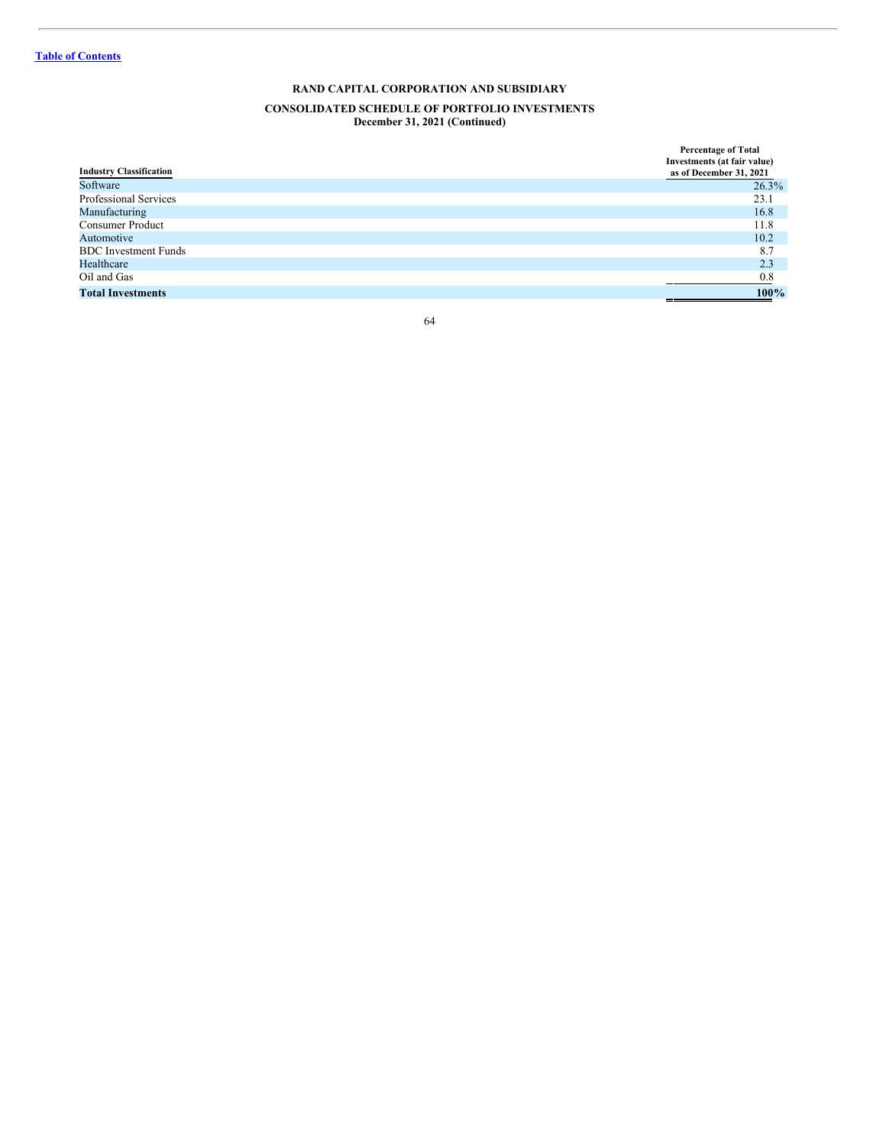# **CONSOLIDATED SCHEDULE OF PORTFOLIO INVESTMENTS December 31, 2021 (Continued)**

| <b>Percentage of Total</b>  |  |  |  |  |
|-----------------------------|--|--|--|--|
| Investments (at fair value) |  |  |  |  |
| as of December 31, 2021     |  |  |  |  |
| $26.3\%$                    |  |  |  |  |
| 23.1                        |  |  |  |  |
| 16.8                        |  |  |  |  |
| 11.8                        |  |  |  |  |
| 10.2                        |  |  |  |  |
| 8.7                         |  |  |  |  |
| 2.3                         |  |  |  |  |
| 0.8                         |  |  |  |  |
| $100\%$                     |  |  |  |  |
|                             |  |  |  |  |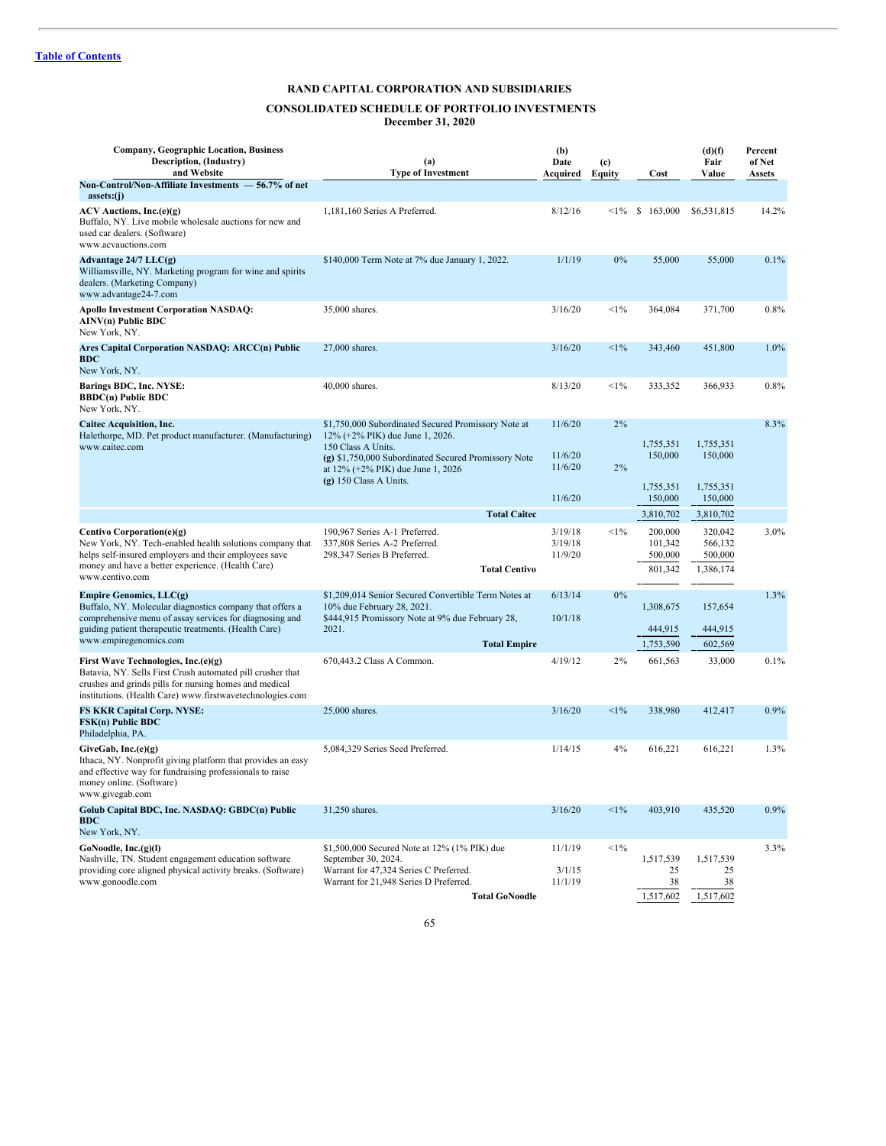## <span id="page-66-0"></span>**CONSOLIDATED SCHEDULE OF PORTFOLIO INVESTMENTS December 31, 2020**

| <b>Company, Geographic Location, Business</b><br>Description, (Industry)<br>and Website                                                                                                                                                  | (a)<br><b>Type of Investment</b>                                                                                                                                                                          | (b)<br>Date<br>Acquired       | (c)<br><b>Equity</b> | Cost                                     | (d)(f)<br>Fair<br>Value                    | Percent<br>of Net<br>Assets |
|------------------------------------------------------------------------------------------------------------------------------------------------------------------------------------------------------------------------------------------|-----------------------------------------------------------------------------------------------------------------------------------------------------------------------------------------------------------|-------------------------------|----------------------|------------------------------------------|--------------------------------------------|-----------------------------|
| Non-Control/Non-Affiliate Investments - 56.7% of net<br>asserts:(j)                                                                                                                                                                      |                                                                                                                                                                                                           |                               |                      |                                          |                                            |                             |
| ACV Auctions, Inc.(e)(g)<br>Buffalo, NY. Live mobile wholesale auctions for new and<br>used car dealers. (Software)<br>www.acvauctions.com                                                                                               | 1,181,160 Series A Preferred.                                                                                                                                                                             | 8/12/16                       | $1\%$                | \$163,000                                | \$6,531,815                                | 14.2%                       |
| Advantage $24/7$ LLC(g)<br>Williamsville, NY. Marketing program for wine and spirits<br>dealers. (Marketing Company)<br>www.advantage24-7.com                                                                                            | \$140,000 Term Note at 7% due January 1, 2022.                                                                                                                                                            | 1/1/19                        | $0\%$                | 55,000                                   | 55,000                                     | 0.1%                        |
| <b>Apollo Investment Corporation NASDAQ:</b><br>AINV(n) Public BDC<br>New York, NY.                                                                                                                                                      | 35,000 shares.                                                                                                                                                                                            | 3/16/20                       | $<1\%$               | 364,084                                  | 371,700                                    | 0.8%                        |
| Ares Capital Corporation NASDAQ: ARCC(n) Public<br>BDC<br>New York, NY.                                                                                                                                                                  | 27,000 shares.                                                                                                                                                                                            | 3/16/20                       | $<1\%$               | 343,460                                  | 451,800                                    | 1.0%                        |
| Barings BDC, Inc. NYSE:<br><b>BBDC(n)</b> Public BDC<br>New York, NY.                                                                                                                                                                    | 40,000 shares.                                                                                                                                                                                            | 8/13/20                       | $<1\%$               | 333,352                                  | 366,933                                    | 0.8%                        |
| Caitec Acquisition, Inc.<br>Halethorpe, MD. Pet product manufacturer. (Manufacturing)<br>www.caitec.com                                                                                                                                  | \$1,750,000 Subordinated Secured Promissory Note at<br>12% (+2% PIK) due June 1, 2026.<br>150 Class A Units.<br>(g) \$1,750,000 Subordinated Secured Promissory Note<br>at 12% (+2% PIK) due June 1, 2026 | 11/6/20<br>11/6/20<br>11/6/20 | 2%<br>2%             | 1,755,351<br>150,000                     | 1,755,351<br>150,000                       | 8.3%                        |
|                                                                                                                                                                                                                                          | $(g)$ 150 Class A Units.                                                                                                                                                                                  | 11/6/20                       |                      | 1,755,351<br>150,000                     | 1,755,351<br>150,000                       |                             |
|                                                                                                                                                                                                                                          | <b>Total Caitec</b>                                                                                                                                                                                       |                               |                      | 3,810,702                                | 3,810,702                                  |                             |
| Centivo Corporation(e)(g)<br>New York, NY. Tech-enabled health solutions company that<br>helps self-insured employers and their employees save<br>money and have a better experience. (Health Care)<br>www.centivo.com                   | 190,967 Series A-1 Preferred.<br>337,808 Series A-2 Preferred.<br>298,347 Series B Preferred.<br><b>Total Centivo</b>                                                                                     | 3/19/18<br>3/19/18<br>11/9/20 | $<1\%$               | 200,000<br>101,342<br>500,000<br>801,342 | 320,042<br>566,132<br>500,000<br>1,386,174 | 3.0%                        |
| <b>Empire Genomics, LLC(g)</b><br>Buffalo, NY. Molecular diagnostics company that offers a<br>comprehensive menu of assay services for diagnosing and<br>guiding patient therapeutic treatments. (Health Care)<br>www.empiregenomics.com | \$1,209,014 Senior Secured Convertible Term Notes at<br>10% due February 28, 2021.<br>\$444,915 Promissory Note at 9% due February 28,<br>2021.<br><b>Total Empire</b>                                    | 6/13/14<br>10/1/18            | $0\%$                | 1,308,675<br>444,915<br>1,753,590        | 157,654<br>444,915<br>602,569              | 1.3%                        |
| First Wave Technologies, Inc.(e)(g)<br>Batavia, NY. Sells First Crush automated pill crusher that<br>crushes and grinds pills for nursing homes and medical<br>institutions. (Health Care) www.firstwavetechnologies.com                 | 670,443.2 Class A Common.                                                                                                                                                                                 | 4/19/12                       | 2%                   | 661,563                                  | 33,000                                     | 0.1%                        |
| <b>FS KKR Capital Corp. NYSE:</b><br><b>FSK(n) Public BDC</b><br>Philadelphia, PA.                                                                                                                                                       | 25,000 shares.                                                                                                                                                                                            | 3/16/20                       | $<1\%$               | 338,980                                  | 412,417                                    | 0.9%                        |
| GiveGab, Inc.(e)(g)<br>Ithaca, NY. Nonprofit giving platform that provides an easy<br>and effective way for fundraising professionals to raise<br>money online. (Software)<br>www.givegab.com                                            | 5,084,329 Series Seed Preferred.                                                                                                                                                                          | 1/14/15                       | 4%                   | 616,221                                  | 616,221                                    | 1.3%                        |
| Golub Capital BDC, Inc. NASDAQ: GBDC(n) Public<br>BDC<br>New York, NY.                                                                                                                                                                   | 31,250 shares.                                                                                                                                                                                            | 3/16/20                       | $<1\%$               | 403,910                                  | 435,520                                    | 0.9%                        |
| GoNoodle, Inc.(g)(l)<br>Nashville, TN. Student engagement education software<br>providing core aligned physical activity breaks. (Software)<br>www.gonoodle.com                                                                          | \$1,500,000 Secured Note at 12% (1% PIK) due<br>September 30, 2024.<br>Warrant for 47,324 Series C Preferred.<br>Warrant for 21,948 Series D Preferred.<br><b>Total GoNoodle</b>                          | 11/1/19<br>3/1/15<br>11/1/19  | $<$ 1%               | 1,517,539<br>25<br>38<br>1,517,602       | 1,517,539<br>25<br>38<br>1,517,602         | 3.3%                        |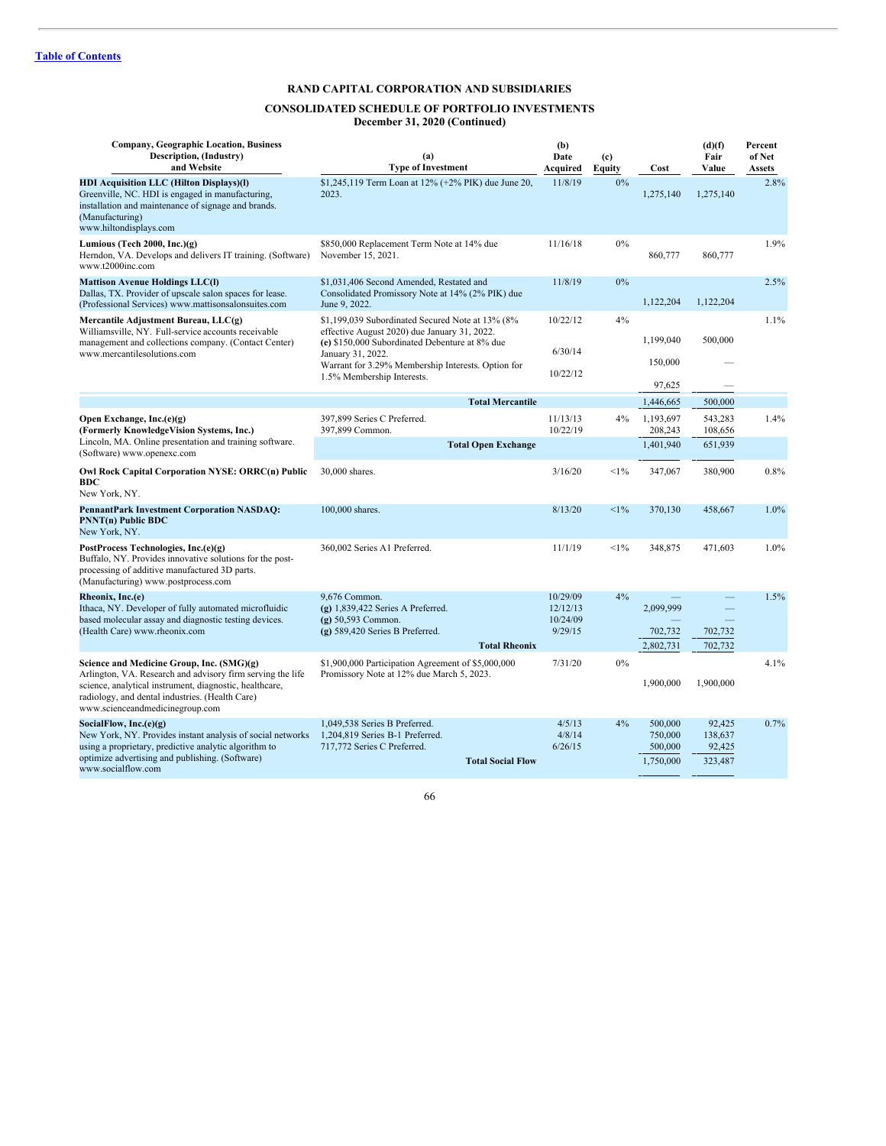## **CONSOLIDATED SCHEDULE OF PORTFOLIO INVESTMENTS December 31, 2020 (Continued)**

| <b>Company, Geographic Location, Business</b><br>Description, (Industry)<br>and Website                                                                                                                                                                  | (a)<br><b>Type of Investment</b>                                                                                                                                                                                                                            | (b)<br>Date<br>Acquired                     | (c)<br><b>Equity</b> | Cost                                       | (d)(f)<br>Fair<br>Value                | Percent<br>of Net<br><b>Assets</b> |
|----------------------------------------------------------------------------------------------------------------------------------------------------------------------------------------------------------------------------------------------------------|-------------------------------------------------------------------------------------------------------------------------------------------------------------------------------------------------------------------------------------------------------------|---------------------------------------------|----------------------|--------------------------------------------|----------------------------------------|------------------------------------|
| <b>HDI Acquisition LLC (Hilton Displays)(I)</b><br>Greenville, NC. HDI is engaged in manufacturing,<br>installation and maintenance of signage and brands.<br>(Manufacturing)<br>www.hiltondisplays.com                                                  | \$1,245,119 Term Loan at 12% (+2% PIK) due June 20,<br>2023.                                                                                                                                                                                                | 11/8/19                                     | 0%                   | 1,275,140                                  | 1,275,140                              | 2.8%                               |
| Lumious (Tech 2000, Inc.)(g)<br>Herndon, VA. Develops and delivers IT training. (Software)<br>www.t2000inc.com                                                                                                                                           | \$850,000 Replacement Term Note at 14% due<br>November 15, 2021.                                                                                                                                                                                            | 11/16/18                                    | $0\%$                | 860,777                                    | 860,777                                | 1.9%                               |
| <b>Mattison Avenue Holdings LLC(l)</b><br>Dallas, TX. Provider of upscale salon spaces for lease.<br>(Professional Services) www.mattisonsalonsuites.com                                                                                                 | \$1,031,406 Second Amended, Restated and<br>Consolidated Promissory Note at 14% (2% PIK) due<br>June 9, 2022.                                                                                                                                               | 11/8/19                                     | $0\%$                | 1,122,204                                  | 1,122,204                              | 2.5%                               |
| Mercantile Adjustment Bureau, LLC(g)<br>Williamsville, NY. Full-service accounts receivable<br>management and collections company. (Contact Center)<br>www.mercantilesolutions.com                                                                       | \$1,199,039 Subordinated Secured Note at 13% (8%<br>effective August 2020) due January 31, 2022.<br>(e) \$150,000 Subordinated Debenture at 8% due<br>January 31, 2022.<br>Warrant for 3.29% Membership Interests. Option for<br>1.5% Membership Interests. | 10/22/12<br>6/30/14<br>10/22/12             | 4%                   | 1,199,040<br>150,000<br>97,625             | 500,000                                | 1.1%                               |
|                                                                                                                                                                                                                                                          | <b>Total Mercantile</b>                                                                                                                                                                                                                                     |                                             |                      | 1,446,665                                  | 500,000                                |                                    |
| Open Exchange, Inc.(e)(g)<br>(Formerly KnowledgeVision Systems, Inc.)                                                                                                                                                                                    | 397,899 Series C Preferred.<br>397,899 Common.                                                                                                                                                                                                              | 11/13/13<br>10/22/19                        | 4%                   | 1,193,697<br>208,243                       | 543,283<br>108,656                     | 1.4%                               |
| Lincoln, MA. Online presentation and training software.<br>(Software) www.openexc.com                                                                                                                                                                    | <b>Total Open Exchange</b>                                                                                                                                                                                                                                  |                                             |                      | 1,401,940                                  | 651,939                                |                                    |
| <b>Owl Rock Capital Corporation NYSE: ORRC(n) Public</b><br><b>BDC</b><br>New York, NY.                                                                                                                                                                  | 30,000 shares.                                                                                                                                                                                                                                              | 3/16/20                                     | $<1\%$               | 347,067                                    | 380,900                                | 0.8%                               |
| <b>PennantPark Investment Corporation NASDAQ:</b><br><b>PNNT(n) Public BDC</b><br>New York, NY.                                                                                                                                                          | 100,000 shares.                                                                                                                                                                                                                                             | 8/13/20                                     | $<1\%$               | 370,130                                    | 458,667                                | 1.0%                               |
| PostProcess Technologies, Inc.(e)(g)<br>Buffalo, NY. Provides innovative solutions for the post-<br>processing of additive manufactured 3D parts.<br>(Manufacturing) www.postprocess.com                                                                 | 360,002 Series A1 Preferred.                                                                                                                                                                                                                                | 11/1/19                                     | $<1\%$               | 348,875                                    | 471,603                                | 1.0%                               |
| Rheonix, Inc.(e)<br>Ithaca, NY. Developer of fully automated microfluidic<br>based molecular assay and diagnostic testing devices.<br>(Health Care) www.rheonix.com                                                                                      | 9.676 Common.<br>$(g)$ 1,839,422 Series A Preferred.<br>$(g) 50,593$ Common.<br>$(g)$ 589,420 Series B Preferred.<br><b>Total Rheonix</b>                                                                                                                   | 10/29/09<br>12/12/13<br>10/24/09<br>9/29/15 | 4%                   | 2,099,999<br>702,732<br>2,802,731          | 702,732<br>702,732                     | 1.5%                               |
| Science and Medicine Group, Inc. (SMG)(g)<br>Arlington, VA. Research and advisory firm serving the life<br>science, analytical instrument, diagnostic, healthcare,<br>radiology, and dental industries. (Health Care)<br>www.scienceandmedicinegroup.com | \$1,900,000 Participation Agreement of \$5,000,000<br>Promissory Note at 12% due March 5, 2023.                                                                                                                                                             | 7/31/20                                     | 0%                   | 1,900,000                                  | 1,900,000                              | 4.1%                               |
| SocialFlow, $Inc.(e)(g)$<br>New York, NY. Provides instant analysis of social networks<br>using a proprietary, predictive analytic algorithm to<br>optimize advertising and publishing. (Software)<br>www.socialflow.com                                 | 1,049,538 Series B Preferred.<br>1,204,819 Series B-1 Preferred.<br>717,772 Series C Preferred.<br><b>Total Social Flow</b>                                                                                                                                 | 4/5/13<br>4/8/14<br>6/26/15                 | 4%                   | 500,000<br>750,000<br>500,000<br>1,750,000 | 92,425<br>138,637<br>92,425<br>323,487 | 0.7%                               |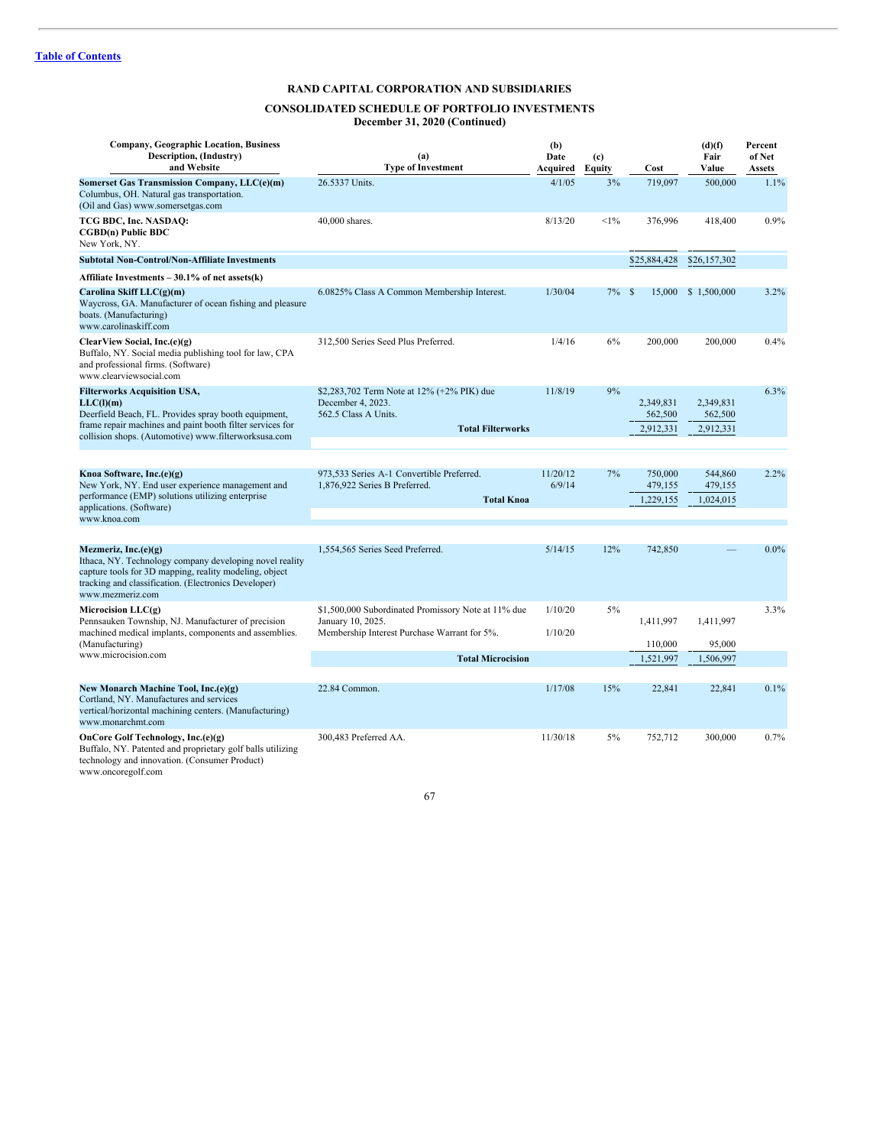## **CONSOLIDATED SCHEDULE OF PORTFOLIO INVESTMENTS December 31, 2020 (Continued)**

| <b>Company, Geographic Location, Business</b><br>Description, (Industry)<br>and Website                                                                                                                                       | (a)<br><b>Type of Investment</b>                                                                                         | (b)<br>Date<br>Acquired | (c)<br><b>Equity</b> | Cost                              | (d)(f)<br>Fair<br>Value           | Percent<br>of Net<br><b>Assets</b> |
|-------------------------------------------------------------------------------------------------------------------------------------------------------------------------------------------------------------------------------|--------------------------------------------------------------------------------------------------------------------------|-------------------------|----------------------|-----------------------------------|-----------------------------------|------------------------------------|
| Somerset Gas Transmission Company, LLC(e)(m)<br>Columbus, OH. Natural gas transportation.<br>(Oil and Gas) www.somersetgas.com                                                                                                | 26.5337 Units.                                                                                                           | 4/1/05                  | 3%                   | 719,097                           | 500,000                           | 1.1%                               |
| TCG BDC, Inc. NASDAQ:<br>CGBD(n) Public BDC<br>New York, NY.                                                                                                                                                                  | 40,000 shares.                                                                                                           | 8/13/20                 | $<1\%$               | 376,996                           | 418,400                           | 0.9%                               |
| <b>Subtotal Non-Control/Non-Affiliate Investments</b>                                                                                                                                                                         |                                                                                                                          |                         |                      | \$25,884,428                      | \$26,157,302                      |                                    |
| Affiliate Investments - 30.1% of net assets(k)                                                                                                                                                                                |                                                                                                                          |                         |                      |                                   |                                   |                                    |
| Carolina Skiff LLC(g)(m)<br>Waycross, GA. Manufacturer of ocean fishing and pleasure<br>boats. (Manufacturing)<br>www.carolinaskiff.com                                                                                       | 6.0825% Class A Common Membership Interest.                                                                              | 1/30/04                 | $7\%$                | -S<br>15,000                      | \$1,500,000                       | 3.2%                               |
| ClearView Social, Inc.(e)(g)<br>Buffalo, NY. Social media publishing tool for law, CPA<br>and professional firms. (Software)<br>www.clearviewsocial.com                                                                       | 312,500 Series Seed Plus Preferred.                                                                                      | 1/4/16                  | 6%                   | 200,000                           | 200,000                           | 0.4%                               |
| <b>Filterworks Acquisition USA,</b><br>LLC(l)(m)<br>Deerfield Beach, FL. Provides spray booth equipment,<br>frame repair machines and paint booth filter services for<br>collision shops. (Automotive) www.filterworksusa.com | \$2,283,702 Term Note at 12% (+2% PIK) due<br>December 4, 2023.<br>562.5 Class A Units.<br><b>Total Filterworks</b>      | 11/8/19                 | 9%                   | 2,349,831<br>562,500<br>2,912,331 | 2,349,831<br>562,500<br>2,912,331 | 6.3%                               |
|                                                                                                                                                                                                                               |                                                                                                                          |                         |                      |                                   |                                   |                                    |
| Knoa Software, Inc.(e)(g)<br>New York, NY. End user experience management and<br>performance (EMP) solutions utilizing enterprise<br>applications. (Software)                                                                 | 973,533 Series A-1 Convertible Preferred.<br>1,876,922 Series B Preferred.<br><b>Total Knoa</b>                          | 11/20/12<br>6/9/14      | 7%                   | 750,000<br>479,155<br>1,229,155   | 544,860<br>479,155<br>1,024,015   | $2.2\%$                            |
| www.knoa.com                                                                                                                                                                                                                  |                                                                                                                          |                         |                      |                                   |                                   |                                    |
| Mezmeriz, Inc.(e)(g)<br>Ithaca, NY. Technology company developing novel reality<br>capture tools for 3D mapping, reality modeling, object<br>tracking and classification. (Electronics Developer)<br>www.mezmeriz.com         | 1.554.565 Series Seed Preferred.                                                                                         | 5/14/15                 | 12%                  | 742,850                           |                                   | $0.0\%$                            |
| Microcision LLC(g)<br>Pennsauken Township, NJ. Manufacturer of precision<br>machined medical implants, components and assemblies.                                                                                             | \$1,500,000 Subordinated Promissory Note at 11% due<br>January 10, 2025.<br>Membership Interest Purchase Warrant for 5%. | 1/10/20<br>1/10/20      | 5%                   | 1,411,997                         | 1,411,997                         | 3.3%                               |
| (Manufacturing)<br>www.microcision.com                                                                                                                                                                                        | <b>Total Microcision</b>                                                                                                 |                         |                      | 110,000<br>1,521,997              | 95,000<br>1,506,997               |                                    |
|                                                                                                                                                                                                                               |                                                                                                                          |                         |                      |                                   |                                   |                                    |
| New Monarch Machine Tool, Inc.(e)(g)<br>Cortland, NY. Manufactures and services<br>vertical/horizontal machining centers. (Manufacturing)<br>www.monarchmt.com                                                                | 22.84 Common.                                                                                                            | 1/17/08                 | 15%                  | 22,841                            | 22,841                            | 0.1%                               |
| OnCore Golf Technology, Inc.(e)(g)<br>Buffalo, NY. Patented and proprietary golf balls utilizing<br>technology and innovation. (Consumer Product)<br>www.oncoregolf.com                                                       | 300,483 Preferred AA.                                                                                                    | 11/30/18                | $5\%$                | 752,712                           | 300,000                           | 0.7%                               |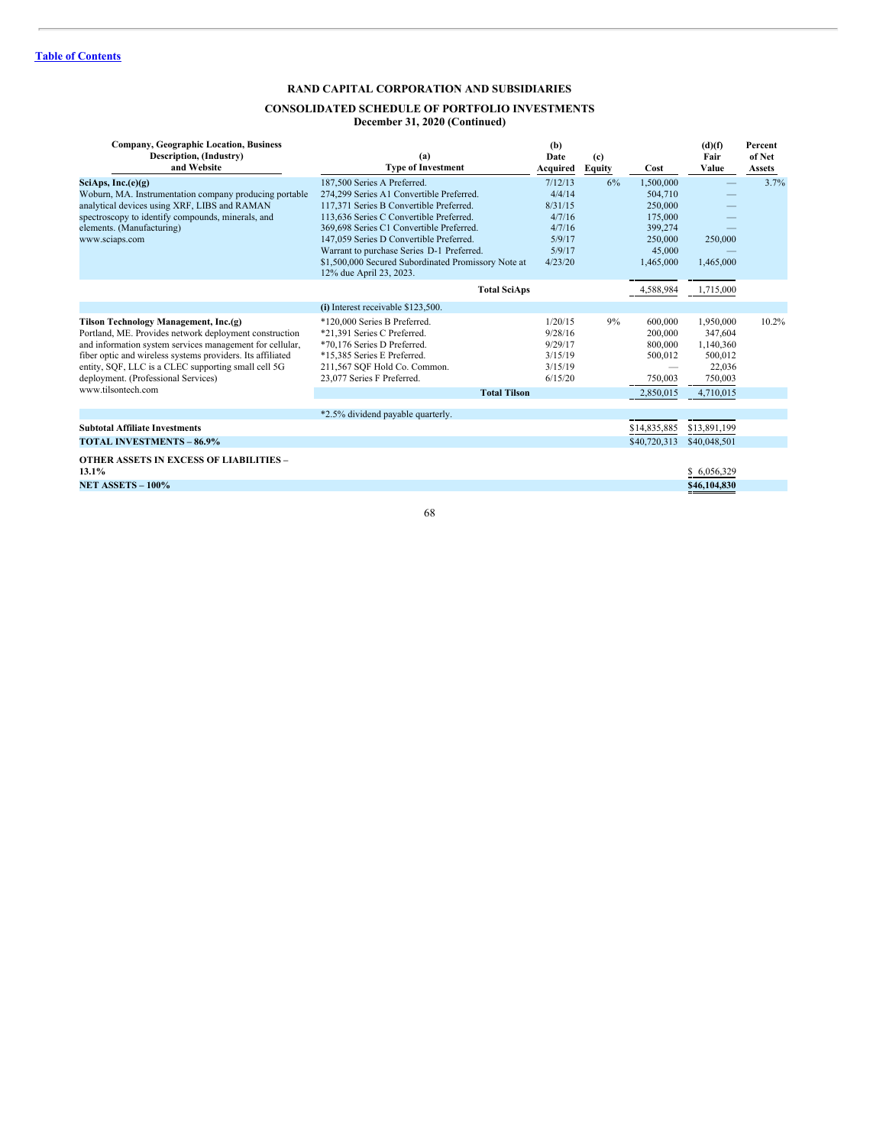## **CONSOLIDATED SCHEDULE OF PORTFOLIO INVESTMENTS December 31, 2020 (Continued)**

| <b>Company, Geographic Location, Business</b><br>Description, (Industry) |                                                                                | (b)              |                      |              | (d)(f)<br>Fair | Percent<br>of Net |
|--------------------------------------------------------------------------|--------------------------------------------------------------------------------|------------------|----------------------|--------------|----------------|-------------------|
| and Website                                                              | (a)<br><b>Type of Investment</b>                                               | Date<br>Acquired | (c)<br><b>Equity</b> | Cost         | Value          | <b>Assets</b>     |
| SciAps, $Inc.(e)(g)$                                                     | 187,500 Series A Preferred.                                                    | 7/12/13          | 6%                   | 1,500,000    |                | 3.7%              |
| Woburn, MA. Instrumentation company producing portable                   | 274,299 Series A1 Convertible Preferred.                                       | 4/4/14           |                      | 504,710      |                |                   |
| analytical devices using XRF, LIBS and RAMAN                             | 117,371 Series B Convertible Preferred.                                        | 8/31/15          |                      | 250,000      |                |                   |
| spectroscopy to identify compounds, minerals, and                        | 113.636 Series C Convertible Preferred.                                        | 4/7/16           |                      | 175,000      |                |                   |
| elements. (Manufacturing)                                                | 369,698 Series C1 Convertible Preferred.                                       | 4/7/16           |                      | 399,274      |                |                   |
| www.sciaps.com                                                           | 147,059 Series D Convertible Preferred.                                        | 5/9/17           |                      | 250,000      | 250,000        |                   |
|                                                                          | Warrant to purchase Series D-1 Preferred.                                      | 5/9/17           |                      | 45,000       |                |                   |
|                                                                          | \$1,500,000 Secured Subordinated Promissory Note at<br>12% due April 23, 2023. | 4/23/20          |                      | 1,465,000    | 1,465,000      |                   |
|                                                                          | <b>Total SciAps</b>                                                            |                  |                      | 4,588,984    | 1,715,000      |                   |
|                                                                          | (i) Interest receivable \$123,500.                                             |                  |                      |              |                |                   |
| Tilson Technology Management, Inc.(g)                                    | *120,000 Series B Preferred.                                                   | 1/20/15          | 9%                   | 600,000      | 1,950,000      | 10.2%             |
| Portland, ME. Provides network deployment construction                   | *21,391 Series C Preferred.                                                    | 9/28/16          |                      | 200,000      | 347,604        |                   |
| and information system services management for cellular,                 | *70.176 Series D Preferred.                                                    | 9/29/17          |                      | 800,000      | 1,140,360      |                   |
| fiber optic and wireless systems providers. Its affiliated               | *15,385 Series E Preferred.                                                    | 3/15/19          |                      | 500,012      | 500,012        |                   |
| entity, SQF, LLC is a CLEC supporting small cell 5G                      | 211,567 SQF Hold Co. Common.                                                   | 3/15/19          |                      |              | 22,036         |                   |
| deployment. (Professional Services)                                      | 23,077 Series F Preferred.                                                     | 6/15/20          |                      | 750,003      | 750,003        |                   |
| www.tilsontech.com                                                       | <b>Total Tilson</b>                                                            |                  |                      | 2,850,015    | 4,710,015      |                   |
|                                                                          | *2.5% dividend payable quarterly.                                              |                  |                      |              |                |                   |
| <b>Subtotal Affiliate Investments</b>                                    |                                                                                |                  |                      | \$14,835,885 | \$13,891,199   |                   |
| <b>TOTAL INVESTMENTS - 86.9%</b>                                         |                                                                                |                  |                      | \$40,720,313 | \$40,048,501   |                   |
| <b>OTHER ASSETS IN EXCESS OF LIABILITIES -</b>                           |                                                                                |                  |                      |              |                |                   |
| 13.1%                                                                    |                                                                                |                  |                      |              | \$6,056,329    |                   |
| <b>NET ASSETS - 100%</b>                                                 |                                                                                |                  |                      |              | \$46,104,830   |                   |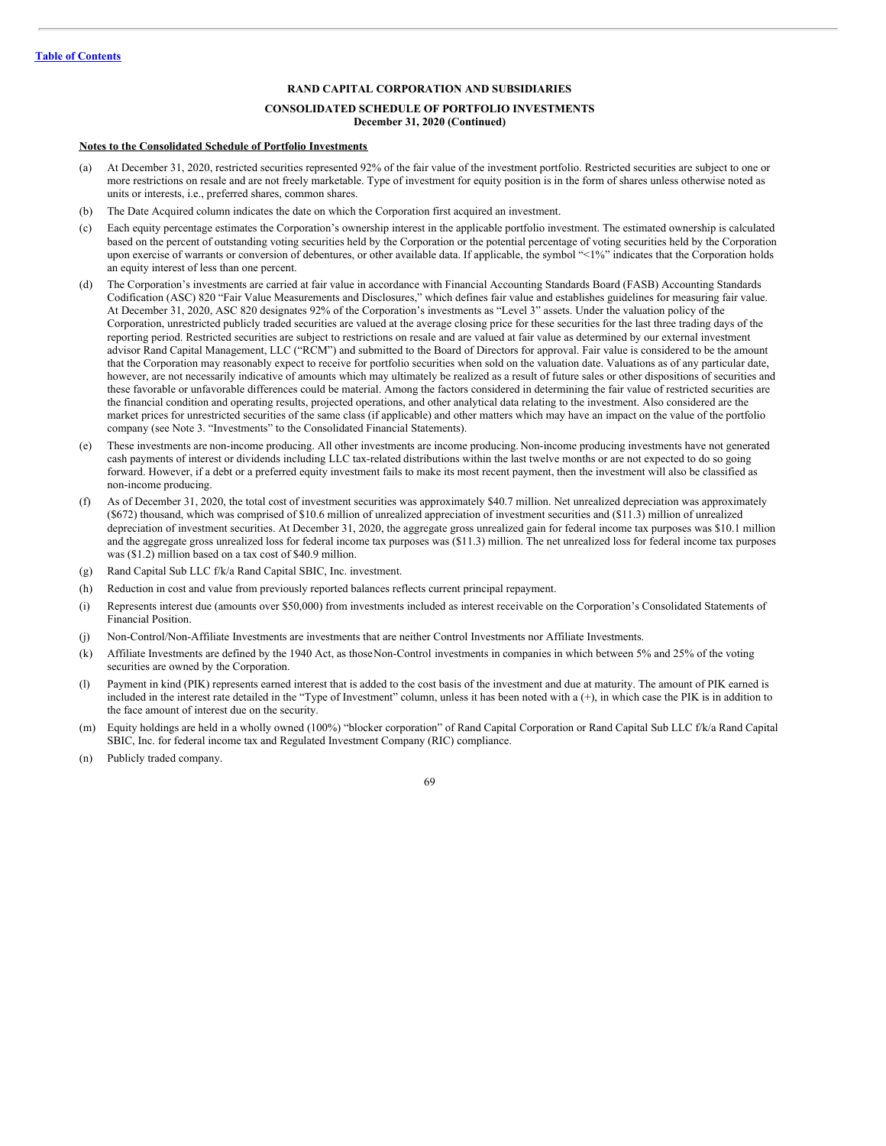# **CONSOLIDATED SCHEDULE OF PORTFOLIO INVESTMENTS December 31, 2020 (Continued)**

#### **Notes to the Consolidated Schedule of Portfolio Investments**

- (a) At December 31, 2020, restricted securities represented 92% of the fair value of the investment portfolio. Restricted securities are subject to one or more restrictions on resale and are not freely marketable. Type of investment for equity position is in the form of shares unless otherwise noted as units or interests, i.e., preferred shares, common shares.
- (b) The Date Acquired column indicates the date on which the Corporation first acquired an investment.
- (c) Each equity percentage estimates the Corporation's ownership interest in the applicable portfolio investment. The estimated ownership is calculated based on the percent of outstanding voting securities held by the Corporation or the potential percentage of voting securities held by the Corporation upon exercise of warrants or conversion of debentures, or other available data. If applicable, the symbol "<1%" indicates that the Corporation holds an equity interest of less than one percent.
- The Corporation's investments are carried at fair value in accordance with Financial Accounting Standards Board (FASB) Accounting Standards Codification (ASC) 820 "Fair Value Measurements and Disclosures," which defines fair value and establishes guidelines for measuring fair value. At December 31, 2020, ASC 820 designates 92% of the Corporation's investments as "Level 3" assets. Under the valuation policy of the Corporation, unrestricted publicly traded securities are valued at the average closing price for these securities for the last three trading days of the reporting period. Restricted securities are subject to restrictions on resale and are valued at fair value as determined by our external investment advisor Rand Capital Management, LLC ("RCM") and submitted to the Board of Directors for approval. Fair value is considered to be the amount that the Corporation may reasonably expect to receive for portfolio securities when sold on the valuation date. Valuations as of any particular date, however, are not necessarily indicative of amounts which may ultimately be realized as a result of future sales or other dispositions of securities and these favorable or unfavorable differences could be material. Among the factors considered in determining the fair value of restricted securities are the financial condition and operating results, projected operations, and other analytical data relating to the investment. Also considered are the market prices for unrestricted securities of the same class (if applicable) and other matters which may have an impact on the value of the portfolio company (see Note 3. "Investments" to the Consolidated Financial Statements).
- (e) These investments are non-income producing. All other investments are income producing. Non-income producing investments have not generated cash payments of interest or dividends including LLC tax-related distributions within the last twelve months or are not expected to do so going forward. However, if a debt or a preferred equity investment fails to make its most recent payment, then the investment will also be classified as non-income producing.
- (f) As of December 31, 2020, the total cost of investment securities was approximately \$40.7 million. Net unrealized depreciation was approximately (\$672) thousand, which was comprised of \$10.6 million of unrealized appreciation of investment securities and (\$11.3) million of unrealized depreciation of investment securities. At December 31, 2020, the aggregate gross unrealized gain for federal income tax purposes was \$10.1 million and the aggregate gross unrealized loss for federal income tax purposes was (\$11.3) million. The net unrealized loss for federal income tax purposes was (\$1.2) million based on a tax cost of \$40.9 million.
- (g) Rand Capital Sub LLC f/k/a Rand Capital SBIC, Inc. investment.
- (h) Reduction in cost and value from previously reported balances reflects current principal repayment.
- (i) Represents interest due (amounts over \$50,000) from investments included as interest receivable on the Corporation's Consolidated Statements of Financial Position.
- (j) Non-Control/Non-Affiliate Investments are investments that are neither Control Investments nor Affiliate Investments.
- (k) Affiliate Investments are defined by the 1940 Act, as thoseNon-Control investments in companies in which between 5% and 25% of the voting securities are owned by the Corporation.
- (l) Payment in kind (PIK) represents earned interest that is added to the cost basis of the investment and due at maturity. The amount of PIK earned is included in the interest rate detailed in the "Type of Investment" column, unless it has been noted with a (+), in which case the PIK is in addition to the face amount of interest due on the security.
- (m) Equity holdings are held in a wholly owned (100%) "blocker corporation" of Rand Capital Corporation or Rand Capital Sub LLC f/k/a Rand Capital SBIC, Inc. for federal income tax and Regulated Investment Company (RIC) compliance.
- (n) Publicly traded company.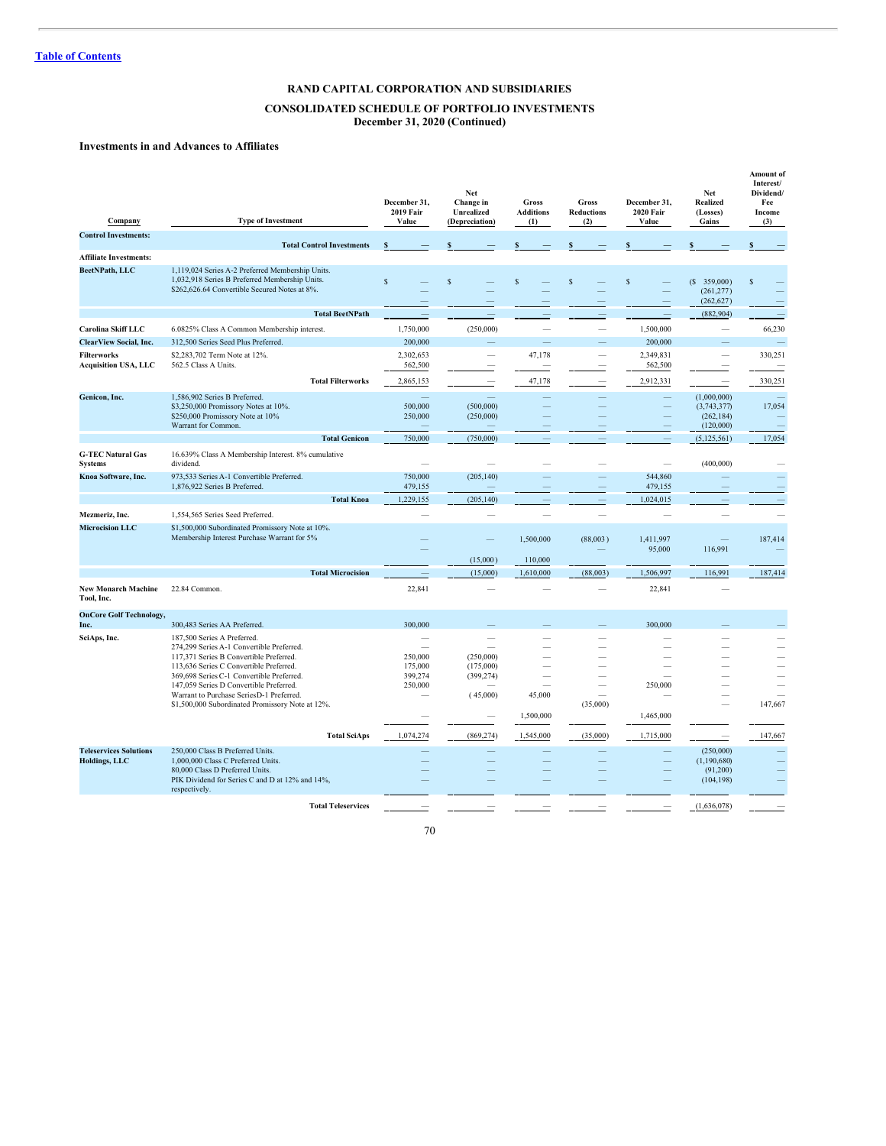# **CONSOLIDATED SCHEDULE OF PORTFOLIO INVESTMENTS December 31, 2020 (Continued)**

## **Investments in and Advances to Affiliates**

| Company                                           | <b>Type of Investment</b>                                                                                                                                                                                                                                           | December 31,<br><b>2019 Fair</b><br>Value | Net<br>Change in<br><b>Unrealized</b><br>(Depreciation) | <b>Gross</b><br><b>Additions</b><br>(1) | <b>Gross</b><br><b>Reductions</b><br>(2) | December 31,<br><b>2020 Fair</b><br>Value | Net<br><b>Realized</b><br>(Losses)<br>Gains           | Amount of<br>Interest/<br>Dividend/<br>Fee<br>Income<br>(3) |
|---------------------------------------------------|---------------------------------------------------------------------------------------------------------------------------------------------------------------------------------------------------------------------------------------------------------------------|-------------------------------------------|---------------------------------------------------------|-----------------------------------------|------------------------------------------|-------------------------------------------|-------------------------------------------------------|-------------------------------------------------------------|
| <b>Control Investments:</b>                       |                                                                                                                                                                                                                                                                     |                                           |                                                         |                                         |                                          |                                           |                                                       |                                                             |
| <b>Affiliate Investments:</b>                     | <b>Total Control Investments</b>                                                                                                                                                                                                                                    |                                           |                                                         |                                         |                                          |                                           |                                                       |                                                             |
| <b>BeetNPath, LLC</b>                             | 1,119,024 Series A-2 Preferred Membership Units.                                                                                                                                                                                                                    |                                           |                                                         |                                         |                                          |                                           |                                                       |                                                             |
|                                                   | 1,032,918 Series B Preferred Membership Units.<br>\$262,626.64 Convertible Secured Notes at 8%.                                                                                                                                                                     | S                                         | $\mathbb S$                                             | S                                       | $\mathbb S$                              | S                                         | (S)<br>359,000)<br>(261, 277)<br>(262, 627)           | $\mathsf{s}$                                                |
|                                                   | <b>Total BeetNPath</b>                                                                                                                                                                                                                                              |                                           |                                                         |                                         |                                          |                                           | (882, 904)                                            |                                                             |
| Carolina Skiff LLC                                | 6.0825% Class A Common Membership interest.                                                                                                                                                                                                                         | 1,750,000                                 | (250,000)                                               |                                         |                                          | 1,500,000                                 | $\overline{\phantom{0}}$                              | 66,230                                                      |
| <b>ClearView Social, Inc.</b>                     | 312,500 Series Seed Plus Preferred.                                                                                                                                                                                                                                 | 200,000                                   |                                                         |                                         |                                          | 200,000                                   |                                                       |                                                             |
| <b>Filterworks</b><br><b>Acquisition USA, LLC</b> | \$2,283,702 Term Note at 12%.<br>562.5 Class A Units.                                                                                                                                                                                                               | 2,302,653<br>562,500                      |                                                         | 47,178                                  |                                          | 2,349,831<br>562,500                      |                                                       | 330,251                                                     |
|                                                   | <b>Total Filterworks</b>                                                                                                                                                                                                                                            | 2,865,153                                 |                                                         | 47,178                                  |                                          | 2,912,331                                 |                                                       | 330,251                                                     |
| Genicon, Inc.                                     | 1,586,902 Series B Preferred.<br>\$3,250,000 Promissory Notes at 10%.<br>\$250,000 Promissory Note at 10%<br>Warrant for Common.                                                                                                                                    | 500,000<br>250,000                        | (500,000)<br>(250,000)                                  |                                         |                                          |                                           | (1,000,000)<br>(3,743,377)<br>(262, 184)<br>(120,000) | 17,054                                                      |
|                                                   | <b>Total Genicon</b>                                                                                                                                                                                                                                                | 750,000                                   | (750,000)                                               |                                         |                                          |                                           | (5,125,561)                                           | 17,054                                                      |
| <b>G-TEC Natural Gas</b><br><b>Systems</b>        | 16.639% Class A Membership Interest. 8% cumulative<br>dividend.                                                                                                                                                                                                     |                                           |                                                         |                                         |                                          |                                           | (400,000)                                             |                                                             |
| Knoa Software, Inc.                               | 973,533 Series A-1 Convertible Preferred.<br>1,876,922 Series B Preferred.                                                                                                                                                                                          | 750,000<br>479,155                        | (205, 140)                                              |                                         |                                          | 544,860<br>479,155                        |                                                       |                                                             |
|                                                   | <b>Total Knoa</b>                                                                                                                                                                                                                                                   | 1,229,155                                 | (205, 140)                                              |                                         |                                          | 1,024,015                                 |                                                       |                                                             |
| Mezmeriz, Inc.                                    | 1,554,565 Series Seed Preferred.                                                                                                                                                                                                                                    | $\overline{\phantom{0}}$                  |                                                         |                                         |                                          |                                           | -                                                     |                                                             |
| <b>Microcision LLC</b>                            | \$1,500,000 Subordinated Promissory Note at 10%.<br>Membership Interest Purchase Warrant for 5%                                                                                                                                                                     |                                           | (15,000)                                                | 1,500,000<br>110,000                    | (88,003)                                 | 1,411,997<br>95,000                       | 116,991                                               | 187,414                                                     |
|                                                   | <b>Total Microcision</b>                                                                                                                                                                                                                                            |                                           | (15,000)                                                | 1,610,000                               | (88,003)                                 | 1,506,997                                 | 116,991                                               | 187,414                                                     |
| <b>New Monarch Machine</b><br>Tool, Inc.          | 22.84 Common.                                                                                                                                                                                                                                                       | 22,841                                    |                                                         |                                         |                                          | 22,841                                    |                                                       |                                                             |
| <b>OnCore Golf Technology,</b><br>Inc.            | 300,483 Series AA Preferred.                                                                                                                                                                                                                                        | 300,000                                   |                                                         |                                         |                                          | 300,000                                   |                                                       |                                                             |
| SciAps, Inc.                                      | 187,500 Series A Preferred.                                                                                                                                                                                                                                         |                                           |                                                         |                                         |                                          |                                           |                                                       |                                                             |
|                                                   | 274,299 Series A-1 Convertible Preferred.<br>117,371 Series B Convertible Preferred.<br>113,636 Series C Convertible Preferred.<br>369,698 Series C-1 Convertible Preferred.<br>147,059 Series D Convertible Preferred.<br>Warrant to Purchase SeriesD-1 Preferred. | 250,000<br>175,000<br>399,274<br>250,000  | (250,000)<br>(175,000)<br>(399, 274)<br>(45,000)        | 45,000                                  | $\overline{\phantom{a}}$                 | 250,000                                   | -                                                     | $\overline{\phantom{a}}$                                    |
|                                                   | \$1,500,000 Subordinated Promissory Note at 12%.                                                                                                                                                                                                                    |                                           |                                                         |                                         | (35,000)                                 |                                           |                                                       | 147,667                                                     |
|                                                   | <b>Total SciAps</b>                                                                                                                                                                                                                                                 | 1,074,274                                 | (869, 274)                                              | 1,500,000<br>1,545,000                  | (35,000)                                 | 1,465,000<br>1,715,000                    |                                                       | 147,667                                                     |
| <b>Teleservices Solutions</b>                     | 250,000 Class B Preferred Units.                                                                                                                                                                                                                                    |                                           |                                                         |                                         |                                          |                                           | (250,000)                                             |                                                             |
| <b>Holdings, LLC</b>                              | 1,000,000 Class C Preferred Units.<br>80,000 Class D Preferred Units.<br>PIK Dividend for Series C and D at 12% and 14%,<br>respectively.                                                                                                                           |                                           |                                                         |                                         |                                          |                                           | (1,190,680)<br>(91,200)<br>(104, 198)                 | -                                                           |
|                                                   | <b>Total Teleservices</b>                                                                                                                                                                                                                                           |                                           |                                                         |                                         |                                          |                                           | (1,636,078)                                           |                                                             |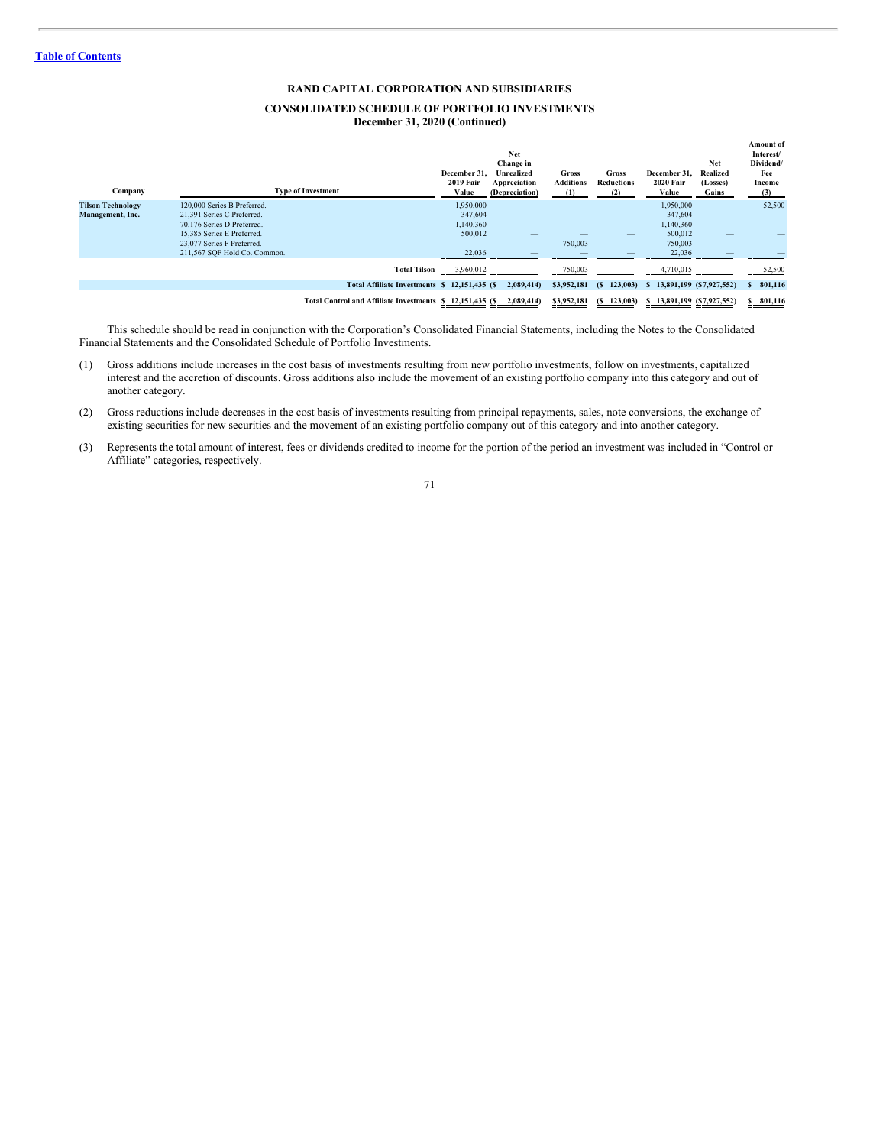## **CONSOLIDATED SCHEDULE OF PORTFOLIO INVESTMENTS December 31, 2020 (Continued)**

| Company                  |                              | <b>Type of Investment</b>                                 | December 31.<br><b>2019 Fair</b><br>Value | Net<br>Change in<br><b>Unrealized</b><br>Appreciation<br>(Depreciation) | Gross<br><b>Additions</b><br>(1) | Gross<br><b>Reductions</b><br>(2) | December 31.<br><b>2020 Fair</b><br>Value | Net<br>Realized<br>(Losses)<br>Gains | <b>Amount of</b><br>Interest/<br>Dividend/<br>Fee<br>Income<br>(3) |
|--------------------------|------------------------------|-----------------------------------------------------------|-------------------------------------------|-------------------------------------------------------------------------|----------------------------------|-----------------------------------|-------------------------------------------|--------------------------------------|--------------------------------------------------------------------|
| <b>Tilson Technology</b> | 120,000 Series B Preferred.  |                                                           | 1,950,000                                 | $-$                                                                     | $-$                              |                                   | 1,950,000                                 | $\qquad \qquad -$                    | 52,500                                                             |
| Management, Inc.         | 21,391 Series C Preferred.   |                                                           | 347,604                                   |                                                                         | _                                |                                   | 347,604                                   |                                      |                                                                    |
|                          | 70.176 Series D Preferred.   |                                                           | 1,140,360                                 | $-$                                                                     | $\overline{\phantom{0}}$         |                                   | 1,140,360                                 | $\qquad \qquad -$                    | $\overline{\phantom{m}}$                                           |
|                          | 15.385 Series E Preferred.   |                                                           | 500,012                                   |                                                                         |                                  |                                   | 500,012                                   |                                      |                                                                    |
|                          | 23.077 Series F Preferred.   |                                                           |                                           | $\qquad \qquad$                                                         | 750,003                          | $\qquad \qquad -$                 | 750,003                                   |                                      |                                                                    |
|                          | 211,567 SQF Hold Co. Common. |                                                           | 22,036                                    |                                                                         |                                  |                                   | 22,036                                    |                                      |                                                                    |
|                          |                              | <b>Total Tilson</b>                                       | 3,960,012                                 |                                                                         | 750,003                          |                                   | 4,710,015                                 | -                                    | 52,500                                                             |
|                          |                              | Total Affiliate Investments \$ 12,151,435 (\$             |                                           | 2,089,414)                                                              | \$3,952,181                      | $(S\ 123,003)$                    | \$13,891,199 (\$7,927,552)                |                                      | 801,116<br>s                                                       |
|                          |                              | Total Control and Affiliate Investments \$ 12,151,435 (\$ |                                           | 2,089,414)                                                              | \$3,952,181                      | $(S\ 123,003)$                    | \$13,891,199 (\$7,927,552)                |                                      | 801,116<br>s.                                                      |

This schedule should be read in conjunction with the Corporation's Consolidated Financial Statements, including the Notes to the Consolidated Financial Statements and the Consolidated Schedule of Portfolio Investments.

- (1) Gross additions include increases in the cost basis of investments resulting from new portfolio investments, follow on investments, capitalized interest and the accretion of discounts. Gross additions also include the movement of an existing portfolio company into this category and out of another category.
- (2) Gross reductions include decreases in the cost basis of investments resulting from principal repayments, sales, note conversions, the exchange of existing securities for new securities and the movement of an existing portfolio company out of this category and into another category.
- (3) Represents the total amount of interest, fees or dividends credited to income for the portion of the period an investment was included in "Control or Affiliate" categories, respectively.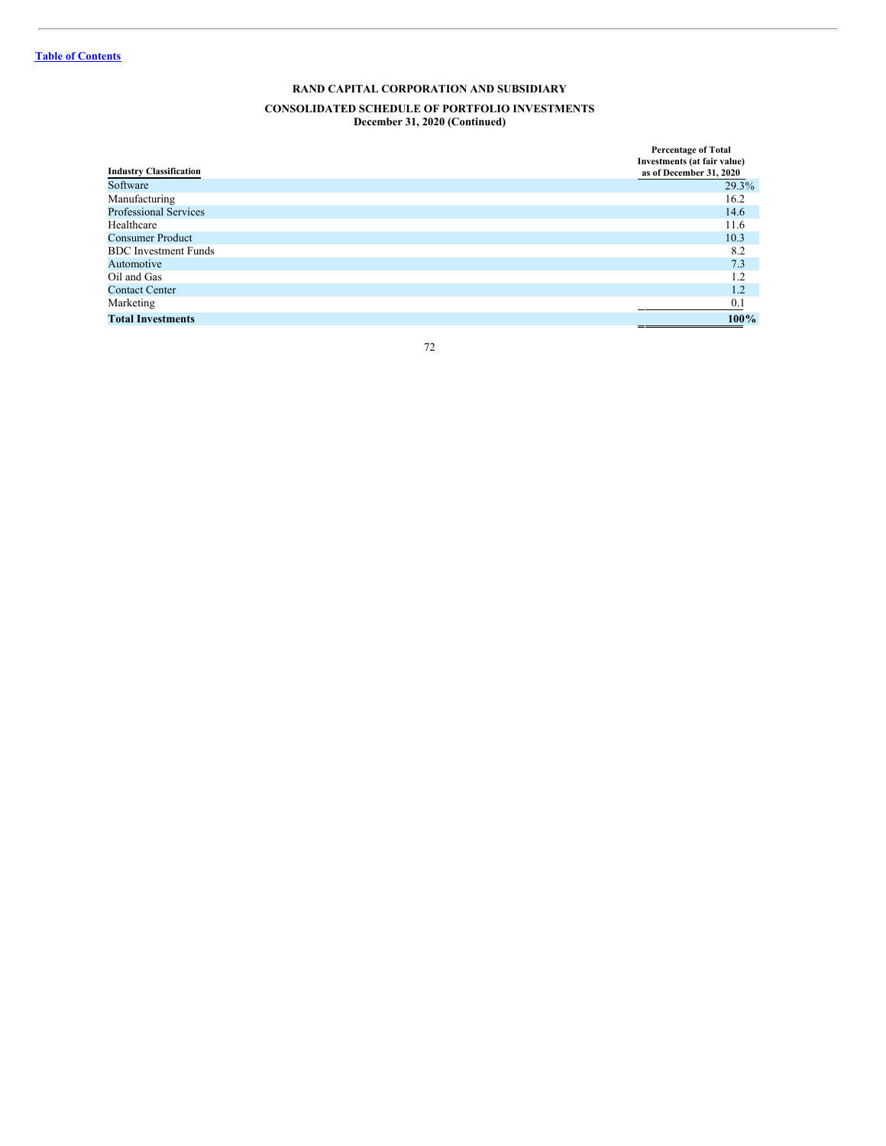# **CONSOLIDATED SCHEDULE OF PORTFOLIO INVESTMENTS December 31, 2020 (Continued)**

|                                | <b>Percentage of Total</b>  |
|--------------------------------|-----------------------------|
|                                | Investments (at fair value) |
| <b>Industry Classification</b> | as of December 31, 2020     |
| Software                       | 29.3%                       |
| Manufacturing                  | 16.2                        |
| <b>Professional Services</b>   | 14.6                        |
| Healthcare                     | 11.6                        |
| <b>Consumer Product</b>        | 10.3                        |
| <b>BDC</b> Investment Funds    | 8.2                         |
| Automotive                     | 7.3                         |
| Oil and Gas                    | 1.2                         |
| <b>Contact Center</b>          | 1.2                         |
| Marketing                      | 0.1                         |
| <b>Total Investments</b>       | $100\%$                     |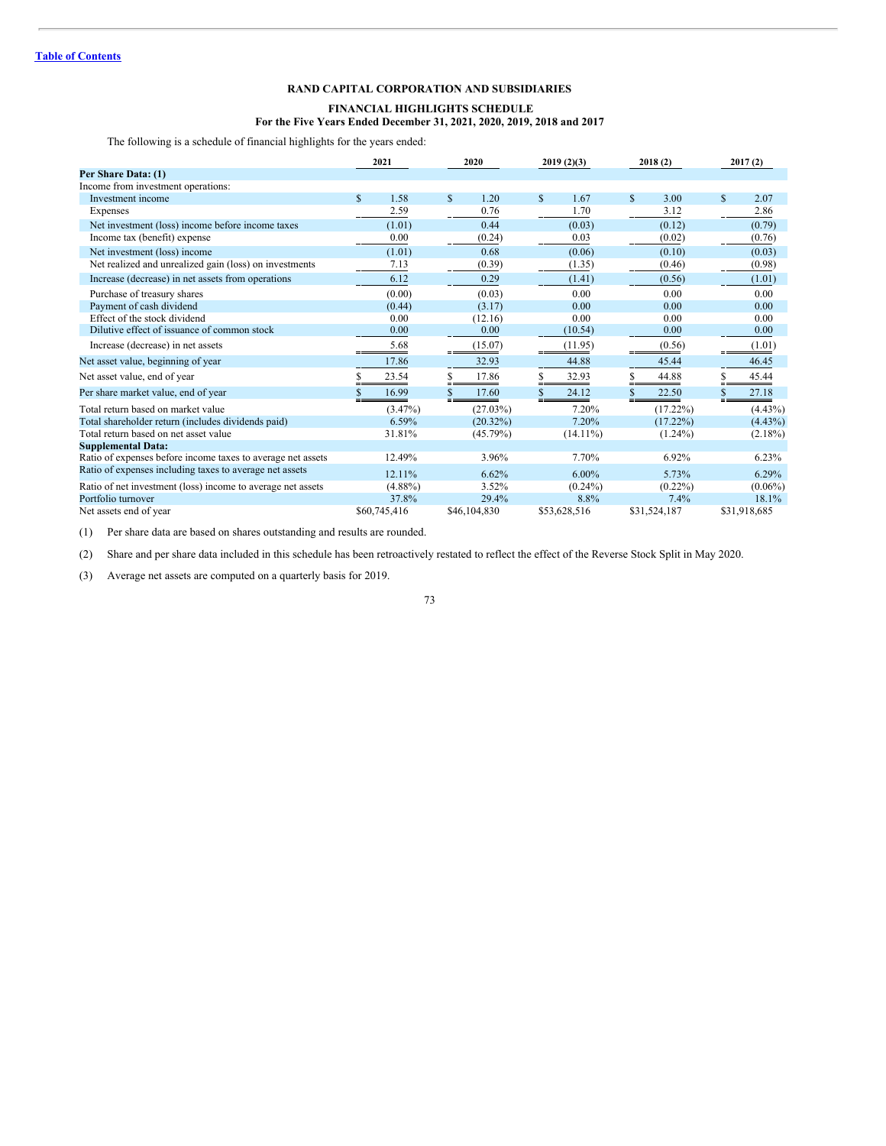#### **FINANCIAL HIGHLIGHTS SCHEDULE For the Five Years Ended December 31, 2021, 2020, 2019, 2018 and 2017**

The following is a schedule of financial highlights for the years ended:

|                                                             |             | 2021         |              | 2020         |             | 2019(2)(3)   |              | 2018(2)      |          | 2017(2)      |
|-------------------------------------------------------------|-------------|--------------|--------------|--------------|-------------|--------------|--------------|--------------|----------|--------------|
| Per Share Data: (1)                                         |             |              |              |              |             |              |              |              |          |              |
| Income from investment operations:                          |             |              |              |              |             |              |              |              |          |              |
| Investment income                                           | $\mathbf S$ | 1.58         | $\mathbb{S}$ | 1.20         | $\mathbf S$ | 1.67         | $\mathbb{S}$ | 3.00         | \$       | 2.07         |
| Expenses                                                    |             | 2.59         |              | 0.76         |             | 1.70         |              | 3.12         |          | 2.86         |
| Net investment (loss) income before income taxes            |             | (1.01)       |              | 0.44         |             | (0.03)       |              | (0.12)       |          | (0.79)       |
| Income tax (benefit) expense                                |             | 0.00         |              | (0.24)       |             | 0.03         |              | (0.02)       |          | (0.76)       |
| Net investment (loss) income                                |             | (1.01)       |              | 0.68         |             | (0.06)       |              | (0.10)       |          | (0.03)       |
| Net realized and unrealized gain (loss) on investments      |             | 7.13         |              | (0.39)       |             | (1.35)       |              | (0.46)       |          | (0.98)       |
| Increase (decrease) in net assets from operations           |             | 6.12         |              | 0.29         |             | (1.41)       |              | (0.56)       |          | (1.01)       |
| Purchase of treasury shares                                 |             | (0.00)       |              | (0.03)       |             | 0.00         |              | 0.00         |          | 0.00         |
| Payment of cash dividend                                    |             | (0.44)       |              | (3.17)       |             | 0.00         |              | 0.00         |          | 0.00         |
| Effect of the stock dividend                                |             | 0.00         |              | (12.16)      |             | 0.00         |              | 0.00         |          | 0.00         |
| Dilutive effect of issuance of common stock                 |             | 0.00         |              | 0.00         |             | (10.54)      |              | 0.00         |          | 0.00         |
| Increase (decrease) in net assets                           |             | 5.68         |              | (15.07)      |             | (11.95)      |              | (0.56)       |          | (1.01)       |
| Net asset value, beginning of year                          |             | 17.86        |              | 32.93        |             | 44.88        |              | 45.44        |          | 46.45        |
| Net asset value, end of year                                | \$          | 23.54        | \$           | 17.86        | S           | 32.93        | \$<br>--     | 44.88        | \$<br>÷- | 45.44        |
| Per share market value, end of year                         |             | 16.99        |              | 17.60        |             | 24.12        |              | 22.50        | \$       | 27.18        |
| Total return based on market value                          |             | $(3.47\%)$   |              | (27.03%)     |             | 7.20%        |              | $(17.22\%)$  |          | $(4.43\%)$   |
| Total shareholder return (includes dividends paid)          |             | 6.59%        |              | $(20.32\%)$  |             | 7.20%        |              | $(17.22\%)$  |          | $(4.43\%)$   |
| Total return based on net asset value                       |             | 31.81%       |              | (45.79%)     |             | $(14.11\%)$  |              | $(1.24\%)$   |          | $(2.18\%)$   |
| <b>Supplemental Data:</b>                                   |             |              |              |              |             |              |              |              |          |              |
| Ratio of expenses before income taxes to average net assets |             | 12.49%       |              | 3.96%        |             | 7.70%        |              | 6.92%        |          | 6.23%        |
| Ratio of expenses including taxes to average net assets     |             | 12.11%       |              | 6.62%        |             | $6.00\%$     |              | 5.73%        |          | $6.29\%$     |
| Ratio of net investment (loss) income to average net assets |             | $(4.88\%)$   |              | 3.52%        |             | $(0.24\%)$   |              | $(0.22\%)$   |          | $(0.06\%)$   |
| Portfolio turnover                                          |             | 37.8%        |              | 29.4%        |             | 8.8%         |              | 7.4%         |          | 18.1%        |
| Net assets end of year                                      |             | \$60,745,416 |              | \$46,104,830 |             | \$53,628,516 |              | \$31,524,187 |          | \$31,918,685 |

(1) Per share data are based on shares outstanding and results are rounded.

(2) Share and per share data included in this schedule has been retroactively restated to reflect the effect of the Reverse Stock Split in May 2020.

(3) Average net assets are computed on a quarterly basis for 2019.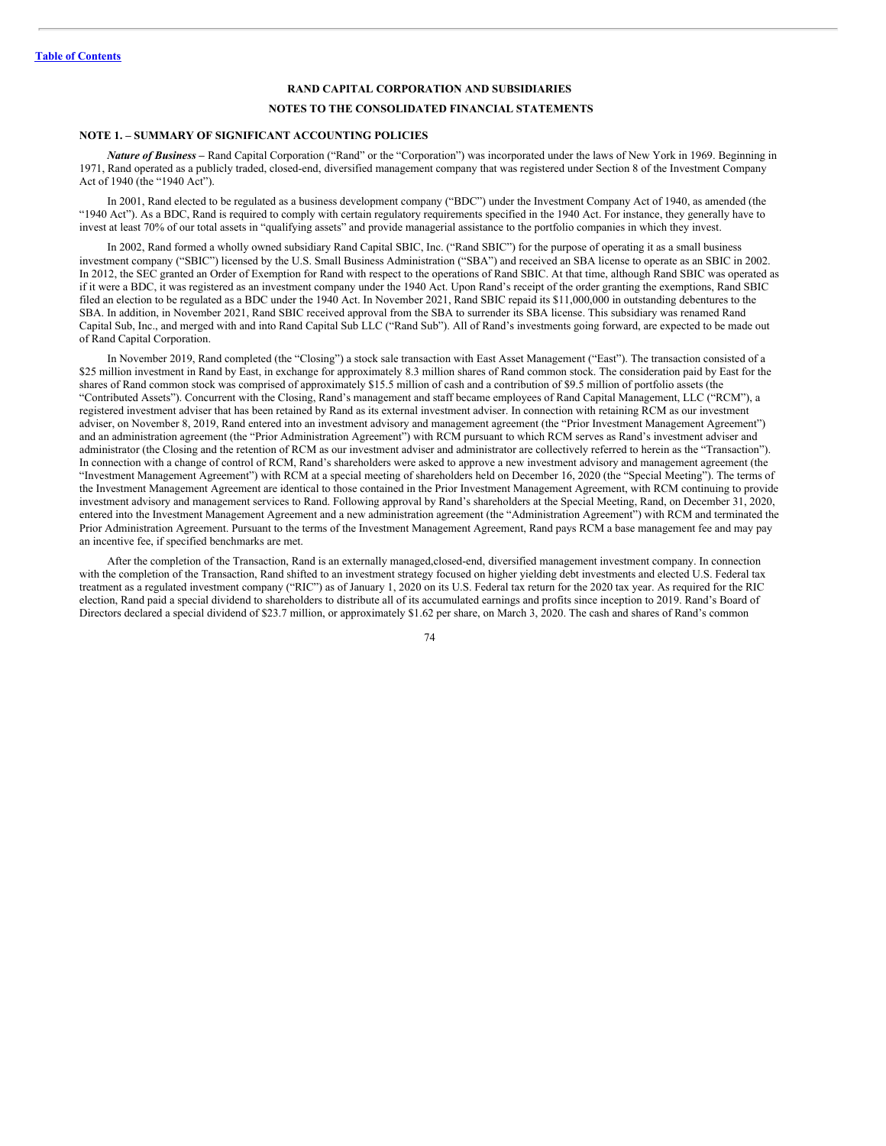## **NOTES TO THE CONSOLIDATED FINANCIAL STATEMENTS**

## **NOTE 1. – SUMMARY OF SIGNIFICANT ACCOUNTING POLICIES**

*Nature* of *Business* – Rand Capital Corporation ("Rand" or the "Corporation") was incorporated under the laws of New York in 1969. Beginning in 1971, Rand operated as a publicly traded, closed-end, diversified management company that was registered under Section 8 of the Investment Company Act of 1940 (the "1940 Act").

In 2001, Rand elected to be regulated as a business development company ("BDC") under the Investment Company Act of 1940, as amended (the "1940 Act"). As a BDC, Rand is required to comply with certain regulatory requirements specified in the 1940 Act. For instance, they generally have to invest at least 70% of our total assets in "qualifying assets" and provide managerial assistance to the portfolio companies in which they invest.

In 2002, Rand formed a wholly owned subsidiary Rand Capital SBIC, Inc. ("Rand SBIC") for the purpose of operating it as a small business investment company ("SBIC") licensed by the U.S. Small Business Administration ("SBA") and received an SBA license to operate as an SBIC in 2002. In 2012, the SEC granted an Order of Exemption for Rand with respect to the operations of Rand SBIC. At that time, although Rand SBIC was operated as if it were a BDC, it was registered as an investment company under the 1940 Act. Upon Rand's receipt of the order granting the exemptions, Rand SBIC filed an election to be regulated as a BDC under the 1940 Act. In November 2021, Rand SBIC repaid its \$11,000,000 in outstanding debentures to the SBA. In addition, in November 2021, Rand SBIC received approval from the SBA to surrender its SBA license. This subsidiary was renamed Rand Capital Sub, Inc., and merged with and into Rand Capital Sub LLC ("Rand Sub"). All of Rand's investments going forward, are expected to be made out of Rand Capital Corporation.

In November 2019, Rand completed (the "Closing") a stock sale transaction with East Asset Management ("East"). The transaction consisted of a \$25 million investment in Rand by East, in exchange for approximately 8.3 million shares of Rand common stock. The consideration paid by East for the shares of Rand common stock was comprised of approximately \$15.5 million of cash and a contribution of \$9.5 million of portfolio assets (the "Contributed Assets"). Concurrent with the Closing, Rand's management and staff became employees of Rand Capital Management, LLC ("RCM"), a registered investment adviser that has been retained by Rand as its external investment adviser. In connection with retaining RCM as our investment adviser, on November 8, 2019, Rand entered into an investment advisory and management agreement (the "Prior Investment Management Agreement") and an administration agreement (the "Prior Administration Agreement") with RCM pursuant to which RCM serves as Rand's investment adviser and administrator (the Closing and the retention of RCM as our investment adviser and administrator are collectively referred to herein as the "Transaction"). In connection with a change of control of RCM, Rand's shareholders were asked to approve a new investment advisory and management agreement (the "Investment Management Agreement") with RCM at a special meeting of shareholders held on December 16, 2020 (the "Special Meeting"). The terms of the Investment Management Agreement are identical to those contained in the Prior Investment Management Agreement, with RCM continuing to provide investment advisory and management services to Rand. Following approval by Rand's shareholders at the Special Meeting, Rand, on December 31, 2020, entered into the Investment Management Agreement and a new administration agreement (the "Administration Agreement") with RCM and terminated the Prior Administration Agreement. Pursuant to the terms of the Investment Management Agreement, Rand pays RCM a base management fee and may pay an incentive fee, if specified benchmarks are met.

After the completion of the Transaction, Rand is an externally managed,closed-end, diversified management investment company. In connection with the completion of the Transaction, Rand shifted to an investment strategy focused on higher yielding debt investments and elected U.S. Federal tax treatment as a regulated investment company ("RIC") as of January 1, 2020 on its U.S. Federal tax return for the 2020 tax year. As required for the RIC election, Rand paid a special dividend to shareholders to distribute all of its accumulated earnings and profits since inception to 2019. Rand's Board of Directors declared a special dividend of \$23.7 million, or approximately \$1.62 per share, on March 3, 2020. The cash and shares of Rand's common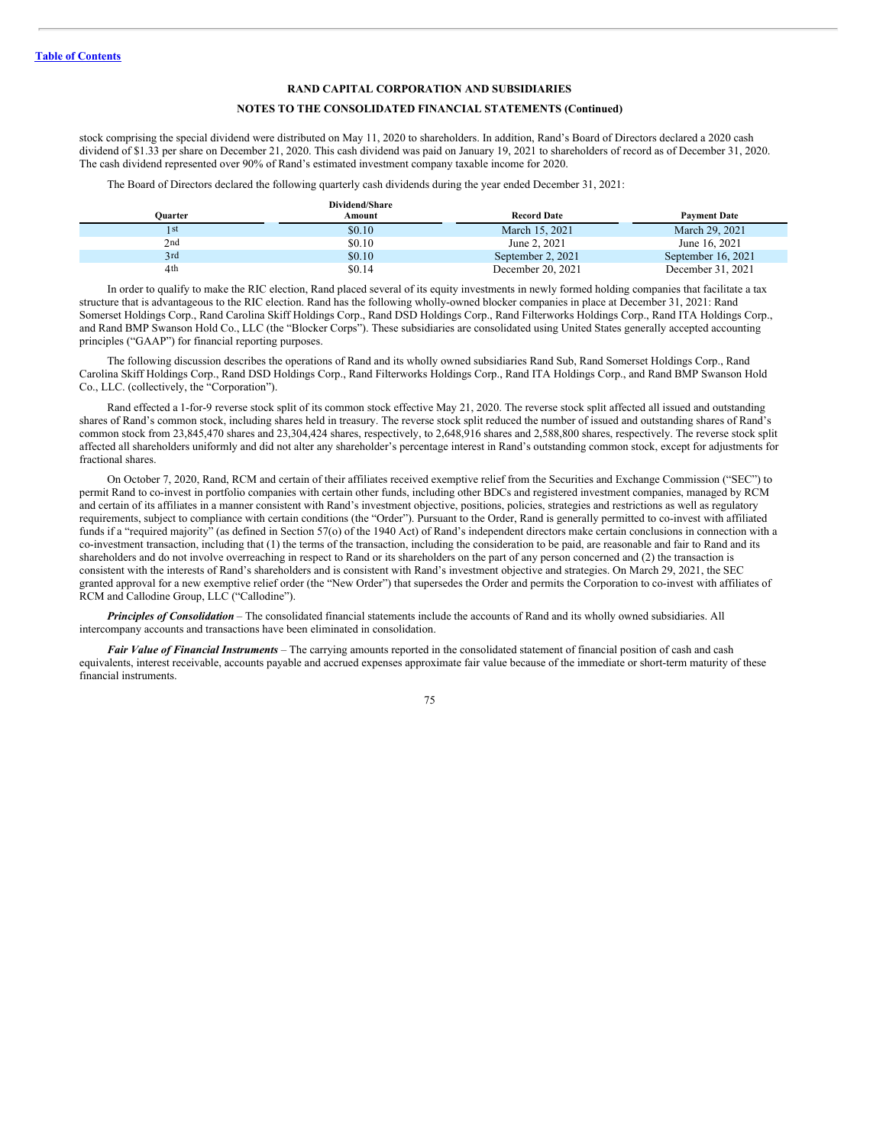## **NOTES TO THE CONSOLIDATED FINANCIAL STATEMENTS (Continued)**

stock comprising the special dividend were distributed on May 11, 2020 to shareholders. In addition, Rand's Board of Directors declared a 2020 cash dividend of \$1.33 per share on December 21, 2020. This cash dividend was paid on January 19, 2021 to shareholders of record as of December 31, 2020. The cash dividend represented over 90% of Rand's estimated investment company taxable income for 2020.

The Board of Directors declared the following quarterly cash dividends during the year ended December 31, 2021:

|                 | Dividend/Share |                    |                     |
|-----------------|----------------|--------------------|---------------------|
| Ouarter         | Amount         | <b>Record Date</b> | <b>Payment Date</b> |
| 1st             | \$0.10         | March 15, 2021     | March 29, 2021      |
| 2 <sub>nd</sub> | \$0.10         | June 2, 2021       | June 16, 2021       |
| 3rd             | \$0.10         | September 2, 2021  | September 16, 2021  |
| 4th             | \$0.14         | December 20, 2021  | December 31, 2021   |

In order to qualify to make the RIC election, Rand placed several of its equity investments in newly formed holding companies that facilitate a tax structure that is advantageous to the RIC election. Rand has the following wholly-owned blocker companies in place at December 31, 2021: Rand Somerset Holdings Corp., Rand Carolina Skiff Holdings Corp., Rand DSD Holdings Corp., Rand Filterworks Holdings Corp., Rand ITA Holdings Corp., and Rand BMP Swanson Hold Co., LLC (the "Blocker Corps"). These subsidiaries are consolidated using United States generally accepted accounting principles ("GAAP") for financial reporting purposes.

The following discussion describes the operations of Rand and its wholly owned subsidiaries Rand Sub, Rand Somerset Holdings Corp., Rand Carolina Skiff Holdings Corp., Rand DSD Holdings Corp., Rand Filterworks Holdings Corp., Rand ITA Holdings Corp., and Rand BMP Swanson Hold Co., LLC. (collectively, the "Corporation").

Rand effected a 1-for-9 reverse stock split of its common stock effective May 21, 2020. The reverse stock split affected all issued and outstanding shares of Rand's common stock, including shares held in treasury. The reverse stock split reduced the number of issued and outstanding shares of Rand's common stock from 23,845,470 shares and 23,304,424 shares, respectively, to 2,648,916 shares and 2,588,800 shares, respectively. The reverse stock split affected all shareholders uniformly and did not alter any shareholder's percentage interest in Rand's outstanding common stock, except for adjustments for fractional shares.

On October 7, 2020, Rand, RCM and certain of their affiliates received exemptive relief from the Securities and Exchange Commission ("SEC") to permit Rand to co-invest in portfolio companies with certain other funds, including other BDCs and registered investment companies, managed by RCM and certain of its affiliates in a manner consistent with Rand's investment objective, positions, policies, strategies and restrictions as well as regulatory requirements, subject to compliance with certain conditions (the "Order"). Pursuant to the Order, Rand is generally permitted to co-invest with affiliated funds if a "required majority" (as defined in Section 57(o) of the 1940 Act) of Rand's independent directors make certain conclusions in connection with a co-investment transaction, including that (1) the terms of the transaction, including the consideration to be paid, are reasonable and fair to Rand and its shareholders and do not involve overreaching in respect to Rand or its shareholders on the part of any person concerned and (2) the transaction is consistent with the interests of Rand's shareholders and is consistent with Rand's investment objective and strategies. On March 29, 2021, the SEC granted approval for a new exemptive relief order (the "New Order") that supersedes the Order and permits the Corporation to co-invest with affiliates of RCM and Callodine Group, LLC ("Callodine").

*Principles of Consolidation* – The consolidated financial statements include the accounts of Rand and its wholly owned subsidiaries. All intercompany accounts and transactions have been eliminated in consolidation.

*Fair Value of Financial Instruments* – The carrying amounts reported in the consolidated statement of financial position of cash and cash equivalents, interest receivable, accounts payable and accrued expenses approximate fair value because of the immediate or short-term maturity of these financial instruments.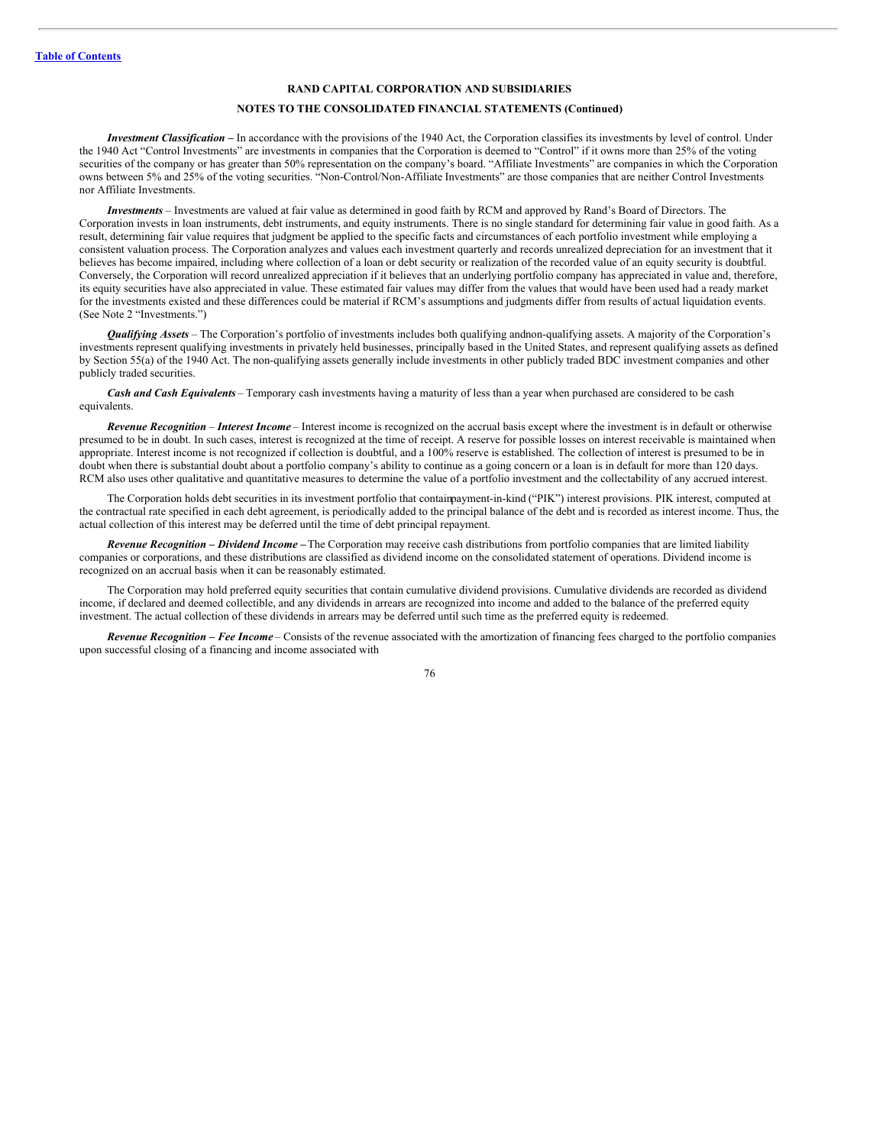#### **NOTES TO THE CONSOLIDATED FINANCIAL STATEMENTS (Continued)**

*Investment Classification –* In accordance with the provisions of the 1940 Act, the Corporation classifies its investments by level of control. Under the 1940 Act "Control Investments" are investments in companies that the Corporation is deemed to "Control" if it owns more than 25% of the voting securities of the company or has greater than 50% representation on the company's board. "Affiliate Investments" are companies in which the Corporation owns between 5% and 25% of the voting securities. "Non-Control/Non-Affiliate Investments" are those companies that are neither Control Investments nor Affiliate Investments.

*Investments* – Investments are valued at fair value as determined in good faith by RCM and approved by Rand's Board of Directors. The Corporation invests in loan instruments, debt instruments, and equity instruments. There is no single standard for determining fair value in good faith. As a result, determining fair value requires that judgment be applied to the specific facts and circumstances of each portfolio investment while employing a consistent valuation process. The Corporation analyzes and values each investment quarterly and records unrealized depreciation for an investment that it believes has become impaired, including where collection of a loan or debt security or realization of the recorded value of an equity security is doubtful. Conversely, the Corporation will record unrealized appreciation if it believes that an underlying portfolio company has appreciated in value and, therefore, its equity securities have also appreciated in value. These estimated fair values may differ from the values that would have been used had a ready market for the investments existed and these differences could be material if RCM's assumptions and judgments differ from results of actual liquidation events. (See Note 2 "Investments.")

*Qualifying Assets* – The Corporation's portfolio of investments includes both qualifying andnon-qualifying assets. A majority of the Corporation's investments represent qualifying investments in privately held businesses, principally based in the United States, and represent qualifying assets as defined by Section 55(a) of the 1940 Act. The non-qualifying assets generally include investments in other publicly traded BDC investment companies and other publicly traded securities.

*Cash and Cash Equivalents* – Temporary cash investments having a maturity of less than a year when purchased are considered to be cash equivalents.

*Revenue Recognition* – *Interest Income* – Interest income is recognized on the accrual basis except where the investment is in default or otherwise presumed to be in doubt. In such cases, interest is recognized at the time of receipt. A reserve for possible losses on interest receivable is maintained when appropriate. Interest income is not recognized if collection is doubtful, and a 100% reserve is established. The collection of interest is presumed to be in doubt when there is substantial doubt about a portfolio company's ability to continue as a going concern or a loan is in default for more than 120 days. RCM also uses other qualitative and quantitative measures to determine the value of a portfolio investment and the collectability of any accrued interest.

The Corporation holds debt securities in its investment portfolio that containpayment-in-kind ("PIK") interest provisions. PIK interest, computed at the contractual rate specified in each debt agreement, is periodically added to the principal balance of the debt and is recorded as interest income. Thus, the actual collection of this interest may be deferred until the time of debt principal repayment.

*Revenue Recognition – Dividend Income –*The Corporation may receive cash distributions from portfolio companies that are limited liability companies or corporations, and these distributions are classified as dividend income on the consolidated statement of operations. Dividend income is recognized on an accrual basis when it can be reasonably estimated.

The Corporation may hold preferred equity securities that contain cumulative dividend provisions. Cumulative dividends are recorded as dividend income, if declared and deemed collectible, and any dividends in arrears are recognized into income and added to the balance of the preferred equity investment. The actual collection of these dividends in arrears may be deferred until such time as the preferred equity is redeemed.

*Revenue Recognition – Fee Income* – Consists of the revenue associated with the amortization of financing fees charged to the portfolio companies upon successful closing of a financing and income associated with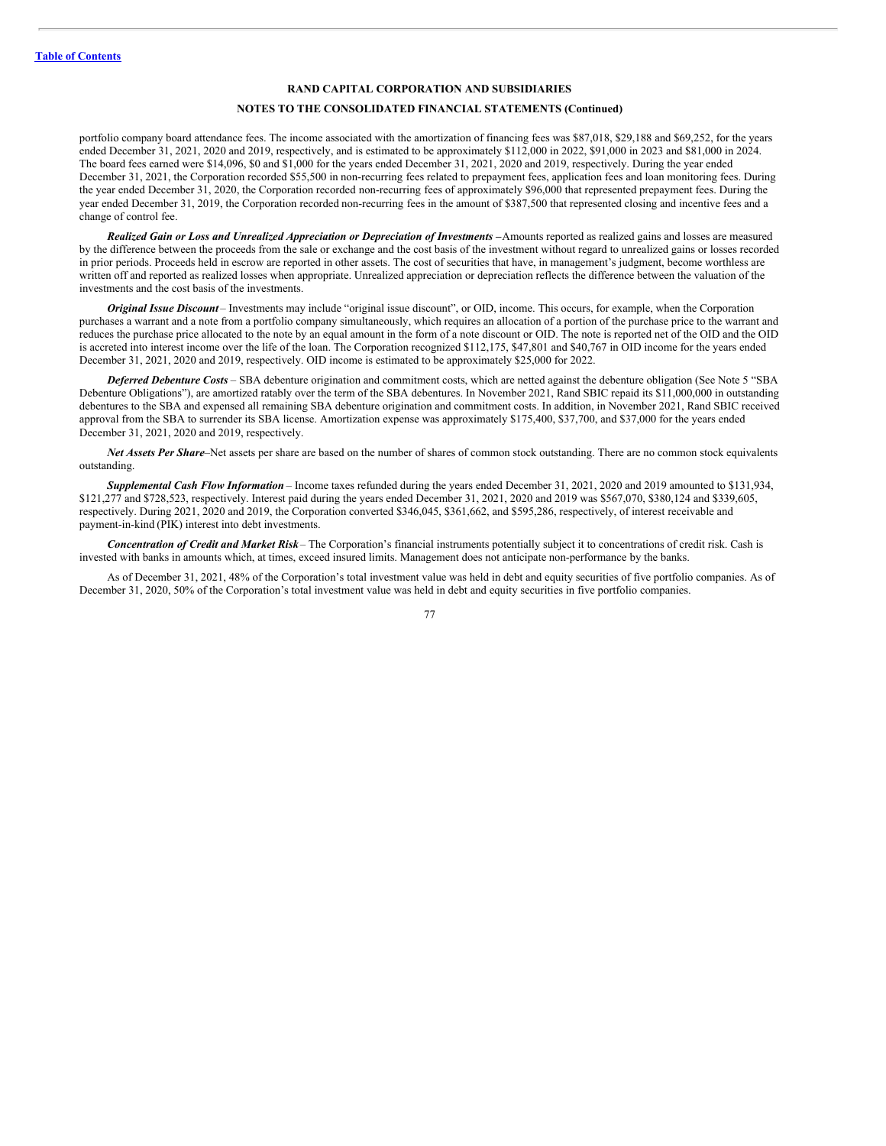#### **NOTES TO THE CONSOLIDATED FINANCIAL STATEMENTS (Continued)**

portfolio company board attendance fees. The income associated with the amortization of financing fees was \$87,018, \$29,188 and \$69,252, for the years ended December 31, 2021, 2020 and 2019, respectively, and is estimated to be approximately \$112,000 in 2022, \$91,000 in 2023 and \$81,000 in 2024. The board fees earned were \$14,096, \$0 and \$1,000 for the years ended December 31, 2021, 2020 and 2019, respectively. During the year ended December 31, 2021, the Corporation recorded \$55,500 in non-recurring fees related to prepayment fees, application fees and loan monitoring fees. During the year ended December 31, 2020, the Corporation recorded non-recurring fees of approximately \$96,000 that represented prepayment fees. During the year ended December 31, 2019, the Corporation recorded non-recurring fees in the amount of \$387,500 that represented closing and incentive fees and a change of control fee.

*Realized Gain or Loss and Unrealized Appreciation or Depreciation of Investments –*Amounts reported as realized gains and losses are measured by the difference between the proceeds from the sale or exchange and the cost basis of the investment without regard to unrealized gains or losses recorded in prior periods. Proceeds held in escrow are reported in other assets. The cost of securities that have, in management's judgment, become worthless are written off and reported as realized losses when appropriate. Unrealized appreciation or depreciation reflects the difference between the valuation of the investments and the cost basis of the investments.

*Original Issue Discount* – Investments may include "original issue discount", or OID, income. This occurs, for example, when the Corporation purchases a warrant and a note from a portfolio company simultaneously, which requires an allocation of a portion of the purchase price to the warrant and reduces the purchase price allocated to the note by an equal amount in the form of a note discount or OID. The note is reported net of the OID and the OID is accreted into interest income over the life of the loan. The Corporation recognized \$112,175, \$47,801 and \$40,767 in OID income for the years ended December 31, 2021, 2020 and 2019, respectively. OID income is estimated to be approximately \$25,000 for 2022.

*Deferred Debenture Costs* – SBA debenture origination and commitment costs, which are netted against the debenture obligation (See Note 5 "SBA Debenture Obligations"), are amortized ratably over the term of the SBA debentures. In November 2021, Rand SBIC repaid its \$11,000,000 in outstanding debentures to the SBA and expensed all remaining SBA debenture origination and commitment costs. In addition, in November 2021, Rand SBIC received approval from the SBA to surrender its SBA license. Amortization expense was approximately \$175,400, \$37,700, and \$37,000 for the years ended December 31, 2021, 2020 and 2019, respectively.

*Net Assets Per Share*–Net assets per share are based on the number of shares of common stock outstanding. There are no common stock equivalents outstanding.

*Supplemental Cash Flow Information* – Income taxes refunded during the years ended December 31, 2021, 2020 and 2019 amounted to \$131,934, \$121,277 and \$728,523, respectively. Interest paid during the years ended December 31, 2021, 2020 and 2019 was \$567,070, \$380,124 and \$339,605, respectively. During 2021, 2020 and 2019, the Corporation converted \$346,045, \$361,662, and \$595,286, respectively, of interest receivable and payment-in-kind (PIK) interest into debt investments.

*Concentration of Credit and Market Risk* – The Corporation's financial instruments potentially subject it to concentrations of credit risk. Cash is invested with banks in amounts which, at times, exceed insured limits. Management does not anticipate non-performance by the banks.

As of December 31, 2021, 48% of the Corporation's total investment value was held in debt and equity securities of five portfolio companies. As of December 31, 2020, 50% of the Corporation's total investment value was held in debt and equity securities in five portfolio companies.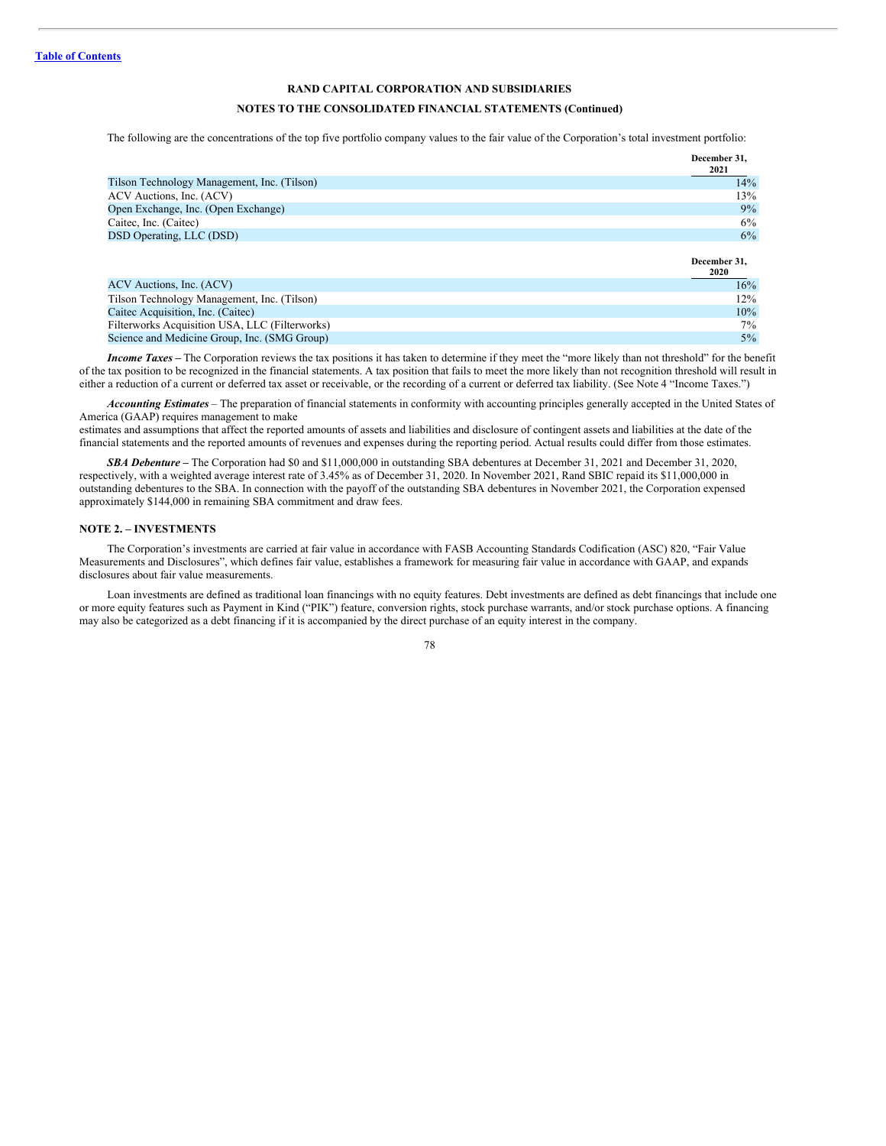#### **NOTES TO THE CONSOLIDATED FINANCIAL STATEMENTS (Continued)**

The following are the concentrations of the top five portfolio company values to the fair value of the Corporation's total investment portfolio:

|                                             | December 31, |
|---------------------------------------------|--------------|
|                                             | 2021         |
| Tilson Technology Management, Inc. (Tilson) | 14%          |
| ACV Auctions, Inc. (ACV)                    | 13%          |
| Open Exchange, Inc. (Open Exchange)         | 9%           |
| Caitec, Inc. (Caitec)                       | $6\%$        |
| DSD Operating, LLC (DSD)                    | 6%           |

| December 31, |  |
|--------------|--|
|--------------|--|

|                                                | 2020   |
|------------------------------------------------|--------|
| ACV Auctions, Inc. (ACV)                       | 16%    |
| Tilson Technology Management, Inc. (Tilson)    | $12\%$ |
| Caitec Acquisition, Inc. (Caitec)              | 10%    |
| Filterworks Acquisition USA, LLC (Filterworks) | $7\%$  |
| Science and Medicine Group, Inc. (SMG Group)   | $5\%$  |

*Income Taxes –* The Corporation reviews the tax positions it has taken to determine if they meet the "more likely than not threshold" for the benefit of the tax position to be recognized in the financial statements. A tax position that fails to meet the more likely than not recognition threshold will result in either a reduction of a current or deferred tax asset or receivable, or the recording of a current or deferred tax liability. (See Note 4 "Income Taxes.")

*Accounting Estimates* – The preparation of financial statements in conformity with accounting principles generally accepted in the United States of America (GAAP) requires management to make

estimates and assumptions that affect the reported amounts of assets and liabilities and disclosure of contingent assets and liabilities at the date of the financial statements and the reported amounts of revenues and expenses during the reporting period. Actual results could differ from those estimates.

*SBA Debenture –* The Corporation had \$0 and \$11,000,000 in outstanding SBA debentures at December 31, 2021 and December 31, 2020, respectively, with a weighted average interest rate of 3.45% as of December 31, 2020. In November 2021, Rand SBIC repaid its \$11,000,000 in outstanding debentures to the SBA. In connection with the payoff of the outstanding SBA debentures in November 2021, the Corporation expensed approximately \$144,000 in remaining SBA commitment and draw fees.

#### **NOTE 2. – INVESTMENTS**

The Corporation's investments are carried at fair value in accordance with FASB Accounting Standards Codification (ASC) 820, "Fair Value Measurements and Disclosures", which defines fair value, establishes a framework for measuring fair value in accordance with GAAP, and expands disclosures about fair value measurements.

Loan investments are defined as traditional loan financings with no equity features. Debt investments are defined as debt financings that include one or more equity features such as Payment in Kind ("PIK") feature, conversion rights, stock purchase warrants, and/or stock purchase options. A financing may also be categorized as a debt financing if it is accompanied by the direct purchase of an equity interest in the company.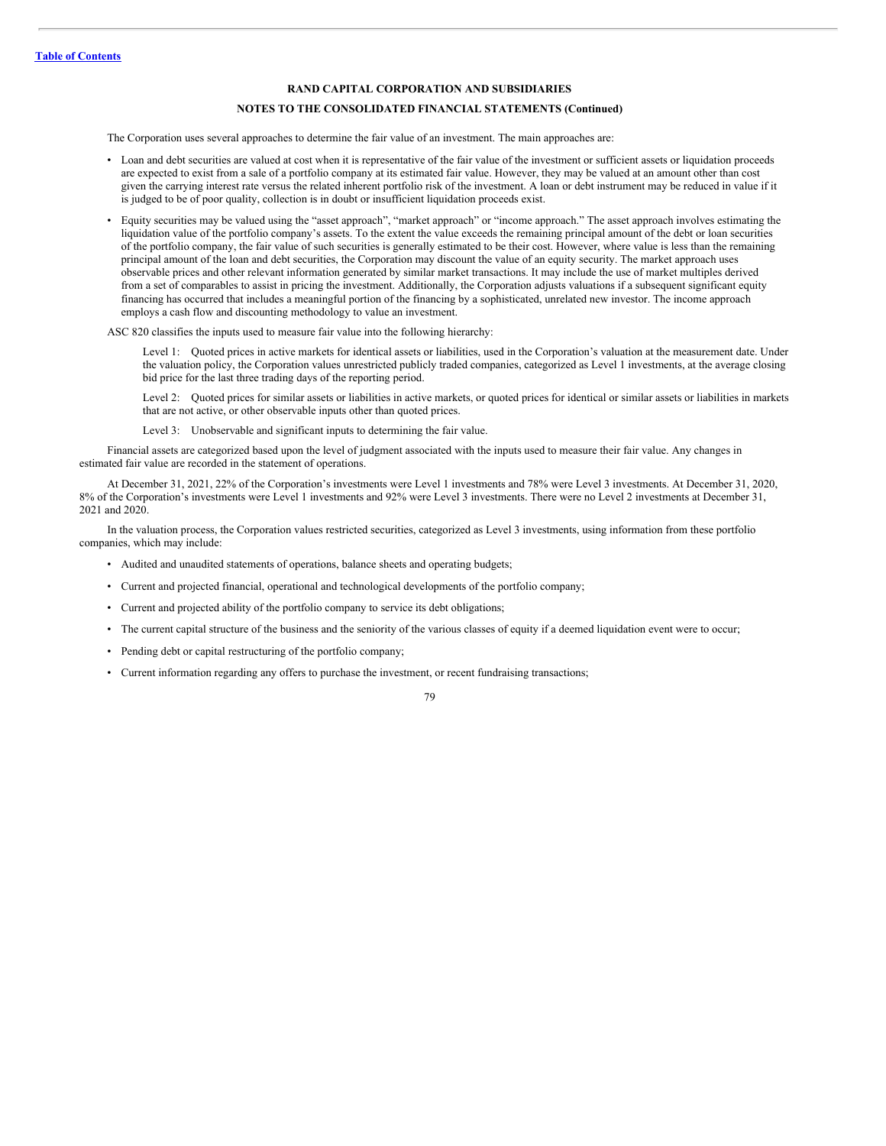#### **NOTES TO THE CONSOLIDATED FINANCIAL STATEMENTS (Continued)**

The Corporation uses several approaches to determine the fair value of an investment. The main approaches are:

- Loan and debt securities are valued at cost when it is representative of the fair value of the investment or sufficient assets or liquidation proceeds are expected to exist from a sale of a portfolio company at its estimated fair value. However, they may be valued at an amount other than cost given the carrying interest rate versus the related inherent portfolio risk of the investment. A loan or debt instrument may be reduced in value if it is judged to be of poor quality, collection is in doubt or insufficient liquidation proceeds exist.
- Equity securities may be valued using the "asset approach", "market approach" or "income approach." The asset approach involves estimating the liquidation value of the portfolio company's assets. To the extent the value exceeds the remaining principal amount of the debt or loan securities of the portfolio company, the fair value of such securities is generally estimated to be their cost. However, where value is less than the remaining principal amount of the loan and debt securities, the Corporation may discount the value of an equity security. The market approach uses observable prices and other relevant information generated by similar market transactions. It may include the use of market multiples derived from a set of comparables to assist in pricing the investment. Additionally, the Corporation adjusts valuations if a subsequent significant equity financing has occurred that includes a meaningful portion of the financing by a sophisticated, unrelated new investor. The income approach employs a cash flow and discounting methodology to value an investment.

ASC 820 classifies the inputs used to measure fair value into the following hierarchy:

Level 1: Quoted prices in active markets for identical assets or liabilities, used in the Corporation's valuation at the measurement date. Under the valuation policy, the Corporation values unrestricted publicly traded companies, categorized as Level 1 investments, at the average closing bid price for the last three trading days of the reporting period.

Level 2: Quoted prices for similar assets or liabilities in active markets, or quoted prices for identical or similar assets or liabilities in markets that are not active, or other observable inputs other than quoted prices.

Level 3: Unobservable and significant inputs to determining the fair value.

Financial assets are categorized based upon the level of judgment associated with the inputs used to measure their fair value. Any changes in estimated fair value are recorded in the statement of operations.

At December 31, 2021, 22% of the Corporation's investments were Level 1 investments and 78% were Level 3 investments. At December 31, 2020, 8% of the Corporation's investments were Level 1 investments and 92% were Level 3 investments. There were no Level 2 investments at December 31, 2021 and 2020.

In the valuation process, the Corporation values restricted securities, categorized as Level 3 investments, using information from these portfolio companies, which may include:

- Audited and unaudited statements of operations, balance sheets and operating budgets;
- Current and projected financial, operational and technological developments of the portfolio company;
- Current and projected ability of the portfolio company to service its debt obligations;
- The current capital structure of the business and the seniority of the various classes of equity if a deemed liquidation event were to occur;
- Pending debt or capital restructuring of the portfolio company;
- Current information regarding any offers to purchase the investment, or recent fundraising transactions;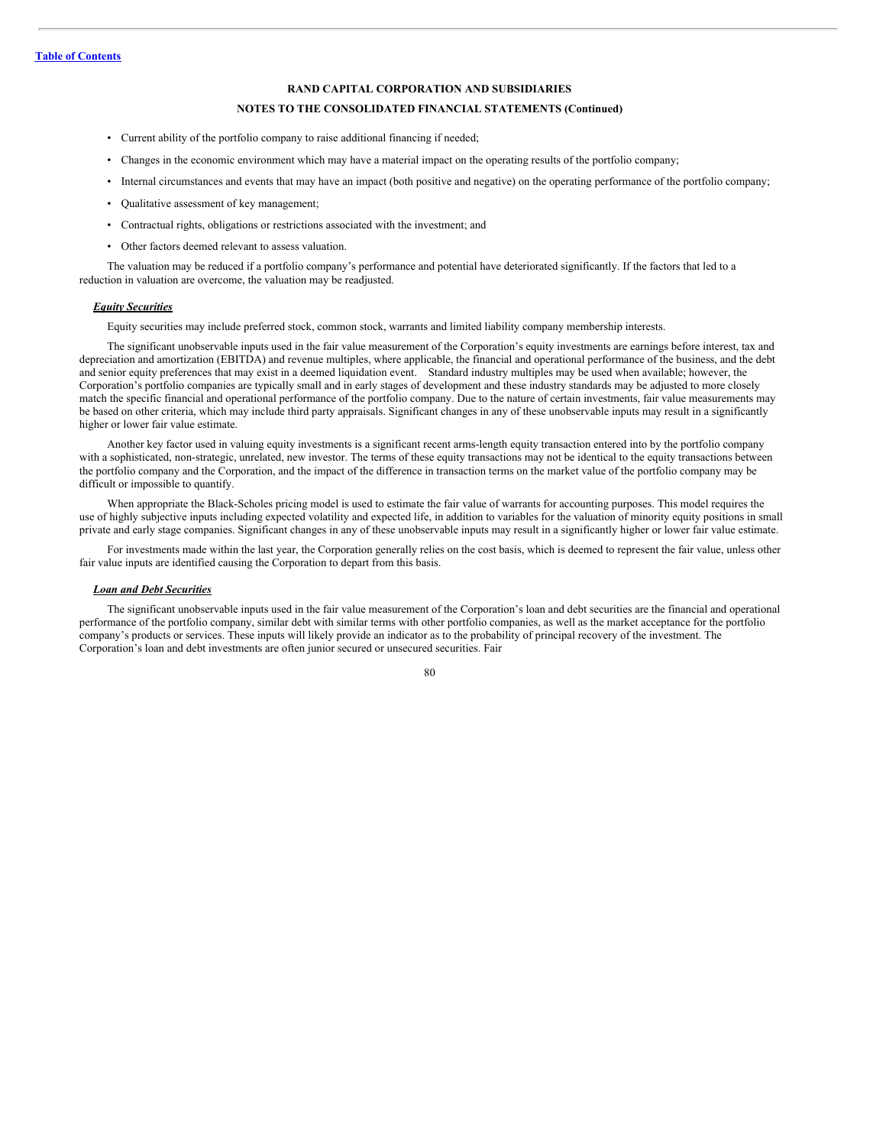## **NOTES TO THE CONSOLIDATED FINANCIAL STATEMENTS (Continued)**

- Current ability of the portfolio company to raise additional financing if needed;
- Changes in the economic environment which may have a material impact on the operating results of the portfolio company;
- Internal circumstances and events that may have an impact (both positive and negative) on the operating performance of the portfolio company;
- Qualitative assessment of key management;
- Contractual rights, obligations or restrictions associated with the investment; and
- Other factors deemed relevant to assess valuation.

The valuation may be reduced if a portfolio company's performance and potential have deteriorated significantly. If the factors that led to a reduction in valuation are overcome, the valuation may be readjusted.

#### *Equity Securities*

Equity securities may include preferred stock, common stock, warrants and limited liability company membership interests.

The significant unobservable inputs used in the fair value measurement of the Corporation's equity investments are earnings before interest, tax and depreciation and amortization (EBITDA) and revenue multiples, where applicable, the financial and operational performance of the business, and the debt and senior equity preferences that may exist in a deemed liquidation event. Standard industry multiples may be used when available; however, the Corporation's portfolio companies are typically small and in early stages of development and these industry standards may be adjusted to more closely match the specific financial and operational performance of the portfolio company. Due to the nature of certain investments, fair value measurements may be based on other criteria, which may include third party appraisals. Significant changes in any of these unobservable inputs may result in a significantly higher or lower fair value estimate.

Another key factor used in valuing equity investments is a significant recent arms-length equity transaction entered into by the portfolio company with a sophisticated, non-strategic, unrelated, new investor. The terms of these equity transactions may not be identical to the equity transactions between the portfolio company and the Corporation, and the impact of the difference in transaction terms on the market value of the portfolio company may be difficult or impossible to quantify.

When appropriate the Black-Scholes pricing model is used to estimate the fair value of warrants for accounting purposes. This model requires the use of highly subjective inputs including expected volatility and expected life, in addition to variables for the valuation of minority equity positions in small private and early stage companies. Significant changes in any of these unobservable inputs may result in a significantly higher or lower fair value estimate.

For investments made within the last year, the Corporation generally relies on the cost basis, which is deemed to represent the fair value, unless other fair value inputs are identified causing the Corporation to depart from this basis.

#### *Loan and Debt Securities*

The significant unobservable inputs used in the fair value measurement of the Corporation's loan and debt securities are the financial and operational performance of the portfolio company, similar debt with similar terms with other portfolio companies, as well as the market acceptance for the portfolio company's products or services. These inputs will likely provide an indicator as to the probability of principal recovery of the investment. The Corporation's loan and debt investments are often junior secured or unsecured securities. Fair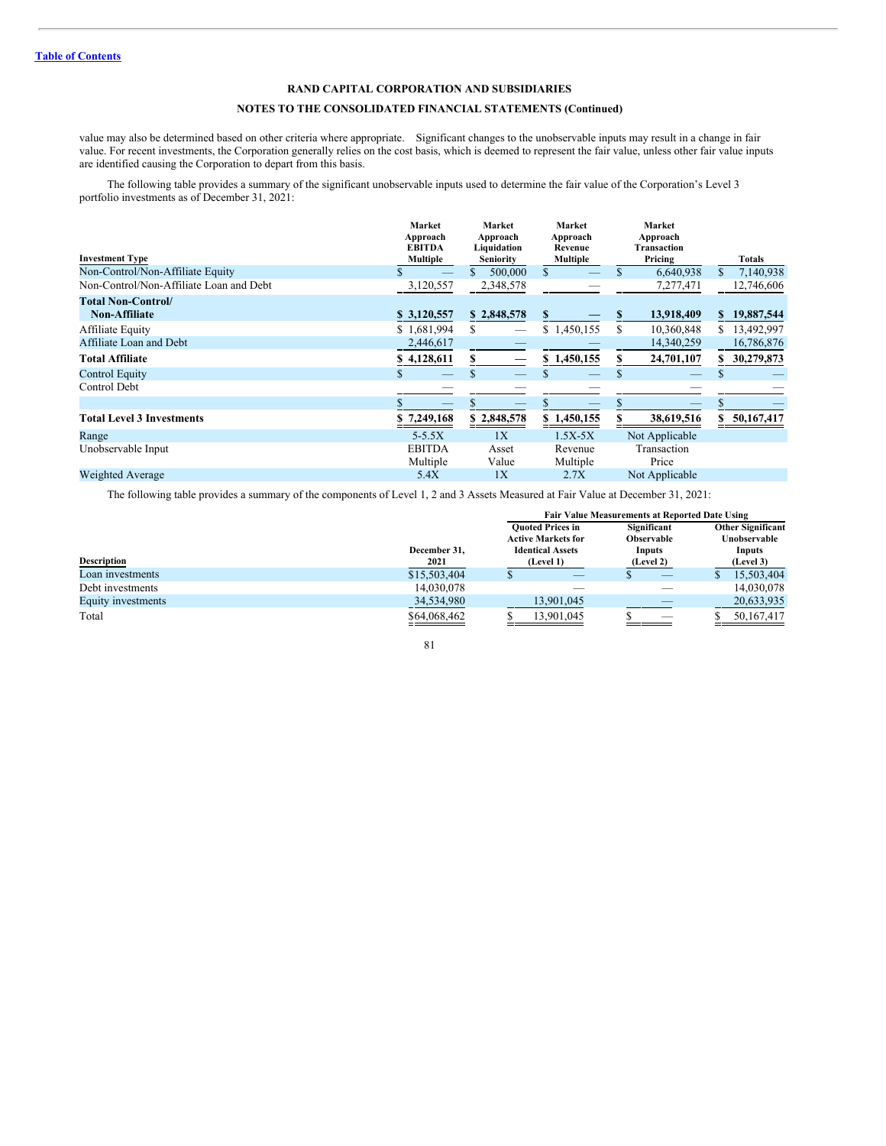# **NOTES TO THE CONSOLIDATED FINANCIAL STATEMENTS (Continued)**

value may also be determined based on other criteria where appropriate. Significant changes to the unobservable inputs may result in a change in fair value. For recent investments, the Corporation generally relies on the cost basis, which is deemed to represent the fair value, unless other fair value inputs are identified causing the Corporation to depart from this basis.

The following table provides a summary of the significant unobservable inputs used to determine the fair value of the Corporation's Level 3 portfolio investments as of December 31, 2021:

|                                         | Market<br>Approach<br><b>EBITDA</b> | Market<br>Approach<br>Liquidation | Market<br>Approach<br>Revenue | Market<br>Approach<br>Transaction |                  |
|-----------------------------------------|-------------------------------------|-----------------------------------|-------------------------------|-----------------------------------|------------------|
| <b>Investment Type</b>                  | <b>Multiple</b>                     | <b>Seniority</b>                  | Multiple                      | Pricing                           | <b>Totals</b>    |
| Non-Control/Non-Affiliate Equity        |                                     | 500,000                           |                               | 6,640,938                         | 7,140,938<br>\$. |
| Non-Control/Non-Affiliate Loan and Debt | 3,120,557                           | 2,348,578                         |                               | 7,277,471                         | 12,746,606       |
| <b>Total Non-Control/</b>               |                                     |                                   |                               |                                   |                  |
| <b>Non-Affiliate</b>                    | \$3,120,557                         | \$2,848,578                       | S                             | 13,918,409<br>S                   | 19,887,544<br>\$ |
| Affiliate Equity                        | \$1,681,994                         | \$<br>-                           | \$1,450,155                   | 10,360,848<br>S                   | 13,492,997<br>S  |
| Affiliate Loan and Debt                 | 2,446,617                           |                                   |                               | 14,340,259                        | 16,786,876       |
| <b>Total Affiliate</b>                  | \$4,128,611                         | S                                 | \$1,450,155                   | 24,701,107                        | 30,279,873<br>S  |
| <b>Control Equity</b>                   | $\mathbb{S}$                        | \$                                |                               | $\mathbf{s}$                      | S                |
| Control Debt                            |                                     |                                   |                               |                                   |                  |
|                                         |                                     |                                   |                               |                                   |                  |
| <b>Total Level 3 Investments</b>        | \$7,249,168                         | \$2,848,578                       | \$1,450,155                   | 38,619,516                        | \$<br>50,167,417 |
| Range                                   | $5 - 5.5X$                          | 1X                                | $1.5X-5X$                     | Not Applicable                    |                  |
| Unobservable Input                      | <b>EBITDA</b>                       | Asset                             | Revenue                       | Transaction                       |                  |
|                                         | Multiple                            | Value                             | Multiple                      | Price                             |                  |
| <b>Weighted Average</b>                 | 5.4X                                | 1X                                | 2.7X                          | Not Applicable                    |                  |

The following table provides a summary of the components of Level 1, 2 and 3 Assets Measured at Fair Value at December 31, 2021:

|                    |              | <b>Fair Value Measurements at Reported Date Using</b> |                   |                          |  |  |
|--------------------|--------------|-------------------------------------------------------|-------------------|--------------------------|--|--|
|                    |              | <b>Ouoted Prices in</b>                               | Significant       | <b>Other Significant</b> |  |  |
|                    |              | <b>Active Markets for</b>                             | <b>Observable</b> | Unobservable             |  |  |
|                    | December 31, | <b>Identical Assets</b>                               | Inputs            | Inputs                   |  |  |
| Description        | 2021         | (Level 1)                                             | (Level 2)         | (Level 3)                |  |  |
| Loan investments   | \$15,503,404 |                                                       | _                 | 15,503,404               |  |  |
| Debt investments   | 14,030,078   |                                                       |                   | 14,030,078               |  |  |
| Equity investments | 34,534,980   | 13,901,045                                            | _                 | 20,633,935               |  |  |
| Total              | \$64,068,462 | 13,901,045                                            | $-$               | 50,167,417               |  |  |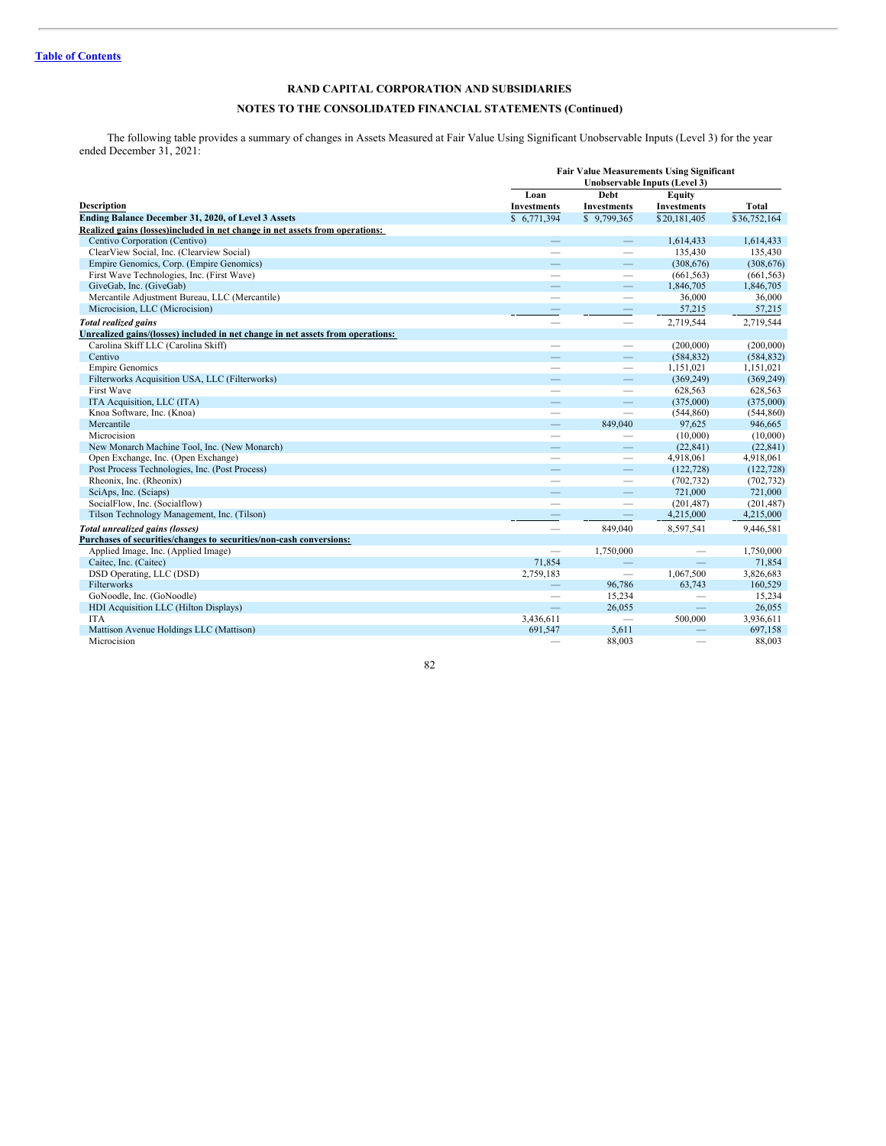# **NOTES TO THE CONSOLIDATED FINANCIAL STATEMENTS (Continued)**

The following table provides a summary of changes in Assets Measured at Fair Value Using Significant Unobservable Inputs (Level 3) for the year ended December 31, 2021:

|                                                                                 | <b>Fair Value Measurements Using Significant</b> |                          |                    |              |  |  |  |
|---------------------------------------------------------------------------------|--------------------------------------------------|--------------------------|--------------------|--------------|--|--|--|
|                                                                                 | Unobservable Inputs (Level 3)                    |                          |                    |              |  |  |  |
|                                                                                 | Loan                                             | Debt                     | Equity             |              |  |  |  |
| <b>Description</b>                                                              | <b>Investments</b>                               | <b>Investments</b>       | <b>Investments</b> | <b>Total</b> |  |  |  |
| Ending Balance December 31, 2020, of Level 3 Assets                             | \$6,771,394                                      | \$9.799.365              | \$20,181,405       | \$36,752,164 |  |  |  |
| Realized gains (losses)included in net change in net assets from operations:    |                                                  |                          |                    |              |  |  |  |
| Centivo Corporation (Centivo)                                                   |                                                  |                          | 1,614,433          | 1,614,433    |  |  |  |
| ClearView Social, Inc. (Clearview Social)                                       |                                                  |                          | 135,430            | 135,430      |  |  |  |
| Empire Genomics, Corp. (Empire Genomics)                                        |                                                  |                          | (308, 676)         | (308, 676)   |  |  |  |
| First Wave Technologies, Inc. (First Wave)                                      |                                                  |                          | (661, 563)         | (661, 563)   |  |  |  |
| GiveGab, Inc. (GiveGab)                                                         |                                                  |                          | 1,846,705          | 1,846,705    |  |  |  |
| Mercantile Adjustment Bureau, LLC (Mercantile)                                  |                                                  | $\qquad \qquad$          | 36,000             | 36,000       |  |  |  |
| Microcision, LLC (Microcision)                                                  |                                                  | $\qquad \qquad -$        | 57,215             | 57,215       |  |  |  |
| <b>Total realized gains</b>                                                     | $\frac{1}{2}$                                    | $\qquad \qquad$          | 2,719,544          | 2,719,544    |  |  |  |
| Unrealized gains/(losses) included in net change in net assets from operations: |                                                  |                          |                    |              |  |  |  |
| Carolina Skiff LLC (Carolina Skiff)                                             |                                                  |                          | (200,000)          | (200,000)    |  |  |  |
| Centivo                                                                         |                                                  | $\overline{\phantom{0}}$ | (584, 832)         | (584, 832)   |  |  |  |
| <b>Empire Genomics</b>                                                          |                                                  | $\qquad \qquad$          | 1,151,021          | 1,151,021    |  |  |  |
| Filterworks Acquisition USA, LLC (Filterworks)                                  |                                                  |                          | (369, 249)         | (369, 249)   |  |  |  |
| <b>First Wave</b>                                                               |                                                  | $\overline{\phantom{m}}$ | 628,563            | 628,563      |  |  |  |
| ITA Acquisition, LLC (ITA)                                                      |                                                  | $\overline{\phantom{0}}$ | (375,000)          | (375,000)    |  |  |  |
| Knoa Software, Inc. (Knoa)                                                      | $\overline{\phantom{0}}$                         | $\qquad \qquad$          | (544, 860)         | (544, 860)   |  |  |  |
| Mercantile                                                                      |                                                  | 849,040                  | 97,625             | 946,665      |  |  |  |
| Microcision                                                                     |                                                  |                          | (10,000)           | (10,000)     |  |  |  |
| New Monarch Machine Tool, Inc. (New Monarch)                                    |                                                  | $\overline{\phantom{0}}$ | (22, 841)          | (22, 841)    |  |  |  |
| Open Exchange, Inc. (Open Exchange)                                             |                                                  | $\overline{\phantom{0}}$ | 4,918,061          | 4,918,061    |  |  |  |
| Post Process Technologies, Inc. (Post Process)                                  |                                                  | $\qquad \qquad -$        | (122, 728)         | (122, 728)   |  |  |  |
| Rheonix, Inc. (Rheonix)                                                         |                                                  |                          | (702, 732)         | (702, 732)   |  |  |  |
| SciAps, Inc. (Sciaps)                                                           |                                                  | $\overline{\phantom{0}}$ | 721,000            | 721,000      |  |  |  |
| SocialFlow, Inc. (Socialflow)                                                   | $\overline{\phantom{0}}$                         | $\qquad \qquad$          | (201, 487)         | (201, 487)   |  |  |  |
| Tilson Technology Management, Inc. (Tilson)                                     |                                                  |                          | 4,215,000          | 4,215,000    |  |  |  |
| Total unrealized gains (losses)                                                 | $\qquad \qquad$                                  | 849,040                  | 8,597,541          | 9,446,581    |  |  |  |
| Purchases of securities/changes to securities/non-cash conversions:             |                                                  |                          |                    |              |  |  |  |
| Applied Image, Inc. (Applied Image)                                             |                                                  | 1,750,000                |                    | 1,750,000    |  |  |  |
| Caitec, Inc. (Caitec)                                                           | 71.854                                           |                          |                    | 71,854       |  |  |  |
| DSD Operating, LLC (DSD)                                                        | 2,759,183                                        |                          | 1,067,500          | 3,826,683    |  |  |  |
| Filterworks                                                                     |                                                  | 96,786                   | 63,743             | 160,529      |  |  |  |
| GoNoodle, Inc. (GoNoodle)                                                       |                                                  | 15,234                   |                    | 15,234       |  |  |  |
| HDI Acquisition LLC (Hilton Displays)                                           | $\qquad \qquad -$                                | 26,055                   | $\qquad \qquad -$  | 26,055       |  |  |  |
| <b>ITA</b>                                                                      | 3,436,611                                        | $\qquad \qquad$          | 500,000            | 3,936,611    |  |  |  |
| Mattison Avenue Holdings LLC (Mattison)                                         | 691,547                                          | 5,611                    |                    | 697,158      |  |  |  |
| Microcision                                                                     |                                                  | 88,003                   |                    | 88,003       |  |  |  |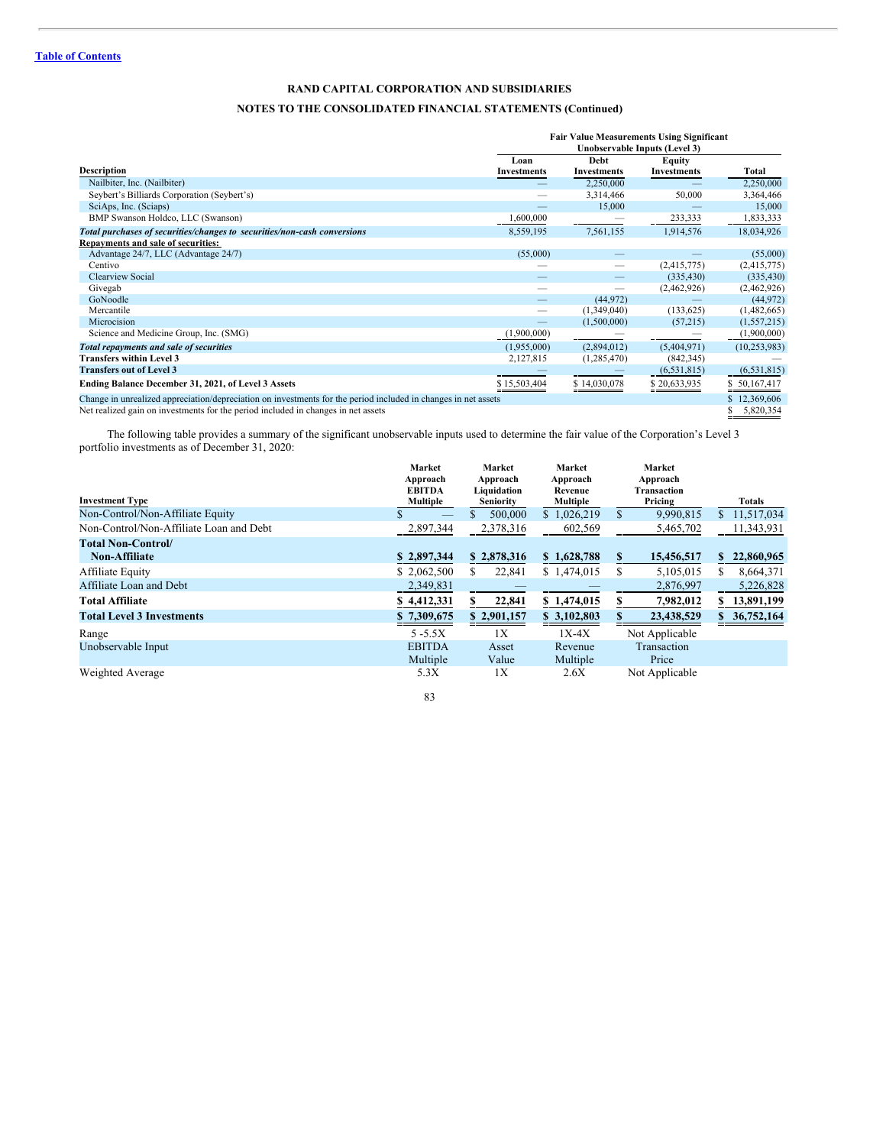# **NOTES TO THE CONSOLIDATED FINANCIAL STATEMENTS (Continued)**

|                                                                                                                | <b>Fair Value Measurements Using Significant</b> |              |               |                 |  |  |
|----------------------------------------------------------------------------------------------------------------|--------------------------------------------------|--------------|---------------|-----------------|--|--|
|                                                                                                                | Unobservable Inputs (Level 3)                    |              |               |                 |  |  |
|                                                                                                                | Loan                                             | Debt         | Equity        |                 |  |  |
| <b>Description</b>                                                                                             | Investments                                      | Investments  | Investments   | Total           |  |  |
| Nailbiter, Inc. (Nailbiter)                                                                                    |                                                  | 2,250,000    |               | 2,250,000       |  |  |
| Seybert's Billiards Corporation (Seybert's)                                                                    |                                                  | 3,314,466    | 50,000        | 3,364,466       |  |  |
| SciAps, Inc. (Sciaps)                                                                                          |                                                  | 15,000       |               | 15,000          |  |  |
| BMP Swanson Holdco, LLC (Swanson)                                                                              | 1,600,000                                        |              | 233,333       | 1,833,333       |  |  |
| Total purchases of securities/changes to securities/non-cash conversions                                       | 8,559,195                                        | 7,561,155    | 1,914,576     | 18,034,926      |  |  |
| Repayments and sale of securities:                                                                             |                                                  |              |               |                 |  |  |
| Advantage 24/7, LLC (Advantage 24/7)                                                                           | (55,000)                                         |              |               | (55,000)        |  |  |
| Centivo                                                                                                        |                                                  |              | (2,415,775)   | (2,415,775)     |  |  |
| Clearview Social                                                                                               |                                                  |              | (335, 430)    | (335, 430)      |  |  |
| Givegab                                                                                                        |                                                  |              | (2,462,926)   | (2,462,926)     |  |  |
| GoNoodle                                                                                                       |                                                  | (44, 972)    |               | (44, 972)       |  |  |
| Mercantile                                                                                                     | --                                               | (1,349,040)  | (133, 625)    | (1,482,665)     |  |  |
| Microcision                                                                                                    |                                                  | (1,500,000)  | (57,215)      | (1, 557, 215)   |  |  |
| Science and Medicine Group, Inc. (SMG)                                                                         | (1,900,000)                                      |              |               | (1,900,000)     |  |  |
| Total repayments and sale of securities                                                                        | (1,955,000)                                      | (2,894,012)  | (5,404,971)   | (10, 253, 983)  |  |  |
| <b>Transfers within Level 3</b>                                                                                | 2,127,815                                        | (1,285,470)  | (842, 345)    |                 |  |  |
| <b>Transfers out of Level 3</b>                                                                                |                                                  |              | (6, 531, 815) | (6, 531, 815)   |  |  |
| Ending Balance December 31, 2021, of Level 3 Assets                                                            | \$15,503,404                                     | \$14,030,078 | \$20,633,935  | 50,167,417      |  |  |
| Change in unrealized appreciation/depreciation on investments for the period included in changes in net assets |                                                  |              |               | \$12,369,606    |  |  |
| Net realized gain on investments for the period included in changes in net assets                              |                                                  |              |               | 5,820,354<br>-- |  |  |

The following table provides a summary of the significant unobservable inputs used to determine the fair value of the Corporation's Level 3 portfolio investments as of December 31, 2020:

| <b>Investment Type</b>                            | Market<br>Approach<br><b>EBITDA</b><br><b>Multiple</b> | Market<br>Approach<br>Liquidation<br>Seniority | <b>Market</b><br>Approach<br>Revenue<br><b>Multiple</b> | Market<br>Approach<br>Transaction<br>Pricing | <b>Totals</b>     |
|---------------------------------------------------|--------------------------------------------------------|------------------------------------------------|---------------------------------------------------------|----------------------------------------------|-------------------|
| Non-Control/Non-Affiliate Equity                  |                                                        | 500,000                                        | \$1,026,219                                             | 9,990,815                                    | 11,517,034<br>S   |
| Non-Control/Non-Affiliate Loan and Debt           | 2,897,344                                              | 2,378,316                                      | 602,569                                                 | 5,465,702                                    | 11,343,931        |
| <b>Total Non-Control/</b><br><b>Non-Affiliate</b> | \$2,897,344                                            | \$2,878,316                                    | \$1,628,788                                             | 15,456,517<br>S                              | 22,860,965<br>\$. |
| Affiliate Equity                                  | \$2,062,500                                            | 22,841<br>S                                    | \$1,474,015                                             | 5,105,015<br>S                               | 8,664,371<br>S.   |
| Affiliate Loan and Debt                           | 2,349,831                                              |                                                |                                                         | 2,876,997                                    | 5,226,828         |
| <b>Total Affiliate</b>                            | \$4,412,331                                            | 22,841                                         | \$1,474,015                                             | 7,982,012<br>э                               | 13,891,199        |
| <b>Total Level 3 Investments</b>                  | \$7,309,675                                            | \$2,901,157                                    | \$3,102,803                                             | 23,438,529                                   | 36,752,164        |
| Range                                             | $5 - 5.5X$                                             | 1X                                             | $1X-4X$                                                 | Not Applicable                               |                   |
| Unobservable Input                                | <b>EBITDA</b>                                          | Asset                                          | Revenue                                                 | Transaction                                  |                   |
|                                                   | Multiple                                               | Value                                          | Multiple                                                | Price                                        |                   |
| Weighted Average                                  | 5.3X                                                   | 1X                                             | 2.6X                                                    | Not Applicable                               |                   |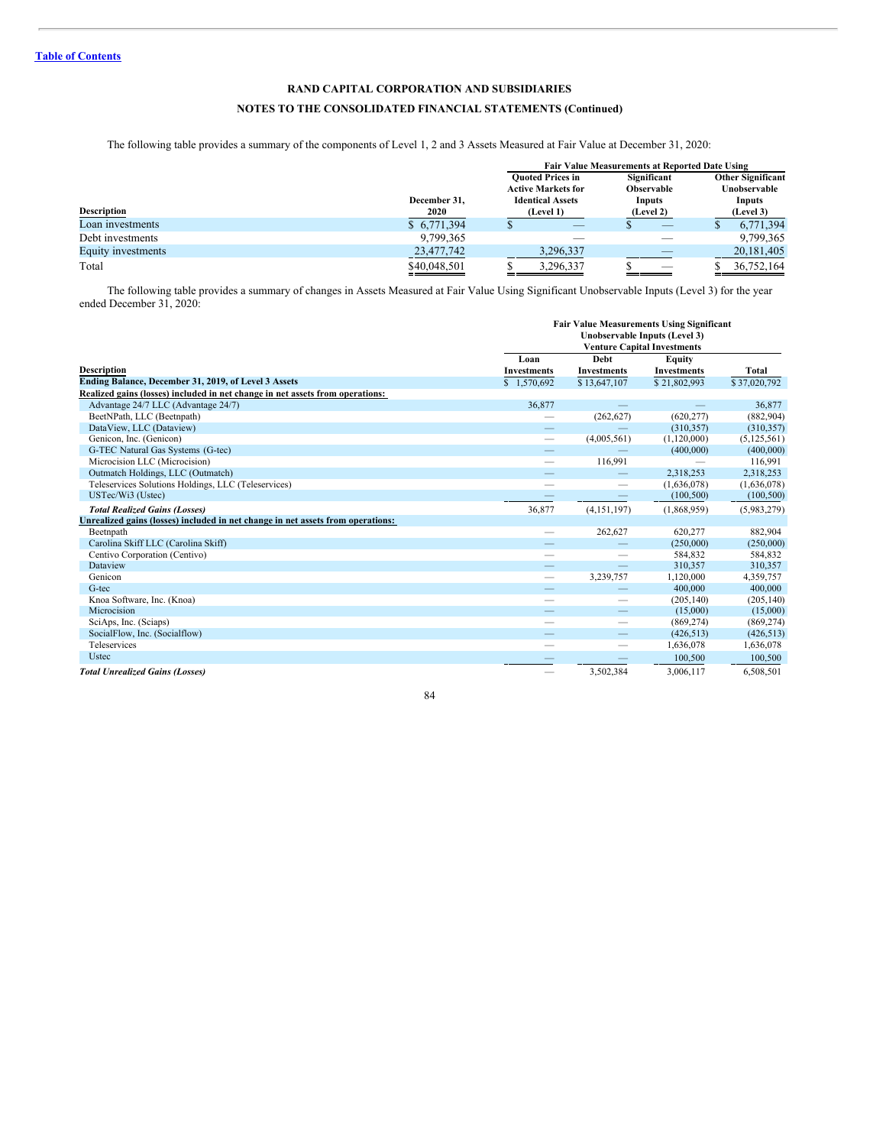# **RAND CAPITAL CORPORATION AND SUBSIDIARIES NOTES TO THE CONSOLIDATED FINANCIAL STATEMENTS (Continued)**

The following table provides a summary of the components of Level 1, 2 and 3 Assets Measured at Fair Value at December 31, 2020:

|                    |              | Fair Value Measurements at Reported Date Using                                  |                                            |                                                    |
|--------------------|--------------|---------------------------------------------------------------------------------|--------------------------------------------|----------------------------------------------------|
|                    | December 31, | <b>Ouoted Prices in</b><br><b>Active Markets for</b><br><b>Identical Assets</b> | Significant<br><b>Observable</b><br>Inputs | <b>Other Significant</b><br>Unobservable<br>Inputs |
| Description        | 2020         | (Level 1)                                                                       | (Level 2)                                  | (Level 3)                                          |
| Loan investments   | \$ 6,771,394 |                                                                                 | $\overline{\phantom{a}}$                   | 6,771,394                                          |
| Debt investments   | 9,799,365    |                                                                                 |                                            | 9,799,365                                          |
| Equity investments | 23,477,742   | 3,296,337                                                                       |                                            | 20, 181, 405                                       |
| Total              | \$40,048,501 | 3,296,337                                                                       | $\overline{\phantom{a}}$                   | 36,752,164                                         |

The following table provides a summary of changes in Assets Measured at Fair Value Using Significant Unobservable Inputs (Level 3) for the year ended December 31, 2020:

|                                                                                 |                    | <b>Fair Value Measurements Using Significant</b><br>Unobservable Inputs (Level 3)<br><b>Venture Capital Investments</b> |                    |               |  |
|---------------------------------------------------------------------------------|--------------------|-------------------------------------------------------------------------------------------------------------------------|--------------------|---------------|--|
|                                                                                 | Loan               | Debt                                                                                                                    | <b>Equity</b>      |               |  |
| <b>Description</b>                                                              | <b>Investments</b> | <b>Investments</b>                                                                                                      | <b>Investments</b> | Total         |  |
| Ending Balance, December 31, 2019, of Level 3 Assets                            | \$1,570,692        | \$13,647,107                                                                                                            | \$21,802,993       | \$37,020,792  |  |
| Realized gains (losses) included in net change in net assets from operations:   |                    |                                                                                                                         |                    |               |  |
| Advantage 24/7 LLC (Advantage 24/7)                                             | 36,877             |                                                                                                                         |                    | 36,877        |  |
| BeetNPath, LLC (Beetnpath)                                                      |                    | (262, 627)                                                                                                              | (620, 277)         | (882,904)     |  |
| DataView, LLC (Dataview)                                                        |                    |                                                                                                                         | (310, 357)         | (310, 357)    |  |
| Genicon, Inc. (Genicon)                                                         |                    | (4,005,561)                                                                                                             | (1,120,000)        | (5, 125, 561) |  |
| G-TEC Natural Gas Systems (G-tec)                                               |                    |                                                                                                                         | (400,000)          | (400,000)     |  |
| Microcision LLC (Microcision)                                                   |                    | 116,991                                                                                                                 |                    | 116,991       |  |
| Outmatch Holdings, LLC (Outmatch)                                               |                    |                                                                                                                         | 2.318.253          | 2,318,253     |  |
| Teleservices Solutions Holdings, LLC (Teleservices)                             |                    |                                                                                                                         | (1,636,078)        | (1,636,078)   |  |
| USTec/Wi3 (Ustec)                                                               |                    |                                                                                                                         | (100, 500)         | (100, 500)    |  |
| <b>Total Realized Gains (Losses)</b>                                            | 36,877             | (4,151,197)                                                                                                             | (1,868,959)        | (5,983,279)   |  |
| Unrealized gains (losses) included in net change in net assets from operations: |                    |                                                                                                                         |                    |               |  |
| Beetnpath                                                                       |                    | 262,627                                                                                                                 | 620,277            | 882,904       |  |
| Carolina Skiff LLC (Carolina Skiff)                                             |                    |                                                                                                                         | (250,000)          | (250,000)     |  |
| Centivo Corporation (Centivo)                                                   |                    |                                                                                                                         | 584,832            | 584,832       |  |
| Dataview                                                                        |                    |                                                                                                                         | 310,357            | 310,357       |  |
| Genicon                                                                         |                    | 3,239,757                                                                                                               | 1,120,000          | 4,359,757     |  |
| G-tec                                                                           |                    |                                                                                                                         | 400,000            | 400,000       |  |
| Knoa Software, Inc. (Knoa)                                                      |                    |                                                                                                                         | (205, 140)         | (205, 140)    |  |
| Microcision                                                                     |                    |                                                                                                                         | (15,000)           | (15,000)      |  |
| SciAps, Inc. (Sciaps)                                                           |                    |                                                                                                                         | (869, 274)         | (869, 274)    |  |
| SocialFlow, Inc. (Socialflow)                                                   |                    |                                                                                                                         | (426, 513)         | (426, 513)    |  |
| Teleservices                                                                    |                    |                                                                                                                         | 1,636,078          | 1,636,078     |  |
| Ustec                                                                           |                    |                                                                                                                         | 100,500            | 100,500       |  |
| <b>Total Unrealized Gains (Losses)</b>                                          |                    | 3,502,384                                                                                                               | 3,006,117          | 6,508,501     |  |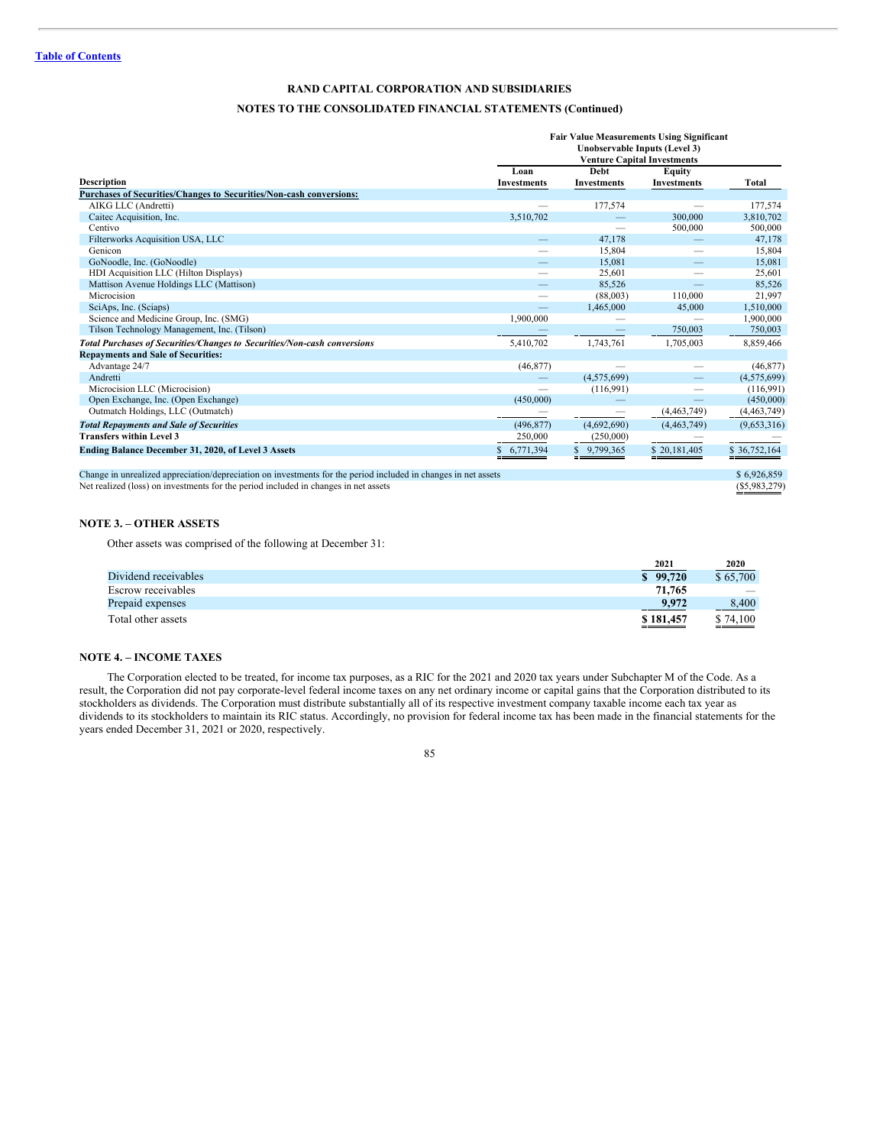# **NOTES TO THE CONSOLIDATED FINANCIAL STATEMENTS (Continued)**

|                                                                                                                |                    | Unobservable Inputs (Level 3)<br><b>Venture Capital Investments</b> | <b>Fair Value Measurements Using Significant</b> |               |
|----------------------------------------------------------------------------------------------------------------|--------------------|---------------------------------------------------------------------|--------------------------------------------------|---------------|
|                                                                                                                | Loan               | Debt                                                                | <b>Equity</b>                                    |               |
| <b>Description</b>                                                                                             | <b>Investments</b> | <b>Investments</b>                                                  | <b>Investments</b>                               | <b>Total</b>  |
| Purchases of Securities/Changes to Securities/Non-cash conversions:                                            |                    |                                                                     |                                                  |               |
| AIKG LLC (Andretti)                                                                                            |                    | 177,574                                                             |                                                  | 177,574       |
| Caitec Acquisition, Inc.                                                                                       | 3,510,702          |                                                                     | 300,000                                          | 3,810,702     |
| Centivo                                                                                                        |                    |                                                                     | 500,000                                          | 500,000       |
| Filterworks Acquisition USA, LLC                                                                               |                    | 47,178                                                              |                                                  | 47,178        |
| Genicon                                                                                                        |                    | 15,804                                                              |                                                  | 15,804        |
| GoNoodle, Inc. (GoNoodle)                                                                                      |                    | 15,081                                                              |                                                  | 15,081        |
| HDI Acquisition LLC (Hilton Displays)                                                                          |                    | 25,601                                                              |                                                  | 25,601        |
| Mattison Avenue Holdings LLC (Mattison)                                                                        |                    | 85,526                                                              |                                                  | 85,526        |
| Microcision                                                                                                    |                    | (88,003)                                                            | 110,000                                          | 21,997        |
| SciAps, Inc. (Sciaps)                                                                                          |                    | 1,465,000                                                           | 45,000                                           | 1,510,000     |
| Science and Medicine Group, Inc. (SMG)                                                                         | 1,900,000          |                                                                     |                                                  | 1,900,000     |
| Tilson Technology Management, Inc. (Tilson)                                                                    |                    |                                                                     | 750,003                                          | 750,003       |
| Total Purchases of Securities/Changes to Securities/Non-cash conversions                                       | 5,410,702          | 1,743,761                                                           | 1,705,003                                        | 8,859,466     |
| <b>Repayments and Sale of Securities:</b>                                                                      |                    |                                                                     |                                                  |               |
| Advantage 24/7                                                                                                 | (46, 877)          |                                                                     |                                                  | (46,877)      |
| Andretti                                                                                                       |                    | (4,575,699)                                                         |                                                  | (4,575,699)   |
| Microcision LLC (Microcision)                                                                                  |                    | (116,991)                                                           | —                                                | (116,991)     |
| Open Exchange, Inc. (Open Exchange)                                                                            | (450,000)          |                                                                     |                                                  | (450,000)     |
| Outmatch Holdings, LLC (Outmatch)                                                                              |                    |                                                                     | (4, 463, 749)                                    | (4, 463, 749) |
| <b>Total Repayments and Sale of Securities</b>                                                                 | (496, 877)         | (4,692,690)                                                         | (4,463,749)                                      | (9,653,316)   |
| <b>Transfers within Level 3</b>                                                                                | 250,000            | (250,000)                                                           |                                                  |               |
| Ending Balance December 31, 2020, of Level 3 Assets                                                            | 6,771,394<br>S.    | 9,799,365<br>S.                                                     | \$20,181,405                                     | \$36,752,164  |
| Change in unrealized appreciation/depreciation on investments for the period included in changes in net assets |                    |                                                                     |                                                  | \$6,926,859   |

Net realized (loss) on investments for the period included in changes in net assets (\$5,983,279)

# **NOTE 3. – OTHER ASSETS**

Other assets was comprised of the following at December 31:

|                      | 2021                 | 2020                     |
|----------------------|----------------------|--------------------------|
| Dividend receivables | \$99.720             | \$65,700                 |
| Escrow receivables   | 71,765               | $\overline{\phantom{a}}$ |
| Prepaid expenses     | 9.972                | 8,400                    |
| Total other assets   | \$181,457<br>_______ | \$74,100<br>_____        |

## **NOTE 4. – INCOME TAXES**

The Corporation elected to be treated, for income tax purposes, as a RIC for the 2021 and 2020 tax years under Subchapter M of the Code. As a result, the Corporation did not pay corporate-level federal income taxes on any net ordinary income or capital gains that the Corporation distributed to its stockholders as dividends. The Corporation must distribute substantially all of its respective investment company taxable income each tax year as dividends to its stockholders to maintain its RIC status. Accordingly, no provision for federal income tax has been made in the financial statements for the years ended December 31, 2021 or 2020, respectively.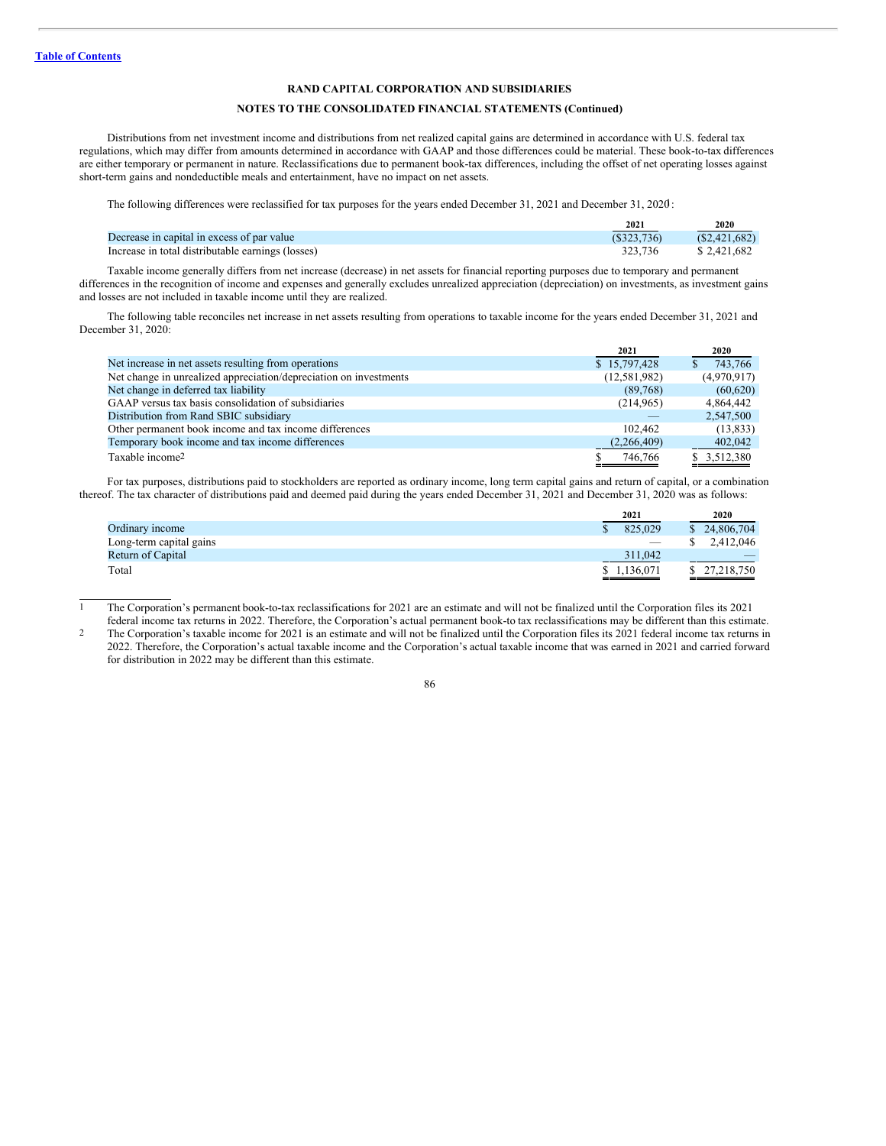#### **NOTES TO THE CONSOLIDATED FINANCIAL STATEMENTS (Continued)**

Distributions from net investment income and distributions from net realized capital gains are determined in accordance with U.S. federal tax regulations, which may differ from amounts determined in accordance with GAAP and those differences could be material. These book-to-tax differences are either temporary or permanent in nature. Reclassifications due to permanent book-tax differences, including the offset of net operating losses against short-term gains and nondeductible meals and entertainment, have no impact on net assets.

The following differences were reclassified for tax purposes for the years ended December 31, 2021 and December 31, 2020:

|                                                   | 2021       | 2020           |
|---------------------------------------------------|------------|----------------|
| Decrease in capital in excess of par value        | (S323.736) | (S2, 421, 682) |
| Increase in total distributable earnings (losses) | 323.736    | \$2.421.682    |

Taxable income generally differs from net increase (decrease) in net assets for financial reporting purposes due to temporary and permanent differences in the recognition of income and expenses and generally excludes unrealized appreciation (depreciation) on investments, as investment gains and losses are not included in taxable income until they are realized.

The following table reconciles net increase in net assets resulting from operations to taxable income for the years ended December 31, 2021 and December 31, 2020:

|                                                                   | 2021           | 2020         |
|-------------------------------------------------------------------|----------------|--------------|
| Net increase in net assets resulting from operations              | \$15,797,428   | 743,766      |
| Net change in unrealized appreciation/depreciation on investments | (12, 581, 982) | (4,970,917)  |
| Net change in deferred tax liability                              | (89,768)       | (60, 620)    |
| GAAP versus tax basis consolidation of subsidiaries               | (214,965)      | 4,864,442    |
| Distribution from Rand SBIC subsidiary                            |                | 2.547.500    |
| Other permanent book income and tax income differences            | 102.462        | (13, 833)    |
| Temporary book income and tax income differences                  | (2,266,409)    | 402,042      |
| Taxable income <sup>2</sup>                                       | 746,766        | \$ 3,512,380 |

For tax purposes, distributions paid to stockholders are reported as ordinary income, long term capital gains and return of capital, or a combination thereof. The tax character of distributions paid and deemed paid during the years ended December 31, 2021 and December 31, 2020 was as follows:

|                         | 2021                            | 2020          |
|-------------------------|---------------------------------|---------------|
| Ordinary income         | 825,029                         | \$ 24,806,704 |
| Long-term capital gains | $\hspace{0.1mm}-\hspace{0.1mm}$ | 2,412,046     |
| Return of Capital       | 311.042                         |               |
| Total                   | \$1,136,071                     | \$ 27,218,750 |

<sup>1</sup> The Corporation's permanent book-to-tax reclassifications for 2021 are an estimate and will not be finalized until the Corporation files its 2021

federal income tax returns in 2022. Therefore, the Corporation's actual permanent book-to tax reclassifications may be different than this estimate. 2 The Corporation's taxable income for 2021 is an estimate and will not be finalized until the Corporation files its 2021 federal income tax returns in 2022. Therefore, the Corporation's actual taxable income and the Corporation's actual taxable income that was earned in 2021 and carried forward for distribution in 2022 may be different than this estimate.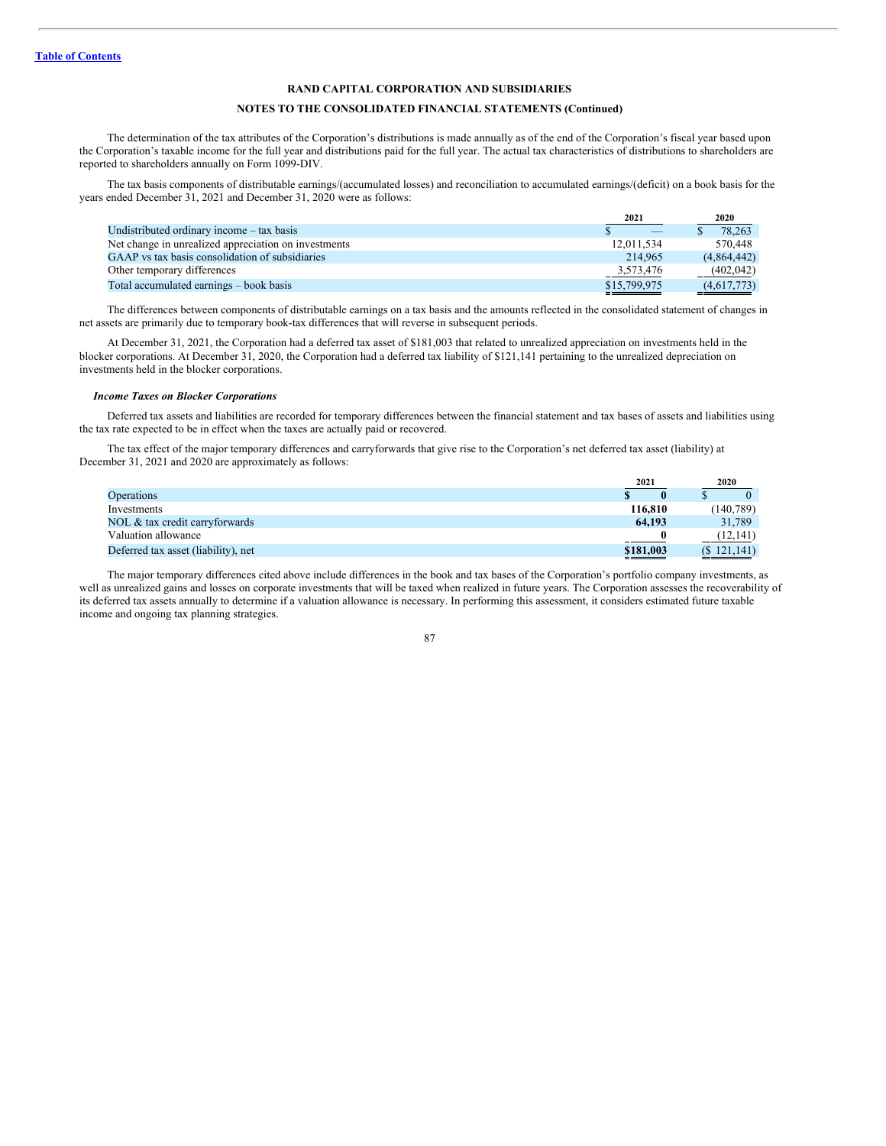#### **NOTES TO THE CONSOLIDATED FINANCIAL STATEMENTS (Continued)**

The determination of the tax attributes of the Corporation's distributions is made annually as of the end of the Corporation's fiscal year based upon the Corporation's taxable income for the full year and distributions paid for the full year. The actual tax characteristics of distributions to shareholders are reported to shareholders annually on Form 1099-DIV.

The tax basis components of distributable earnings/(accumulated losses) and reconciliation to accumulated earnings/(deficit) on a book basis for the years ended December 31, 2021 and December 31, 2020 were as follows:

|                                                      | 2021         | 2020        |
|------------------------------------------------------|--------------|-------------|
| Undistributed ordinary income – tax basis            |              | 78.263      |
| Net change in unrealized appreciation on investments | 12.011.534   | 570,448     |
| GAAP vs tax basis consolidation of subsidiaries      | 214,965      | (4,864,442) |
| Other temporary differences                          | 3,573,476    | (402, 042)  |
| Total accumulated earnings – book basis              | \$15,799,975 | (4,617,773) |

The differences between components of distributable earnings on a tax basis and the amounts reflected in the consolidated statement of changes in net assets are primarily due to temporary book-tax differences that will reverse in subsequent periods.

At December 31, 2021, the Corporation had a deferred tax asset of \$181,003 that related to unrealized appreciation on investments held in the blocker corporations. At December 31, 2020, the Corporation had a deferred tax liability of \$121,141 pertaining to the unrealized depreciation on investments held in the blocker corporations.

#### *Income Taxes on Blocker Corporations*

Deferred tax assets and liabilities are recorded for temporary differences between the financial statement and tax bases of assets and liabilities using the tax rate expected to be in effect when the taxes are actually paid or recovered.

The tax effect of the major temporary differences and carryforwards that give rise to the Corporation's net deferred tax asset (liability) at December 31, 2021 and 2020 are approximately as follows:

|                                     | 2021             |        | 2020 |               |
|-------------------------------------|------------------|--------|------|---------------|
| <b>Operations</b>                   |                  | 0      |      |               |
| Investments                         | 116,810          |        |      | (140, 789)    |
| NOL & tax credit carryforwards      |                  | 64.193 |      | 31,789        |
| Valuation allowance                 |                  |        |      | (12, 141)     |
| Deferred tax asset (liability), net | <u>\$181,003</u> |        |      | $(S$ 121,141) |
|                                     |                  |        |      |               |

The major temporary differences cited above include differences in the book and tax bases of the Corporation's portfolio company investments, as well as unrealized gains and losses on corporate investments that will be taxed when realized in future years. The Corporation assesses the recoverability of its deferred tax assets annually to determine if a valuation allowance is necessary. In performing this assessment, it considers estimated future taxable income and ongoing tax planning strategies.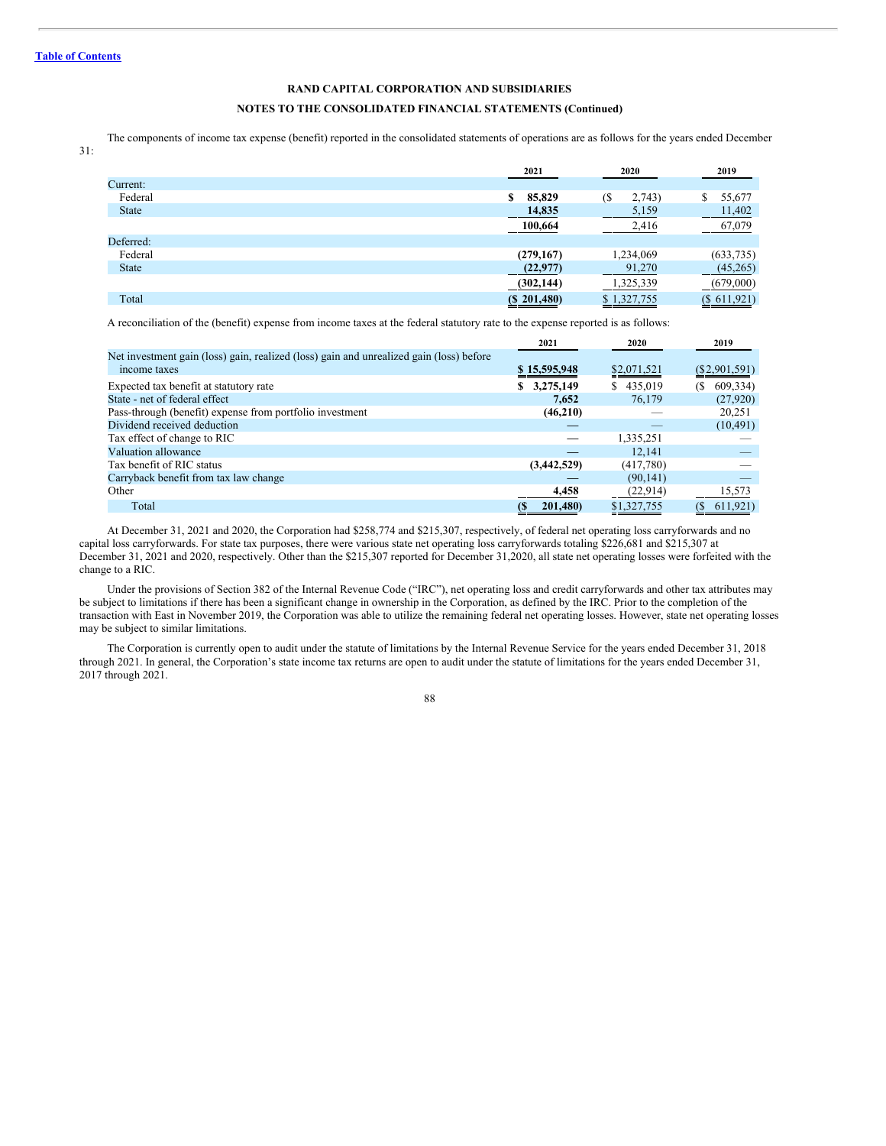31:

# **RAND CAPITAL CORPORATION AND SUBSIDIARIES**

## **NOTES TO THE CONSOLIDATED FINANCIAL STATEMENTS (Continued)**

The components of income tax expense (benefit) reported in the consolidated statements of operations are as follows for the years ended December

|              | 2021        | 2020          | 2019          |
|--------------|-------------|---------------|---------------|
| Current:     |             |               |               |
| Federal      | 85,829<br>S | 2,743)<br>(\$ | 55,677<br>S   |
| <b>State</b> | 14,835      | 5,159         | 11,402        |
|              | 100,664     | 2,416         | 67,079        |
| Deferred:    |             |               |               |
| Federal      | (279, 167)  | 1,234,069     | (633, 735)    |
| <b>State</b> | (22, 977)   | 91,270        | (45,265)      |
|              | (302, 144)  | 1,325,339     | (679,000)     |
| Total        | (S 201,480) | \$1,327,755   | (\$ 611, 921) |

A reconciliation of the (benefit) expense from income taxes at the federal statutory rate to the expense reported is as follows:

|                                                                                         | 2021           | 2020          | 2019            |
|-----------------------------------------------------------------------------------------|----------------|---------------|-----------------|
| Net investment gain (loss) gain, realized (loss) gain and unrealized gain (loss) before |                |               |                 |
| income taxes                                                                            | \$15,595,948   | \$2,071,521   | $(\$2,901,591)$ |
| Expected tax benefit at statutory rate                                                  | 3,275,149<br>S | 435,019<br>S. | 609,334)<br>(S  |
| State - net of federal effect                                                           | 7.652          | 76,179        | (27,920)        |
| Pass-through (benefit) expense from portfolio investment                                | (46,210)       |               | 20,251          |
| Dividend received deduction                                                             |                |               | (10, 491)       |
| Tax effect of change to RIC                                                             |                | 1,335,251     |                 |
| Valuation allowance                                                                     |                | 12.141        |                 |
| Tax benefit of RIC status                                                               | (3,442,529)    | (417,780)     |                 |
| Carryback benefit from tax law change                                                   |                | (90, 141)     |                 |
| Other                                                                                   | 4,458          | (22, 914)     | 15,573          |
| Total                                                                                   | 201,480)       | \$1,327,755   | 611,921)<br>(\$ |

At December 31, 2021 and 2020, the Corporation had \$258,774 and \$215,307, respectively, of federal net operating loss carryforwards and no capital loss carryforwards. For state tax purposes, there were various state net operating loss carryforwards totaling \$226,681 and \$215,307 at December 31, 2021 and 2020, respectively. Other than the \$215,307 reported for December 31,2020, all state net operating losses were forfeited with the change to a RIC.

Under the provisions of Section 382 of the Internal Revenue Code ("IRC"), net operating loss and credit carryforwards and other tax attributes may be subject to limitations if there has been a significant change in ownership in the Corporation, as defined by the IRC. Prior to the completion of the transaction with East in November 2019, the Corporation was able to utilize the remaining federal net operating losses. However, state net operating losses may be subject to similar limitations.

The Corporation is currently open to audit under the statute of limitations by the Internal Revenue Service for the years ended December 31, 2018 through 2021. In general, the Corporation's state income tax returns are open to audit under the statute of limitations for the years ended December 31, 2017 through 2021.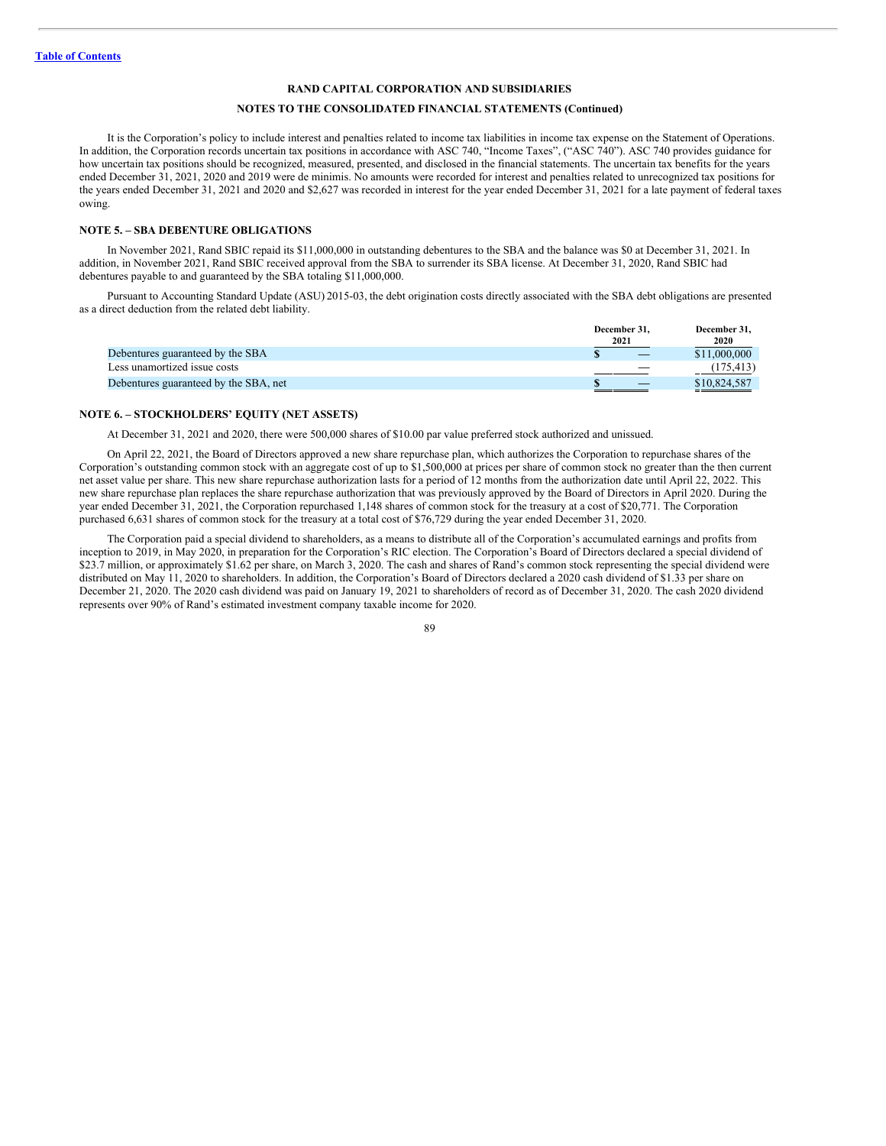#### **NOTES TO THE CONSOLIDATED FINANCIAL STATEMENTS (Continued)**

It is the Corporation's policy to include interest and penalties related to income tax liabilities in income tax expense on the Statement of Operations. In addition, the Corporation records uncertain tax positions in accordance with ASC 740, "Income Taxes", ("ASC 740"). ASC 740 provides guidance for how uncertain tax positions should be recognized, measured, presented, and disclosed in the financial statements. The uncertain tax benefits for the years ended December 31, 2021, 2020 and 2019 were de minimis. No amounts were recorded for interest and penalties related to unrecognized tax positions for the years ended December 31, 2021 and 2020 and \$2,627 was recorded in interest for the year ended December 31, 2021 for a late payment of federal taxes owing.

## **NOTE 5. – SBA DEBENTURE OBLIGATIONS**

In November 2021, Rand SBIC repaid its \$11,000,000 in outstanding debentures to the SBA and the balance was \$0 at December 31, 2021. In addition, in November 2021, Rand SBIC received approval from the SBA to surrender its SBA license. At December 31, 2020, Rand SBIC had debentures payable to and guaranteed by the SBA totaling \$11,000,000.

Pursuant to Accounting Standard Update (ASU) 2015-03, the debt origination costs directly associated with the SBA debt obligations are presented as a direct deduction from the related debt liability.

|                                       | December 31.<br>2021 | December 31.<br>2020 |
|---------------------------------------|----------------------|----------------------|
| Debentures guaranteed by the SBA      |                      | \$11,000,000         |
| Less unamortized issue costs          |                      | (175, 413)           |
| Debentures guaranteed by the SBA, net |                      | \$10,824,587         |

#### **NOTE 6. – STOCKHOLDERS' EQUITY (NET ASSETS)**

At December 31, 2021 and 2020, there were 500,000 shares of \$10.00 par value preferred stock authorized and unissued.

On April 22, 2021, the Board of Directors approved a new share repurchase plan, which authorizes the Corporation to repurchase shares of the Corporation's outstanding common stock with an aggregate cost of up to \$1,500,000 at prices per share of common stock no greater than the then current net asset value per share. This new share repurchase authorization lasts for a period of 12 months from the authorization date until April 22, 2022. This new share repurchase plan replaces the share repurchase authorization that was previously approved by the Board of Directors in April 2020. During the year ended December 31, 2021, the Corporation repurchased 1,148 shares of common stock for the treasury at a cost of \$20,771. The Corporation purchased 6,631 shares of common stock for the treasury at a total cost of \$76,729 during the year ended December 31, 2020.

The Corporation paid a special dividend to shareholders, as a means to distribute all of the Corporation's accumulated earnings and profits from inception to 2019, in May 2020, in preparation for the Corporation's RIC election. The Corporation's Board of Directors declared a special dividend of \$23.7 million, or approximately \$1.62 per share, on March 3, 2020. The cash and shares of Rand's common stock representing the special dividend were distributed on May 11, 2020 to shareholders. In addition, the Corporation's Board of Directors declared a 2020 cash dividend of \$1.33 per share on December 21, 2020. The 2020 cash dividend was paid on January 19, 2021 to shareholders of record as of December 31, 2020. The cash 2020 dividend represents over 90% of Rand's estimated investment company taxable income for 2020.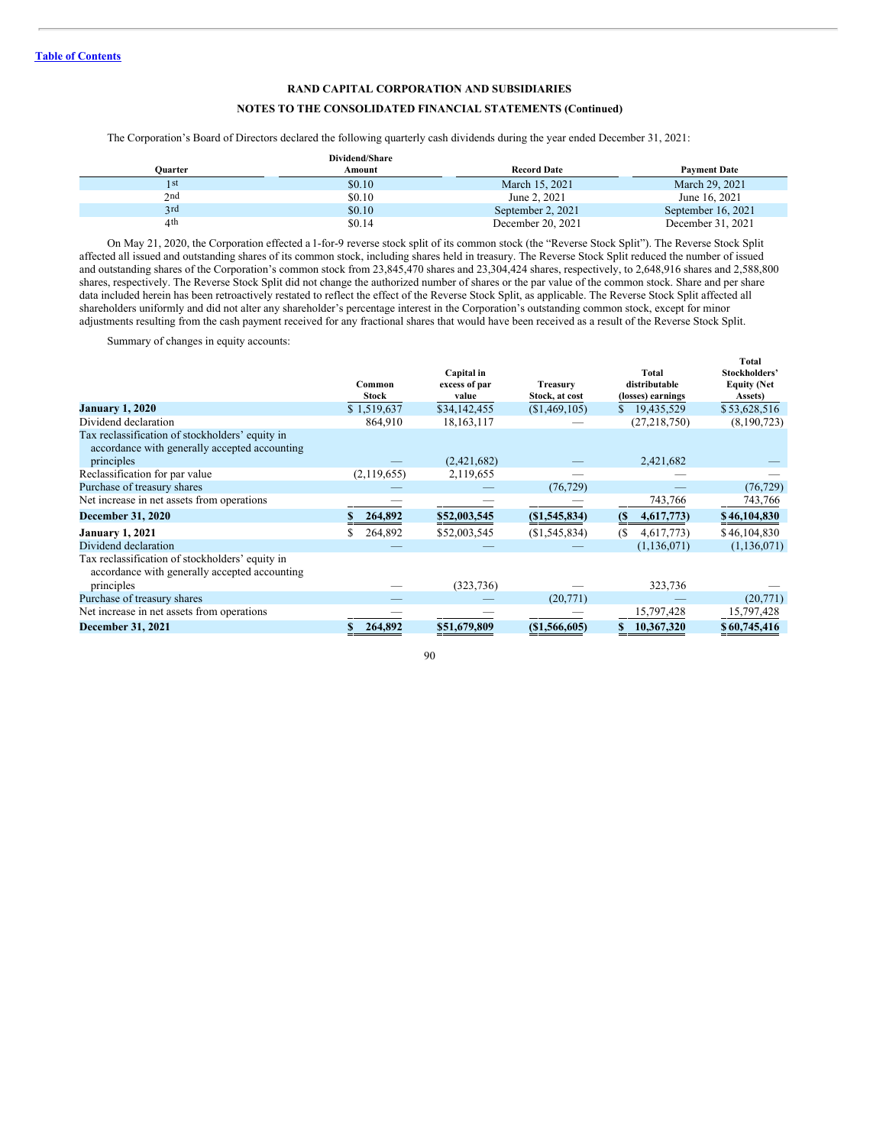## **NOTES TO THE CONSOLIDATED FINANCIAL STATEMENTS (Continued)**

The Corporation's Board of Directors declared the following quarterly cash dividends during the year ended December 31, 2021:

|                 | Dividend/Share |                    |                     |
|-----------------|----------------|--------------------|---------------------|
| Ouarter         | Amount         | <b>Record Date</b> | <b>Payment Date</b> |
| 1st             | \$0.10         | March 15, 2021     | March 29, 2021      |
| 2 <sub>nd</sub> | \$0.10         | June 2, 2021       | June 16, 2021       |
| 3rd             | \$0.10         | September 2, 2021  | September 16, 2021  |
| 4th             | \$0.14         | December 20, 2021  | December 31, 2021   |

On May 21, 2020, the Corporation effected a 1-for-9 reverse stock split of its common stock (the "Reverse Stock Split"). The Reverse Stock Split affected all issued and outstanding shares of its common stock, including shares held in treasury. The Reverse Stock Split reduced the number of issued and outstanding shares of the Corporation's common stock from 23,845,470 shares and 23,304,424 shares, respectively, to 2,648,916 shares and 2,588,800 shares, respectively. The Reverse Stock Split did not change the authorized number of shares or the par value of the common stock. Share and per share data included herein has been retroactively restated to reflect the effect of the Reverse Stock Split, as applicable. The Reverse Stock Split affected all shareholders uniformly and did not alter any shareholder's percentage interest in the Corporation's outstanding common stock, except for minor adjustments resulting from the cash payment received for any fractional shares that would have been received as a result of the Reverse Stock Split.

**Total**

Summary of changes in equity accounts:

| <b>January 1, 2020</b><br>\$1,519,637<br>\$34,142,455<br>(\$1,469,105)<br>19,435,529<br>S.       | \$53,628,516  |
|--------------------------------------------------------------------------------------------------|---------------|
|                                                                                                  |               |
| Dividend declaration<br>864,910<br>(27, 218, 750)<br>18, 163, 117                                | (8,190,723)   |
| Tax reclassification of stockholders' equity in<br>accordance with generally accepted accounting |               |
| (2,421,682)<br>2,421,682<br>principles                                                           |               |
| Reclassification for par value<br>(2,119,655)<br>2,119,655                                       |               |
| Purchase of treasury shares<br>(76, 729)                                                         | (76, 729)     |
| Net increase in net assets from operations<br>743,766                                            | 743,766       |
| <b>December 31, 2020</b><br>264,892<br>(\$1,545,834)<br>4,617,773)<br>\$52,003,545<br>65         | \$46,104,830  |
| 264,892<br>\$52,003,545<br>4,617,773)<br>(\$1,545,834)<br>(S<br><b>January 1, 2021</b>           | \$46,104,830  |
| Dividend declaration<br>(1,136,071)                                                              | (1, 136, 071) |
| Tax reclassification of stockholders' equity in<br>accordance with generally accepted accounting |               |
| (323, 736)<br>323,736<br>principles                                                              |               |
| Purchase of treasury shares<br>(20,771)                                                          | (20, 771)     |
| Net increase in net assets from operations<br>15,797,428                                         | 15,797,428    |
| 264,892<br>\$51,679,809<br>(\$1,566,605)<br><b>December 31, 2021</b><br>10,367,320               | \$60,745,416  |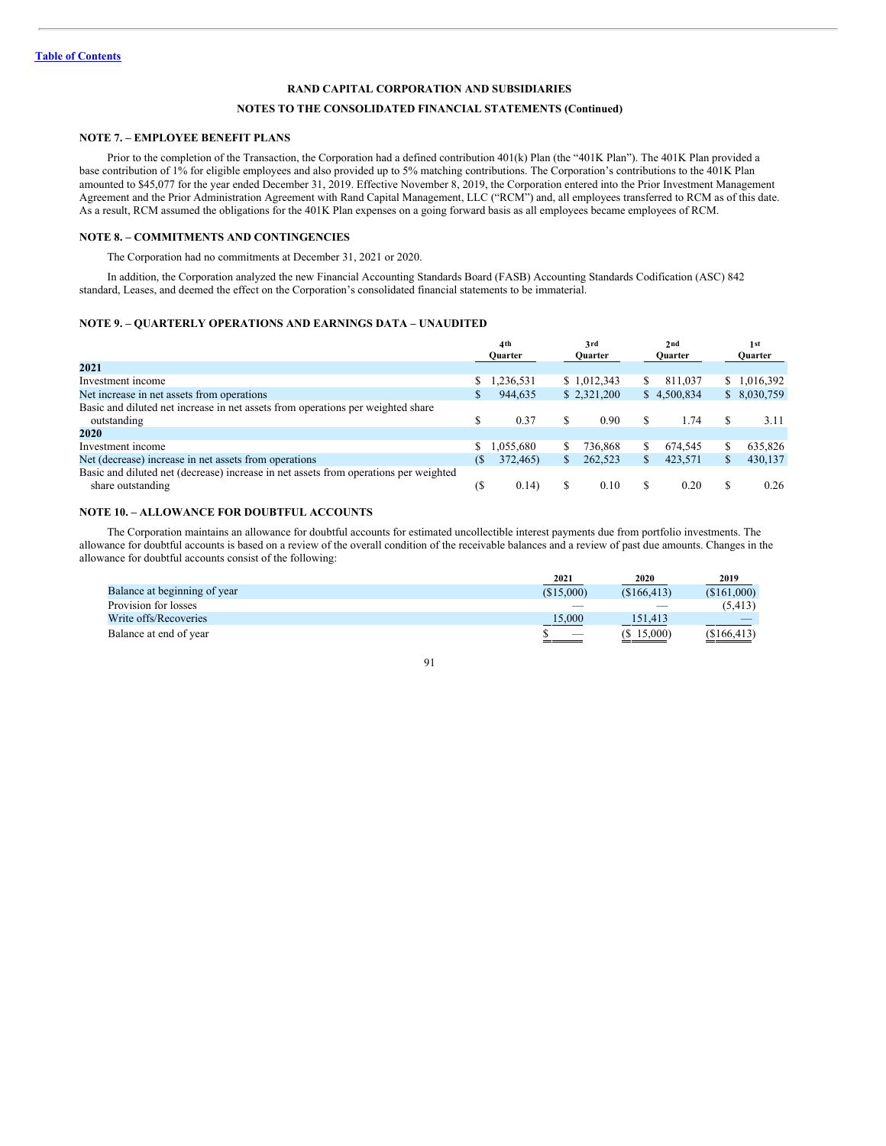#### **NOTES TO THE CONSOLIDATED FINANCIAL STATEMENTS (Continued)**

### **NOTE 7. – EMPLOYEE BENEFIT PLANS**

Prior to the completion of the Transaction, the Corporation had a defined contribution 401(k) Plan (the "401K Plan"). The 401K Plan provided a base contribution of 1% for eligible employees and also provided up to 5% matching contributions. The Corporation's contributions to the 401K Plan amounted to \$45,077 for the year ended December 31, 2019. Effective November 8, 2019, the Corporation entered into the Prior Investment Management Agreement and the Prior Administration Agreement with Rand Capital Management, LLC ("RCM") and, all employees transferred to RCM as of this date. As a result, RCM assumed the obligations for the 401K Plan expenses on a going forward basis as all employees became employees of RCM.

## **NOTE 8. – COMMITMENTS AND CONTINGENCIES**

The Corporation had no commitments at December 31, 2021 or 2020.

In addition, the Corporation analyzed the new Financial Accounting Standards Board (FASB) Accounting Standards Codification (ASC) 842 standard, Leases, and deemed the effect on the Corporation's consolidated financial statements to be immaterial.

#### **NOTE 9. – QUARTERLY OPERATIONS AND EARNINGS DATA – UNAUDITED**

|                                                                                      |            | 4 <sup>th</sup> |    | 3rd            |     | 2nd         |    | 1 <sub>st</sub> |
|--------------------------------------------------------------------------------------|------------|-----------------|----|----------------|-----|-------------|----|-----------------|
|                                                                                      |            | <b>Quarter</b>  |    | <b>Quarter</b> |     | Ouarter     |    | <b>Quarter</b>  |
| 2021                                                                                 |            |                 |    |                |     |             |    |                 |
| Investment income                                                                    |            | 1,236,531       |    | \$1,012,343    | \$  | 811.037     |    | \$1,016,392     |
| Net increase in net assets from operations                                           |            | 944,635         |    | \$2,321,200    |     | \$4,500,834 |    | \$ 8,030,759    |
| Basic and diluted net increase in net assets from operations per weighted share      |            |                 |    |                |     |             |    |                 |
| outstanding                                                                          | S          | 0.37            | S  | 0.90           | \$  | 1.74        | S  | 3.11            |
| 2020                                                                                 |            |                 |    |                |     |             |    |                 |
| Investment income                                                                    |            | 1,055,680       | S  | 736,868        | \$  | 674,545     | S  | 635,826         |
| Net (decrease) increase in net assets from operations                                | $\sqrt{5}$ | 372,465)        | S. | 262,523        | \$. | 423.571     |    | 430,137         |
| Basic and diluted net (decrease) increase in net assets from operations per weighted |            |                 |    |                |     |             |    |                 |
| share outstanding                                                                    | (\$        | 0.14)           | S  | 0.10           | S   | 0.20        | -S | 0.26            |

#### **NOTE 10. – ALLOWANCE FOR DOUBTFUL ACCOUNTS**

The Corporation maintains an allowance for doubtful accounts for estimated uncollectible interest payments due from portfolio investments. The allowance for doubtful accounts is based on a review of the overall condition of the receivable balances and a review of past due amounts. Changes in the allowance for doubtful accounts consist of the following:

|                              | 2021      | 2020          | 2019         |
|------------------------------|-----------|---------------|--------------|
| Balance at beginning of year | (S15,000) | (S166, 413)   | (\$161,000)  |
| Provision for losses         |           |               | (5, 413)     |
| Write offs/Recoveries        | 15,000    | 151.413       |              |
| Balance at end of year       |           | 15,000)<br>(S | (\$166, 413) |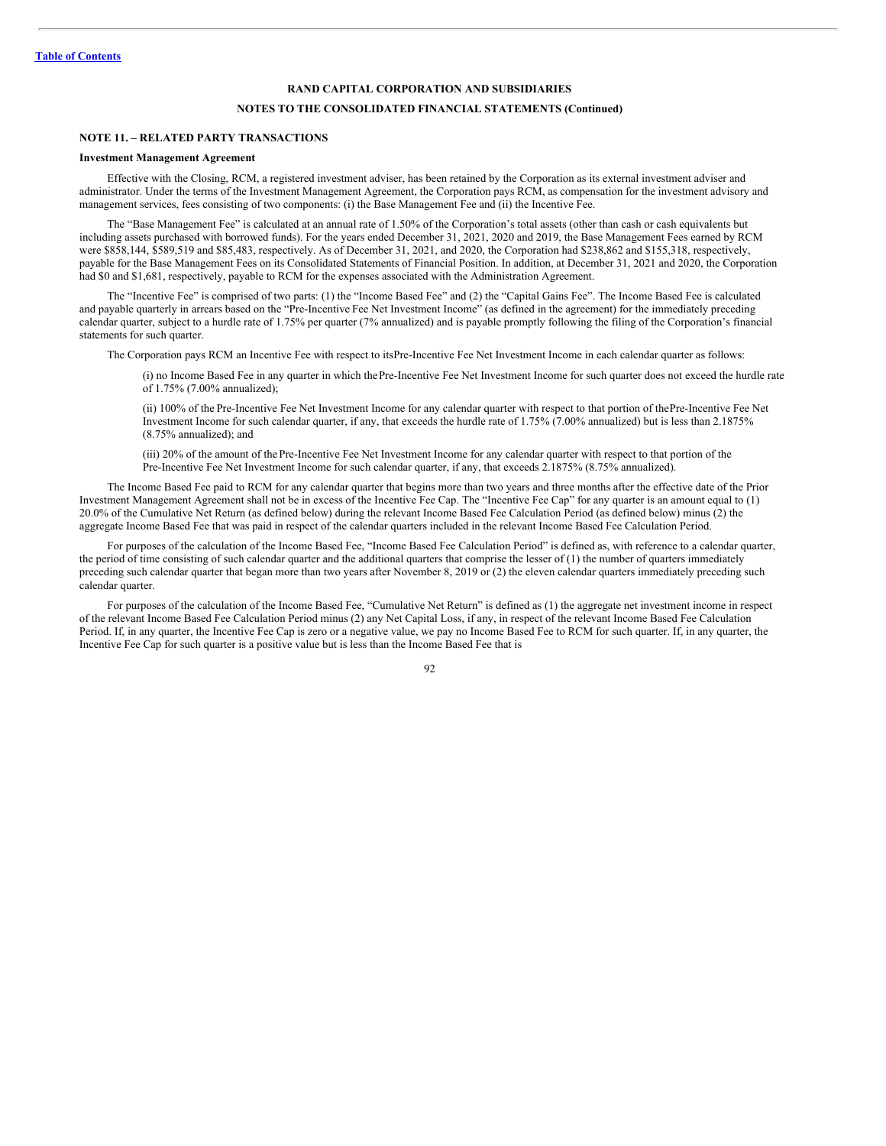## **NOTES TO THE CONSOLIDATED FINANCIAL STATEMENTS (Continued)**

#### **NOTE 11. – RELATED PARTY TRANSACTIONS**

#### **Investment Management Agreement**

Effective with the Closing, RCM, a registered investment adviser, has been retained by the Corporation as its external investment adviser and administrator. Under the terms of the Investment Management Agreement, the Corporation pays RCM, as compensation for the investment advisory and management services, fees consisting of two components: (i) the Base Management Fee and (ii) the Incentive Fee.

The "Base Management Fee" is calculated at an annual rate of 1.50% of the Corporation's total assets (other than cash or cash equivalents but including assets purchased with borrowed funds). For the years ended December 31, 2021, 2020 and 2019, the Base Management Fees earned by RCM were \$858,144, \$589,519 and \$85,483, respectively. As of December 31, 2021, and 2020, the Corporation had \$238,862 and \$155,318, respectively, payable for the Base Management Fees on its Consolidated Statements of Financial Position. In addition, at December 31, 2021 and 2020, the Corporation had \$0 and \$1,681, respectively, payable to RCM for the expenses associated with the Administration Agreement.

The "Incentive Fee" is comprised of two parts: (1) the "Income Based Fee" and (2) the "Capital Gains Fee". The Income Based Fee is calculated and payable quarterly in arrears based on the "Pre-Incentive Fee Net Investment Income" (as defined in the agreement) for the immediately preceding calendar quarter, subject to a hurdle rate of 1.75% per quarter (7% annualized) and is payable promptly following the filing of the Corporation's financial statements for such quarter.

The Corporation pays RCM an Incentive Fee with respect to itsPre-Incentive Fee Net Investment Income in each calendar quarter as follows:

(i) no Income Based Fee in any quarter in which thePre-Incentive Fee Net Investment Income for such quarter does not exceed the hurdle rate of 1.75% (7.00% annualized);

(ii) 100% of the Pre-Incentive Fee Net Investment Income for any calendar quarter with respect to that portion of thePre-Incentive Fee Net Investment Income for such calendar quarter, if any, that exceeds the hurdle rate of 1.75% (7.00% annualized) but is less than 2.1875% (8.75% annualized); and

(iii) 20% of the amount of the Pre-Incentive Fee Net Investment Income for any calendar quarter with respect to that portion of the Pre-Incentive Fee Net Investment Income for such calendar quarter, if any, that exceeds 2.1875% (8.75% annualized).

The Income Based Fee paid to RCM for any calendar quarter that begins more than two years and three months after the effective date of the Prior Investment Management Agreement shall not be in excess of the Incentive Fee Cap. The "Incentive Fee Cap" for any quarter is an amount equal to (1) 20.0% of the Cumulative Net Return (as defined below) during the relevant Income Based Fee Calculation Period (as defined below) minus (2) the aggregate Income Based Fee that was paid in respect of the calendar quarters included in the relevant Income Based Fee Calculation Period.

For purposes of the calculation of the Income Based Fee, "Income Based Fee Calculation Period" is defined as, with reference to a calendar quarter, the period of time consisting of such calendar quarter and the additional quarters that comprise the lesser of  $(1)$  the number of quarters immediately preceding such calendar quarter that began more than two years after November 8, 2019 or (2) the eleven calendar quarters immediately preceding such calendar quarter.

For purposes of the calculation of the Income Based Fee, "Cumulative Net Return" is defined as (1) the aggregate net investment income in respect of the relevant Income Based Fee Calculation Period minus (2) any Net Capital Loss, if any, in respect of the relevant Income Based Fee Calculation Period. If, in any quarter, the Incentive Fee Cap is zero or a negative value, we pay no Income Based Fee to RCM for such quarter. If, in any quarter, the Incentive Fee Cap for such quarter is a positive value but is less than the Income Based Fee that is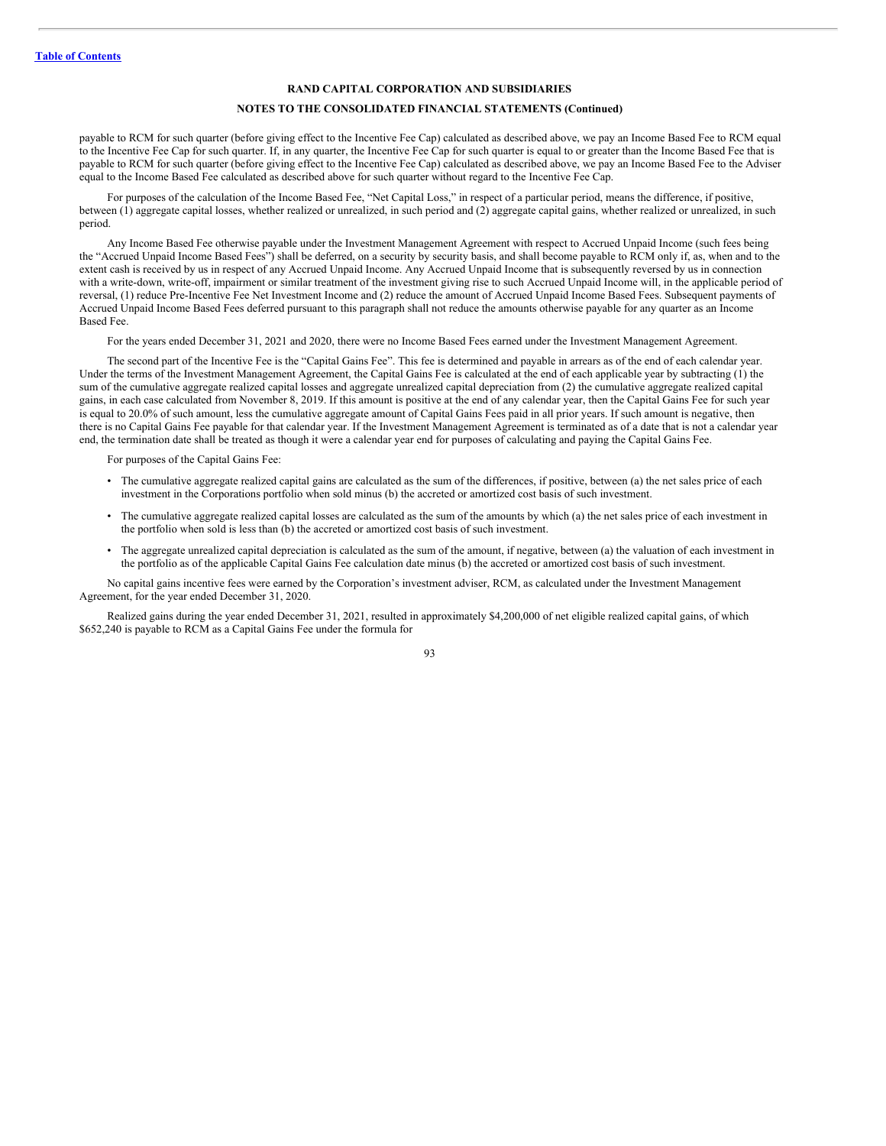#### **NOTES TO THE CONSOLIDATED FINANCIAL STATEMENTS (Continued)**

payable to RCM for such quarter (before giving effect to the Incentive Fee Cap) calculated as described above, we pay an Income Based Fee to RCM equal to the Incentive Fee Cap for such quarter. If, in any quarter, the Incentive Fee Cap for such quarter is equal to or greater than the Income Based Fee that is payable to RCM for such quarter (before giving effect to the Incentive Fee Cap) calculated as described above, we pay an Income Based Fee to the Adviser equal to the Income Based Fee calculated as described above for such quarter without regard to the Incentive Fee Cap.

For purposes of the calculation of the Income Based Fee, "Net Capital Loss," in respect of a particular period, means the difference, if positive, between (1) aggregate capital losses, whether realized or unrealized, in such period and (2) aggregate capital gains, whether realized or unrealized, in such period.

Any Income Based Fee otherwise payable under the Investment Management Agreement with respect to Accrued Unpaid Income (such fees being the "Accrued Unpaid Income Based Fees") shall be deferred, on a security by security basis, and shall become payable to RCM only if, as, when and to the extent cash is received by us in respect of any Accrued Unpaid Income. Any Accrued Unpaid Income that is subsequently reversed by us in connection with a write-down, write-off, impairment or similar treatment of the investment giving rise to such Accrued Unpaid Income will, in the applicable period of reversal, (1) reduce Pre-Incentive Fee Net Investment Income and (2) reduce the amount of Accrued Unpaid Income Based Fees. Subsequent payments of Accrued Unpaid Income Based Fees deferred pursuant to this paragraph shall not reduce the amounts otherwise payable for any quarter as an Income Based Fee.

For the years ended December 31, 2021 and 2020, there were no Income Based Fees earned under the Investment Management Agreement.

The second part of the Incentive Fee is the "Capital Gains Fee". This fee is determined and payable in arrears as of the end of each calendar year. Under the terms of the Investment Management Agreement, the Capital Gains Fee is calculated at the end of each applicable year by subtracting (1) the sum of the cumulative aggregate realized capital losses and aggregate unrealized capital depreciation from (2) the cumulative aggregate realized capital gains, in each case calculated from November 8, 2019. If this amount is positive at the end of any calendar year, then the Capital Gains Fee for such year is equal to 20.0% of such amount, less the cumulative aggregate amount of Capital Gains Fees paid in all prior years. If such amount is negative, then there is no Capital Gains Fee payable for that calendar year. If the Investment Management Agreement is terminated as of a date that is not a calendar year end, the termination date shall be treated as though it were a calendar year end for purposes of calculating and paying the Capital Gains Fee.

For purposes of the Capital Gains Fee:

- The cumulative aggregate realized capital gains are calculated as the sum of the differences, if positive, between (a) the net sales price of each investment in the Corporations portfolio when sold minus (b) the accreted or amortized cost basis of such investment.
- The cumulative aggregate realized capital losses are calculated as the sum of the amounts by which (a) the net sales price of each investment in the portfolio when sold is less than (b) the accreted or amortized cost basis of such investment.
- The aggregate unrealized capital depreciation is calculated as the sum of the amount, if negative, between (a) the valuation of each investment in the portfolio as of the applicable Capital Gains Fee calculation date minus (b) the accreted or amortized cost basis of such investment.

No capital gains incentive fees were earned by the Corporation's investment adviser, RCM, as calculated under the Investment Management Agreement, for the year ended December 31, 2020.

Realized gains during the year ended December 31, 2021, resulted in approximately \$4,200,000 of net eligible realized capital gains, of which \$652,240 is payable to RCM as a Capital Gains Fee under the formula for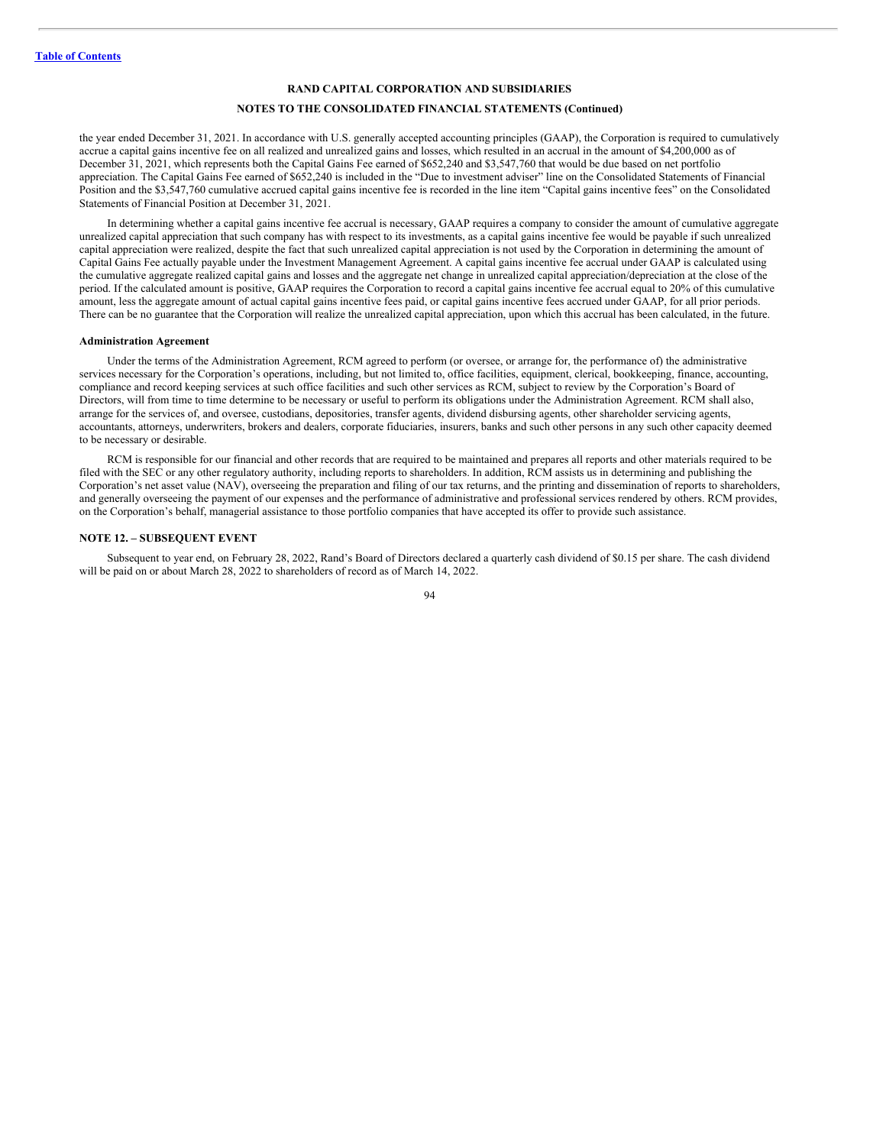#### **NOTES TO THE CONSOLIDATED FINANCIAL STATEMENTS (Continued)**

the year ended December 31, 2021. In accordance with U.S. generally accepted accounting principles (GAAP), the Corporation is required to cumulatively accrue a capital gains incentive fee on all realized and unrealized gains and losses, which resulted in an accrual in the amount of \$4,200,000 as of December 31, 2021, which represents both the Capital Gains Fee earned of \$652,240 and \$3,547,760 that would be due based on net portfolio appreciation. The Capital Gains Fee earned of \$652,240 is included in the "Due to investment adviser" line on the Consolidated Statements of Financial Position and the \$3,547,760 cumulative accrued capital gains incentive fee is recorded in the line item "Capital gains incentive fees" on the Consolidated Statements of Financial Position at December 31, 2021.

In determining whether a capital gains incentive fee accrual is necessary, GAAP requires a company to consider the amount of cumulative aggregate unrealized capital appreciation that such company has with respect to its investments, as a capital gains incentive fee would be payable if such unrealized capital appreciation were realized, despite the fact that such unrealized capital appreciation is not used by the Corporation in determining the amount of Capital Gains Fee actually payable under the Investment Management Agreement. A capital gains incentive fee accrual under GAAP is calculated using the cumulative aggregate realized capital gains and losses and the aggregate net change in unrealized capital appreciation/depreciation at the close of the period. If the calculated amount is positive, GAAP requires the Corporation to record a capital gains incentive fee accrual equal to 20% of this cumulative amount, less the aggregate amount of actual capital gains incentive fees paid, or capital gains incentive fees accrued under GAAP, for all prior periods. There can be no guarantee that the Corporation will realize the unrealized capital appreciation, upon which this accrual has been calculated, in the future.

#### **Administration Agreement**

Under the terms of the Administration Agreement, RCM agreed to perform (or oversee, or arrange for, the performance of) the administrative services necessary for the Corporation's operations, including, but not limited to, office facilities, equipment, clerical, bookkeeping, finance, accounting, compliance and record keeping services at such office facilities and such other services as RCM, subject to review by the Corporation's Board of Directors, will from time to time determine to be necessary or useful to perform its obligations under the Administration Agreement. RCM shall also, arrange for the services of, and oversee, custodians, depositories, transfer agents, dividend disbursing agents, other shareholder servicing agents, accountants, attorneys, underwriters, brokers and dealers, corporate fiduciaries, insurers, banks and such other persons in any such other capacity deemed to be necessary or desirable.

RCM is responsible for our financial and other records that are required to be maintained and prepares all reports and other materials required to be filed with the SEC or any other regulatory authority, including reports to shareholders. In addition, RCM assists us in determining and publishing the Corporation's net asset value (NAV), overseeing the preparation and filing of our tax returns, and the printing and dissemination of reports to shareholders, and generally overseeing the payment of our expenses and the performance of administrative and professional services rendered by others. RCM provides, on the Corporation's behalf, managerial assistance to those portfolio companies that have accepted its offer to provide such assistance.

#### **NOTE 12. – SUBSEQUENT EVENT**

Subsequent to year end, on February 28, 2022, Rand's Board of Directors declared a quarterly cash dividend of \$0.15 per share. The cash dividend will be paid on or about March 28, 2022 to shareholders of record as of March 14, 2022.

 $Q_{A}$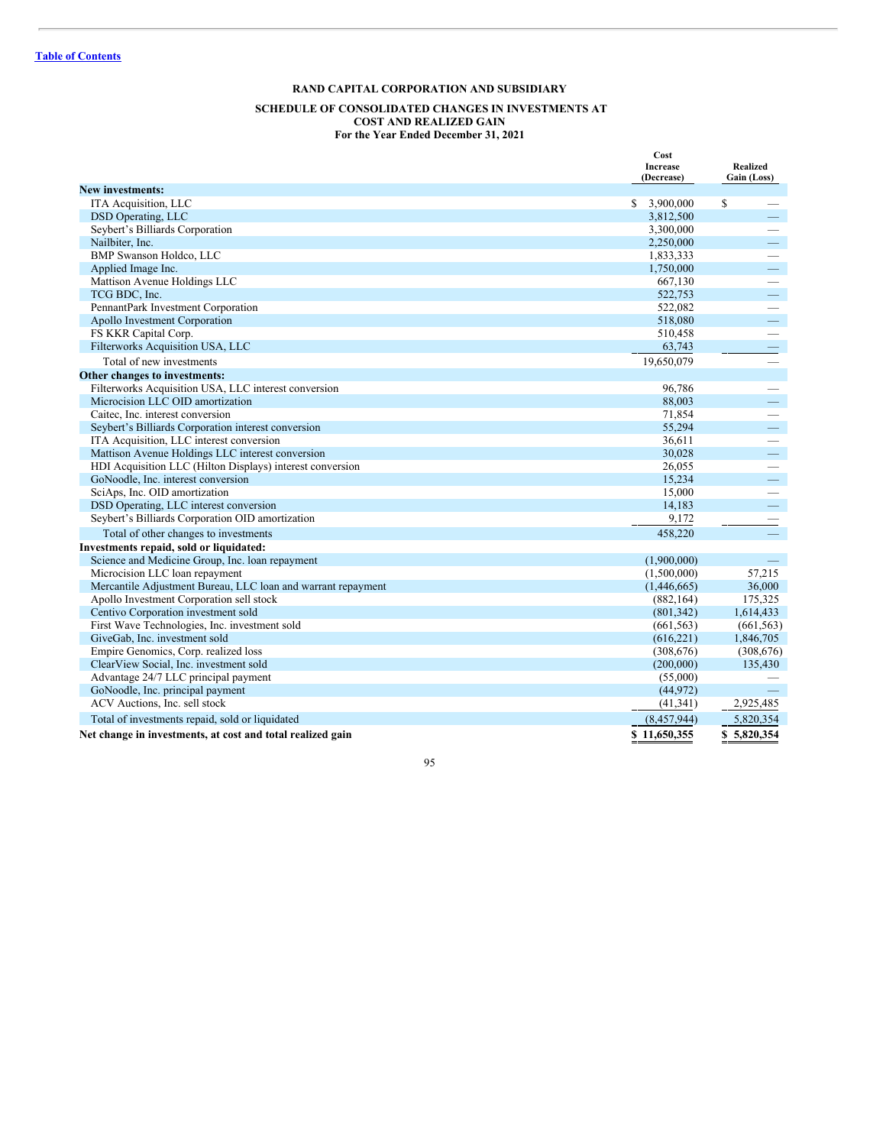# **RAND CAPITAL CORPORATION AND SUBSIDIARY SCHEDULE OF CONSOLIDATED CHANGES IN INVESTMENTS AT COST AND REALIZED GAIN For the Year Ended December 31, 2021**

|                                                              | Cost<br><b>Increase</b><br>(Decrease) | <b>Realized</b><br>Gain (Loss) |
|--------------------------------------------------------------|---------------------------------------|--------------------------------|
| <b>New investments:</b>                                      |                                       |                                |
| ITA Acquisition, LLC                                         | S<br>3,900,000                        | \$                             |
| <b>DSD Operating, LLC</b>                                    | 3,812,500                             |                                |
| Seybert's Billiards Corporation                              | 3,300,000                             |                                |
| Nailbiter, Inc.                                              | 2,250,000                             |                                |
| <b>BMP</b> Swanson Holdco, LLC                               | 1,833,333                             |                                |
| Applied Image Inc.                                           | 1,750,000                             |                                |
| Mattison Avenue Holdings LLC                                 | 667,130                               |                                |
| TCG BDC, Inc.                                                | 522,753                               |                                |
| PennantPark Investment Corporation                           | 522,082                               |                                |
| Apollo Investment Corporation                                | 518,080                               |                                |
| FS KKR Capital Corp.                                         | 510,458                               |                                |
| Filterworks Acquisition USA, LLC                             | 63,743                                |                                |
| Total of new investments                                     | 19,650,079                            |                                |
| Other changes to investments:                                |                                       |                                |
| Filterworks Acquisition USA, LLC interest conversion         | 96,786                                |                                |
| Microcision LLC OID amortization                             | 88,003                                |                                |
| Caitec, Inc. interest conversion                             | 71,854                                |                                |
| Seybert's Billiards Corporation interest conversion          | 55,294                                |                                |
| ITA Acquisition, LLC interest conversion                     | 36,611                                |                                |
| Mattison Avenue Holdings LLC interest conversion             | 30,028                                |                                |
| HDI Acquisition LLC (Hilton Displays) interest conversion    | 26,055                                |                                |
| GoNoodle, Inc. interest conversion                           | 15,234                                |                                |
| SciAps, Inc. OID amortization                                | 15,000                                |                                |
| DSD Operating, LLC interest conversion                       | 14,183                                |                                |
| Seybert's Billiards Corporation OID amortization             | 9,172                                 |                                |
| Total of other changes to investments                        | 458,220                               |                                |
| Investments repaid, sold or liquidated:                      |                                       |                                |
| Science and Medicine Group, Inc. loan repayment              | (1,900,000)                           |                                |
| Microcision LLC loan repayment                               | (1,500,000)                           | 57,215                         |
| Mercantile Adjustment Bureau, LLC loan and warrant repayment | (1,446,665)                           | 36,000                         |
| Apollo Investment Corporation sell stock                     | (882, 164)                            | 175,325                        |
| Centivo Corporation investment sold                          | (801, 342)                            | 1,614,433                      |
| First Wave Technologies, Inc. investment sold                | (661, 563)                            | (661, 563)                     |
| GiveGab, Inc. investment sold                                | (616, 221)                            | 1,846,705                      |
| Empire Genomics, Corp. realized loss                         | (308,676)                             | (308, 676)                     |
| ClearView Social, Inc. investment sold                       | (200,000)                             | 135,430                        |
| Advantage 24/7 LLC principal payment                         | (55,000)                              |                                |
| GoNoodle, Inc. principal payment                             | (44, 972)                             |                                |
| ACV Auctions, Inc. sell stock                                | (41, 341)                             | 2,925,485                      |
| Total of investments repaid, sold or liquidated              | (8, 457, 944)                         | 5,820,354                      |
| Net change in investments, at cost and total realized gain   | \$11,650,355                          | \$5,820,354                    |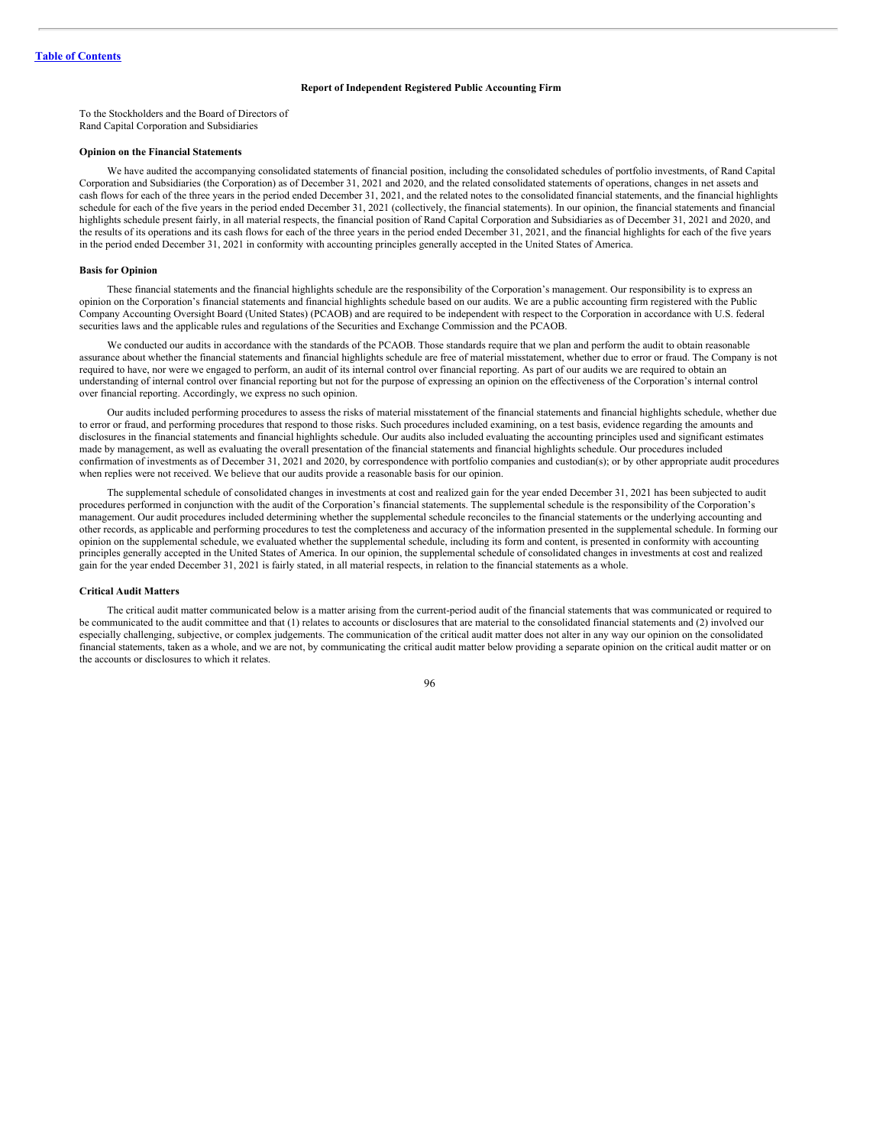#### **Report of Independent Registered Public Accounting Firm**

To the Stockholders and the Board of Directors of Rand Capital Corporation and Subsidiaries

#### **Opinion on the Financial Statements**

We have audited the accompanying consolidated statements of financial position, including the consolidated schedules of portfolio investments, of Rand Capital Corporation and Subsidiaries (the Corporation) as of December 31, 2021 and 2020, and the related consolidated statements of operations, changes in net assets and cash flows for each of the three years in the period ended December 31, 2021, and the related notes to the consolidated financial statements, and the financial highlights schedule for each of the five years in the period ended December 31, 2021 (collectively, the financial statements). In our opinion, the financial statements and financial highlights schedule present fairly, in all material respects, the financial position of Rand Capital Corporation and Subsidiaries as of December 31, 2021 and 2020, and the results of its operations and its cash flows for each of the three years in the period ended December 31, 2021, and the financial highlights for each of the five years in the period ended December 31, 2021 in conformity with accounting principles generally accepted in the United States of America.

#### **Basis for Opinion**

These financial statements and the financial highlights schedule are the responsibility of the Corporation's management. Our responsibility is to express an opinion on the Corporation's financial statements and financial highlights schedule based on our audits. We are a public accounting firm registered with the Public Company Accounting Oversight Board (United States) (PCAOB) and are required to be independent with respect to the Corporation in accordance with U.S. federal securities laws and the applicable rules and regulations of the Securities and Exchange Commission and the PCAOB.

We conducted our audits in accordance with the standards of the PCAOB. Those standards require that we plan and perform the audit to obtain reasonable assurance about whether the financial statements and financial highlights schedule are free of material misstatement, whether due to error or fraud. The Company is not required to have, nor were we engaged to perform, an audit of its internal control over financial reporting. As part of our audits we are required to obtain an understanding of internal control over financial reporting but not for the purpose of expressing an opinion on the effectiveness of the Corporation's internal control over financial reporting. Accordingly, we express no such opinion.

Our audits included performing procedures to assess the risks of material misstatement of the financial statements and financial highlights schedule, whether due to error or fraud, and performing procedures that respond to those risks. Such procedures included examining, on a test basis, evidence regarding the amounts and disclosures in the financial statements and financial highlights schedule. Our audits also included evaluating the accounting principles used and significant estimates made by management, as well as evaluating the overall presentation of the financial statements and financial highlights schedule. Our procedures included confirmation of investments as of December 31, 2021 and 2020, by correspondence with portfolio companies and custodian(s); or by other appropriate audit procedures when replies were not received. We believe that our audits provide a reasonable basis for our opinion.

The supplemental schedule of consolidated changes in investments at cost and realized gain for the year ended December 31, 2021 has been subjected to audit procedures performed in conjunction with the audit of the Corporation's financial statements. The supplemental schedule is the responsibility of the Corporation's management. Our audit procedures included determining whether the supplemental schedule reconciles to the financial statements or the underlying accounting and other records, as applicable and performing procedures to test the completeness and accuracy of the information presented in the supplemental schedule. In forming our opinion on the supplemental schedule, we evaluated whether the supplemental schedule, including its form and content, is presented in conformity with accounting principles generally accepted in the United States of America. In our opinion, the supplemental schedule of consolidated changes in investments at cost and realized gain for the year ended December 31, 2021 is fairly stated, in all material respects, in relation to the financial statements as a whole.

#### **Critical Audit Matters**

The critical audit matter communicated below is a matter arising from the current-period audit of the financial statements that was communicated or required to be communicated to the audit committee and that (1) relates to accounts or disclosures that are material to the consolidated financial statements and (2) involved our especially challenging, subjective, or complex judgements. The communication of the critical audit matter does not alter in any way our opinion on the consolidated financial statements, taken as a whole, and we are not, by communicating the critical audit matter below providing a separate opinion on the critical audit matter or on the accounts or disclosures to which it relates.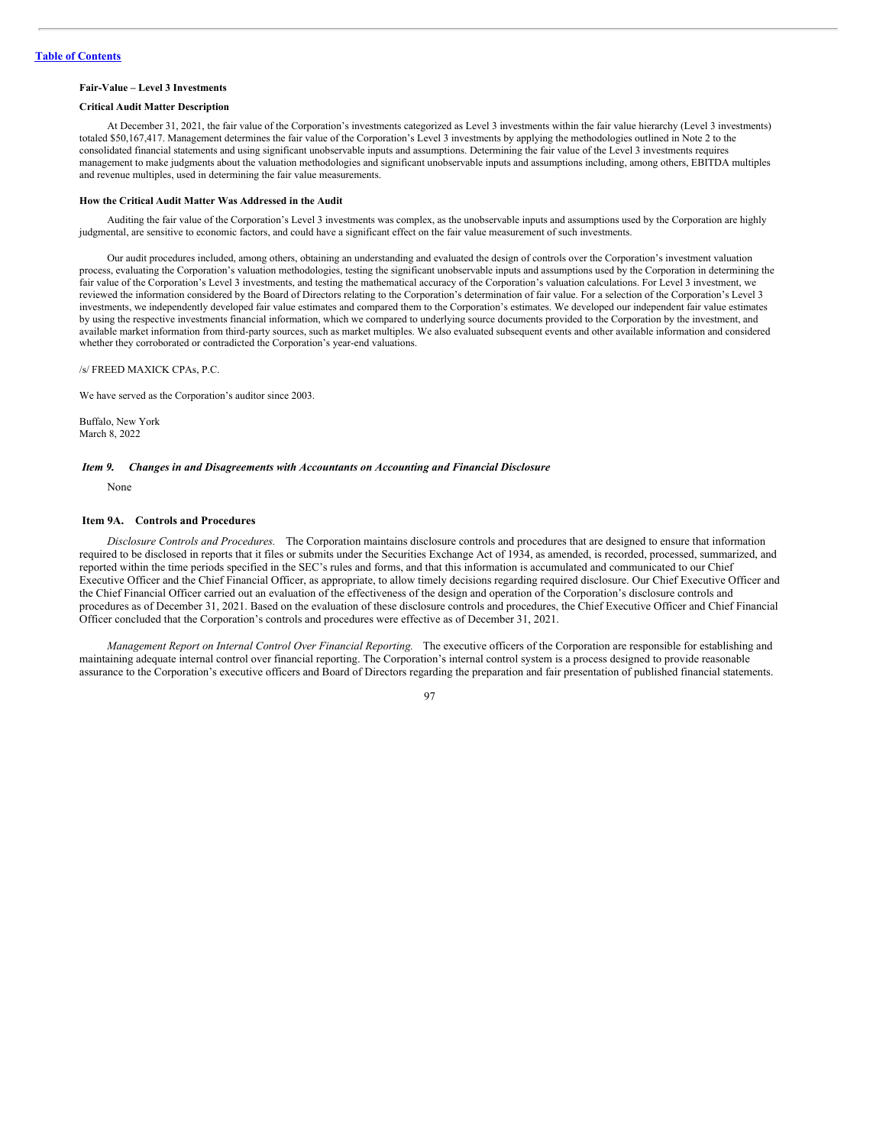#### **Fair-Value – Level 3 Investments**

#### **Critical Audit Matter Description**

At December 31, 2021, the fair value of the Corporation's investments categorized as Level 3 investments within the fair value hierarchy (Level 3 investments) totaled \$50,167,417. Management determines the fair value of the Corporation's Level 3 investments by applying the methodologies outlined in Note 2 to the consolidated financial statements and using significant unobservable inputs and assumptions. Determining the fair value of the Level 3 investments requires management to make judgments about the valuation methodologies and significant unobservable inputs and assumptions including, among others, EBITDA multiples and revenue multiples, used in determining the fair value measurements.

#### **How the Critical Audit Matter Was Addressed in the Audit**

Auditing the fair value of the Corporation's Level 3 investments was complex, as the unobservable inputs and assumptions used by the Corporation are highly judgmental, are sensitive to economic factors, and could have a significant effect on the fair value measurement of such investments.

Our audit procedures included, among others, obtaining an understanding and evaluated the design of controls over the Corporation's investment valuation process, evaluating the Corporation's valuation methodologies, testing the significant unobservable inputs and assumptions used by the Corporation in determining the fair value of the Corporation's Level 3 investments, and testing the mathematical accuracy of the Corporation's valuation calculations. For Level 3 investment, we reviewed the information considered by the Board of Directors relating to the Corporation's determination of fair value. For a selection of the Corporation's Level 3 investments, we independently developed fair value estimates and compared them to the Corporation's estimates. We developed our independent fair value estimates by using the respective investments financial information, which we compared to underlying source documents provided to the Corporation by the investment, and available market information from third-party sources, such as market multiples. We also evaluated subsequent events and other available information and considered whether they corroborated or contradicted the Corporation's year-end valuations.

/s/ FREED MAXICK CPAs, P.C.

We have served as the Corporation's auditor since 2003.

Buffalo, New York March 8, 2022

#### *Item 9. Changes in and Disagreements with Accountants on Accounting and Financial Disclosure*

None

#### **Item 9A. Controls and Procedures**

*Disclosure Controls and Procedures.* The Corporation maintains disclosure controls and procedures that are designed to ensure that information required to be disclosed in reports that it files or submits under the Securities Exchange Act of 1934, as amended, is recorded, processed, summarized, and reported within the time periods specified in the SEC's rules and forms, and that this information is accumulated and communicated to our Chief Executive Officer and the Chief Financial Officer, as appropriate, to allow timely decisions regarding required disclosure. Our Chief Executive Officer and the Chief Financial Officer carried out an evaluation of the effectiveness of the design and operation of the Corporation's disclosure controls and procedures as of December 31, 2021. Based on the evaluation of these disclosure controls and procedures, the Chief Executive Officer and Chief Financial Officer concluded that the Corporation's controls and procedures were effective as of December 31, 2021.

*Management Report on Internal Control Over Financial Reporting.* The executive officers of the Corporation are responsible for establishing and maintaining adequate internal control over financial reporting. The Corporation's internal control system is a process designed to provide reasonable assurance to the Corporation's executive officers and Board of Directors regarding the preparation and fair presentation of published financial statements.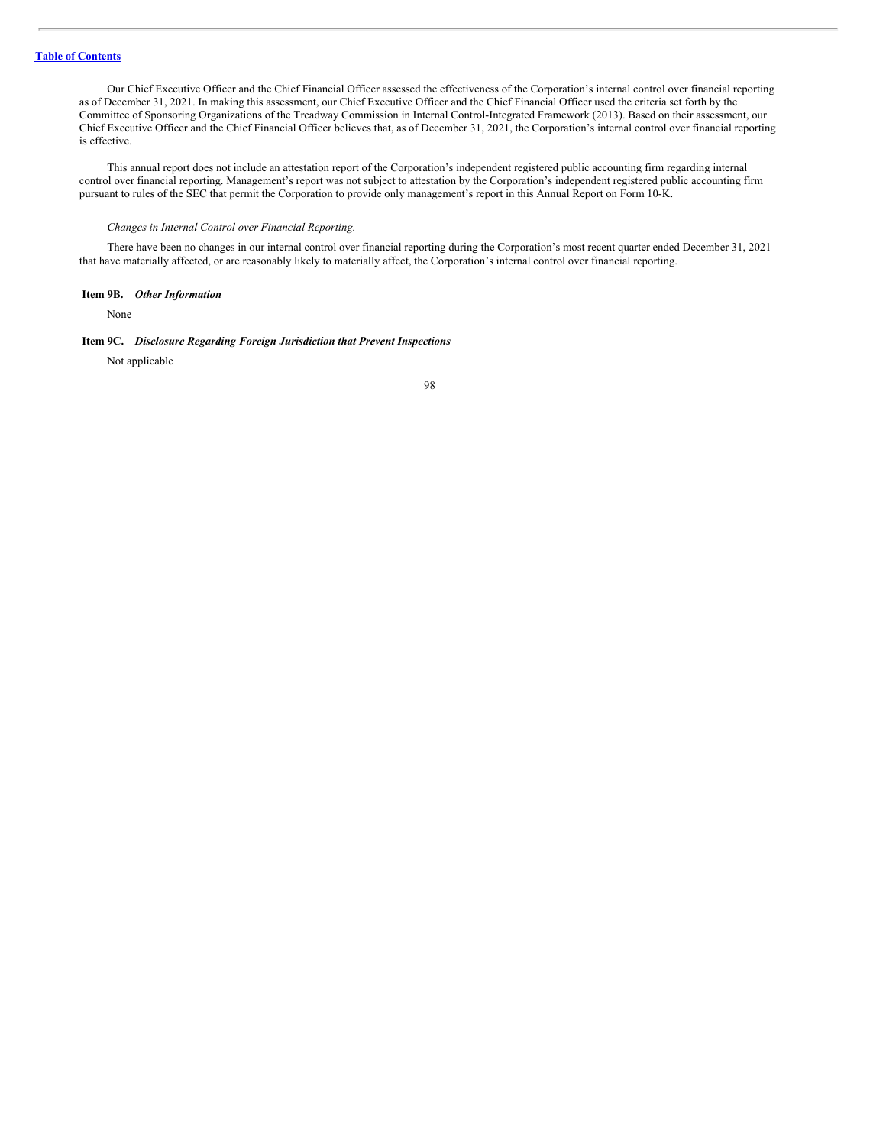Our Chief Executive Officer and the Chief Financial Officer assessed the effectiveness of the Corporation's internal control over financial reporting as of December 31, 2021. In making this assessment, our Chief Executive Officer and the Chief Financial Officer used the criteria set forth by the Committee of Sponsoring Organizations of the Treadway Commission in Internal Control-Integrated Framework (2013). Based on their assessment, our Chief Executive Officer and the Chief Financial Officer believes that, as of December 31, 2021, the Corporation's internal control over financial reporting is effective.

This annual report does not include an attestation report of the Corporation's independent registered public accounting firm regarding internal control over financial reporting. Management's report was not subject to attestation by the Corporation's independent registered public accounting firm pursuant to rules of the SEC that permit the Corporation to provide only management's report in this Annual Report on Form 10-K.

#### *Changes in Internal Control over Financial Reporting.*

There have been no changes in our internal control over financial reporting during the Corporation's most recent quarter ended December 31, 2021 that have materially affected, or are reasonably likely to materially affect, the Corporation's internal control over financial reporting.

#### **Item 9B.** *Other Information*

None

## **Item 9C.** *Disclosure Regarding Foreign Jurisdiction that Prevent Inspections*

Not applicable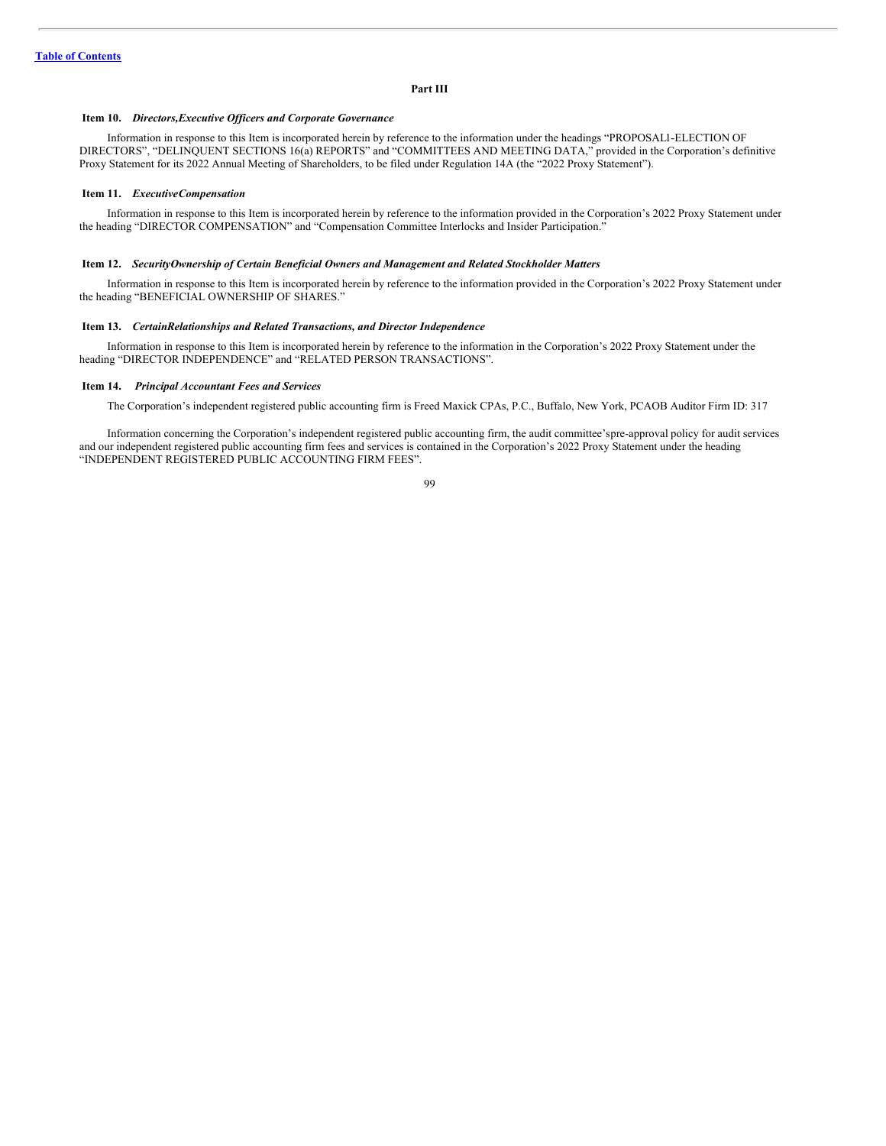## **Part III**

#### **Item 10.** *Directors,Executive Of icers and Corporate Governance*

Information in response to this Item is incorporated herein by reference to the information under the headings "PROPOSAL1-ELECTION OF DIRECTORS", "DELINQUENT SECTIONS 16(a) REPORTS" and "COMMITTEES AND MEETING DATA," provided in the Corporation's definitive Proxy Statement for its 2022 Annual Meeting of Shareholders, to be filed under Regulation 14A (the "2022 Proxy Statement").

#### **Item 11.** *ExecutiveCompensation*

Information in response to this Item is incorporated herein by reference to the information provided in the Corporation's 2022 Proxy Statement under the heading "DIRECTOR COMPENSATION" and "Compensation Committee Interlocks and Insider Participation."

# **Item 12.** *SecurityOwnership of Certain Beneficial Owners and Management and Related Stockholder Matters*

Information in response to this Item is incorporated herein by reference to the information provided in the Corporation's 2022 Proxy Statement under the heading "BENEFICIAL OWNERSHIP OF SHARES."

#### **Item 13.** *CertainRelationships and Related Transactions, and Director Independence*

Information in response to this Item is incorporated herein by reference to the information in the Corporation's 2022 Proxy Statement under the heading "DIRECTOR INDEPENDENCE" and "RELATED PERSON TRANSACTIONS".

#### **Item 14.** *Principal Accountant Fees and Services*

The Corporation's independent registered public accounting firm is Freed Maxick CPAs, P.C., Buffalo, New York, PCAOB Auditor Firm ID: 317

Information concerning the Corporation's independent registered public accounting firm, the audit committee'spre-approval policy for audit services and our independent registered public accounting firm fees and services is contained in the Corporation's 2022 Proxy Statement under the heading "INDEPENDENT REGISTERED PUBLIC ACCOUNTING FIRM FEES".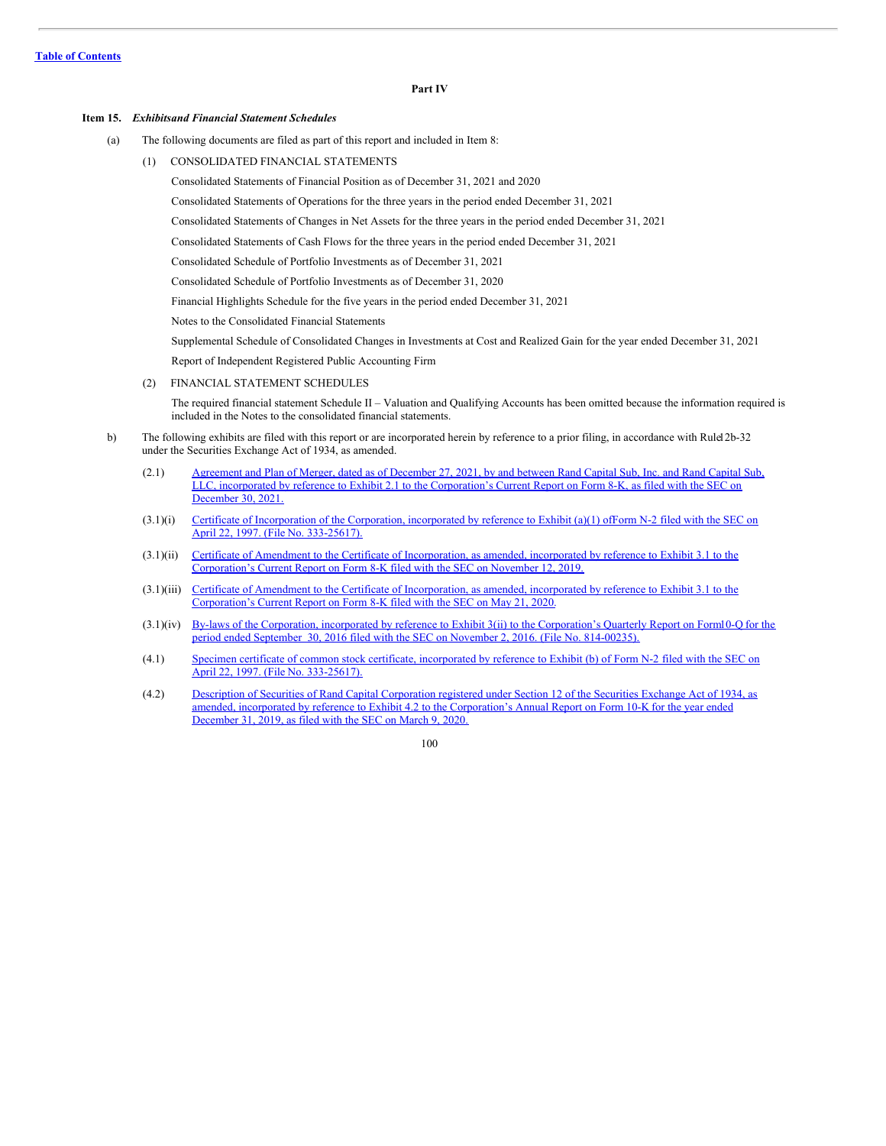#### **Part IV**

#### **Item 15.** *Exhibitsand Financial Statement Schedules*

- (a) The following documents are filed as part of this report and included in Item 8:
	- (1) CONSOLIDATED FINANCIAL STATEMENTS
		- Consolidated Statements of Financial Position as of December 31, 2021 and 2020
		- Consolidated Statements of Operations for the three years in the period ended December 31, 2021
		- Consolidated Statements of Changes in Net Assets for the three years in the period ended December 31, 2021
		- Consolidated Statements of Cash Flows for the three years in the period ended December 31, 2021
		- Consolidated Schedule of Portfolio Investments as of December 31, 2021
		- Consolidated Schedule of Portfolio Investments as of December 31, 2020
		- Financial Highlights Schedule for the five years in the period ended December 31, 2021
		- Notes to the Consolidated Financial Statements
		- Supplemental Schedule of Consolidated Changes in Investments at Cost and Realized Gain for the year ended December 31, 2021
		- Report of Independent Registered Public Accounting Firm
	- (2) FINANCIAL STATEMENT SCHEDULES

The required financial statement Schedule II – Valuation and Qualifying Accounts has been omitted because the information required is included in the Notes to the consolidated financial statements.

- b) The following exhibits are filed with this report or are incorporated herein by reference to a prior filing, in accordance with Rule 2b-32 under the Securities Exchange Act of 1934, as amended.
	- (2.1) Agreement and Plan of Merger, dated as of December 27, 2021, by and between Rand Capital Sub, Inc. and Rand Capital Sub, LLC, incorporated by reference to Exhibit 2.1 to the [Corporation's](http://www.sec.gov/Archives/edgar/data/81955/000149315221032896/ex2-1.htm) Current Report on Form 8-K, as filed with the SEC on December 30, 2021.
	- (3.1)(i) Certificate of [Incorporation](http://www.sec.gov/Archives/edgar/data/81955/0000941157-97-000027.txt) of the Corporation, incorporated by reference to Exhibit (a)(1) of Form N-2 filed with the SEC on April 22, 1997. (File No. 333-25617).
	- (3.1)(ii) Certificate of Amendment to the Certificate of [Incorporation,](http://www.sec.gov/Archives/edgar/data/81955/000149315219016822/ex3-1.htm) as amended, incorporated by reference to Exhibit 3.1 to the Corporation's Current Report on Form 8-K filed with the SEC on November 12, 2019.
	- (3.1)(iii) Certificate of Amendment to the Certificate of [Incorporation,](http://www.sec.gov/Archives/edgar/data/81955/000149315220009642/ex3-1.htm) as amended, incorporated by reference to Exhibit 3.1 to the Corporation's Current Report on Form 8-K filed with the SEC on May 21, 2020.
	- $(3.1)(iv)$  By-laws of the Corporation, incorporated by reference to Exhibit 3(ii) to the [Corporation's](http://www.sec.gov/Archives/edgar/data/81955/000119312516757014/d275068dex3ii.htm) Quarterly Report on Form10-Q for the period ended September 30, 2016 filed with the SEC on November 2, 2016. (File No. 814-00235).
	- (4.1) Specimen certificate of common stock certificate, [incorporated](http://www.sec.gov/Archives/edgar/data/81955/0000941157-97-000027.txt) by reference to Exhibit (b) of Form N-2 filed with the SEC on April 22, 1997. (File No. 333-25617).
	- (4.2) Description of Securities of Rand Capital Corporation registered under Section 12 of the Securities Exchange Act of 1934, as amended, incorporated by reference to Exhibit 4.2 to the [Corporation's](http://www.sec.gov/Archives/edgar/data/81955/000149315220003569/ex4-2.htm) Annual Report on Form 10-K for the year ended December 31, 2019, as filed with the SEC on March 9, 2020.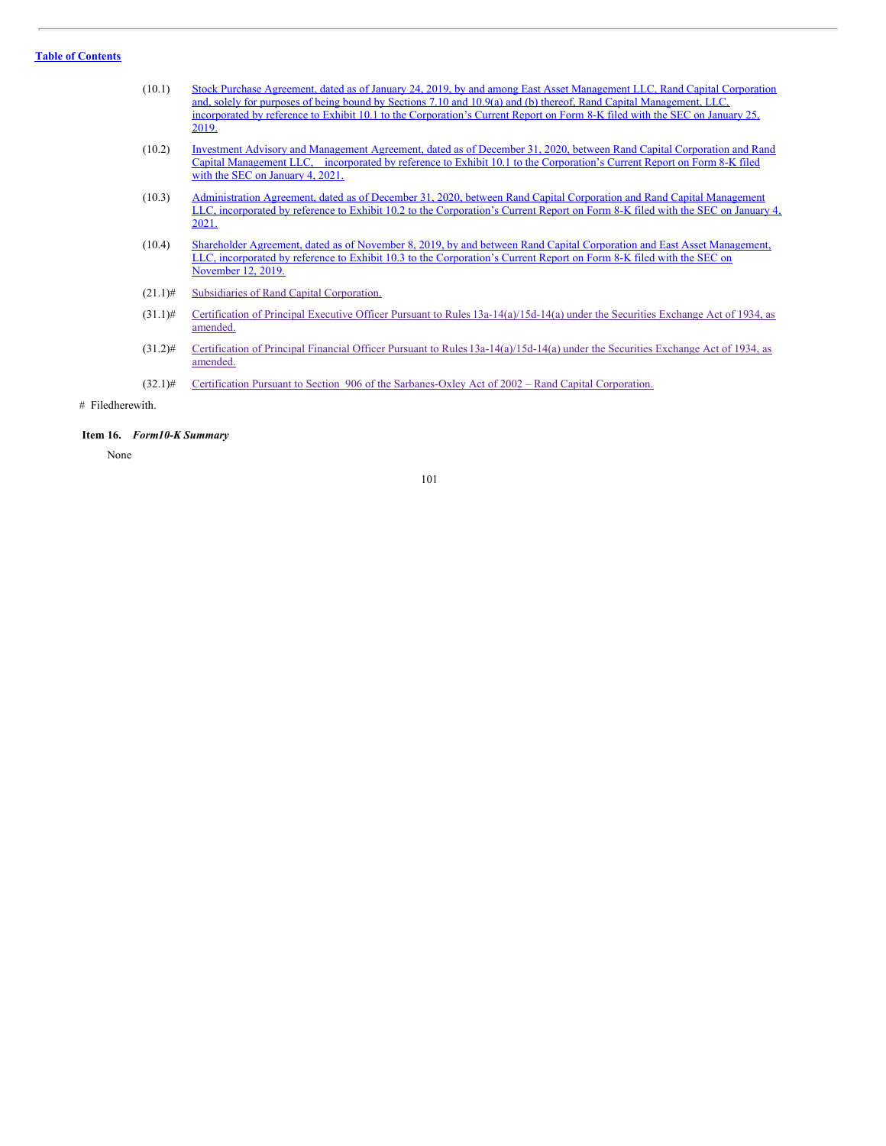# **Table of [Contents](#page-1-0)**

| (10.1)     | Stock Purchase Agreement, dated as of January 24, 2019, by and among East Asset Management LLC, Rand Capital Corporation<br>and, solely for purposes of being bound by Sections 7.10 and 10.9(a) and (b) thereof, Rand Capital Management, LLC,<br>incorporated by reference to Exhibit 10.1 to the Corporation's Current Report on Form 8-K filed with the SEC on January 25,<br>2019. |
|------------|-----------------------------------------------------------------------------------------------------------------------------------------------------------------------------------------------------------------------------------------------------------------------------------------------------------------------------------------------------------------------------------------|
| (10.2)     | Investment Advisory and Management Agreement, dated as of December 31, 2020, between Rand Capital Corporation and Rand<br>Capital Management LLC, incorporated by reference to Exhibit 10.1 to the Corporation's Current Report on Form 8-K filed<br>with the SEC on January 4, 2021.                                                                                                   |
| (10.3)     | Administration Agreement, dated as of December 31, 2020, between Rand Capital Corporation and Rand Capital Management<br>LLC, incorporated by reference to Exhibit 10.2 to the Corporation's Current Report on Form 8-K filed with the SEC on January 4,<br>2021.                                                                                                                       |
| (10.4)     | Shareholder Agreement, dated as of November 8, 2019, by and between Rand Capital Corporation and East Asset Management,<br>LLC, incorporated by reference to Exhibit 10.3 to the Corporation's Current Report on Form 8-K filed with the SEC on<br>November 12, 2019.                                                                                                                   |
| $(21.1)$ # | Subsidiaries of Rand Capital Corporation.                                                                                                                                                                                                                                                                                                                                               |
| $(31.1)$ # | Certification of Principal Executive Officer Pursuant to Rules 13a-14(a)/15d-14(a) under the Securities Exchange Act of 1934, as<br>amended.                                                                                                                                                                                                                                            |
| $(31.2)$ # | Certification of Principal Financial Officer Pursuant to Rules 13a-14(a)/15d-14(a) under the Securities Exchange Act of 1934, as<br>amended.                                                                                                                                                                                                                                            |

(32.1)# Certification Pursuant to Section 906 of the [Sarbanes-Oxley](#page-107-0) Act of 2002 – Rand Capital Corporation.

# Filedherewith.

# **Item 16.** *Form10-K Summary*

None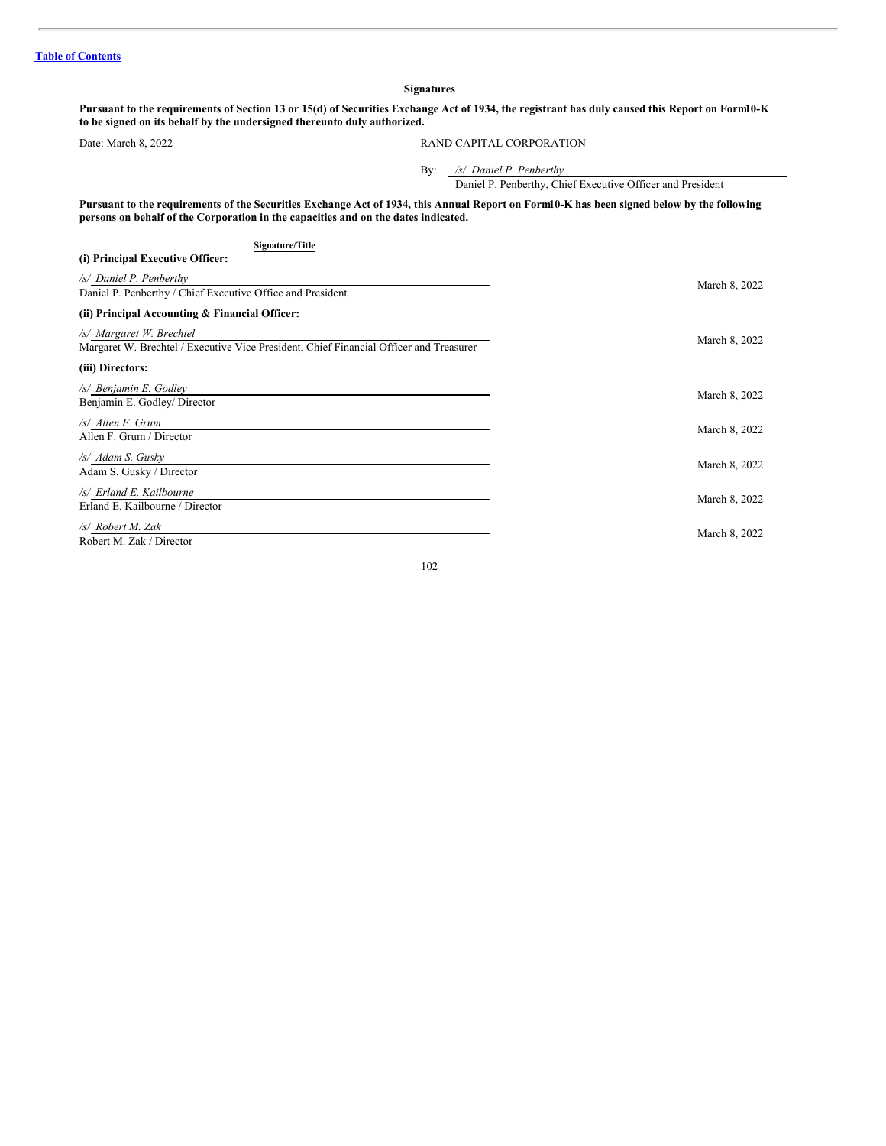## **Signatures**

Pursuant to the requirements of Section 13 or 15(d) of Securities Exchange Act of 1934, the registrant has duly caused this Report on Form10-K **to be signed on its behalf by the undersigned thereunto duly authorized.**

Date: March 8, 2022 RAND CAPITAL CORPORATION

By: */s/ Daniel P. Penberthy*

Daniel P. Penberthy, Chief Executive Officer and President

Pursuant to the requirements of the Securities Exchange Act of 1934, this Annual Report on Form10-K has been signed below by the following **persons on behalf of the Corporation in the capacities and on the dates indicated.**

| Signature/Title                                                                                                    |               |
|--------------------------------------------------------------------------------------------------------------------|---------------|
| (i) Principal Executive Officer:                                                                                   |               |
| /s/ Daniel P. Penberthy<br>Daniel P. Penberthy / Chief Executive Office and President                              | March 8, 2022 |
| (ii) Principal Accounting & Financial Officer:                                                                     |               |
| /s/ Margaret W. Brechtel<br>Margaret W. Brechtel / Executive Vice President, Chief Financial Officer and Treasurer | March 8, 2022 |
| (iii) Directors:                                                                                                   |               |
| $\sqrt{s}$ Benjamin E. Godley<br>Benjamin E. Godley/ Director                                                      | March 8, 2022 |
| $\sqrt{s}$ Allen F. Grum<br>Allen F. Grum / Director                                                               | March 8, 2022 |
| /s/ Adam S. Gusky<br>Adam S. Gusky / Director                                                                      | March 8, 2022 |
| /s/ Erland E. Kailbourne<br>Erland E. Kailbourne / Director                                                        | March 8, 2022 |
| $\sqrt{s}$ Robert M. Zak<br>Robert M. Zak / Director                                                               | March 8, 2022 |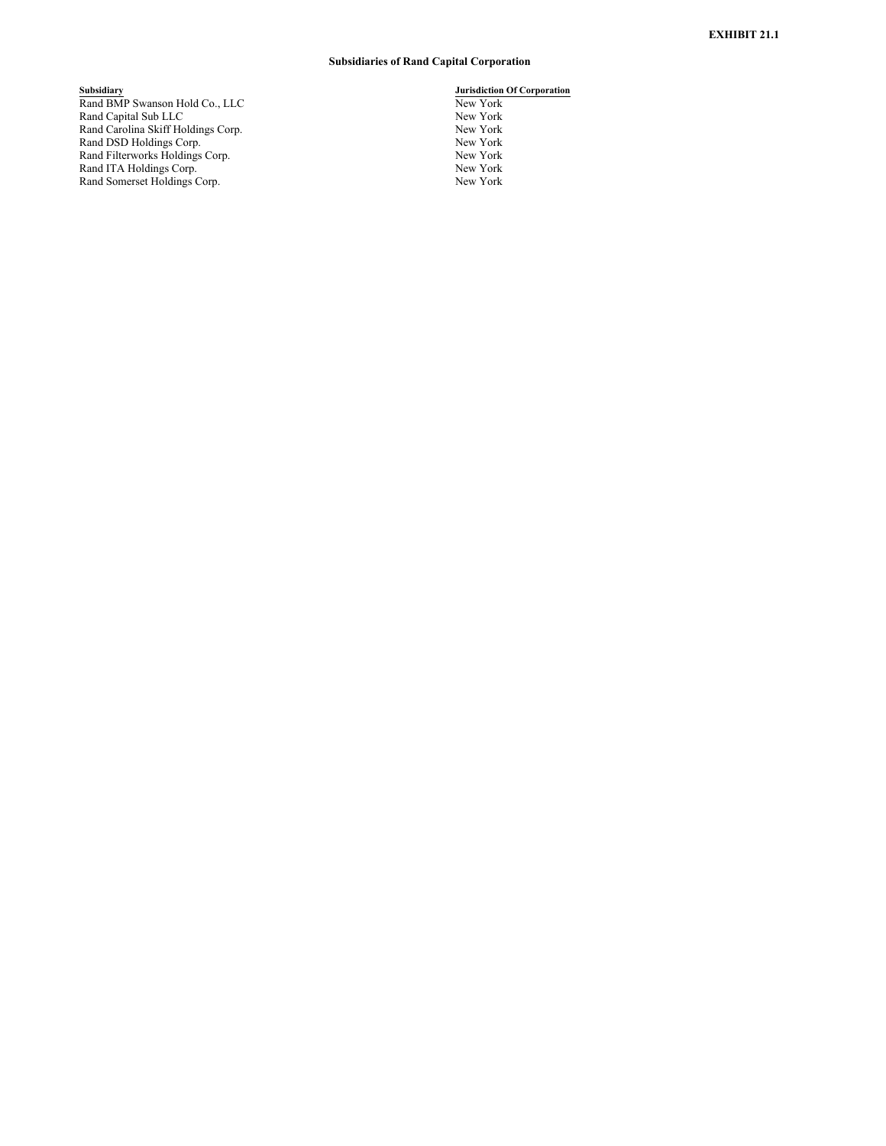#### **Subsidiaries of Rand Capital Corporation**

<span id="page-104-0"></span>**S u b s i d i a r y** Rand BMP Swanson Hold Co., LLC Rand Capital Sub LLC Rand Carolina Skiff Holdings Cor Rand DSD Holdings Corp. Ne Rand Filterworks Holdings Cor rp. Ne Rand ITA Holdings Corp. Ne Rand Somerset Holdings Cor rp. Ne

**Jurisdiction Of Corporation** New York New York rp. Ne ew York ew York ew York ew York ew York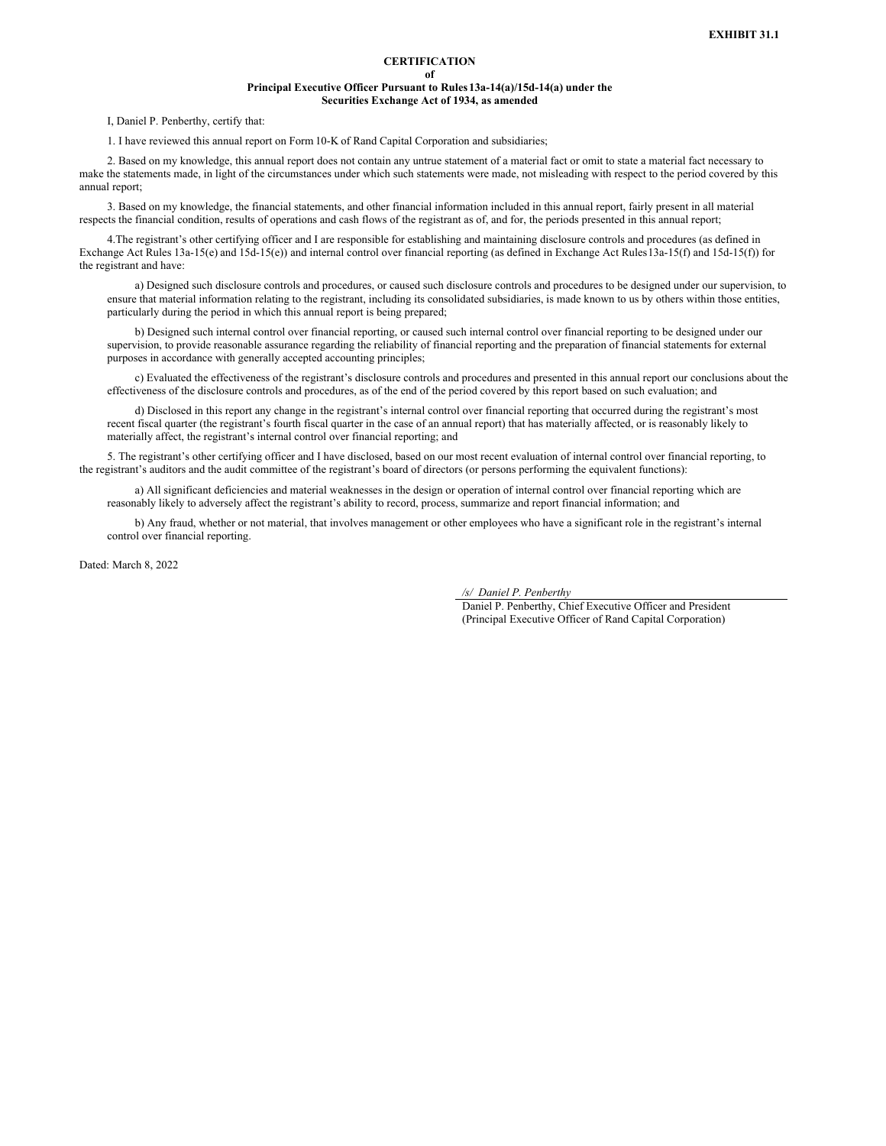## **CERTIFICATION**

**of**

#### **Principal Executive Officer Pursuant to Rules 13a-14(a)/15d-14(a) under the Securities Exchange Act of 1934, as amended**

<span id="page-105-0"></span>I, Daniel P. Penberthy, certify that:

1. I have reviewed this annual report on Form 10-K of Rand Capital Corporation and subsidiaries;

2. Based on my knowledge, this annual report does not contain any untrue statement of a material fact or omit to state a material fact necessary to make the statements made, in light of the circumstances under which such statements were made, not misleading with respect to the period covered by this annual report;

3. Based on my knowledge, the financial statements, and other financial information included in this annual report, fairly present in all material respects the financial condition, results of operations and cash flows of the registrant as of, and for, the periods presented in this annual report;

4.The registrant's other certifying officer and I are responsible for establishing and maintaining disclosure controls and procedures (as defined in Exchange Act Rules 13a-15(e) and 15d-15(e)) and internal control over financial reporting (as defined in Exchange Act Rules 13a-15(f) and 15d-15(f)) for the registrant and have:

a) Designed such disclosure controls and procedures, or caused such disclosure controls and procedures to be designed under our supervision, to ensure that material information relating to the registrant, including its consolidated subsidiaries, is made known to us by others within those entities, particularly during the period in which this annual report is being prepared;

b) Designed such internal control over financial reporting, or caused such internal control over financial reporting to be designed under our supervision, to provide reasonable assurance regarding the reliability of financial reporting and the preparation of financial statements for external purposes in accordance with generally accepted accounting principles;

c) Evaluated the effectiveness of the registrant's disclosure controls and procedures and presented in this annual report our conclusions about the effectiveness of the disclosure controls and procedures, as of the end of the period covered by this report based on such evaluation; and

d) Disclosed in this report any change in the registrant's internal control over financial reporting that occurred during the registrant's most recent fiscal quarter (the registrant's fourth fiscal quarter in the case of an annual report) that has materially affected, or is reasonably likely to materially affect, the registrant's internal control over financial reporting; and

5. The registrant's other certifying officer and I have disclosed, based on our most recent evaluation of internal control over financial reporting, to the registrant's auditors and the audit committee of the registrant's board of directors (or persons performing the equivalent functions):

a) All significant deficiencies and material weaknesses in the design or operation of internal control over financial reporting which are reasonably likely to adversely affect the registrant's ability to record, process, summarize and report financial information; and

b) Any fraud, whether or not material, that involves management or other employees who have a significant role in the registrant's internal control over financial reporting.

Dated: March 8, 2022

*/s/ Daniel P. Penberthy*

Daniel P. Penberthy, Chief Executive Officer and President (Principal Executive Officer of Rand Capital Corporation)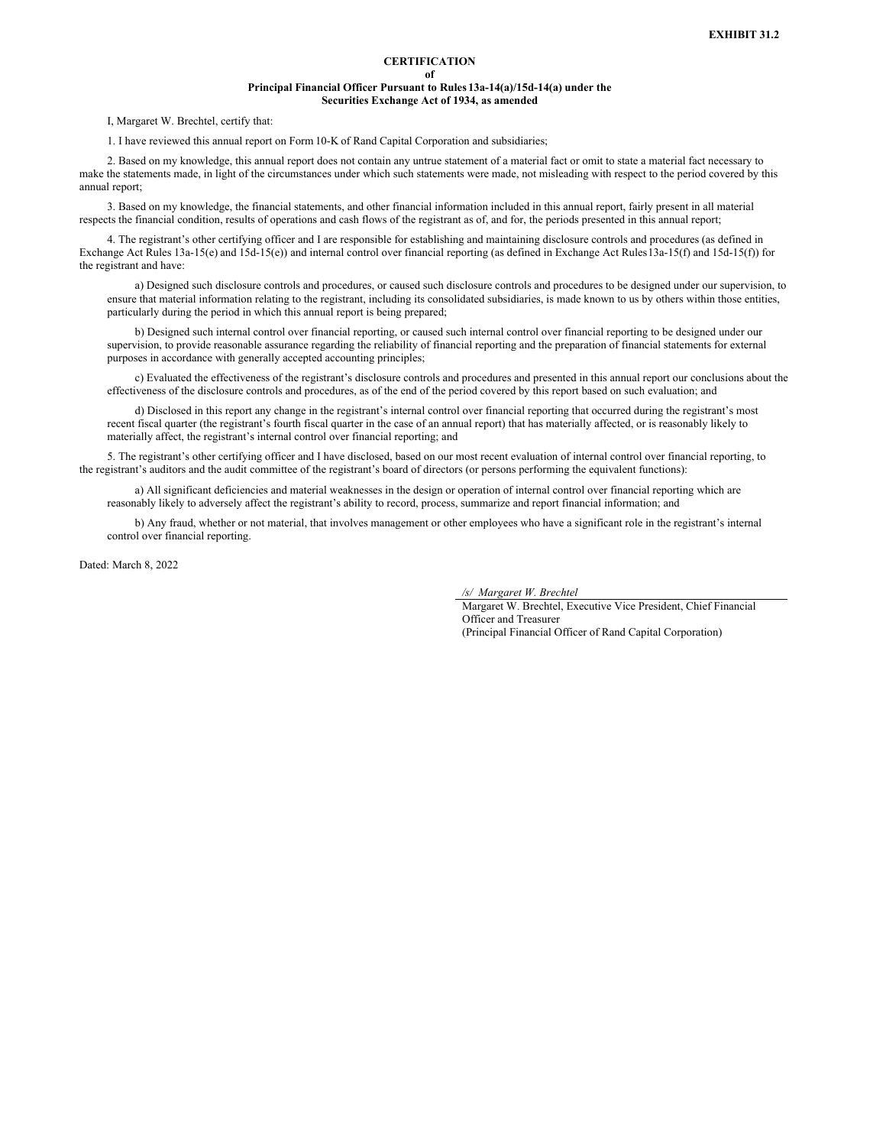## **CERTIFICATION**

**of**

#### **Principal Financial Officer Pursuant to Rules 13a-14(a)/15d-14(a) under the Securities Exchange Act of 1934, as amended**

<span id="page-106-0"></span>I, Margaret W. Brechtel, certify that:

1. I have reviewed this annual report on Form 10-K of Rand Capital Corporation and subsidiaries;

2. Based on my knowledge, this annual report does not contain any untrue statement of a material fact or omit to state a material fact necessary to make the statements made, in light of the circumstances under which such statements were made, not misleading with respect to the period covered by this annual report;

3. Based on my knowledge, the financial statements, and other financial information included in this annual report, fairly present in all material respects the financial condition, results of operations and cash flows of the registrant as of, and for, the periods presented in this annual report;

4. The registrant's other certifying officer and I are responsible for establishing and maintaining disclosure controls and procedures (as defined in Exchange Act Rules 13a-15(e) and 15d-15(e)) and internal control over financial reporting (as defined in Exchange Act Rules 13a-15(f) and 15d-15(f)) for the registrant and have:

a) Designed such disclosure controls and procedures, or caused such disclosure controls and procedures to be designed under our supervision, to ensure that material information relating to the registrant, including its consolidated subsidiaries, is made known to us by others within those entities, particularly during the period in which this annual report is being prepared;

b) Designed such internal control over financial reporting, or caused such internal control over financial reporting to be designed under our supervision, to provide reasonable assurance regarding the reliability of financial reporting and the preparation of financial statements for external purposes in accordance with generally accepted accounting principles;

c) Evaluated the effectiveness of the registrant's disclosure controls and procedures and presented in this annual report our conclusions about the effectiveness of the disclosure controls and procedures, as of the end of the period covered by this report based on such evaluation; and

d) Disclosed in this report any change in the registrant's internal control over financial reporting that occurred during the registrant's most recent fiscal quarter (the registrant's fourth fiscal quarter in the case of an annual report) that has materially affected, or is reasonably likely to materially affect, the registrant's internal control over financial reporting; and

5. The registrant's other certifying officer and I have disclosed, based on our most recent evaluation of internal control over financial reporting, to the registrant's auditors and the audit committee of the registrant's board of directors (or persons performing the equivalent functions):

a) All significant deficiencies and material weaknesses in the design or operation of internal control over financial reporting which are reasonably likely to adversely affect the registrant's ability to record, process, summarize and report financial information; and

b) Any fraud, whether or not material, that involves management or other employees who have a significant role in the registrant's internal control over financial reporting.

Dated: March 8, 2022

*/s/ Margaret W. Brechtel*

Margaret W. Brechtel, Executive Vice President, Chief Financial Officer and Treasurer (Principal Financial Officer of Rand Capital Corporation)